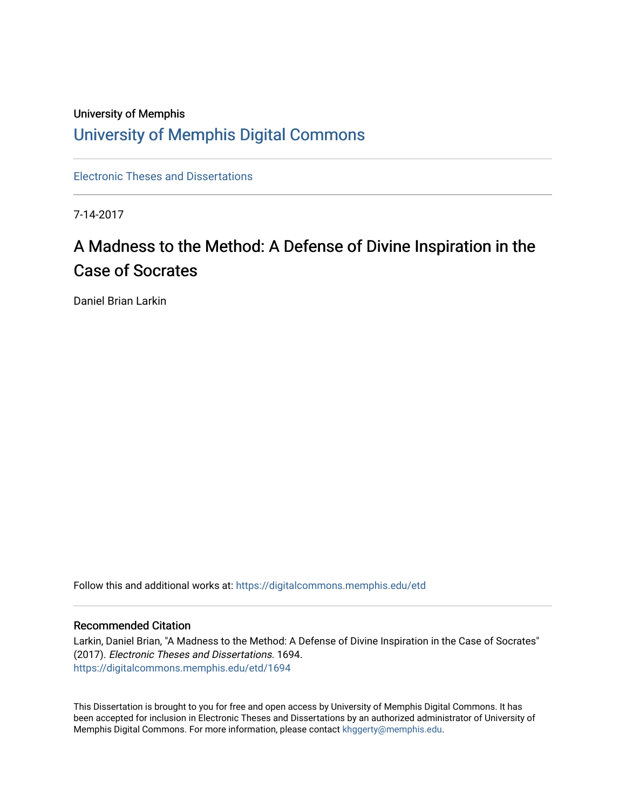# University of Memphis [University of Memphis Digital Commons](https://digitalcommons.memphis.edu/)

[Electronic Theses and Dissertations](https://digitalcommons.memphis.edu/etd)

7-14-2017

# A Madness to the Method: A Defense of Divine Inspiration in the Case of Socrates

Daniel Brian Larkin

Follow this and additional works at: [https://digitalcommons.memphis.edu/etd](https://digitalcommons.memphis.edu/etd?utm_source=digitalcommons.memphis.edu%2Fetd%2F1694&utm_medium=PDF&utm_campaign=PDFCoverPages) 

## Recommended Citation

Larkin, Daniel Brian, "A Madness to the Method: A Defense of Divine Inspiration in the Case of Socrates" (2017). Electronic Theses and Dissertations. 1694. [https://digitalcommons.memphis.edu/etd/1694](https://digitalcommons.memphis.edu/etd/1694?utm_source=digitalcommons.memphis.edu%2Fetd%2F1694&utm_medium=PDF&utm_campaign=PDFCoverPages) 

This Dissertation is brought to you for free and open access by University of Memphis Digital Commons. It has been accepted for inclusion in Electronic Theses and Dissertations by an authorized administrator of University of Memphis Digital Commons. For more information, please contact [khggerty@memphis.edu.](mailto:khggerty@memphis.edu)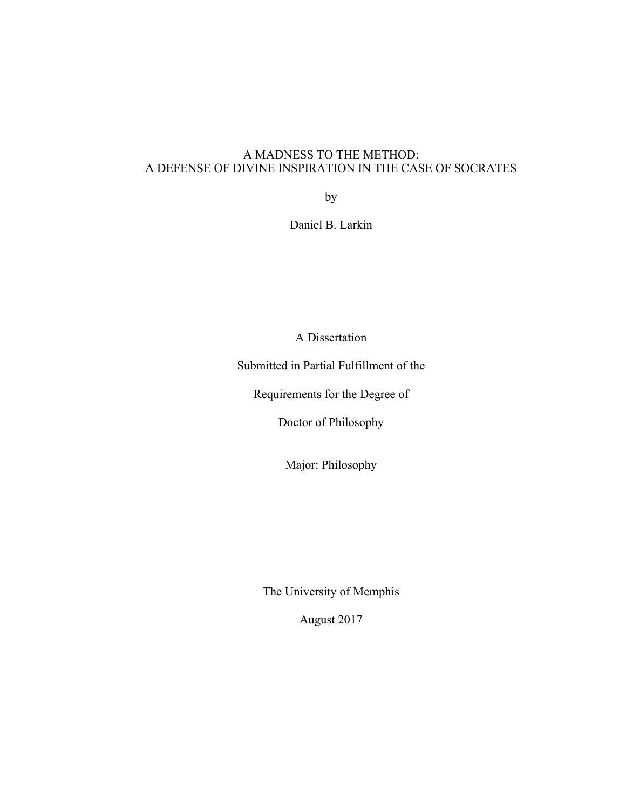# A MADNESS TO THE METHOD: A DEFENSE OF DIVINE INSPIRATION IN THE CASE OF SOCRATES

by

Daniel B. Larkin

A Dissertation

Submitted in Partial Fulfillment of the

Requirements for the Degree of

Doctor of Philosophy

Major: Philosophy

The University of Memphis

August 2017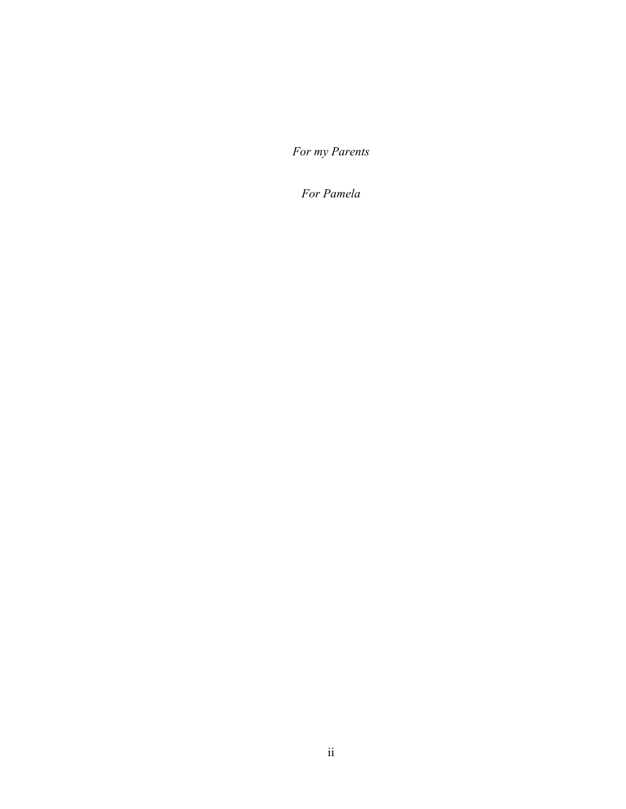*For my Parents*

*For Pamela*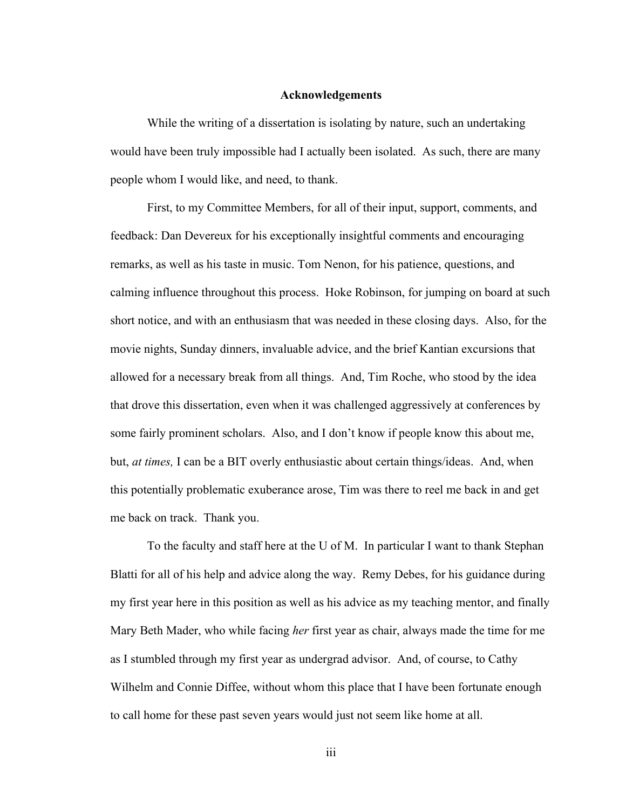## **Acknowledgements**

While the writing of a dissertation is isolating by nature, such an undertaking would have been truly impossible had I actually been isolated. As such, there are many people whom I would like, and need, to thank.

First, to my Committee Members, for all of their input, support, comments, and feedback: Dan Devereux for his exceptionally insightful comments and encouraging remarks, as well as his taste in music. Tom Nenon, for his patience, questions, and calming influence throughout this process. Hoke Robinson, for jumping on board at such short notice, and with an enthusiasm that was needed in these closing days. Also, for the movie nights, Sunday dinners, invaluable advice, and the brief Kantian excursions that allowed for a necessary break from all things. And, Tim Roche, who stood by the idea that drove this dissertation, even when it was challenged aggressively at conferences by some fairly prominent scholars. Also, and I don't know if people know this about me, but, *at times,* I can be a BIT overly enthusiastic about certain things/ideas. And, when this potentially problematic exuberance arose, Tim was there to reel me back in and get me back on track. Thank you.

To the faculty and staff here at the U of M. In particular I want to thank Stephan Blatti for all of his help and advice along the way. Remy Debes, for his guidance during my first year here in this position as well as his advice as my teaching mentor, and finally Mary Beth Mader, who while facing *her* first year as chair, always made the time for me as I stumbled through my first year as undergrad advisor. And, of course, to Cathy Wilhelm and Connie Diffee, without whom this place that I have been fortunate enough to call home for these past seven years would just not seem like home at all.

iii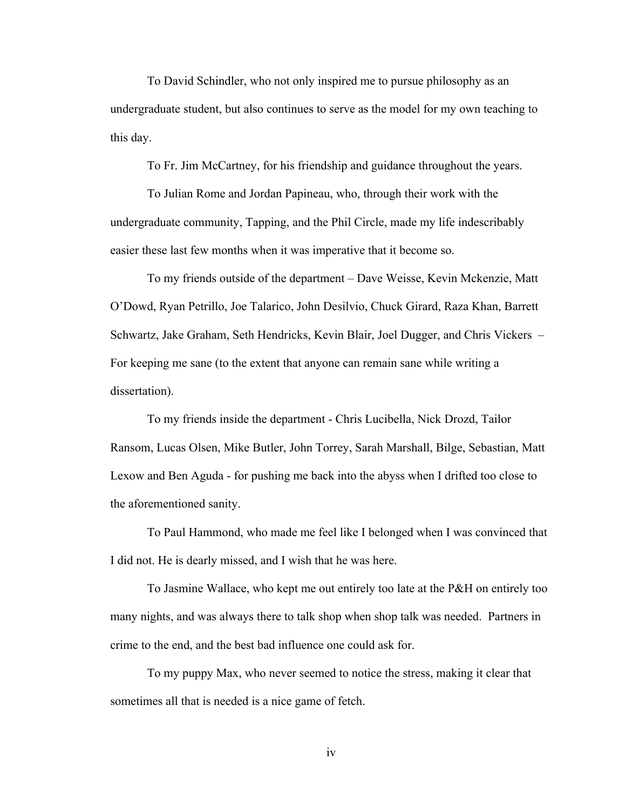To David Schindler, who not only inspired me to pursue philosophy as an undergraduate student, but also continues to serve as the model for my own teaching to this day.

To Fr. Jim McCartney, for his friendship and guidance throughout the years.

To Julian Rome and Jordan Papineau, who, through their work with the undergraduate community, Tapping, and the Phil Circle, made my life indescribably easier these last few months when it was imperative that it become so.

To my friends outside of the department – Dave Weisse, Kevin Mckenzie, Matt O'Dowd, Ryan Petrillo, Joe Talarico, John Desilvio, Chuck Girard, Raza Khan, Barrett Schwartz, Jake Graham, Seth Hendricks, Kevin Blair, Joel Dugger, and Chris Vickers – For keeping me sane (to the extent that anyone can remain sane while writing a dissertation).

To my friends inside the department - Chris Lucibella, Nick Drozd, Tailor Ransom, Lucas Olsen, Mike Butler, John Torrey, Sarah Marshall, Bilge, Sebastian, Matt Lexow and Ben Aguda - for pushing me back into the abyss when I drifted too close to the aforementioned sanity.

To Paul Hammond, who made me feel like I belonged when I was convinced that I did not. He is dearly missed, and I wish that he was here.

To Jasmine Wallace, who kept me out entirely too late at the P&H on entirely too many nights, and was always there to talk shop when shop talk was needed. Partners in crime to the end, and the best bad influence one could ask for.

To my puppy Max, who never seemed to notice the stress, making it clear that sometimes all that is needed is a nice game of fetch.

iv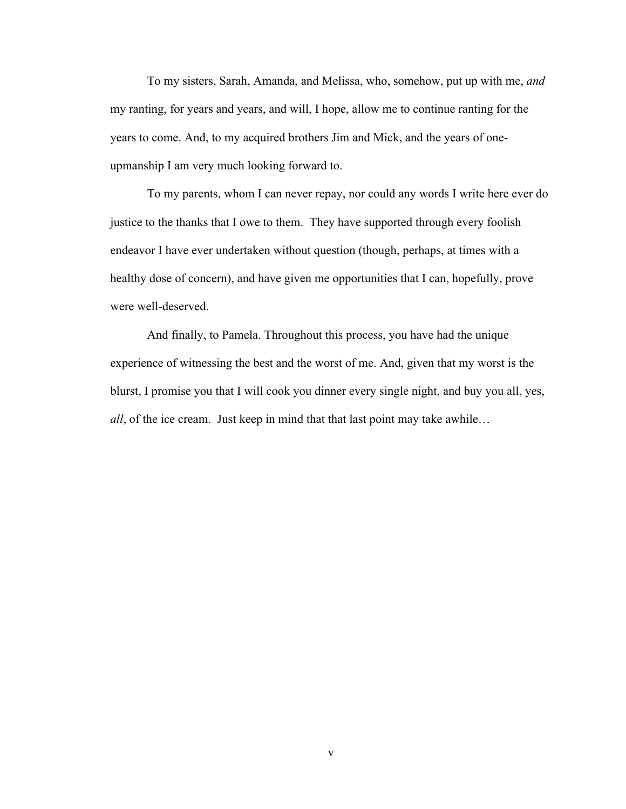To my sisters, Sarah, Amanda, and Melissa, who, somehow, put up with me, *and*  my ranting, for years and years, and will, I hope, allow me to continue ranting for the years to come. And, to my acquired brothers Jim and Mick, and the years of oneupmanship I am very much looking forward to.

To my parents, whom I can never repay, nor could any words I write here ever do justice to the thanks that I owe to them. They have supported through every foolish endeavor I have ever undertaken without question (though, perhaps, at times with a healthy dose of concern), and have given me opportunities that I can, hopefully, prove were well-deserved.

And finally, to Pamela. Throughout this process, you have had the unique experience of witnessing the best and the worst of me. And, given that my worst is the blurst, I promise you that I will cook you dinner every single night, and buy you all, yes, *all*, of the ice cream. Just keep in mind that that last point may take awhile…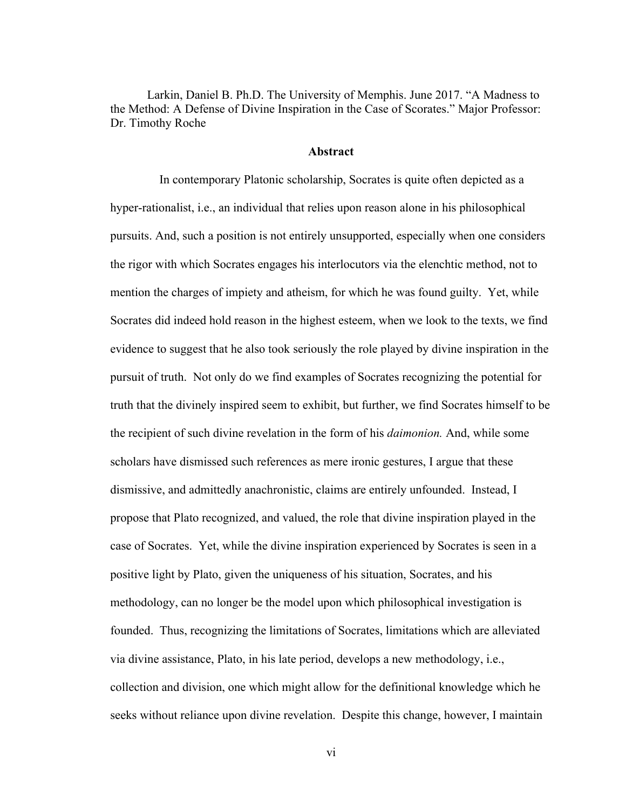Larkin, Daniel B. Ph.D. The University of Memphis. June 2017. "A Madness to the Method: A Defense of Divine Inspiration in the Case of Scorates." Major Professor: Dr. Timothy Roche

### **Abstract**

In contemporary Platonic scholarship, Socrates is quite often depicted as a hyper-rationalist, i.e., an individual that relies upon reason alone in his philosophical pursuits. And, such a position is not entirely unsupported, especially when one considers the rigor with which Socrates engages his interlocutors via the elenchtic method, not to mention the charges of impiety and atheism, for which he was found guilty. Yet, while Socrates did indeed hold reason in the highest esteem, when we look to the texts, we find evidence to suggest that he also took seriously the role played by divine inspiration in the pursuit of truth. Not only do we find examples of Socrates recognizing the potential for truth that the divinely inspired seem to exhibit, but further, we find Socrates himself to be the recipient of such divine revelation in the form of his *daimonion.* And, while some scholars have dismissed such references as mere ironic gestures, I argue that these dismissive, and admittedly anachronistic, claims are entirely unfounded. Instead, I propose that Plato recognized, and valued, the role that divine inspiration played in the case of Socrates. Yet, while the divine inspiration experienced by Socrates is seen in a positive light by Plato, given the uniqueness of his situation, Socrates, and his methodology, can no longer be the model upon which philosophical investigation is founded. Thus, recognizing the limitations of Socrates, limitations which are alleviated via divine assistance, Plato, in his late period, develops a new methodology, i.e., collection and division, one which might allow for the definitional knowledge which he seeks without reliance upon divine revelation. Despite this change, however, I maintain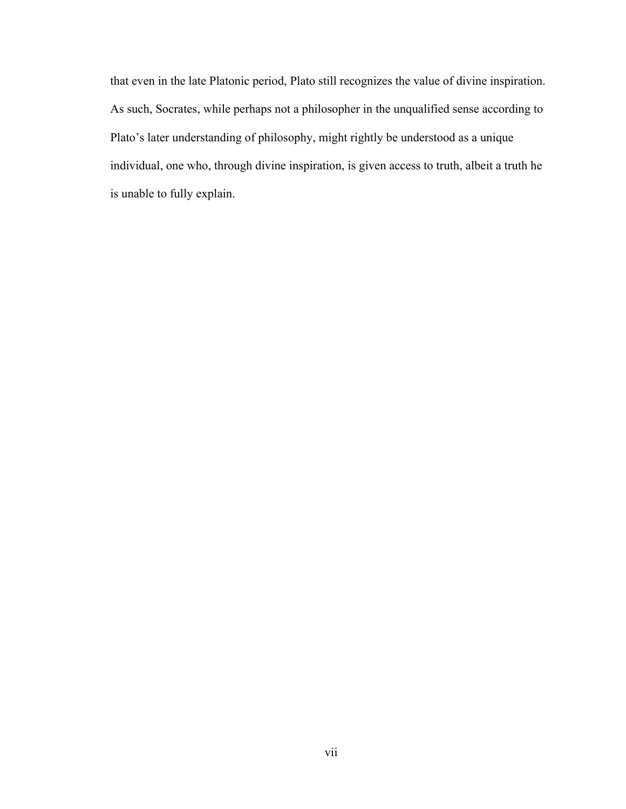that even in the late Platonic period, Plato still recognizes the value of divine inspiration. As such, Socrates, while perhaps not a philosopher in the unqualified sense according to Plato's later understanding of philosophy, might rightly be understood as a unique individual, one who, through divine inspiration, is given access to truth, albeit a truth he is unable to fully explain.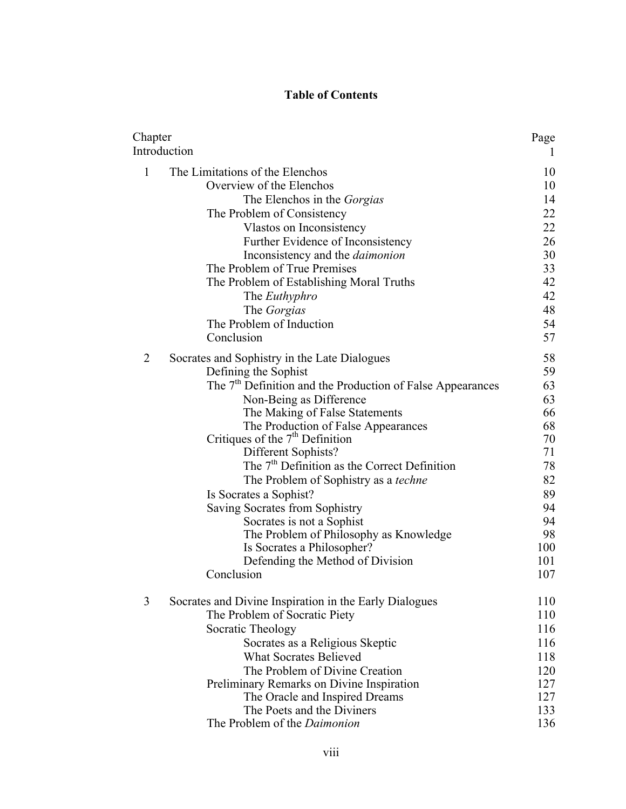# **Table of Contents**

| Chapter<br>Introduction                                                                                                                                                                                                                                                                                                                                                                                                                                                                                                                                                                                                                                        |                                                                                                       |  |
|----------------------------------------------------------------------------------------------------------------------------------------------------------------------------------------------------------------------------------------------------------------------------------------------------------------------------------------------------------------------------------------------------------------------------------------------------------------------------------------------------------------------------------------------------------------------------------------------------------------------------------------------------------------|-------------------------------------------------------------------------------------------------------|--|
| 1<br>The Limitations of the Elenchos<br>Overview of the Elenchos<br>The Elenchos in the Gorgias<br>The Problem of Consistency<br>Vlastos on Inconsistency<br>Further Evidence of Inconsistency<br>Inconsistency and the <i>daimonion</i><br>The Problem of True Premises<br>The Problem of Establishing Moral Truths<br>The <i>Euthyphro</i><br>The <i>Gorgias</i>                                                                                                                                                                                                                                                                                             | 10<br>10<br>14<br>22<br>22<br>26<br>30<br>33<br>42<br>42<br>48                                        |  |
| The Problem of Induction<br>Conclusion                                                                                                                                                                                                                                                                                                                                                                                                                                                                                                                                                                                                                         | 54<br>57                                                                                              |  |
| $\overline{2}$<br>Socrates and Sophistry in the Late Dialogues<br>Defining the Sophist<br>The 7 <sup>th</sup> Definition and the Production of False Appearances<br>Non-Being as Difference<br>The Making of False Statements<br>The Production of False Appearances<br>Critiques of the $7th$ Definition<br>Different Sophists?<br>The 7 <sup>th</sup> Definition as the Correct Definition<br>The Problem of Sophistry as a <i>techne</i><br>Is Socrates a Sophist?<br>Saving Socrates from Sophistry<br>Socrates is not a Sophist<br>The Problem of Philosophy as Knowledge<br>Is Socrates a Philosopher?<br>Defending the Method of Division<br>Conclusion | 58<br>59<br>63<br>63<br>66<br>68<br>70<br>71<br>78<br>82<br>89<br>94<br>94<br>98<br>100<br>101<br>107 |  |
| 3<br>Socrates and Divine Inspiration in the Early Dialogues<br>The Problem of Socratic Piety<br>Socratic Theology<br>Socrates as a Religious Skeptic<br><b>What Socrates Believed</b><br>The Problem of Divine Creation<br>Preliminary Remarks on Divine Inspiration<br>The Oracle and Inspired Dreams<br>The Poets and the Diviners<br>The Problem of the Daimonion                                                                                                                                                                                                                                                                                           | 110<br>110<br>116<br>116<br>118<br>120<br>127<br>127<br>133<br>136                                    |  |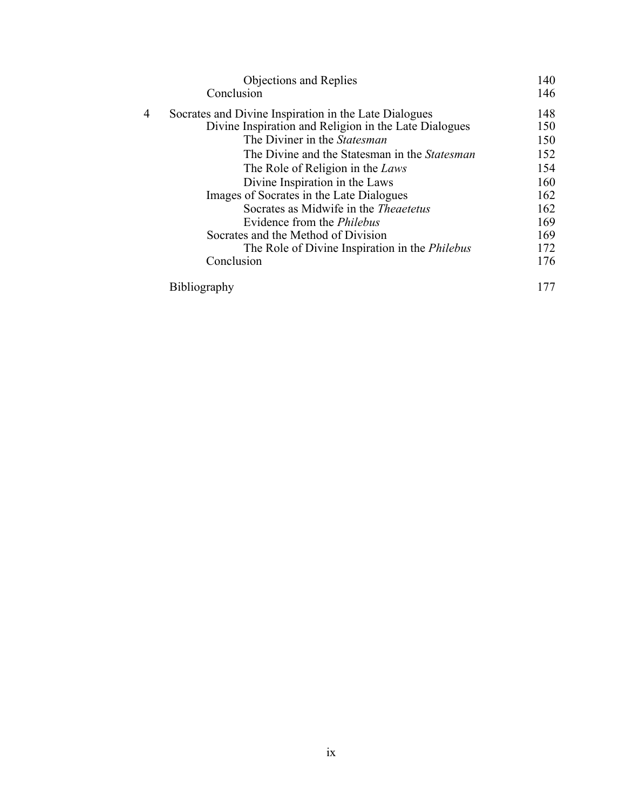|   | Objections and Replies                                | 140 |
|---|-------------------------------------------------------|-----|
|   | Conclusion                                            | 146 |
| 4 | Socrates and Divine Inspiration in the Late Dialogues | 148 |
|   | Divine Inspiration and Religion in the Late Dialogues | 150 |
|   | The Diviner in the <i>Statesman</i>                   | 150 |
|   | The Divine and the Statesman in the Statesman         | 152 |
|   | The Role of Religion in the Laws                      | 154 |
|   | Divine Inspiration in the Laws                        | 160 |
|   | Images of Socrates in the Late Dialogues              | 162 |
|   | Socrates as Midwife in the Theaetetus                 | 162 |
|   | Evidence from the <i>Philebus</i>                     | 169 |
|   | Socrates and the Method of Division                   | 169 |
|   | The Role of Divine Inspiration in the <i>Philebus</i> | 172 |
|   | Conclusion                                            | 176 |
|   | <b>Bibliography</b>                                   | 177 |
|   |                                                       |     |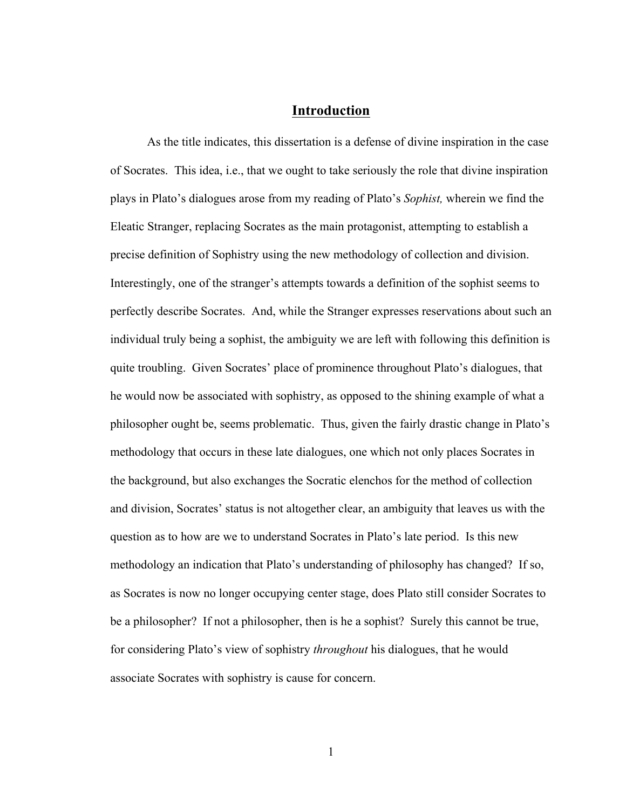## **Introduction**

As the title indicates, this dissertation is a defense of divine inspiration in the case of Socrates. This idea, i.e., that we ought to take seriously the role that divine inspiration plays in Plato's dialogues arose from my reading of Plato's *Sophist,* wherein we find the Eleatic Stranger, replacing Socrates as the main protagonist, attempting to establish a precise definition of Sophistry using the new methodology of collection and division. Interestingly, one of the stranger's attempts towards a definition of the sophist seems to perfectly describe Socrates. And, while the Stranger expresses reservations about such an individual truly being a sophist, the ambiguity we are left with following this definition is quite troubling. Given Socrates' place of prominence throughout Plato's dialogues, that he would now be associated with sophistry, as opposed to the shining example of what a philosopher ought be, seems problematic. Thus, given the fairly drastic change in Plato's methodology that occurs in these late dialogues, one which not only places Socrates in the background, but also exchanges the Socratic elenchos for the method of collection and division, Socrates' status is not altogether clear, an ambiguity that leaves us with the question as to how are we to understand Socrates in Plato's late period. Is this new methodology an indication that Plato's understanding of philosophy has changed? If so, as Socrates is now no longer occupying center stage, does Plato still consider Socrates to be a philosopher? If not a philosopher, then is he a sophist? Surely this cannot be true, for considering Plato's view of sophistry *throughout* his dialogues, that he would associate Socrates with sophistry is cause for concern.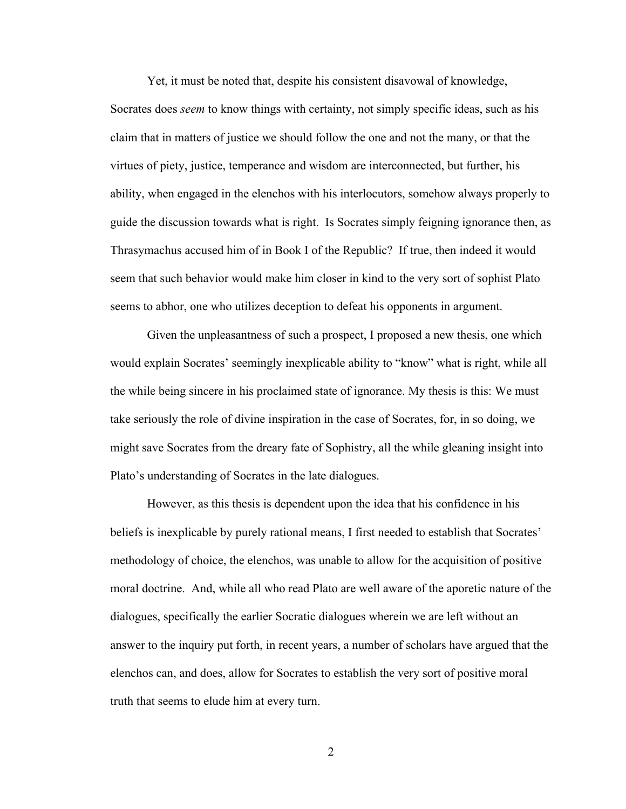Yet, it must be noted that, despite his consistent disavowal of knowledge, Socrates does *seem* to know things with certainty, not simply specific ideas, such as his claim that in matters of justice we should follow the one and not the many, or that the virtues of piety, justice, temperance and wisdom are interconnected, but further, his ability, when engaged in the elenchos with his interlocutors, somehow always properly to guide the discussion towards what is right. Is Socrates simply feigning ignorance then, as Thrasymachus accused him of in Book I of the Republic? If true, then indeed it would seem that such behavior would make him closer in kind to the very sort of sophist Plato seems to abhor, one who utilizes deception to defeat his opponents in argument.

Given the unpleasantness of such a prospect, I proposed a new thesis, one which would explain Socrates' seemingly inexplicable ability to "know" what is right, while all the while being sincere in his proclaimed state of ignorance. My thesis is this: We must take seriously the role of divine inspiration in the case of Socrates, for, in so doing, we might save Socrates from the dreary fate of Sophistry, all the while gleaning insight into Plato's understanding of Socrates in the late dialogues.

However, as this thesis is dependent upon the idea that his confidence in his beliefs is inexplicable by purely rational means, I first needed to establish that Socrates' methodology of choice, the elenchos, was unable to allow for the acquisition of positive moral doctrine. And, while all who read Plato are well aware of the aporetic nature of the dialogues, specifically the earlier Socratic dialogues wherein we are left without an answer to the inquiry put forth, in recent years, a number of scholars have argued that the elenchos can, and does, allow for Socrates to establish the very sort of positive moral truth that seems to elude him at every turn.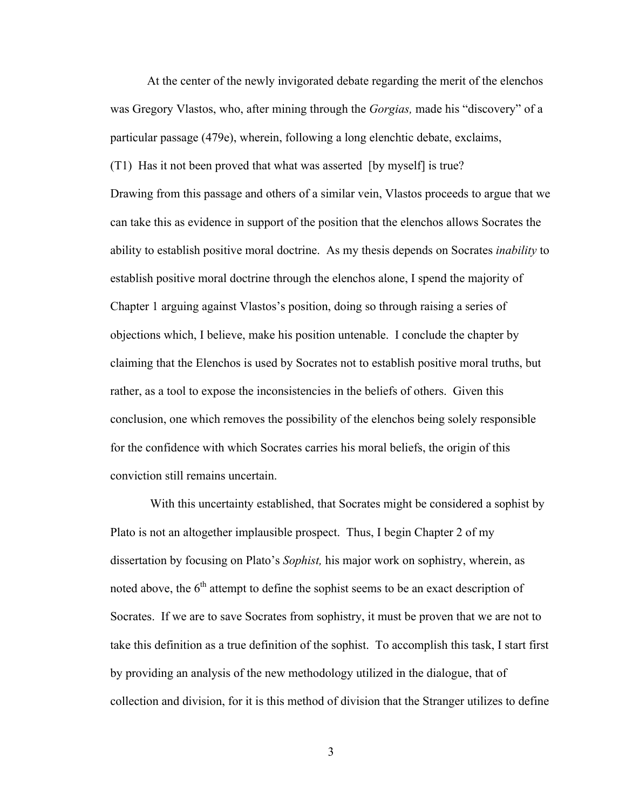At the center of the newly invigorated debate regarding the merit of the elenchos was Gregory Vlastos, who, after mining through the *Gorgias,* made his "discovery" of a particular passage (479e), wherein, following a long elenchtic debate, exclaims, (T1) Has it not been proved that what was asserted [by myself] is true? Drawing from this passage and others of a similar vein, Vlastos proceeds to argue that we can take this as evidence in support of the position that the elenchos allows Socrates the ability to establish positive moral doctrine. As my thesis depends on Socrates *inability* to establish positive moral doctrine through the elenchos alone, I spend the majority of Chapter 1 arguing against Vlastos's position, doing so through raising a series of objections which, I believe, make his position untenable. I conclude the chapter by claiming that the Elenchos is used by Socrates not to establish positive moral truths, but rather, as a tool to expose the inconsistencies in the beliefs of others. Given this conclusion, one which removes the possibility of the elenchos being solely responsible for the confidence with which Socrates carries his moral beliefs, the origin of this conviction still remains uncertain.

With this uncertainty established, that Socrates might be considered a sophist by Plato is not an altogether implausible prospect. Thus, I begin Chapter 2 of my dissertation by focusing on Plato's *Sophist,* his major work on sophistry, wherein, as noted above, the  $6<sup>th</sup>$  attempt to define the sophist seems to be an exact description of Socrates. If we are to save Socrates from sophistry, it must be proven that we are not to take this definition as a true definition of the sophist. To accomplish this task, I start first by providing an analysis of the new methodology utilized in the dialogue, that of collection and division, for it is this method of division that the Stranger utilizes to define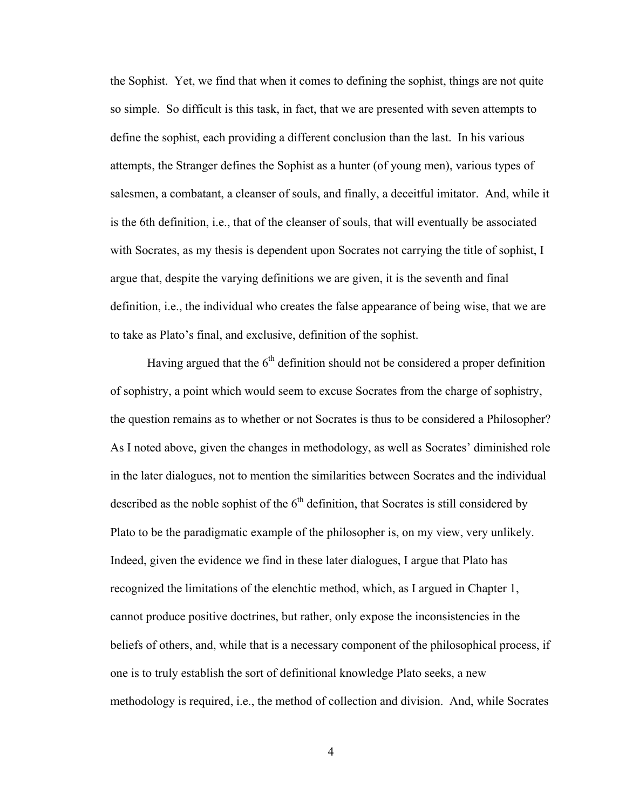the Sophist. Yet, we find that when it comes to defining the sophist, things are not quite so simple. So difficult is this task, in fact, that we are presented with seven attempts to define the sophist, each providing a different conclusion than the last. In his various attempts, the Stranger defines the Sophist as a hunter (of young men), various types of salesmen, a combatant, a cleanser of souls, and finally, a deceitful imitator. And, while it is the 6th definition, i.e., that of the cleanser of souls, that will eventually be associated with Socrates, as my thesis is dependent upon Socrates not carrying the title of sophist, I argue that, despite the varying definitions we are given, it is the seventh and final definition, i.e., the individual who creates the false appearance of being wise, that we are to take as Plato's final, and exclusive, definition of the sophist.

Having argued that the  $6<sup>th</sup>$  definition should not be considered a proper definition of sophistry, a point which would seem to excuse Socrates from the charge of sophistry, the question remains as to whether or not Socrates is thus to be considered a Philosopher? As I noted above, given the changes in methodology, as well as Socrates' diminished role in the later dialogues, not to mention the similarities between Socrates and the individual described as the noble sophist of the  $6<sup>th</sup>$  definition, that Socrates is still considered by Plato to be the paradigmatic example of the philosopher is, on my view, very unlikely. Indeed, given the evidence we find in these later dialogues, I argue that Plato has recognized the limitations of the elenchtic method, which, as I argued in Chapter 1, cannot produce positive doctrines, but rather, only expose the inconsistencies in the beliefs of others, and, while that is a necessary component of the philosophical process, if one is to truly establish the sort of definitional knowledge Plato seeks, a new methodology is required, i.e., the method of collection and division. And, while Socrates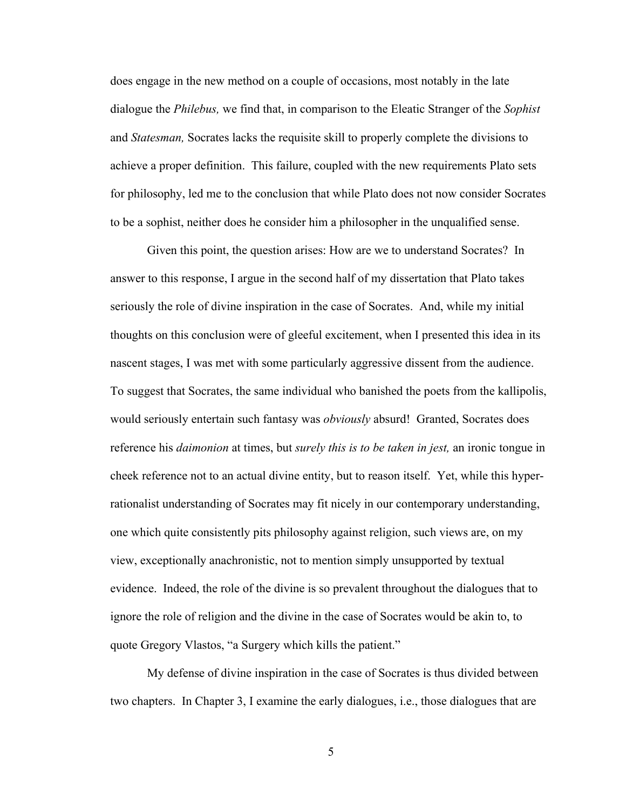does engage in the new method on a couple of occasions, most notably in the late dialogue the *Philebus,* we find that, in comparison to the Eleatic Stranger of the *Sophist*  and *Statesman,* Socrates lacks the requisite skill to properly complete the divisions to achieve a proper definition. This failure, coupled with the new requirements Plato sets for philosophy, led me to the conclusion that while Plato does not now consider Socrates to be a sophist, neither does he consider him a philosopher in the unqualified sense.

Given this point, the question arises: How are we to understand Socrates? In answer to this response, I argue in the second half of my dissertation that Plato takes seriously the role of divine inspiration in the case of Socrates. And, while my initial thoughts on this conclusion were of gleeful excitement, when I presented this idea in its nascent stages, I was met with some particularly aggressive dissent from the audience. To suggest that Socrates, the same individual who banished the poets from the kallipolis, would seriously entertain such fantasy was *obviously* absurd! Granted, Socrates does reference his *daimonion* at times, but *surely this is to be taken in jest,* an ironic tongue in cheek reference not to an actual divine entity, but to reason itself. Yet, while this hyperrationalist understanding of Socrates may fit nicely in our contemporary understanding, one which quite consistently pits philosophy against religion, such views are, on my view, exceptionally anachronistic, not to mention simply unsupported by textual evidence. Indeed, the role of the divine is so prevalent throughout the dialogues that to ignore the role of religion and the divine in the case of Socrates would be akin to, to quote Gregory Vlastos, "a Surgery which kills the patient."

My defense of divine inspiration in the case of Socrates is thus divided between two chapters. In Chapter 3, I examine the early dialogues, i.e., those dialogues that are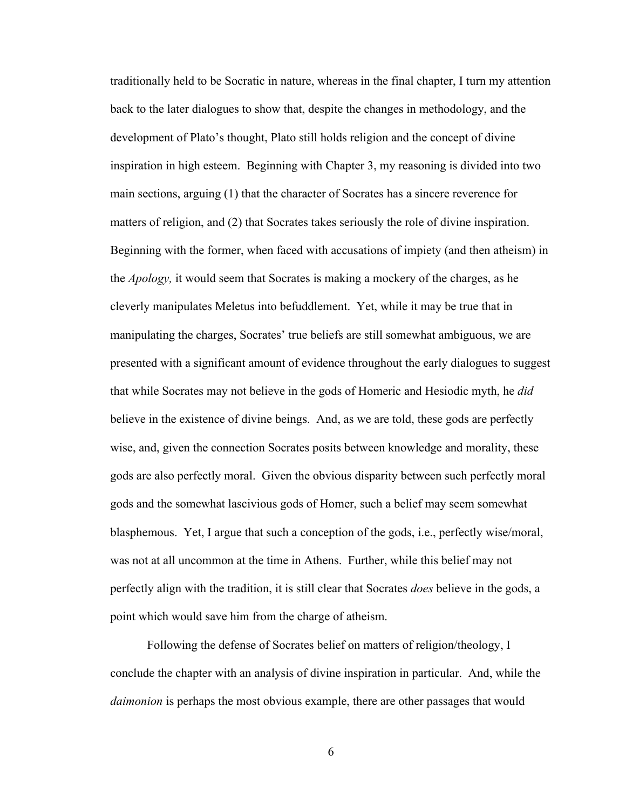traditionally held to be Socratic in nature, whereas in the final chapter, I turn my attention back to the later dialogues to show that, despite the changes in methodology, and the development of Plato's thought, Plato still holds religion and the concept of divine inspiration in high esteem. Beginning with Chapter 3, my reasoning is divided into two main sections, arguing (1) that the character of Socrates has a sincere reverence for matters of religion, and (2) that Socrates takes seriously the role of divine inspiration. Beginning with the former, when faced with accusations of impiety (and then atheism) in the *Apology,* it would seem that Socrates is making a mockery of the charges, as he cleverly manipulates Meletus into befuddlement. Yet, while it may be true that in manipulating the charges, Socrates' true beliefs are still somewhat ambiguous, we are presented with a significant amount of evidence throughout the early dialogues to suggest that while Socrates may not believe in the gods of Homeric and Hesiodic myth, he *did*  believe in the existence of divine beings. And, as we are told, these gods are perfectly wise, and, given the connection Socrates posits between knowledge and morality, these gods are also perfectly moral. Given the obvious disparity between such perfectly moral gods and the somewhat lascivious gods of Homer, such a belief may seem somewhat blasphemous. Yet, I argue that such a conception of the gods, i.e., perfectly wise/moral, was not at all uncommon at the time in Athens. Further, while this belief may not perfectly align with the tradition, it is still clear that Socrates *does* believe in the gods, a point which would save him from the charge of atheism.

Following the defense of Socrates belief on matters of religion/theology, I conclude the chapter with an analysis of divine inspiration in particular. And, while the *daimonion* is perhaps the most obvious example, there are other passages that would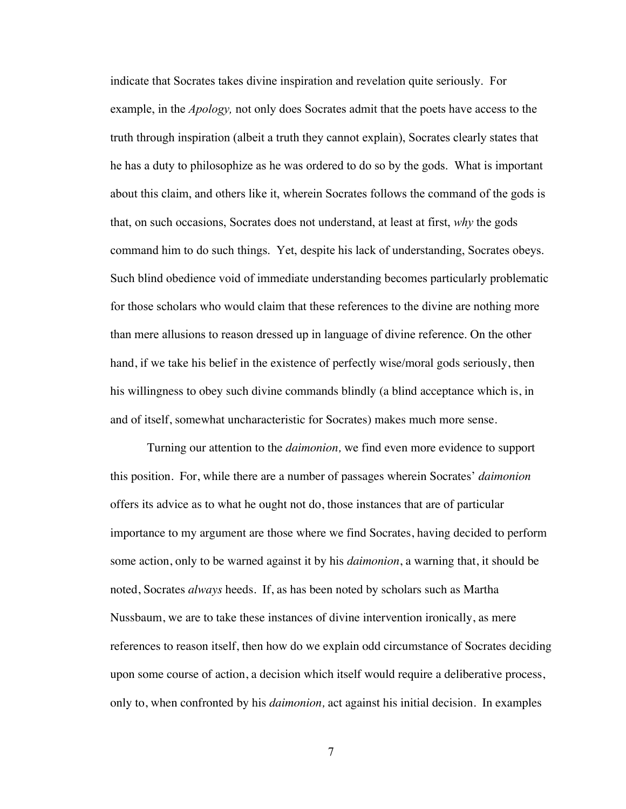indicate that Socrates takes divine inspiration and revelation quite seriously. For example, in the *Apology,* not only does Socrates admit that the poets have access to the truth through inspiration (albeit a truth they cannot explain), Socrates clearly states that he has a duty to philosophize as he was ordered to do so by the gods. What is important about this claim, and others like it, wherein Socrates follows the command of the gods is that, on such occasions, Socrates does not understand, at least at first, *why* the gods command him to do such things. Yet, despite his lack of understanding, Socrates obeys. Such blind obedience void of immediate understanding becomes particularly problematic for those scholars who would claim that these references to the divine are nothing more than mere allusions to reason dressed up in language of divine reference. On the other hand, if we take his belief in the existence of perfectly wise/moral gods seriously, then his willingness to obey such divine commands blindly (a blind acceptance which is, in and of itself, somewhat uncharacteristic for Socrates) makes much more sense.

Turning our attention to the *daimonion,* we find even more evidence to support this position. For, while there are a number of passages wherein Socrates' *daimonion*  offers its advice as to what he ought not do, those instances that are of particular importance to my argument are those where we find Socrates, having decided to perform some action, only to be warned against it by his *daimonion*, a warning that, it should be noted, Socrates *always* heeds. If, as has been noted by scholars such as Martha Nussbaum, we are to take these instances of divine intervention ironically, as mere references to reason itself, then how do we explain odd circumstance of Socrates deciding upon some course of action, a decision which itself would require a deliberative process, only to, when confronted by his *daimonion,* act against his initial decision. In examples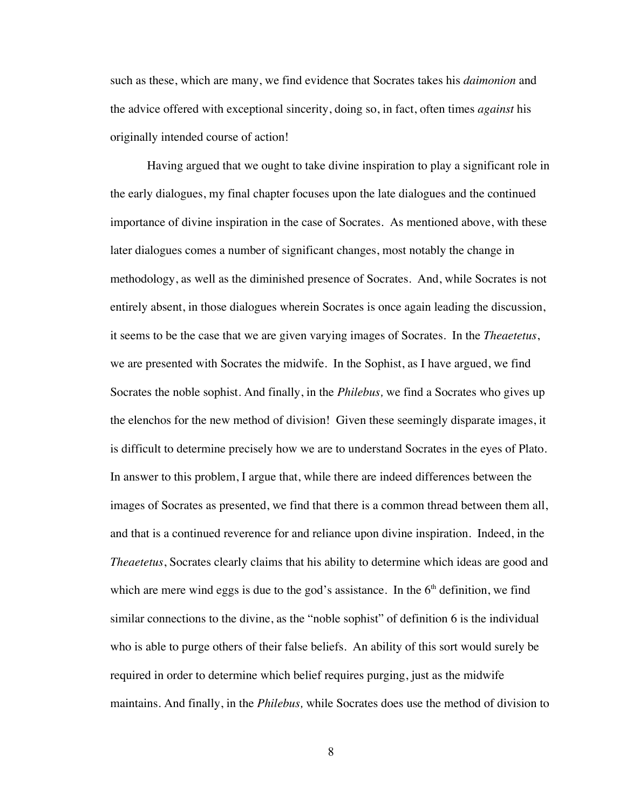such as these, which are many, we find evidence that Socrates takes his *daimonion* and the advice offered with exceptional sincerity, doing so, in fact, often times *against* his originally intended course of action!

Having argued that we ought to take divine inspiration to play a significant role in the early dialogues, my final chapter focuses upon the late dialogues and the continued importance of divine inspiration in the case of Socrates. As mentioned above, with these later dialogues comes a number of significant changes, most notably the change in methodology, as well as the diminished presence of Socrates. And, while Socrates is not entirely absent, in those dialogues wherein Socrates is once again leading the discussion, it seems to be the case that we are given varying images of Socrates. In the *Theaetetus*, we are presented with Socrates the midwife. In the Sophist, as I have argued, we find Socrates the noble sophist. And finally, in the *Philebus,* we find a Socrates who gives up the elenchos for the new method of division! Given these seemingly disparate images, it is difficult to determine precisely how we are to understand Socrates in the eyes of Plato. In answer to this problem, I argue that, while there are indeed differences between the images of Socrates as presented, we find that there is a common thread between them all, and that is a continued reverence for and reliance upon divine inspiration. Indeed, in the *Theaetetus*, Socrates clearly claims that his ability to determine which ideas are good and which are mere wind eggs is due to the god's assistance. In the  $6<sup>th</sup>$  definition, we find similar connections to the divine, as the "noble sophist" of definition 6 is the individual who is able to purge others of their false beliefs. An ability of this sort would surely be required in order to determine which belief requires purging, just as the midwife maintains. And finally, in the *Philebus,* while Socrates does use the method of division to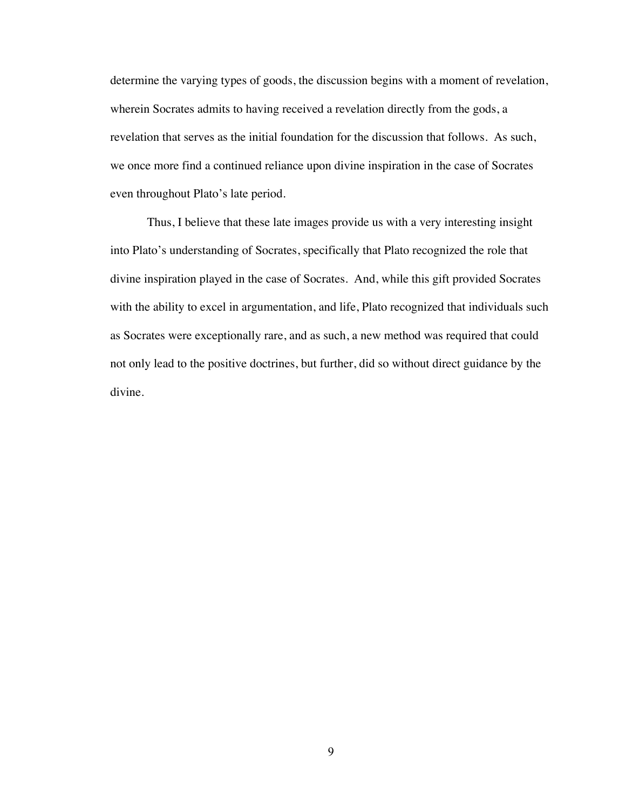determine the varying types of goods, the discussion begins with a moment of revelation, wherein Socrates admits to having received a revelation directly from the gods, a revelation that serves as the initial foundation for the discussion that follows. As such, we once more find a continued reliance upon divine inspiration in the case of Socrates even throughout Plato's late period.

Thus, I believe that these late images provide us with a very interesting insight into Plato's understanding of Socrates, specifically that Plato recognized the role that divine inspiration played in the case of Socrates. And, while this gift provided Socrates with the ability to excel in argumentation, and life, Plato recognized that individuals such as Socrates were exceptionally rare, and as such, a new method was required that could not only lead to the positive doctrines, but further, did so without direct guidance by the divine.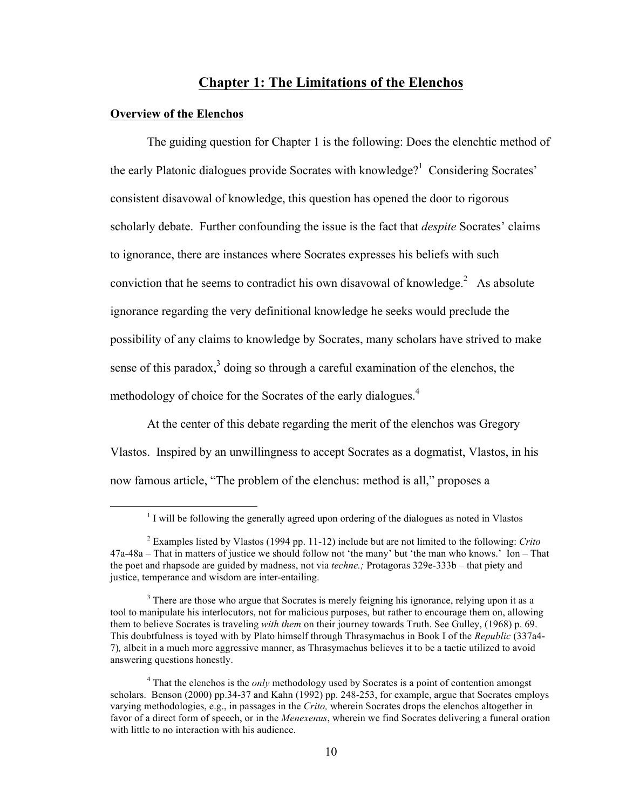# **Chapter 1: The Limitations of the Elenchos**

### **Overview of the Elenchos**

The guiding question for Chapter 1 is the following: Does the elenchtic method of the early Platonic dialogues provide Socrates with knowledge?<sup>1</sup> Considering Socrates' consistent disavowal of knowledge, this question has opened the door to rigorous scholarly debate. Further confounding the issue is the fact that *despite* Socrates' claims to ignorance, there are instances where Socrates expresses his beliefs with such conviction that he seems to contradict his own disavowal of knowledge.<sup>2</sup> As absolute ignorance regarding the very definitional knowledge he seeks would preclude the possibility of any claims to knowledge by Socrates, many scholars have strived to make sense of this paradox, $3$  doing so through a careful examination of the elenchos, the methodology of choice for the Socrates of the early dialogues.<sup>4</sup>

At the center of this debate regarding the merit of the elenchos was Gregory Vlastos. Inspired by an unwillingness to accept Socrates as a dogmatist, Vlastos, in his now famous article, "The problem of the elenchus: method is all," proposes a

 $1$  I will be following the generally agreed upon ordering of the dialogues as noted in Vlastos

<sup>2</sup> Examples listed by Vlastos (1994 pp. 11-12) include but are not limited to the following: *Crito*  47a-48a – That in matters of justice we should follow not 'the many' but 'the man who knows.' Ion – That the poet and rhapsode are guided by madness, not via *techne.;* Protagoras 329e-333b – that piety and justice, temperance and wisdom are inter-entailing.

<sup>&</sup>lt;sup>3</sup> There are those who argue that Socrates is merely feigning his ignorance, relying upon it as a tool to manipulate his interlocutors, not for malicious purposes, but rather to encourage them on, allowing them to believe Socrates is traveling *with them* on their journey towards Truth. See Gulley, (1968) p. 69. This doubtfulness is toyed with by Plato himself through Thrasymachus in Book I of the *Republic* (337a4- 7)*,* albeit in a much more aggressive manner, as Thrasymachus believes it to be a tactic utilized to avoid answering questions honestly.

<sup>&</sup>lt;sup>4</sup> That the elenchos is the *only* methodology used by Socrates is a point of contention amongst scholars. Benson (2000) pp.34-37 and Kahn (1992) pp. 248-253, for example, argue that Socrates employs varying methodologies, e.g., in passages in the *Crito,* wherein Socrates drops the elenchos altogether in favor of a direct form of speech, or in the *Menexenus*, wherein we find Socrates delivering a funeral oration with little to no interaction with his audience.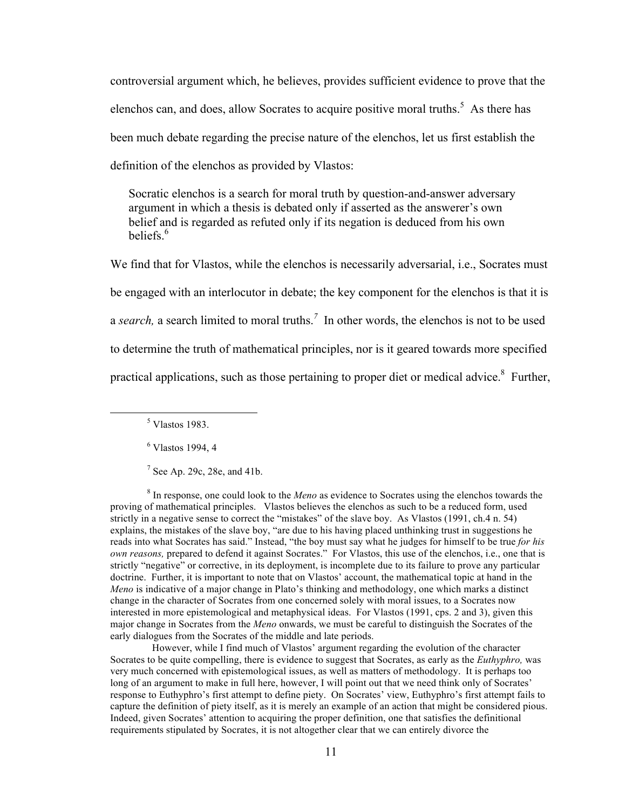controversial argument which, he believes, provides sufficient evidence to prove that the elenchos can, and does, allow Socrates to acquire positive moral truths.<sup>5</sup> As there has been much debate regarding the precise nature of the elenchos, let us first establish the definition of the elenchos as provided by Vlastos:

Socratic elenchos is a search for moral truth by question-and-answer adversary argument in which a thesis is debated only if asserted as the answerer's own belief and is regarded as refuted only if its negation is deduced from his own beliefs $6<sup>6</sup>$ 

We find that for Vlastos, while the elenchos is necessarily adversarial, *i.e.*, Socrates must be engaged with an interlocutor in debate; the key component for the elenchos is that it is a *search,* a search limited to moral truths.*<sup>7</sup>* In other words, the elenchos is not to be used to determine the truth of mathematical principles, nor is it geared towards more specified practical applications, such as those pertaining to proper diet or medical advice.<sup>8</sup> Further,

<sup>8</sup> In response, one could look to the *Meno* as evidence to Socrates using the elenchos towards the proving of mathematical principles. Vlastos believes the elenchos as such to be a reduced form, used strictly in a negative sense to correct the "mistakes" of the slave boy. As Vlastos (1991, ch.4 n. 54) explains, the mistakes of the slave boy, "are due to his having placed unthinking trust in suggestions he reads into what Socrates has said." Instead, "the boy must say what he judges for himself to be true *for his own reasons,* prepared to defend it against Socrates." For Vlastos, this use of the elenchos, i.e., one that is strictly "negative" or corrective, in its deployment, is incomplete due to its failure to prove any particular doctrine. Further, it is important to note that on Vlastos' account, the mathematical topic at hand in the *Meno* is indicative of a major change in Plato's thinking and methodology, one which marks a distinct change in the character of Socrates from one concerned solely with moral issues, to a Socrates now interested in more epistemological and metaphysical ideas. For Vlastos (1991, cps. 2 and 3), given this major change in Socrates from the *Meno* onwards, we must be careful to distinguish the Socrates of the early dialogues from the Socrates of the middle and late periods.

However, while I find much of Vlastos' argument regarding the evolution of the character Socrates to be quite compelling, there is evidence to suggest that Socrates, as early as the *Euthyphro,* was very much concerned with epistemological issues, as well as matters of methodology. It is perhaps too long of an argument to make in full here, however, I will point out that we need think only of Socrates' response to Euthyphro's first attempt to define piety. On Socrates' view, Euthyphro's first attempt fails to capture the definition of piety itself, as it is merely an example of an action that might be considered pious. Indeed, given Socrates' attention to acquiring the proper definition, one that satisfies the definitional requirements stipulated by Socrates, it is not altogether clear that we can entirely divorce the

 $<sup>5</sup>$  Vlastos 1983.</sup>

<sup>6</sup> Vlastos 1994, 4

 $<sup>7</sup>$  See Ap. 29c, 28e, and 41b.</sup>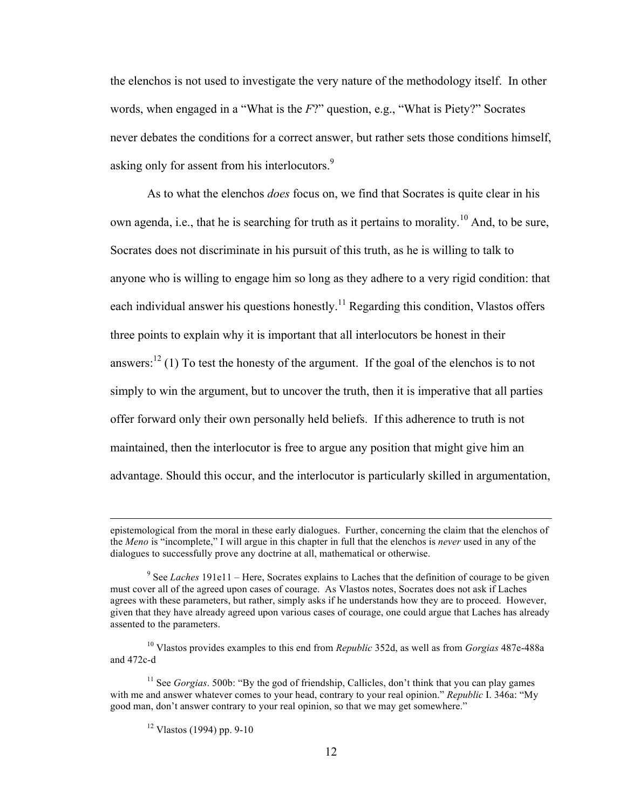the elenchos is not used to investigate the very nature of the methodology itself. In other words, when engaged in a "What is the *F*?" question, e.g., "What is Piety?" Socrates never debates the conditions for a correct answer, but rather sets those conditions himself, asking only for assent from his interlocutors.<sup>9</sup>

As to what the elenchos *does* focus on, we find that Socrates is quite clear in his own agenda, i.e., that he is searching for truth as it pertains to morality.<sup>10</sup> And, to be sure, Socrates does not discriminate in his pursuit of this truth, as he is willing to talk to anyone who is willing to engage him so long as they adhere to a very rigid condition: that each individual answer his questions honestly.<sup>11</sup> Regarding this condition, Vlastos offers three points to explain why it is important that all interlocutors be honest in their answers:<sup>12</sup> (1) To test the honesty of the argument. If the goal of the elenchos is to not simply to win the argument, but to uncover the truth, then it is imperative that all parties offer forward only their own personally held beliefs. If this adherence to truth is not maintained, then the interlocutor is free to argue any position that might give him an advantage. Should this occur, and the interlocutor is particularly skilled in argumentation,

 $\overline{a}$ 

epistemological from the moral in these early dialogues. Further, concerning the claim that the elenchos of the *Meno* is "incomplete," I will argue in this chapter in full that the elenchos is *never* used in any of the dialogues to successfully prove any doctrine at all, mathematical or otherwise.

<sup>9</sup> See *Laches* 191e11 – Here, Socrates explains to Laches that the definition of courage to be given must cover all of the agreed upon cases of courage. As Vlastos notes, Socrates does not ask if Laches agrees with these parameters, but rather, simply asks if he understands how they are to proceed. However, given that they have already agreed upon various cases of courage, one could argue that Laches has already assented to the parameters.

<sup>10</sup> Vlastos provides examples to this end from *Republic* 352d, as well as from *Gorgias* 487e-488a and 472c-d

<sup>&</sup>lt;sup>11</sup> See *Gorgias*. 500b: "By the god of friendship, Callicles, don't think that you can play games with me and answer whatever comes to your head, contrary to your real opinion." *Republic* I. 346a: "My good man, don't answer contrary to your real opinion, so that we may get somewhere."

 $12$  Vlastos (1994) pp. 9-10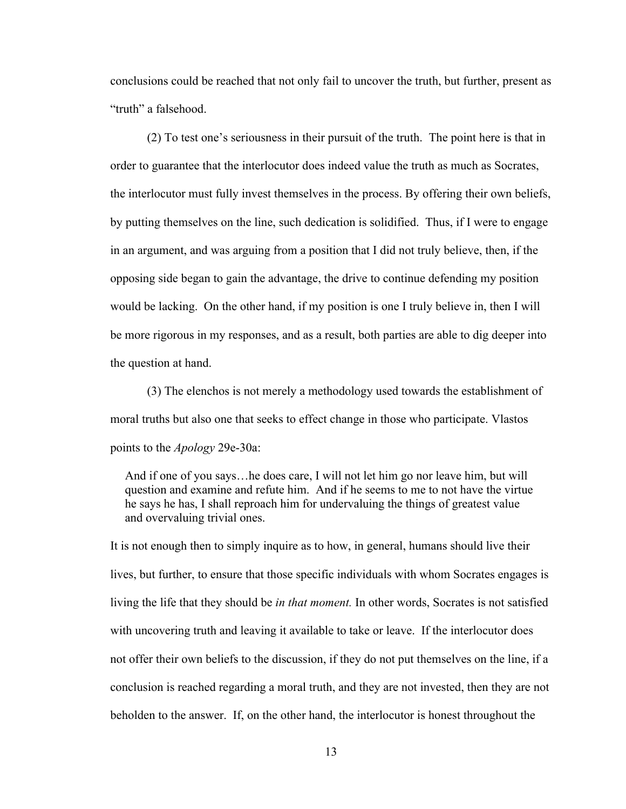conclusions could be reached that not only fail to uncover the truth, but further, present as "truth" a falsehood.

(2) To test one's seriousness in their pursuit of the truth. The point here is that in order to guarantee that the interlocutor does indeed value the truth as much as Socrates, the interlocutor must fully invest themselves in the process. By offering their own beliefs, by putting themselves on the line, such dedication is solidified. Thus, if I were to engage in an argument, and was arguing from a position that I did not truly believe, then, if the opposing side began to gain the advantage, the drive to continue defending my position would be lacking. On the other hand, if my position is one I truly believe in, then I will be more rigorous in my responses, and as a result, both parties are able to dig deeper into the question at hand.

(3) The elenchos is not merely a methodology used towards the establishment of moral truths but also one that seeks to effect change in those who participate. Vlastos points to the *Apology* 29e-30a:

And if one of you says…he does care, I will not let him go nor leave him, but will question and examine and refute him. And if he seems to me to not have the virtue he says he has, I shall reproach him for undervaluing the things of greatest value and overvaluing trivial ones.

It is not enough then to simply inquire as to how, in general, humans should live their lives, but further, to ensure that those specific individuals with whom Socrates engages is living the life that they should be *in that moment.* In other words, Socrates is not satisfied with uncovering truth and leaving it available to take or leave. If the interlocutor does not offer their own beliefs to the discussion, if they do not put themselves on the line, if a conclusion is reached regarding a moral truth, and they are not invested, then they are not beholden to the answer. If, on the other hand, the interlocutor is honest throughout the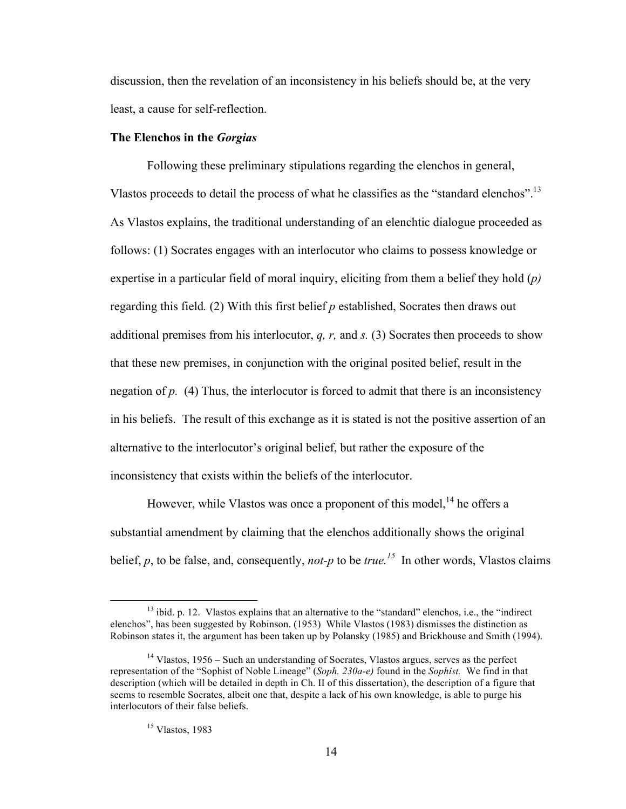discussion, then the revelation of an inconsistency in his beliefs should be, at the very least, a cause for self-reflection.

## **The Elenchos in the** *Gorgias*

Following these preliminary stipulations regarding the elenchos in general, Vlastos proceeds to detail the process of what he classifies as the "standard elenchos".<sup>13</sup> As Vlastos explains, the traditional understanding of an elenchtic dialogue proceeded as follows: (1) Socrates engages with an interlocutor who claims to possess knowledge or expertise in a particular field of moral inquiry, eliciting from them a belief they hold (*p)*  regarding this field*.* (2) With this first belief *p* established, Socrates then draws out additional premises from his interlocutor, *q, r,* and *s.* (3) Socrates then proceeds to show that these new premises, in conjunction with the original posited belief, result in the negation of *p.* (4) Thus, the interlocutor is forced to admit that there is an inconsistency in his beliefs. The result of this exchange as it is stated is not the positive assertion of an alternative to the interlocutor's original belief, but rather the exposure of the inconsistency that exists within the beliefs of the interlocutor.

However, while Vlastos was once a proponent of this model,  $^{14}$  he offers a substantial amendment by claiming that the elenchos additionally shows the original belief, *p*, to be false, and, consequently, *not-p* to be *true.15* In other words, Vlastos claims

 $13$  ibid. p. 12. Vlastos explains that an alternative to the "standard" elenchos, i.e., the "indirect" elenchos", has been suggested by Robinson. (1953) While Vlastos (1983) dismisses the distinction as Robinson states it, the argument has been taken up by Polansky (1985) and Brickhouse and Smith (1994).

 $14$  Vlastos, 1956 – Such an understanding of Socrates, Vlastos argues, serves as the perfect representation of the "Sophist of Noble Lineage" (*Soph. 230a-e)* found in the *Sophist.* We find in that description (which will be detailed in depth in Ch. II of this dissertation), the description of a figure that seems to resemble Socrates, albeit one that, despite a lack of his own knowledge, is able to purge his interlocutors of their false beliefs.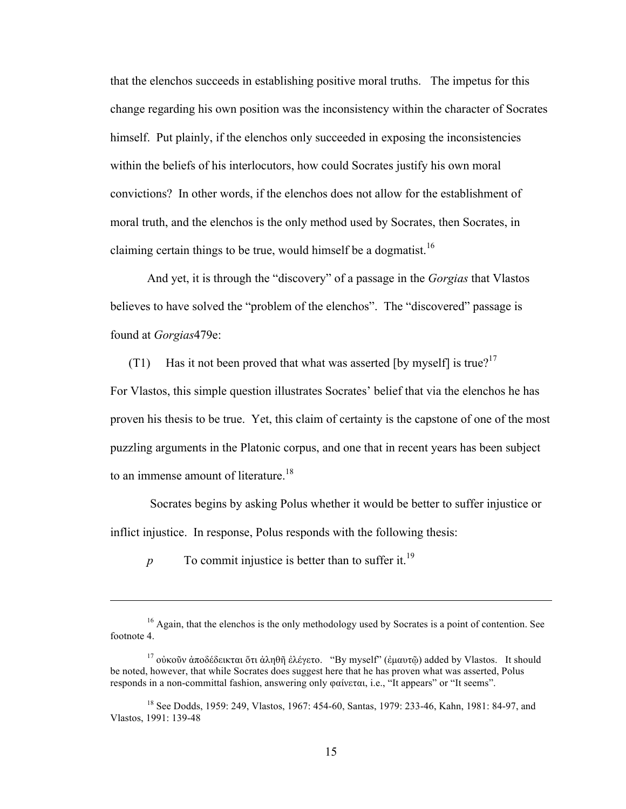that the elenchos succeeds in establishing positive moral truths. The impetus for this change regarding his own position was the inconsistency within the character of Socrates himself. Put plainly, if the elenchos only succeeded in exposing the inconsistencies within the beliefs of his interlocutors, how could Socrates justify his own moral convictions? In other words, if the elenchos does not allow for the establishment of moral truth, and the elenchos is the only method used by Socrates, then Socrates, in claiming certain things to be true, would himself be a dogmatist.<sup>16</sup>

And yet, it is through the "discovery" of a passage in the *Gorgias* that Vlastos believes to have solved the "problem of the elenchos". The "discovered" passage is found at *Gorgias*479e:

(T1) Has it not been proved that what was asserted [by myself] is true?<sup>17</sup>

For Vlastos, this simple question illustrates Socrates' belief that via the elenchos he has proven his thesis to be true. Yet, this claim of certainty is the capstone of one of the most puzzling arguments in the Platonic corpus, and one that in recent years has been subject to an immense amount of literature.<sup>18</sup>

Socrates begins by asking Polus whether it would be better to suffer injustice or inflict injustice. In response, Polus responds with the following thesis:

 $p$  To commit injustice is better than to suffer it.<sup>19</sup>

 $\overline{a}$ 

<sup>&</sup>lt;sup>16</sup> Again, that the elenchos is the only methodology used by Socrates is a point of contention. See footnote 4.

<sup>&</sup>lt;sup>17</sup> οὐκοῦν ἀποδέδεικται ὅτι ἀληθῆ ἐλέγετο. "By myself" (ἐμαυτῶ) added by Vlastos. It should be noted, however, that while Socrates does suggest here that he has proven what was asserted, Polus responds in a non-committal fashion, answering only φαίνεται, i.e., "It appears" or "It seems".

<sup>18</sup> See Dodds, 1959: 249, Vlastos, 1967: 454-60, Santas, 1979: 233-46, Kahn, 1981: 84-97, and Vlastos, 1991: 139-48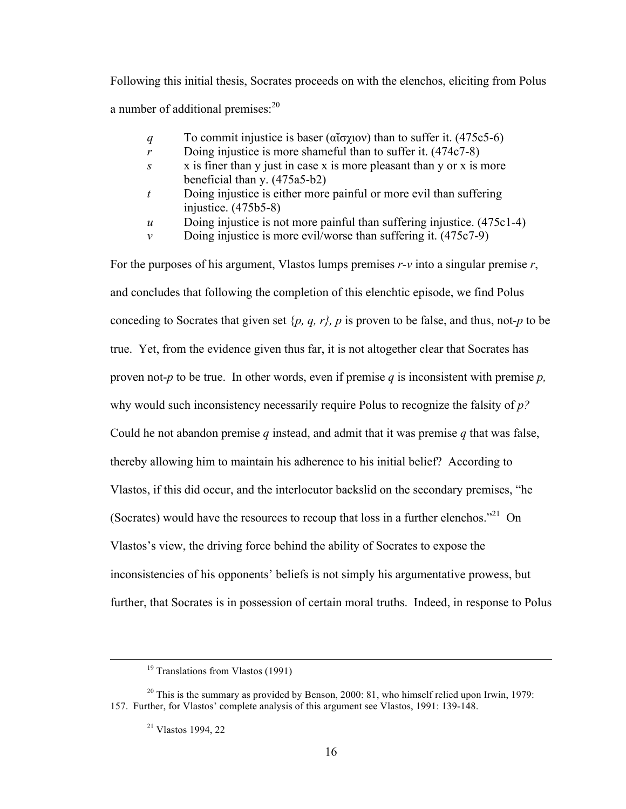Following this initial thesis, Socrates proceeds on with the elenchos, eliciting from Polus a number of additional premises:<sup>20</sup>

- *q* To commit injustice is baser (αἴσχιον) than to suffer it. (475c5-6)
- *r* Doing injustice is more shameful than to suffer it. (474c7-8)
- *s* x is finer than y just in case x is more pleasant than y or x is more beneficial than y. (475a5-b2)
- *t* Doing injustice is either more painful or more evil than suffering injustice. (475b5-8)
- *u* Doing injustice is not more painful than suffering injustice. (475c1-4)
- *v* Doing injustice is more evil/worse than suffering it.  $(475c7-9)$

For the purposes of his argument, Vlastos lumps premises *r-v* into a singular premise *r*, and concludes that following the completion of this elenchtic episode, we find Polus conceding to Socrates that given set {*p, q, r}, p* is proven to be false, and thus, not-*p* to be true. Yet, from the evidence given thus far, it is not altogether clear that Socrates has proven not-*p* to be true. In other words, even if premise *q* is inconsistent with premise *p,*  why would such inconsistency necessarily require Polus to recognize the falsity of *p?*  Could he not abandon premise *q* instead, and admit that it was premise *q* that was false, thereby allowing him to maintain his adherence to his initial belief? According to Vlastos, if this did occur, and the interlocutor backslid on the secondary premises, "he (Socrates) would have the resources to recoup that loss in a further elenchos.<sup> $21$ </sup> On Vlastos's view, the driving force behind the ability of Socrates to expose the inconsistencies of his opponents' beliefs is not simply his argumentative prowess, but further, that Socrates is in possession of certain moral truths. Indeed, in response to Polus

<sup>&</sup>lt;sup>19</sup> Translations from Vlastos (1991)

 $20$  This is the summary as provided by Benson, 2000: 81, who himself relied upon Irwin, 1979: 157. Further, for Vlastos' complete analysis of this argument see Vlastos, 1991: 139-148.

 $21$  Vlastos 1994, 22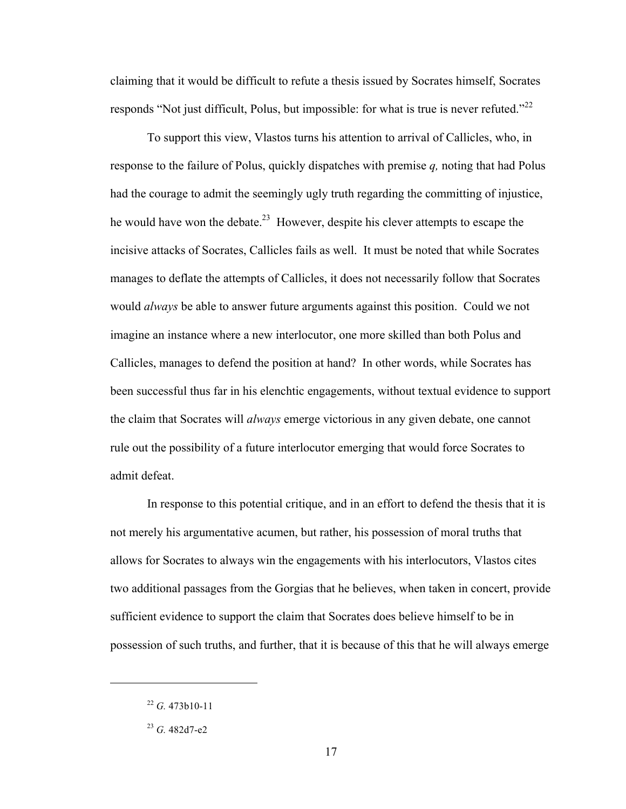claiming that it would be difficult to refute a thesis issued by Socrates himself, Socrates responds "Not just difficult, Polus, but impossible: for what is true is never refuted."<sup>22</sup>

To support this view, Vlastos turns his attention to arrival of Callicles, who, in response to the failure of Polus, quickly dispatches with premise *q,* noting that had Polus had the courage to admit the seemingly ugly truth regarding the committing of injustice, he would have won the debate.<sup>23</sup> However, despite his clever attempts to escape the incisive attacks of Socrates, Callicles fails as well. It must be noted that while Socrates manages to deflate the attempts of Callicles, it does not necessarily follow that Socrates would *always* be able to answer future arguments against this position. Could we not imagine an instance where a new interlocutor, one more skilled than both Polus and Callicles, manages to defend the position at hand? In other words, while Socrates has been successful thus far in his elenchtic engagements, without textual evidence to support the claim that Socrates will *always* emerge victorious in any given debate, one cannot rule out the possibility of a future interlocutor emerging that would force Socrates to admit defeat.

In response to this potential critique, and in an effort to defend the thesis that it is not merely his argumentative acumen, but rather, his possession of moral truths that allows for Socrates to always win the engagements with his interlocutors, Vlastos cites two additional passages from the Gorgias that he believes, when taken in concert, provide sufficient evidence to support the claim that Socrates does believe himself to be in possession of such truths, and further, that it is because of this that he will always emerge

 $\overline{a}$ 

 $^{22}$  *G*. 473b10-11

<sup>23</sup> *G.* 482d7-e2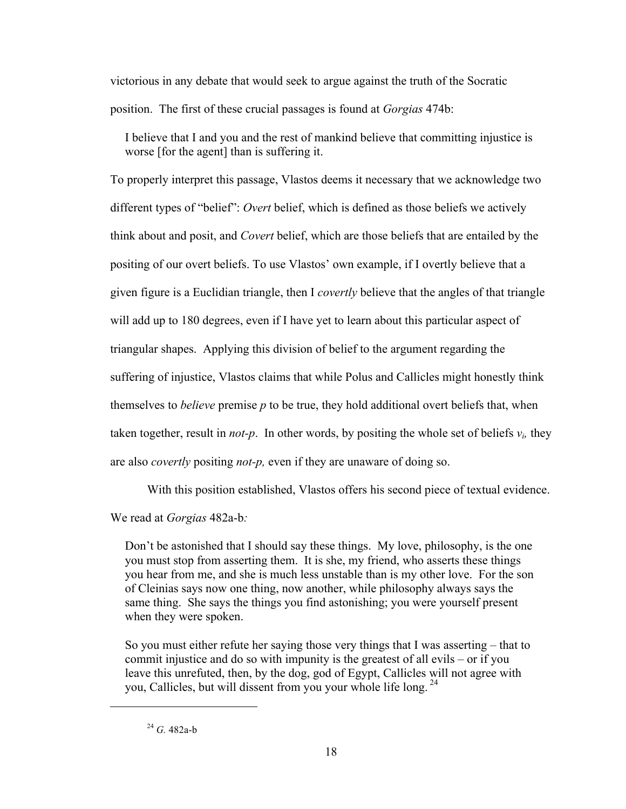victorious in any debate that would seek to argue against the truth of the Socratic position. The first of these crucial passages is found at *Gorgias* 474b:

I believe that I and you and the rest of mankind believe that committing injustice is worse [for the agent] than is suffering it.

To properly interpret this passage, Vlastos deems it necessary that we acknowledge two different types of "belief": *Overt* belief, which is defined as those beliefs we actively think about and posit, and *Covert* belief, which are those beliefs that are entailed by the positing of our overt beliefs. To use Vlastos' own example, if I overtly believe that a given figure is a Euclidian triangle, then I *covertly* believe that the angles of that triangle will add up to 180 degrees, even if I have yet to learn about this particular aspect of triangular shapes. Applying this division of belief to the argument regarding the suffering of injustice, Vlastos claims that while Polus and Callicles might honestly think themselves to *believe* premise *p* to be true, they hold additional overt beliefs that, when taken together, result in *not-p*. In other words, by positing the whole set of beliefs  $v_i$ , they are also *covertly* positing *not-p,* even if they are unaware of doing so.

With this position established, Vlastos offers his second piece of textual evidence.

We read at *Gorgias* 482a-b*:* 

Don't be astonished that I should say these things. My love, philosophy, is the one you must stop from asserting them. It is she, my friend, who asserts these things you hear from me, and she is much less unstable than is my other love. For the son of Cleinias says now one thing, now another, while philosophy always says the same thing. She says the things you find astonishing; you were yourself present when they were spoken.

So you must either refute her saying those very things that I was asserting – that to commit injustice and do so with impunity is the greatest of all evils – or if you leave this unrefuted, then, by the dog, god of Egypt, Callicles will not agree with you, Callicles, but will dissent from you your whole life long. <sup>24</sup>

 $\overline{a}$ 

<sup>24</sup> *G.* 482a-b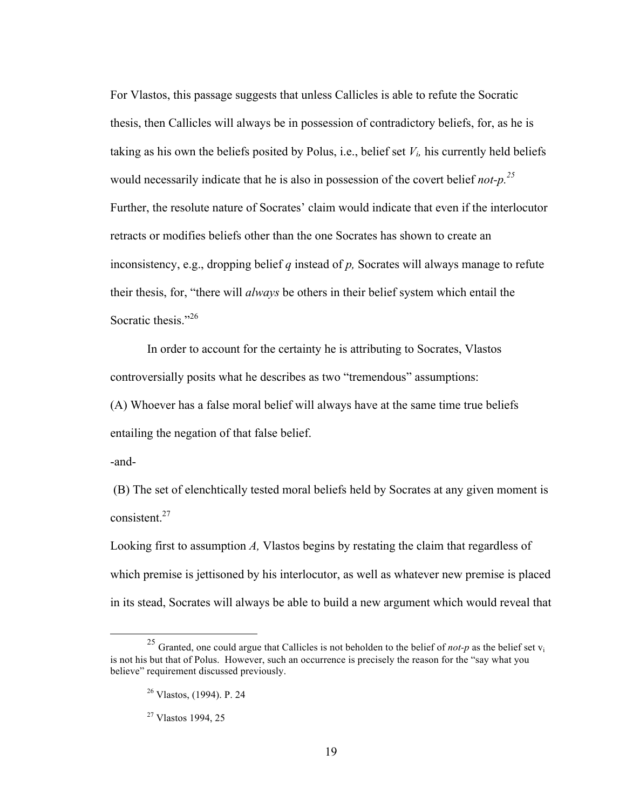For Vlastos, this passage suggests that unless Callicles is able to refute the Socratic thesis, then Callicles will always be in possession of contradictory beliefs, for, as he is taking as his own the beliefs posited by Polus, i.e., belief set  $V_i$ , his currently held beliefs would necessarily indicate that he is also in possession of the covert belief *not-p. 25* Further, the resolute nature of Socrates' claim would indicate that even if the interlocutor retracts or modifies beliefs other than the one Socrates has shown to create an inconsistency, e.g., dropping belief *q* instead of *p,* Socrates will always manage to refute their thesis, for, "there will *always* be others in their belief system which entail the Socratic thesis."<sup>26</sup>

In order to account for the certainty he is attributing to Socrates, Vlastos controversially posits what he describes as two "tremendous" assumptions:

(A) Whoever has a false moral belief will always have at the same time true beliefs entailing the negation of that false belief.

-and-

(B) The set of elenchtically tested moral beliefs held by Socrates at any given moment is consistent.27

Looking first to assumption *A,* Vlastos begins by restating the claim that regardless of which premise is jettisoned by his interlocutor, as well as whatever new premise is placed in its stead, Socrates will always be able to build a new argument which would reveal that

 <sup>25</sup> Granted, one could argue that Callicles is not beholden to the belief of *not-p* as the belief set vi is not his but that of Polus. However, such an occurrence is precisely the reason for the "say what you believe" requirement discussed previously.

<sup>26</sup> Vlastos, (1994). P. 24

<sup>&</sup>lt;sup>27</sup> Vlastos 1994, 25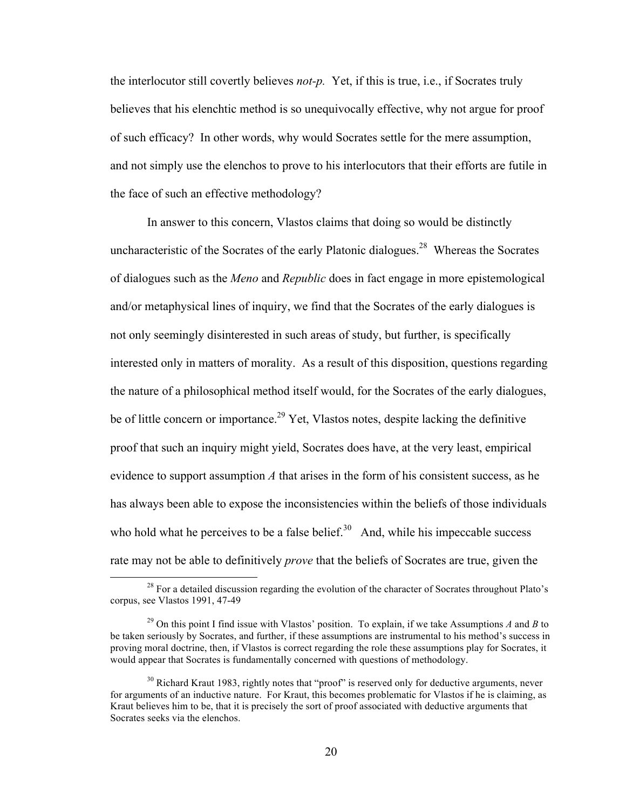the interlocutor still covertly believes *not-p.* Yet, if this is true, i.e., if Socrates truly believes that his elenchtic method is so unequivocally effective, why not argue for proof of such efficacy? In other words, why would Socrates settle for the mere assumption, and not simply use the elenchos to prove to his interlocutors that their efforts are futile in the face of such an effective methodology?

In answer to this concern, Vlastos claims that doing so would be distinctly uncharacteristic of the Socrates of the early Platonic dialogues.<sup>28</sup> Whereas the Socrates of dialogues such as the *Meno* and *Republic* does in fact engage in more epistemological and/or metaphysical lines of inquiry, we find that the Socrates of the early dialogues is not only seemingly disinterested in such areas of study, but further, is specifically interested only in matters of morality. As a result of this disposition, questions regarding the nature of a philosophical method itself would, for the Socrates of the early dialogues, be of little concern or importance.<sup>29</sup> Yet, Vlastos notes, despite lacking the definitive proof that such an inquiry might yield, Socrates does have, at the very least, empirical evidence to support assumption *A* that arises in the form of his consistent success, as he has always been able to expose the inconsistencies within the beliefs of those individuals who hold what he perceives to be a false belief.<sup>30</sup> And, while his impeccable success rate may not be able to definitively *prove* that the beliefs of Socrates are true, given the

<sup>&</sup>lt;sup>28</sup> For a detailed discussion regarding the evolution of the character of Socrates throughout Plato's corpus, see Vlastos 1991, 47-49

<sup>29</sup> On this point I find issue with Vlastos' position. To explain, if we take Assumptions *A* and *B* to be taken seriously by Socrates, and further, if these assumptions are instrumental to his method's success in proving moral doctrine, then, if Vlastos is correct regarding the role these assumptions play for Socrates, it would appear that Socrates is fundamentally concerned with questions of methodology.

 $30$  Richard Kraut 1983, rightly notes that "proof" is reserved only for deductive arguments, never for arguments of an inductive nature. For Kraut, this becomes problematic for Vlastos if he is claiming, as Kraut believes him to be, that it is precisely the sort of proof associated with deductive arguments that Socrates seeks via the elenchos.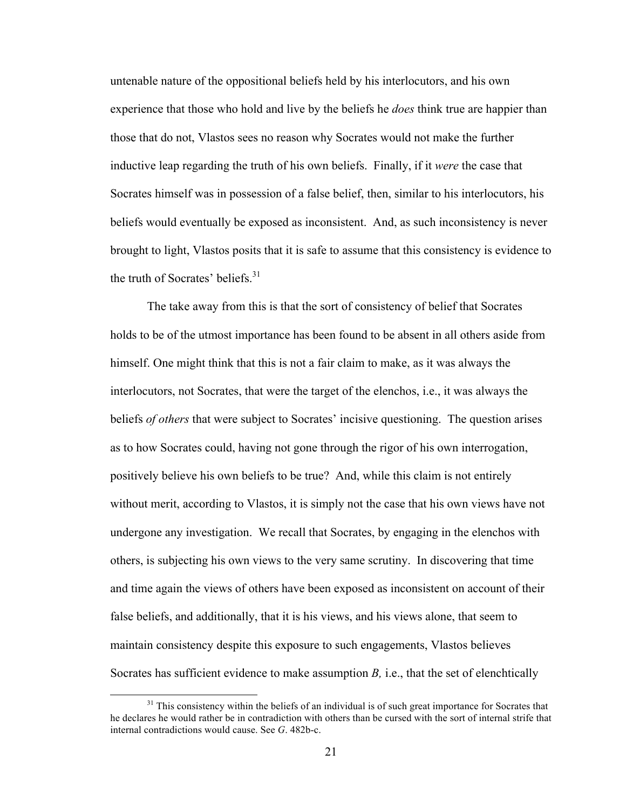untenable nature of the oppositional beliefs held by his interlocutors, and his own experience that those who hold and live by the beliefs he *does* think true are happier than those that do not, Vlastos sees no reason why Socrates would not make the further inductive leap regarding the truth of his own beliefs. Finally, if it *were* the case that Socrates himself was in possession of a false belief, then, similar to his interlocutors, his beliefs would eventually be exposed as inconsistent. And, as such inconsistency is never brought to light, Vlastos posits that it is safe to assume that this consistency is evidence to the truth of Socrates' beliefs.<sup>31</sup>

The take away from this is that the sort of consistency of belief that Socrates holds to be of the utmost importance has been found to be absent in all others aside from himself. One might think that this is not a fair claim to make, as it was always the interlocutors, not Socrates, that were the target of the elenchos, i.e., it was always the beliefs *of others* that were subject to Socrates' incisive questioning. The question arises as to how Socrates could, having not gone through the rigor of his own interrogation, positively believe his own beliefs to be true? And, while this claim is not entirely without merit, according to Vlastos, it is simply not the case that his own views have not undergone any investigation. We recall that Socrates, by engaging in the elenchos with others, is subjecting his own views to the very same scrutiny. In discovering that time and time again the views of others have been exposed as inconsistent on account of their false beliefs, and additionally, that it is his views, and his views alone, that seem to maintain consistency despite this exposure to such engagements, Vlastos believes Socrates has sufficient evidence to make assumption *B,* i.e., that the set of elenchtically

 $31$  This consistency within the beliefs of an individual is of such great importance for Socrates that he declares he would rather be in contradiction with others than be cursed with the sort of internal strife that internal contradictions would cause. See *G*. 482b-c.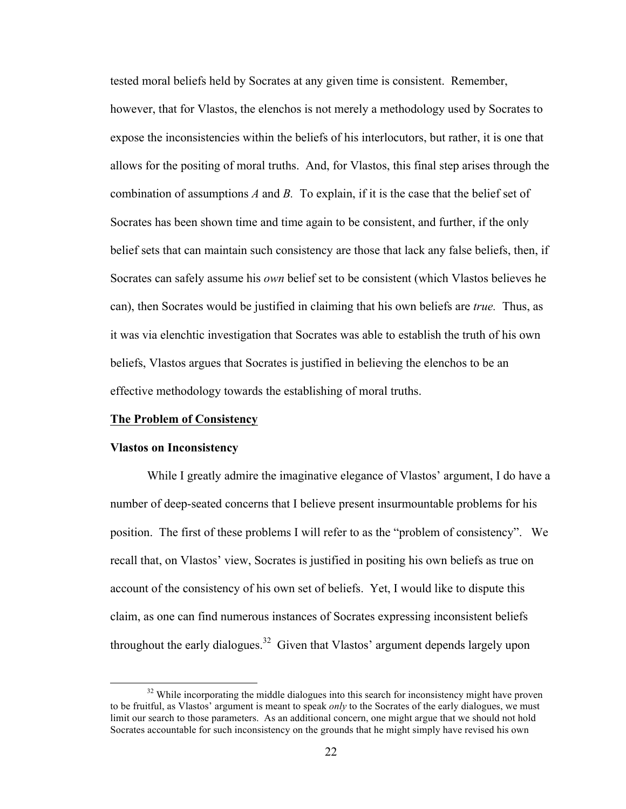tested moral beliefs held by Socrates at any given time is consistent. Remember, however, that for Vlastos, the elenchos is not merely a methodology used by Socrates to expose the inconsistencies within the beliefs of his interlocutors, but rather, it is one that allows for the positing of moral truths. And, for Vlastos, this final step arises through the combination of assumptions *A* and *B.* To explain, if it is the case that the belief set of Socrates has been shown time and time again to be consistent, and further, if the only belief sets that can maintain such consistency are those that lack any false beliefs, then, if Socrates can safely assume his *own* belief set to be consistent (which Vlastos believes he can), then Socrates would be justified in claiming that his own beliefs are *true.* Thus, as it was via elenchtic investigation that Socrates was able to establish the truth of his own beliefs, Vlastos argues that Socrates is justified in believing the elenchos to be an effective methodology towards the establishing of moral truths.

#### **The Problem of Consistency**

#### **Vlastos on Inconsistency**

While I greatly admire the imaginative elegance of Vlastos' argument, I do have a number of deep-seated concerns that I believe present insurmountable problems for his position. The first of these problems I will refer to as the "problem of consistency". We recall that, on Vlastos' view, Socrates is justified in positing his own beliefs as true on account of the consistency of his own set of beliefs. Yet, I would like to dispute this claim, as one can find numerous instances of Socrates expressing inconsistent beliefs throughout the early dialogues.<sup>32</sup> Given that Vlastos' argument depends largely upon

 $32$  While incorporating the middle dialogues into this search for inconsistency might have proven to be fruitful, as Vlastos' argument is meant to speak *only* to the Socrates of the early dialogues, we must limit our search to those parameters. As an additional concern, one might argue that we should not hold Socrates accountable for such inconsistency on the grounds that he might simply have revised his own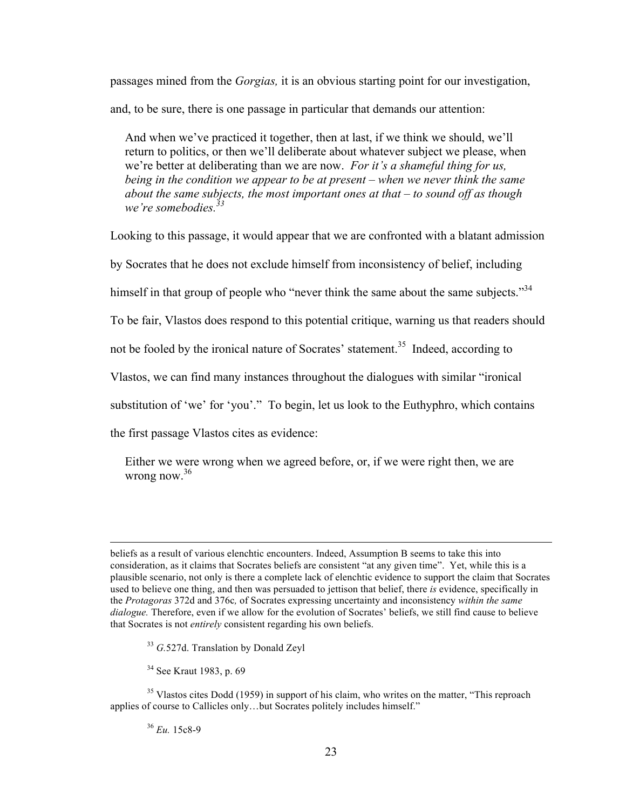passages mined from the *Gorgias,* it is an obvious starting point for our investigation, and, to be sure, there is one passage in particular that demands our attention:

And when we've practiced it together, then at last, if we think we should, we'll return to politics, or then we'll deliberate about whatever subject we please, when we're better at deliberating than we are now. *For it's a shameful thing for us, being in the condition we appear to be at present – when we never think the same about the same subjects, the most important ones at that – to sound off as though we're somebodies.33*

Looking to this passage, it would appear that we are confronted with a blatant admission

by Socrates that he does not exclude himself from inconsistency of belief, including

himself in that group of people who "never think the same about the same subjects."<sup>34</sup>

To be fair, Vlastos does respond to this potential critique, warning us that readers should

not be fooled by the ironical nature of Socrates' statement.<sup>35</sup> Indeed, according to

Vlastos, we can find many instances throughout the dialogues with similar "ironical

substitution of 'we' for 'you'." To begin, let us look to the Euthyphro, which contains

the first passage Vlastos cites as evidence:

Either we were wrong when we agreed before, or, if we were right then, we are wrong now.<sup>36</sup>

<sup>33</sup> *G.*527d. Translation by Donald Zeyl

<sup>34</sup> See Kraut 1983, p. 69

 $35$  Vlastos cites Dodd (1959) in support of his claim, who writes on the matter, "This reproach" applies of course to Callicles only…but Socrates politely includes himself."

<sup>36</sup> *Eu.* 15c8-9

beliefs as a result of various elenchtic encounters. Indeed, Assumption B seems to take this into consideration, as it claims that Socrates beliefs are consistent "at any given time". Yet, while this is a plausible scenario, not only is there a complete lack of elenchtic evidence to support the claim that Socrates used to believe one thing, and then was persuaded to jettison that belief, there *is* evidence, specifically in the *Protagoras* 372d and 376c*,* of Socrates expressing uncertainty and inconsistency *within the same dialogue.* Therefore, even if we allow for the evolution of Socrates' beliefs, we still find cause to believe that Socrates is not *entirely* consistent regarding his own beliefs.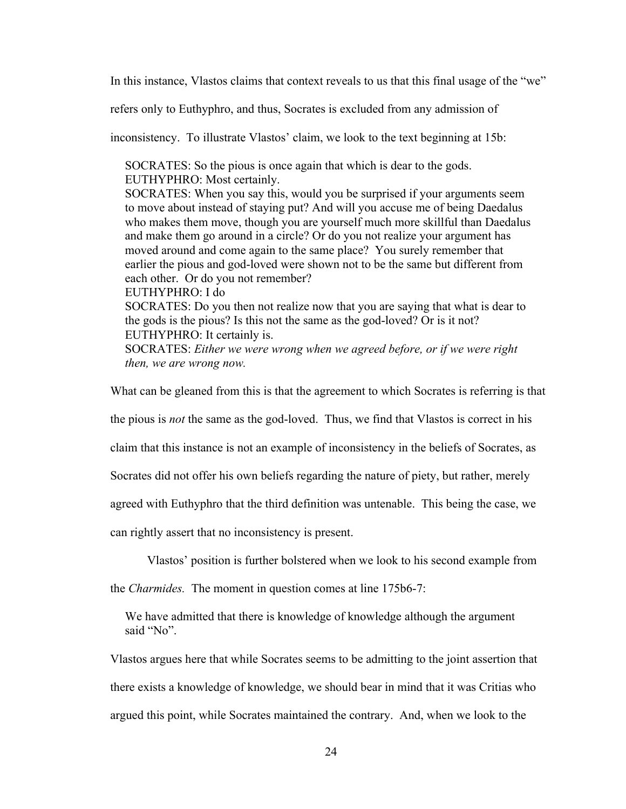In this instance, Vlastos claims that context reveals to us that this final usage of the "we"

refers only to Euthyphro, and thus, Socrates is excluded from any admission of

inconsistency. To illustrate Vlastos' claim, we look to the text beginning at 15b:

SOCRATES: So the pious is once again that which is dear to the gods. EUTHYPHRO: Most certainly.

SOCRATES: When you say this, would you be surprised if your arguments seem to move about instead of staying put? And will you accuse me of being Daedalus who makes them move, though you are yourself much more skillful than Daedalus and make them go around in a circle? Or do you not realize your argument has moved around and come again to the same place? You surely remember that earlier the pious and god-loved were shown not to be the same but different from each other. Or do you not remember?

EUTHYPHRO: I do

SOCRATES: Do you then not realize now that you are saying that what is dear to the gods is the pious? Is this not the same as the god-loved? Or is it not? EUTHYPHRO: It certainly is.

SOCRATES: *Either we were wrong when we agreed before, or if we were right then, we are wrong now.*

What can be gleaned from this is that the agreement to which Socrates is referring is that

the pious is *not* the same as the god-loved. Thus, we find that Vlastos is correct in his

claim that this instance is not an example of inconsistency in the beliefs of Socrates, as

Socrates did not offer his own beliefs regarding the nature of piety, but rather, merely

agreed with Euthyphro that the third definition was untenable. This being the case, we

can rightly assert that no inconsistency is present.

Vlastos' position is further bolstered when we look to his second example from

the *Charmides.* The moment in question comes at line 175b6-7:

We have admitted that there is knowledge of knowledge although the argument said "No".

Vlastos argues here that while Socrates seems to be admitting to the joint assertion that there exists a knowledge of knowledge, we should bear in mind that it was Critias who argued this point, while Socrates maintained the contrary. And, when we look to the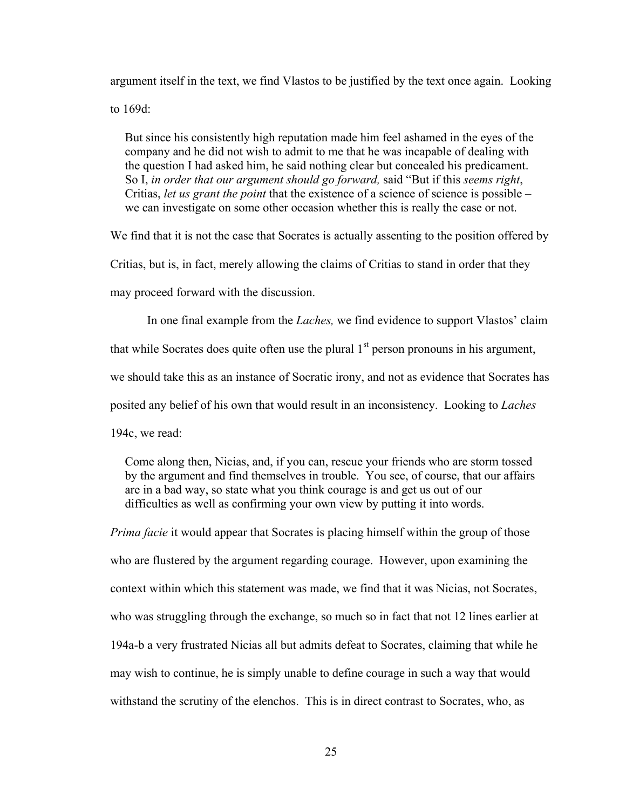argument itself in the text, we find Vlastos to be justified by the text once again. Looking

to 169d:

But since his consistently high reputation made him feel ashamed in the eyes of the company and he did not wish to admit to me that he was incapable of dealing with the question I had asked him, he said nothing clear but concealed his predicament. So I, *in order that our argument should go forward,* said "But if this *seems right*, Critias, *let us grant the point* that the existence of a science of science is possible – we can investigate on some other occasion whether this is really the case or not.

We find that it is not the case that Socrates is actually assenting to the position offered by

Critias, but is, in fact, merely allowing the claims of Critias to stand in order that they

may proceed forward with the discussion.

In one final example from the *Laches,* we find evidence to support Vlastos' claim that while Socrates does quite often use the plural  $1<sup>st</sup>$  person pronouns in his argument, we should take this as an instance of Socratic irony, and not as evidence that Socrates has posited any belief of his own that would result in an inconsistency. Looking to *Laches*  194c, we read:

Come along then, Nicias, and, if you can, rescue your friends who are storm tossed by the argument and find themselves in trouble. You see, of course, that our affairs are in a bad way, so state what you think courage is and get us out of our difficulties as well as confirming your own view by putting it into words.

*Prima facie* it would appear that Socrates is placing himself within the group of those who are flustered by the argument regarding courage. However, upon examining the context within which this statement was made, we find that it was Nicias, not Socrates, who was struggling through the exchange, so much so in fact that not 12 lines earlier at 194a-b a very frustrated Nicias all but admits defeat to Socrates, claiming that while he may wish to continue, he is simply unable to define courage in such a way that would withstand the scrutiny of the elenchos. This is in direct contrast to Socrates, who, as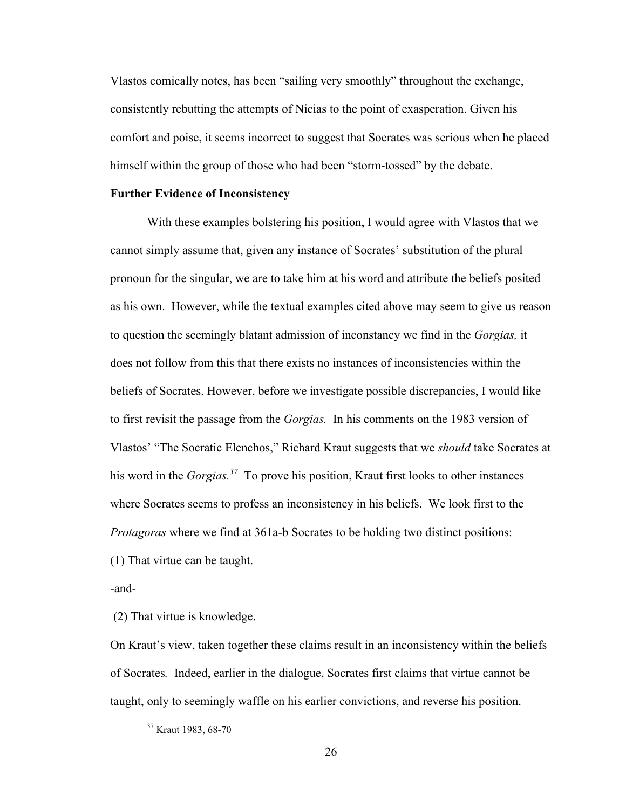Vlastos comically notes, has been "sailing very smoothly" throughout the exchange, consistently rebutting the attempts of Nicias to the point of exasperation. Given his comfort and poise, it seems incorrect to suggest that Socrates was serious when he placed himself within the group of those who had been "storm-tossed" by the debate.

#### **Further Evidence of Inconsistency**

With these examples bolstering his position, I would agree with Vlastos that we cannot simply assume that, given any instance of Socrates' substitution of the plural pronoun for the singular, we are to take him at his word and attribute the beliefs posited as his own. However, while the textual examples cited above may seem to give us reason to question the seemingly blatant admission of inconstancy we find in the *Gorgias,* it does not follow from this that there exists no instances of inconsistencies within the beliefs of Socrates. However, before we investigate possible discrepancies, I would like to first revisit the passage from the *Gorgias.* In his comments on the 1983 version of Vlastos' "The Socratic Elenchos," Richard Kraut suggests that we *should* take Socrates at his word in the *Gorgias*.<sup>37</sup> To prove his position, Kraut first looks to other instances where Socrates seems to profess an inconsistency in his beliefs. We look first to the *Protagoras* where we find at 361a-b Socrates to be holding two distinct positions: (1) That virtue can be taught.

-and-

(2) That virtue is knowledge.

On Kraut's view, taken together these claims result in an inconsistency within the beliefs of Socrates*.* Indeed, earlier in the dialogue, Socrates first claims that virtue cannot be taught, only to seemingly waffle on his earlier convictions, and reverse his position.

<sup>&</sup>lt;sup>37</sup> Kraut 1983, 68-70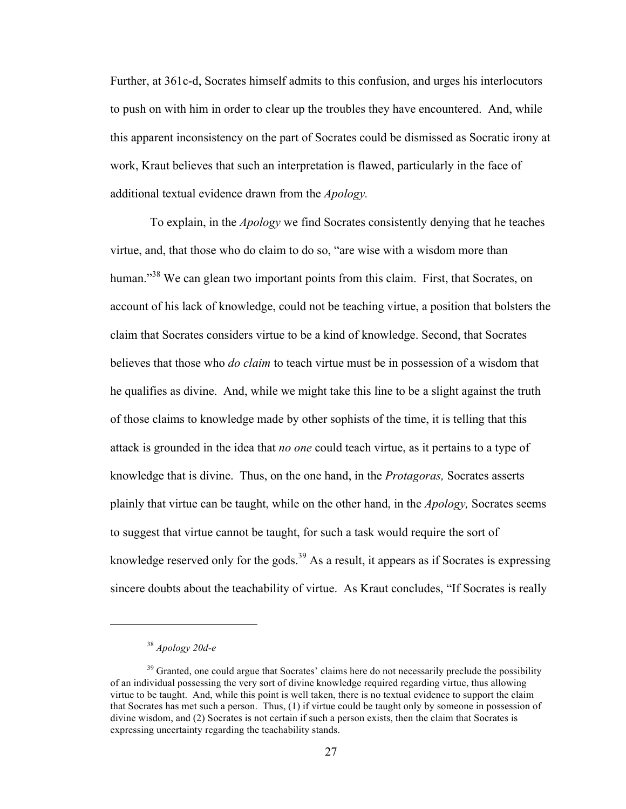Further, at 361c-d, Socrates himself admits to this confusion, and urges his interlocutors to push on with him in order to clear up the troubles they have encountered. And, while this apparent inconsistency on the part of Socrates could be dismissed as Socratic irony at work, Kraut believes that such an interpretation is flawed, particularly in the face of additional textual evidence drawn from the *Apology.*

To explain, in the *Apology* we find Socrates consistently denying that he teaches virtue, and, that those who do claim to do so, "are wise with a wisdom more than human."<sup>38</sup> We can glean two important points from this claim. First, that Socrates, on account of his lack of knowledge, could not be teaching virtue, a position that bolsters the claim that Socrates considers virtue to be a kind of knowledge. Second, that Socrates believes that those who *do claim* to teach virtue must be in possession of a wisdom that he qualifies as divine. And, while we might take this line to be a slight against the truth of those claims to knowledge made by other sophists of the time, it is telling that this attack is grounded in the idea that *no one* could teach virtue, as it pertains to a type of knowledge that is divine. Thus, on the one hand, in the *Protagoras,* Socrates asserts plainly that virtue can be taught, while on the other hand, in the *Apology,* Socrates seems to suggest that virtue cannot be taught, for such a task would require the sort of knowledge reserved only for the gods.<sup>39</sup> As a result, it appears as if Socrates is expressing sincere doubts about the teachability of virtue. As Kraut concludes, "If Socrates is really

<sup>38</sup> *Apology 20d-e*

<sup>&</sup>lt;sup>39</sup> Granted, one could argue that Socrates' claims here do not necessarily preclude the possibility of an individual possessing the very sort of divine knowledge required regarding virtue, thus allowing virtue to be taught. And, while this point is well taken, there is no textual evidence to support the claim that Socrates has met such a person. Thus, (1) if virtue could be taught only by someone in possession of divine wisdom, and (2) Socrates is not certain if such a person exists, then the claim that Socrates is expressing uncertainty regarding the teachability stands.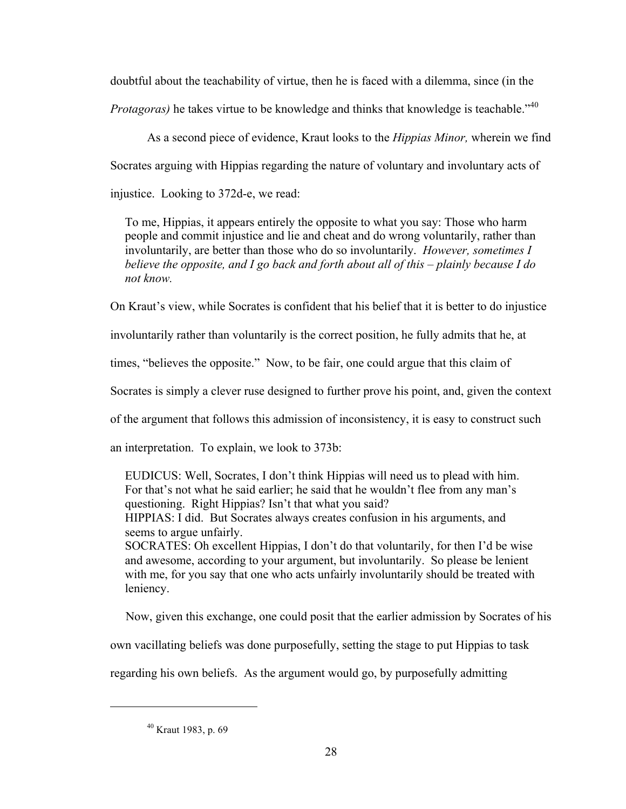doubtful about the teachability of virtue, then he is faced with a dilemma, since (in the *Protagoras*) he takes virtue to be knowledge and thinks that knowledge is teachable.<sup>"40</sup>

As a second piece of evidence, Kraut looks to the *Hippias Minor,* wherein we find Socrates arguing with Hippias regarding the nature of voluntary and involuntary acts of injustice. Looking to 372d-e, we read:

To me, Hippias, it appears entirely the opposite to what you say: Those who harm people and commit injustice and lie and cheat and do wrong voluntarily, rather than involuntarily, are better than those who do so involuntarily. *However, sometimes I believe the opposite, and I go back and forth about all of this – plainly because I do not know.*

On Kraut's view, while Socrates is confident that his belief that it is better to do injustice

involuntarily rather than voluntarily is the correct position, he fully admits that he, at

times, "believes the opposite." Now, to be fair, one could argue that this claim of

Socrates is simply a clever ruse designed to further prove his point, and, given the context

of the argument that follows this admission of inconsistency, it is easy to construct such

an interpretation. To explain, we look to 373b:

EUDICUS: Well, Socrates, I don't think Hippias will need us to plead with him. For that's not what he said earlier; he said that he wouldn't flee from any man's questioning. Right Hippias? Isn't that what you said?

HIPPIAS: I did. But Socrates always creates confusion in his arguments, and seems to argue unfairly.

SOCRATES: Oh excellent Hippias, I don't do that voluntarily, for then I'd be wise and awesome, according to your argument, but involuntarily. So please be lenient with me, for you say that one who acts unfairly involuntarily should be treated with leniency.

Now, given this exchange, one could posit that the earlier admission by Socrates of his

own vacillating beliefs was done purposefully, setting the stage to put Hippias to task

regarding his own beliefs. As the argument would go, by purposefully admitting

<sup>40</sup> Kraut 1983, p. 69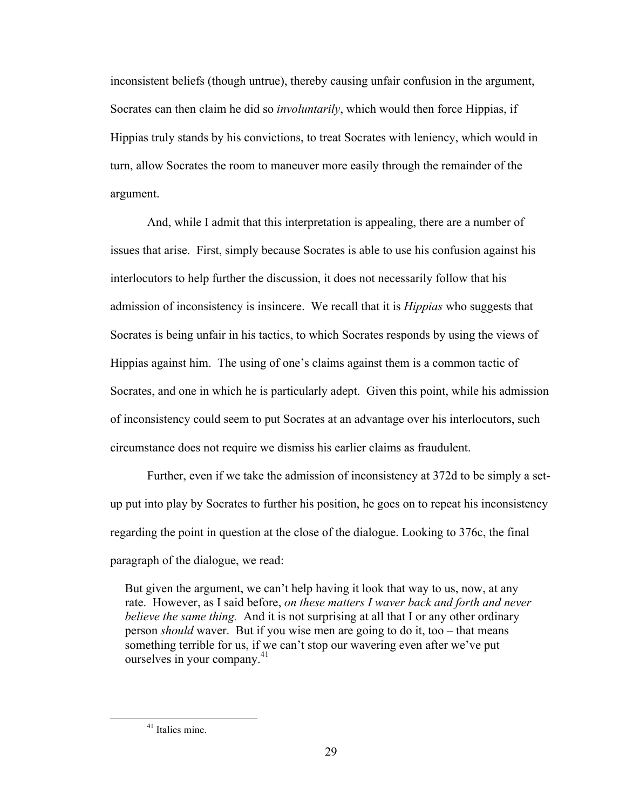inconsistent beliefs (though untrue), thereby causing unfair confusion in the argument, Socrates can then claim he did so *involuntarily*, which would then force Hippias, if Hippias truly stands by his convictions, to treat Socrates with leniency, which would in turn, allow Socrates the room to maneuver more easily through the remainder of the argument.

And, while I admit that this interpretation is appealing, there are a number of issues that arise. First, simply because Socrates is able to use his confusion against his interlocutors to help further the discussion, it does not necessarily follow that his admission of inconsistency is insincere. We recall that it is *Hippias* who suggests that Socrates is being unfair in his tactics, to which Socrates responds by using the views of Hippias against him. The using of one's claims against them is a common tactic of Socrates, and one in which he is particularly adept. Given this point, while his admission of inconsistency could seem to put Socrates at an advantage over his interlocutors, such circumstance does not require we dismiss his earlier claims as fraudulent.

Further, even if we take the admission of inconsistency at 372d to be simply a setup put into play by Socrates to further his position, he goes on to repeat his inconsistency regarding the point in question at the close of the dialogue. Looking to 376c, the final paragraph of the dialogue, we read:

But given the argument, we can't help having it look that way to us, now, at any rate. However, as I said before, *on these matters I waver back and forth and never believe the same thing.* And it is not surprising at all that I or any other ordinary person *should* waver. But if you wise men are going to do it, too – that means something terrible for us, if we can't stop our wavering even after we've put ourselves in your company.<sup>41</sup>

<sup>&</sup>lt;sup>41</sup> Italics mine.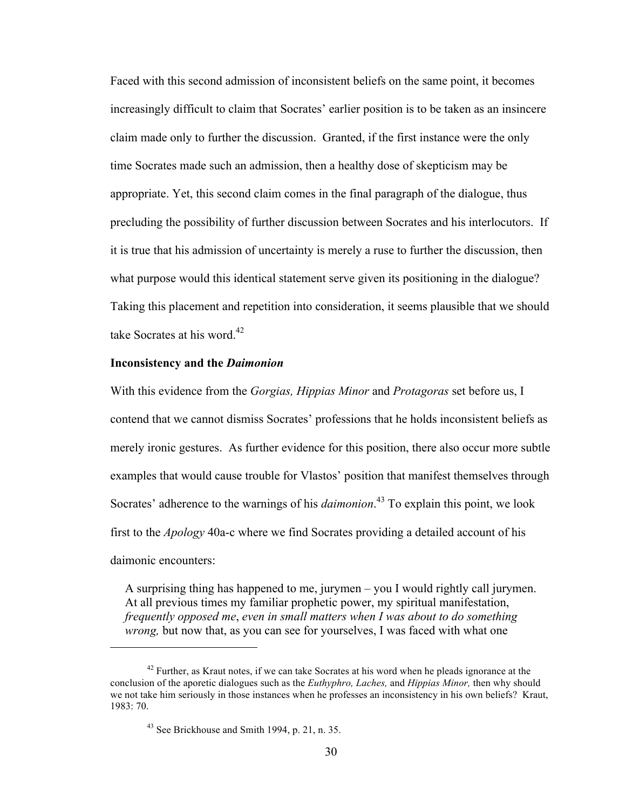Faced with this second admission of inconsistent beliefs on the same point, it becomes increasingly difficult to claim that Socrates' earlier position is to be taken as an insincere claim made only to further the discussion. Granted, if the first instance were the only time Socrates made such an admission, then a healthy dose of skepticism may be appropriate. Yet, this second claim comes in the final paragraph of the dialogue, thus precluding the possibility of further discussion between Socrates and his interlocutors. If it is true that his admission of uncertainty is merely a ruse to further the discussion, then what purpose would this identical statement serve given its positioning in the dialogue? Taking this placement and repetition into consideration, it seems plausible that we should take Socrates at his word.<sup>42</sup>

## **Inconsistency and the** *Daimonion*

 $\overline{a}$ 

With this evidence from the *Gorgias, Hippias Minor* and *Protagoras* set before us, I contend that we cannot dismiss Socrates' professions that he holds inconsistent beliefs as merely ironic gestures. As further evidence for this position, there also occur more subtle examples that would cause trouble for Vlastos' position that manifest themselves through Socrates' adherence to the warnings of his *daimonion*. <sup>43</sup> To explain this point, we look first to the *Apology* 40a-c where we find Socrates providing a detailed account of his daimonic encounters:

A surprising thing has happened to me, jurymen – you I would rightly call jurymen. At all previous times my familiar prophetic power, my spiritual manifestation, *frequently opposed me*, *even in small matters when I was about to do something wrong,* but now that, as you can see for yourselves, I was faced with what one

 $42$  Further, as Kraut notes, if we can take Socrates at his word when he pleads ignorance at the conclusion of the aporetic dialogues such as the *Euthyphro, Laches,* and *Hippias Minor,* then why should we not take him seriously in those instances when he professes an inconsistency in his own beliefs? Kraut, 1983: 70.

 $43$  See Brickhouse and Smith 1994, p. 21, n. 35.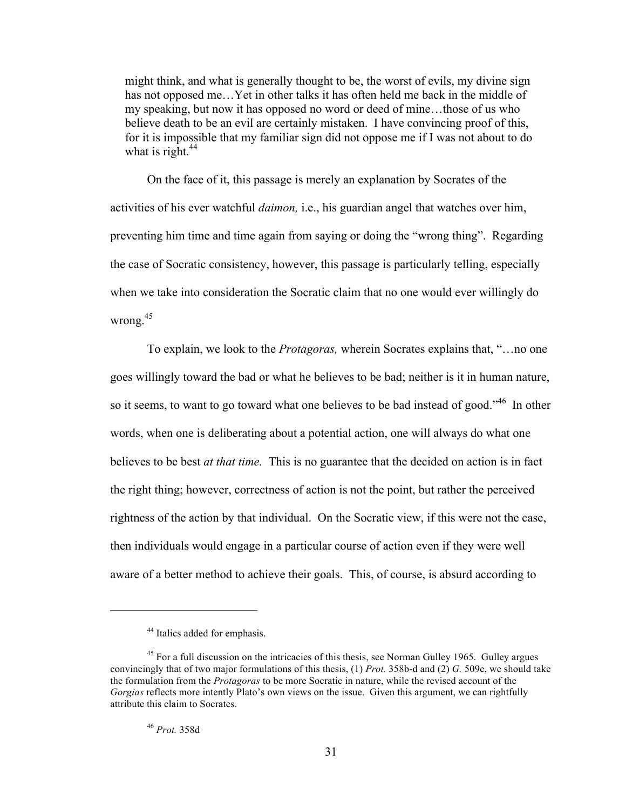might think, and what is generally thought to be, the worst of evils, my divine sign has not opposed me...Yet in other talks it has often held me back in the middle of my speaking, but now it has opposed no word or deed of mine…those of us who believe death to be an evil are certainly mistaken. I have convincing proof of this, for it is impossible that my familiar sign did not oppose me if I was not about to do what is right. $44$ 

On the face of it, this passage is merely an explanation by Socrates of the activities of his ever watchful *daimon,* i.e., his guardian angel that watches over him, preventing him time and time again from saying or doing the "wrong thing". Regarding the case of Socratic consistency, however, this passage is particularly telling, especially when we take into consideration the Socratic claim that no one would ever willingly do wrong.<sup>45</sup>

To explain, we look to the *Protagoras,* wherein Socrates explains that, "…no one goes willingly toward the bad or what he believes to be bad; neither is it in human nature, so it seems, to want to go toward what one believes to be bad instead of good.<sup>546</sup> In other words, when one is deliberating about a potential action, one will always do what one believes to be best *at that time.* This is no guarantee that the decided on action is in fact the right thing; however, correctness of action is not the point, but rather the perceived rightness of the action by that individual. On the Socratic view, if this were not the case, then individuals would engage in a particular course of action even if they were well aware of a better method to achieve their goals. This, of course, is absurd according to

<sup>44</sup> Italics added for emphasis.

<sup>&</sup>lt;sup>45</sup> For a full discussion on the intricacies of this thesis, see Norman Gulley 1965. Gulley argues convincingly that of two major formulations of this thesis, (1) *Prot.* 358b-d and (2) *G.* 509e, we should take the formulation from the *Protagoras* to be more Socratic in nature, while the revised account of the *Gorgias* reflects more intently Plato's own views on the issue. Given this argument, we can rightfully attribute this claim to Socrates.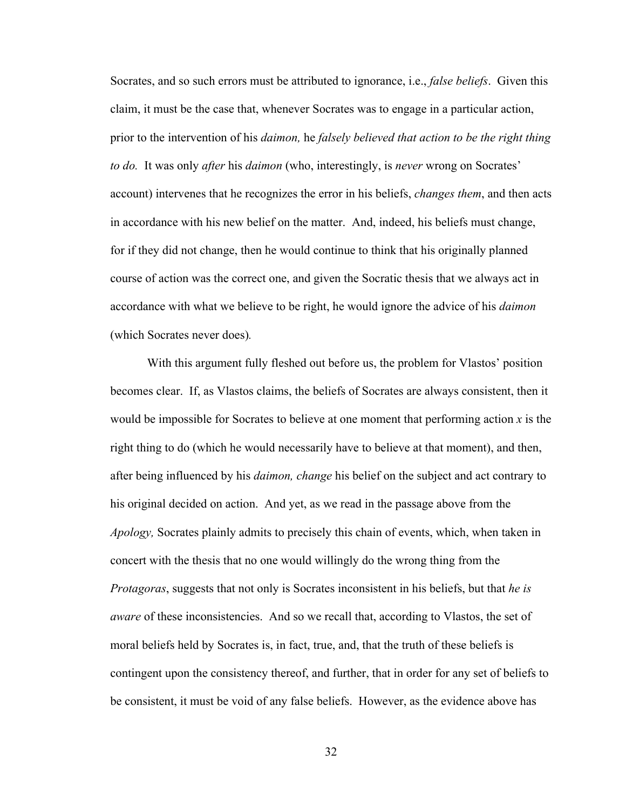Socrates, and so such errors must be attributed to ignorance, i.e., *false beliefs*. Given this claim, it must be the case that, whenever Socrates was to engage in a particular action, prior to the intervention of his *daimon,* he *falsely believed that action to be the right thing to do.* It was only *after* his *daimon* (who, interestingly, is *never* wrong on Socrates' account) intervenes that he recognizes the error in his beliefs, *changes them*, and then acts in accordance with his new belief on the matter. And, indeed, his beliefs must change, for if they did not change, then he would continue to think that his originally planned course of action was the correct one, and given the Socratic thesis that we always act in accordance with what we believe to be right, he would ignore the advice of his *daimon*  (which Socrates never does)*.* 

With this argument fully fleshed out before us, the problem for Vlastos' position becomes clear. If, as Vlastos claims, the beliefs of Socrates are always consistent, then it would be impossible for Socrates to believe at one moment that performing action *x* is the right thing to do (which he would necessarily have to believe at that moment), and then, after being influenced by his *daimon, change* his belief on the subject and act contrary to his original decided on action. And yet, as we read in the passage above from the *Apology,* Socrates plainly admits to precisely this chain of events, which, when taken in concert with the thesis that no one would willingly do the wrong thing from the *Protagoras*, suggests that not only is Socrates inconsistent in his beliefs, but that *he is aware* of these inconsistencies. And so we recall that, according to Vlastos, the set of moral beliefs held by Socrates is, in fact, true, and, that the truth of these beliefs is contingent upon the consistency thereof, and further, that in order for any set of beliefs to be consistent, it must be void of any false beliefs. However, as the evidence above has

32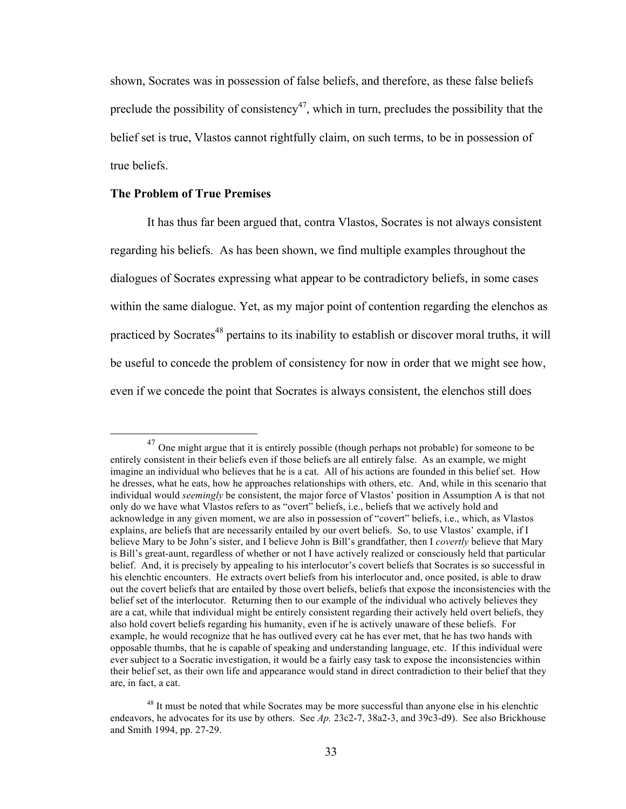shown, Socrates was in possession of false beliefs, and therefore, as these false beliefs preclude the possibility of consistency<sup>47</sup>, which in turn, precludes the possibility that the belief set is true, Vlastos cannot rightfully claim, on such terms, to be in possession of true beliefs.

## **The Problem of True Premises**

It has thus far been argued that, contra Vlastos, Socrates is not always consistent regarding his beliefs. As has been shown, we find multiple examples throughout the dialogues of Socrates expressing what appear to be contradictory beliefs, in some cases within the same dialogue. Yet, as my major point of contention regarding the elenchos as practiced by Socrates<sup>48</sup> pertains to its inability to establish or discover moral truths, it will be useful to concede the problem of consistency for now in order that we might see how, even if we concede the point that Socrates is always consistent, the elenchos still does

<sup>&</sup>lt;sup>47</sup> One might argue that it is entirely possible (though perhaps not probable) for someone to be entirely consistent in their beliefs even if those beliefs are all entirely false. As an example, we might imagine an individual who believes that he is a cat. All of his actions are founded in this belief set. How he dresses, what he eats, how he approaches relationships with others, etc. And, while in this scenario that individual would *seemingly* be consistent, the major force of Vlastos' position in Assumption A is that not only do we have what Vlastos refers to as "overt" beliefs, i.e., beliefs that we actively hold and acknowledge in any given moment, we are also in possession of "covert" beliefs, i.e., which, as Vlastos explains, are beliefs that are necessarily entailed by our overt beliefs. So, to use Vlastos' example, if I believe Mary to be John's sister, and I believe John is Bill's grandfather, then I *covertly* believe that Mary is Bill's great-aunt, regardless of whether or not I have actively realized or consciously held that particular belief. And, it is precisely by appealing to his interlocutor's covert beliefs that Socrates is so successful in his elenchtic encounters. He extracts overt beliefs from his interlocutor and, once posited, is able to draw out the covert beliefs that are entailed by those overt beliefs, beliefs that expose the inconsistencies with the belief set of the interlocutor. Returning then to our example of the individual who actively believes they are a cat, while that individual might be entirely consistent regarding their actively held overt beliefs, they also hold covert beliefs regarding his humanity, even if he is actively unaware of these beliefs. For example, he would recognize that he has outlived every cat he has ever met, that he has two hands with opposable thumbs, that he is capable of speaking and understanding language, etc. If this individual were ever subject to a Socratic investigation, it would be a fairly easy task to expose the inconsistencies within their belief set, as their own life and appearance would stand in direct contradiction to their belief that they are, in fact, a cat.

<sup>&</sup>lt;sup>48</sup> It must be noted that while Socrates may be more successful than anyone else in his elenchtic endeavors, he advocates for its use by others. See *Ap.* 23c2-7, 38a2-3, and 39c3-d9). See also Brickhouse and Smith 1994, pp. 27-29.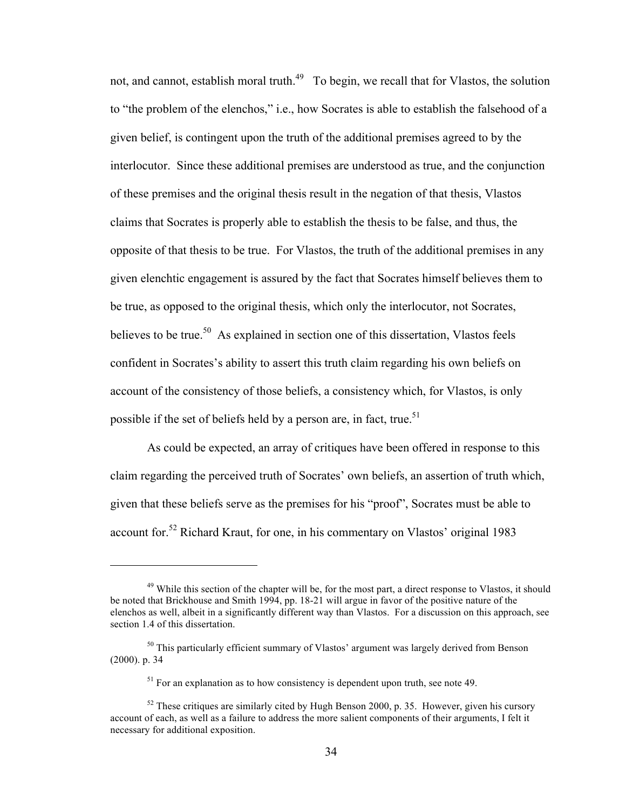not, and cannot, establish moral truth.<sup>49</sup> To begin, we recall that for Vlastos, the solution to "the problem of the elenchos," i.e., how Socrates is able to establish the falsehood of a given belief, is contingent upon the truth of the additional premises agreed to by the interlocutor. Since these additional premises are understood as true, and the conjunction of these premises and the original thesis result in the negation of that thesis, Vlastos claims that Socrates is properly able to establish the thesis to be false, and thus, the opposite of that thesis to be true. For Vlastos, the truth of the additional premises in any given elenchtic engagement is assured by the fact that Socrates himself believes them to be true, as opposed to the original thesis, which only the interlocutor, not Socrates, believes to be true.<sup>50</sup> As explained in section one of this dissertation, Vlastos feels confident in Socrates's ability to assert this truth claim regarding his own beliefs on account of the consistency of those beliefs, a consistency which, for Vlastos, is only possible if the set of beliefs held by a person are, in fact, true.<sup>51</sup>

As could be expected, an array of critiques have been offered in response to this claim regarding the perceived truth of Socrates' own beliefs, an assertion of truth which, given that these beliefs serve as the premises for his "proof", Socrates must be able to account for.<sup>52</sup> Richard Kraut, for one, in his commentary on Vlastos' original 1983

<sup>&</sup>lt;sup>49</sup> While this section of the chapter will be, for the most part, a direct response to Vlastos, it should be noted that Brickhouse and Smith 1994, pp. 18-21 will argue in favor of the positive nature of the elenchos as well, albeit in a significantly different way than Vlastos. For a discussion on this approach, see section 1.4 of this dissertation.

<sup>&</sup>lt;sup>50</sup> This particularly efficient summary of Vlastos' argument was largely derived from Benson (2000). p. 34

 $51$  For an explanation as to how consistency is dependent upon truth, see note 49.

 $52$  These critiques are similarly cited by Hugh Benson 2000, p. 35. However, given his cursory account of each, as well as a failure to address the more salient components of their arguments, I felt it necessary for additional exposition.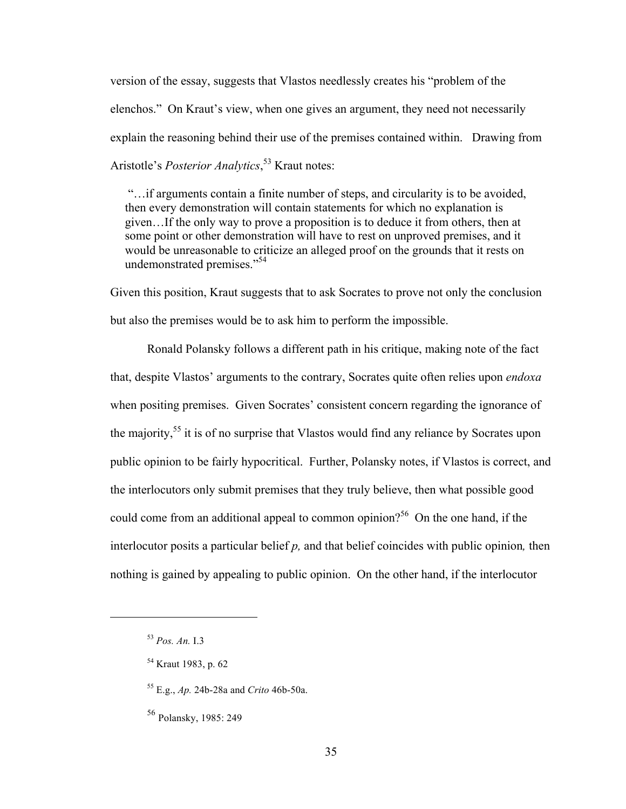version of the essay, suggests that Vlastos needlessly creates his "problem of the elenchos." On Kraut's view, when one gives an argument, they need not necessarily explain the reasoning behind their use of the premises contained within. Drawing from Aristotle's *Posterior Analytics*, <sup>53</sup> Kraut notes:

"…if arguments contain a finite number of steps, and circularity is to be avoided, then every demonstration will contain statements for which no explanation is given…If the only way to prove a proposition is to deduce it from others, then at some point or other demonstration will have to rest on unproved premises, and it would be unreasonable to criticize an alleged proof on the grounds that it rests on undemonstrated premises."<sup>54</sup>

Given this position, Kraut suggests that to ask Socrates to prove not only the conclusion but also the premises would be to ask him to perform the impossible.

Ronald Polansky follows a different path in his critique, making note of the fact that, despite Vlastos' arguments to the contrary, Socrates quite often relies upon *endoxa*  when positing premises. Given Socrates' consistent concern regarding the ignorance of the majority,<sup>55</sup> it is of no surprise that Vlastos would find any reliance by Socrates upon public opinion to be fairly hypocritical. Further, Polansky notes, if Vlastos is correct, and the interlocutors only submit premises that they truly believe, then what possible good could come from an additional appeal to common opinion?<sup>56</sup> On the one hand, if the interlocutor posits a particular belief *p,* and that belief coincides with public opinion*,* then nothing is gained by appealing to public opinion. On the other hand, if the interlocutor

 $\overline{a}$ 

<sup>56</sup> Polansky, 1985: 249

<sup>53</sup> *Pos. An.* I.3

<sup>54</sup> Kraut 1983, p. 62

<sup>55</sup> E.g., *Ap.* 24b-28a and *Crito* 46b-50a.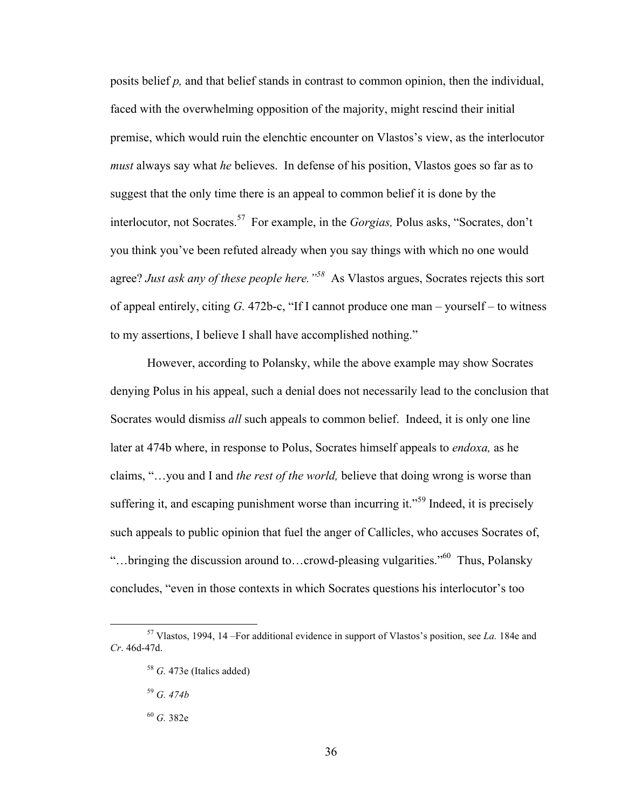posits belief *p,* and that belief stands in contrast to common opinion, then the individual, faced with the overwhelming opposition of the majority, might rescind their initial premise, which would ruin the elenchtic encounter on Vlastos's view, as the interlocutor *must* always say what *he* believes. In defense of his position, Vlastos goes so far as to suggest that the only time there is an appeal to common belief it is done by the interlocutor, not Socrates.57 For example, in the *Gorgias,* Polus asks, "Socrates, don't you think you've been refuted already when you say things with which no one would agree? *Just ask any of these people here."58* As Vlastos argues, Socrates rejects this sort of appeal entirely, citing *G.* 472b-c, "If I cannot produce one man – yourself – to witness to my assertions, I believe I shall have accomplished nothing."

However, according to Polansky, while the above example may show Socrates denying Polus in his appeal, such a denial does not necessarily lead to the conclusion that Socrates would dismiss *all* such appeals to common belief. Indeed, it is only one line later at 474b where, in response to Polus, Socrates himself appeals to *endoxa,* as he claims, "…you and I and *the rest of the world,* believe that doing wrong is worse than suffering it, and escaping punishment worse than incurring it."<sup>59</sup> Indeed, it is precisely such appeals to public opinion that fuel the anger of Callicles, who accuses Socrates of, "…bringing the discussion around to…crowd-pleasing vulgarities."60 Thus, Polansky concludes, "even in those contexts in which Socrates questions his interlocutor's too

<sup>59</sup> *G. 474b*

<sup>60</sup> *G.* 382e

 <sup>57</sup> Vlastos, 1994, 14 –For additional evidence in support of Vlastos's position, see *La.* 184e and *Cr*. 46d-47d.

<sup>58</sup> *G.* 473e (Italics added)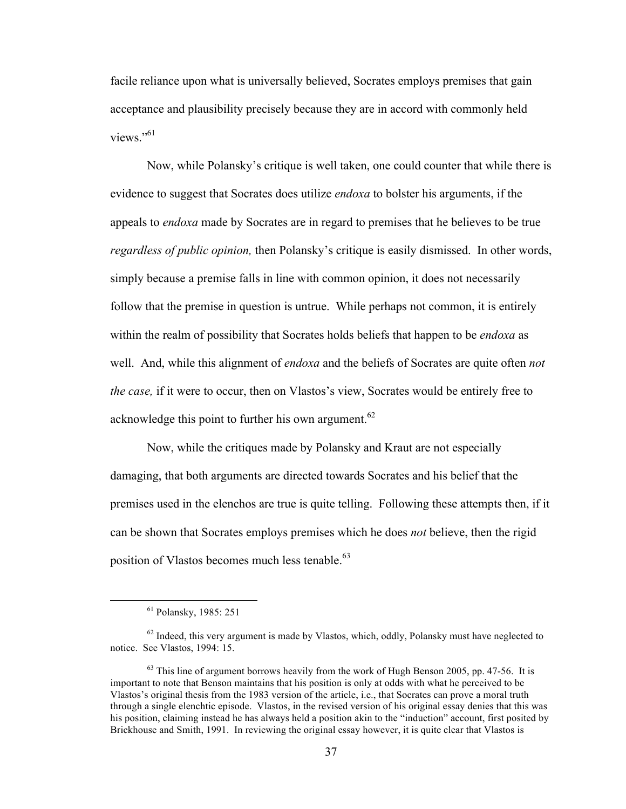facile reliance upon what is universally believed, Socrates employs premises that gain acceptance and plausibility precisely because they are in accord with commonly held views."<sup>61</sup>

Now, while Polansky's critique is well taken, one could counter that while there is evidence to suggest that Socrates does utilize *endoxa* to bolster his arguments, if the appeals to *endoxa* made by Socrates are in regard to premises that he believes to be true *regardless of public opinion,* then Polansky's critique is easily dismissed. In other words, simply because a premise falls in line with common opinion, it does not necessarily follow that the premise in question is untrue. While perhaps not common, it is entirely within the realm of possibility that Socrates holds beliefs that happen to be *endoxa* as well. And, while this alignment of *endoxa* and the beliefs of Socrates are quite often *not the case,* if it were to occur, then on Vlastos's view, Socrates would be entirely free to acknowledge this point to further his own argument.<sup>62</sup>

Now, while the critiques made by Polansky and Kraut are not especially damaging, that both arguments are directed towards Socrates and his belief that the premises used in the elenchos are true is quite telling. Following these attempts then, if it can be shown that Socrates employs premises which he does *not* believe, then the rigid position of Vlastos becomes much less tenable.<sup>63</sup>

 <sup>61</sup> Polansky, 1985: 251

 $62$  Indeed, this very argument is made by Vlastos, which, oddly, Polansky must have neglected to notice. See Vlastos, 1994: 15.

 $63$  This line of argument borrows heavily from the work of Hugh Benson 2005, pp. 47-56. It is important to note that Benson maintains that his position is only at odds with what he perceived to be Vlastos's original thesis from the 1983 version of the article, i.e., that Socrates can prove a moral truth through a single elenchtic episode. Vlastos, in the revised version of his original essay denies that this was his position, claiming instead he has always held a position akin to the "induction" account, first posited by Brickhouse and Smith, 1991. In reviewing the original essay however, it is quite clear that Vlastos is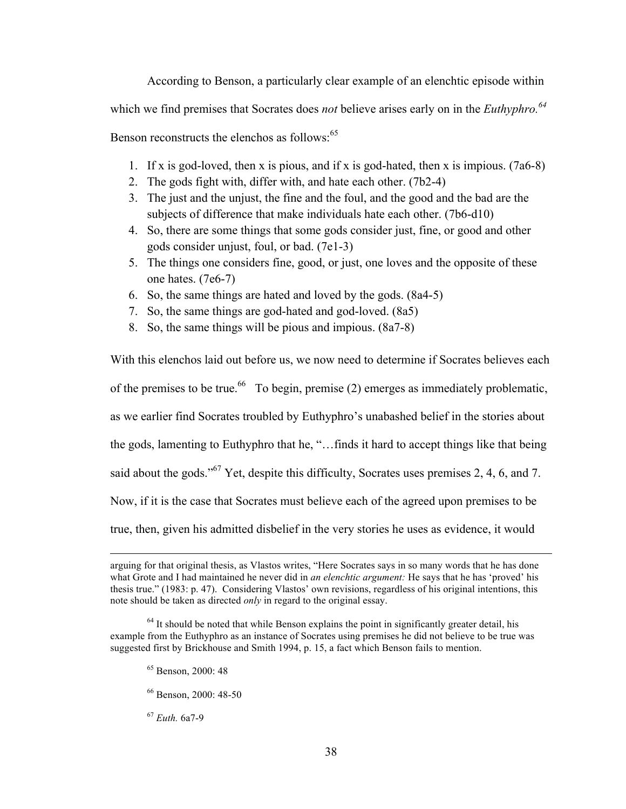According to Benson, a particularly clear example of an elenchtic episode within

which we find premises that Socrates does *not* believe arises early on in the *Euthyphro.*<sup>64</sup>

Benson reconstructs the elenchos as follows:<sup>65</sup>

- 1. If x is god-loved, then x is pious, and if x is god-hated, then x is impious. (7a6-8)
- 2. The gods fight with, differ with, and hate each other. (7b2-4)
- 3. The just and the unjust, the fine and the foul, and the good and the bad are the subjects of difference that make individuals hate each other. (7b6-d10)
- 4. So, there are some things that some gods consider just, fine, or good and other gods consider unjust, foul, or bad. (7e1-3)
- 5. The things one considers fine, good, or just, one loves and the opposite of these one hates. (7e6-7)
- 6. So, the same things are hated and loved by the gods. (8a4-5)
- 7. So, the same things are god-hated and god-loved. (8a5)
- 8. So, the same things will be pious and impious. (8a7-8)

With this elenchos laid out before us, we now need to determine if Socrates believes each of the premises to be true.<sup>66</sup> To begin, premise (2) emerges as immediately problematic, as we earlier find Socrates troubled by Euthyphro's unabashed belief in the stories about the gods, lamenting to Euthyphro that he, "…finds it hard to accept things like that being said about the gods."<sup>67</sup> Yet, despite this difficulty, Socrates uses premises 2, 4, 6, and 7. Now, if it is the case that Socrates must believe each of the agreed upon premises to be true, then, given his admitted disbelief in the very stories he uses as evidence, it would

- <sup>65</sup> Benson, 2000: 48
- <sup>66</sup> Benson, 2000: 48-50
- <sup>67</sup> *Euth.* 6a7-9

arguing for that original thesis, as Vlastos writes, "Here Socrates says in so many words that he has done what Grote and I had maintained he never did in *an elenchtic argument:* He says that he has 'proved' his thesis true." (1983: p. 47). Considering Vlastos' own revisions, regardless of his original intentions, this note should be taken as directed *only* in regard to the original essay.

 $<sup>64</sup>$  It should be noted that while Benson explains the point in significantly greater detail, his</sup> example from the Euthyphro as an instance of Socrates using premises he did not believe to be true was suggested first by Brickhouse and Smith 1994, p. 15, a fact which Benson fails to mention.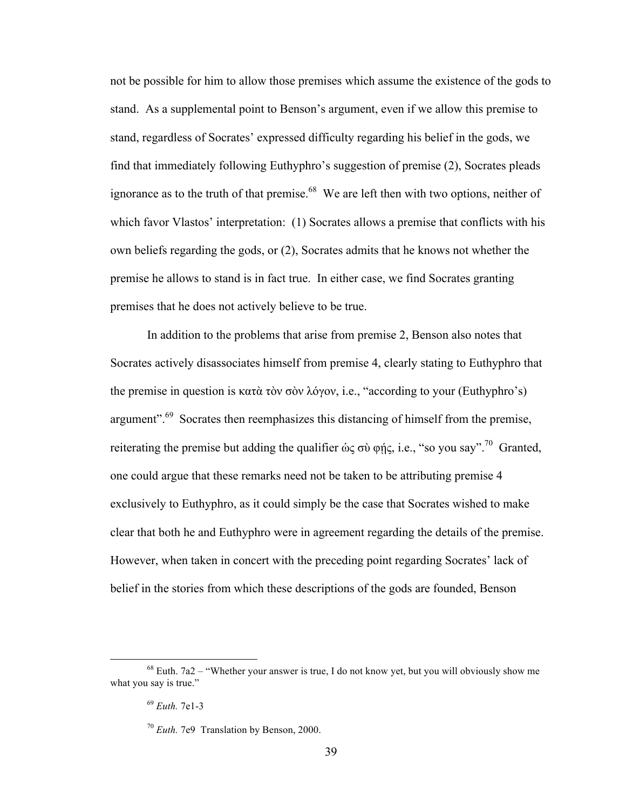not be possible for him to allow those premises which assume the existence of the gods to stand. As a supplemental point to Benson's argument, even if we allow this premise to stand, regardless of Socrates' expressed difficulty regarding his belief in the gods, we find that immediately following Euthyphro's suggestion of premise (2), Socrates pleads ignorance as to the truth of that premise.<sup>68</sup> We are left then with two options, neither of which favor Vlastos' interpretation: (1) Socrates allows a premise that conflicts with his own beliefs regarding the gods, or (2), Socrates admits that he knows not whether the premise he allows to stand is in fact true. In either case, we find Socrates granting premises that he does not actively believe to be true.

In addition to the problems that arise from premise 2, Benson also notes that Socrates actively disassociates himself from premise 4, clearly stating to Euthyphro that the premise in question is κατὰ τὸν σὸν λόγον, i.e., "according to your (Euthyphro's) argument".<sup>69</sup> Socrates then reemphasizes this distancing of himself from the premise, reiterating the premise but adding the qualifier ώς σὺ φής, i.e., "so you say".<sup>70</sup> Granted, one could argue that these remarks need not be taken to be attributing premise 4 exclusively to Euthyphro, as it could simply be the case that Socrates wished to make clear that both he and Euthyphro were in agreement regarding the details of the premise. However, when taken in concert with the preceding point regarding Socrates' lack of belief in the stories from which these descriptions of the gods are founded, Benson

 $68$  Euth. 7a2 – "Whether your answer is true, I do not know yet, but you will obviously show me what you say is true."

<sup>69</sup> *Euth.* 7e1-3

<sup>70</sup> *Euth.* 7e9 Translation by Benson, 2000.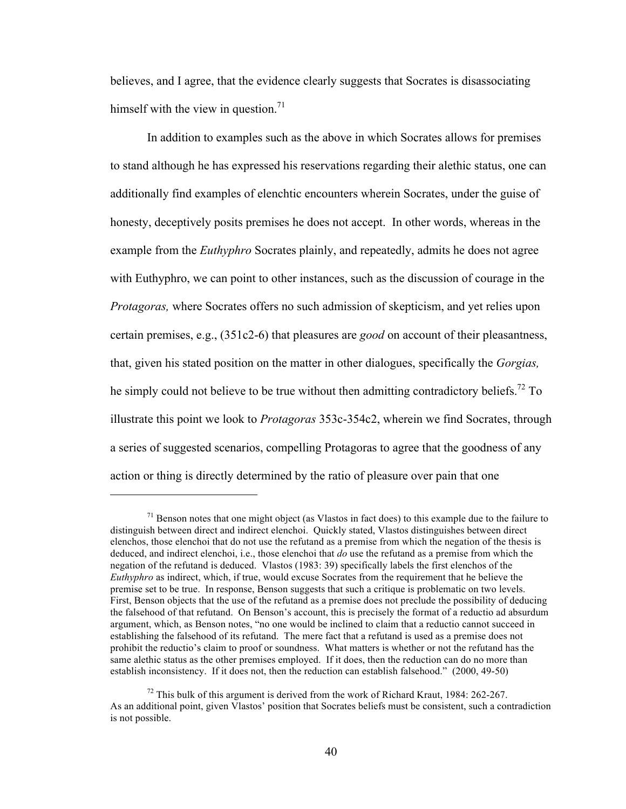believes, and I agree, that the evidence clearly suggests that Socrates is disassociating himself with the view in question. $71$ 

In addition to examples such as the above in which Socrates allows for premises to stand although he has expressed his reservations regarding their alethic status, one can additionally find examples of elenchtic encounters wherein Socrates, under the guise of honesty, deceptively posits premises he does not accept. In other words, whereas in the example from the *Euthyphro* Socrates plainly, and repeatedly, admits he does not agree with Euthyphro, we can point to other instances, such as the discussion of courage in the *Protagoras,* where Socrates offers no such admission of skepticism, and yet relies upon certain premises, e.g., (351c2-6) that pleasures are *good* on account of their pleasantness, that, given his stated position on the matter in other dialogues, specifically the *Gorgias,* he simply could not believe to be true without then admitting contradictory beliefs.<sup>72</sup> To illustrate this point we look to *Protagoras* 353c-354c2, wherein we find Socrates, through a series of suggested scenarios, compelling Protagoras to agree that the goodness of any action or thing is directly determined by the ratio of pleasure over pain that one

 $<sup>71</sup>$  Benson notes that one might object (as Vlastos in fact does) to this example due to the failure to</sup> distinguish between direct and indirect elenchoi. Quickly stated, Vlastos distinguishes between direct elenchos, those elenchoi that do not use the refutand as a premise from which the negation of the thesis is deduced, and indirect elenchoi, i.e., those elenchoi that *do* use the refutand as a premise from which the negation of the refutand is deduced. Vlastos (1983: 39) specifically labels the first elenchos of the *Euthyphro* as indirect, which, if true, would excuse Socrates from the requirement that he believe the premise set to be true. In response, Benson suggests that such a critique is problematic on two levels. First, Benson objects that the use of the refutand as a premise does not preclude the possibility of deducing the falsehood of that refutand. On Benson's account, this is precisely the format of a reductio ad absurdum argument, which, as Benson notes, "no one would be inclined to claim that a reductio cannot succeed in establishing the falsehood of its refutand. The mere fact that a refutand is used as a premise does not prohibit the reductio's claim to proof or soundness. What matters is whether or not the refutand has the same alethic status as the other premises employed. If it does, then the reduction can do no more than establish inconsistency. If it does not, then the reduction can establish falsehood." (2000, 49-50)

 $72$  This bulk of this argument is derived from the work of Richard Kraut, 1984: 262-267. As an additional point, given Vlastos' position that Socrates beliefs must be consistent, such a contradiction is not possible.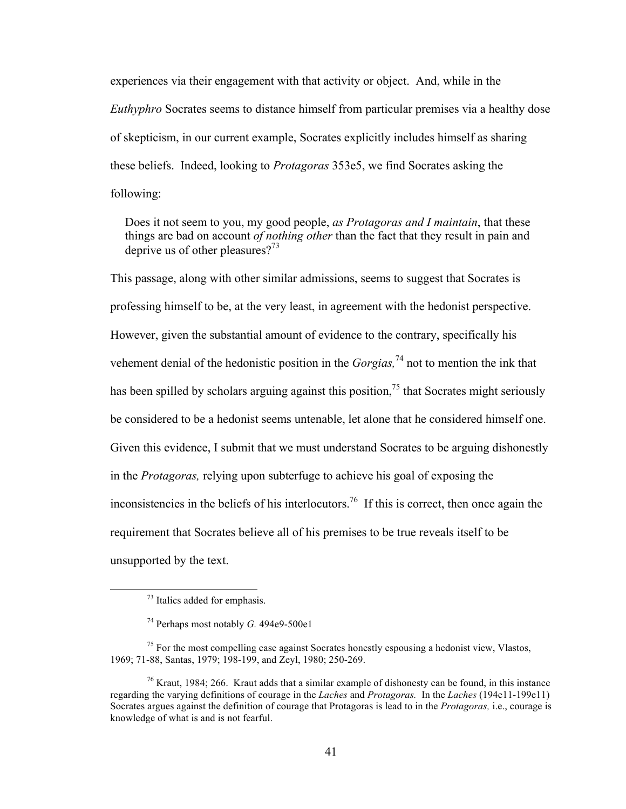experiences via their engagement with that activity or object. And, while in the *Euthyphro* Socrates seems to distance himself from particular premises via a healthy dose of skepticism, in our current example, Socrates explicitly includes himself as sharing these beliefs. Indeed, looking to *Protagoras* 353e5, we find Socrates asking the following:

Does it not seem to you, my good people, *as Protagoras and I maintain*, that these things are bad on account *of nothing other* than the fact that they result in pain and deprive us of other pleasures?<sup>73</sup>

This passage, along with other similar admissions, seems to suggest that Socrates is professing himself to be, at the very least, in agreement with the hedonist perspective. However, given the substantial amount of evidence to the contrary, specifically his vehement denial of the hedonistic position in the *Gorgias,*<sup>74</sup> not to mention the ink that has been spilled by scholars arguing against this position,<sup>75</sup> that Socrates might seriously be considered to be a hedonist seems untenable, let alone that he considered himself one. Given this evidence, I submit that we must understand Socrates to be arguing dishonestly in the *Protagoras,* relying upon subterfuge to achieve his goal of exposing the inconsistencies in the beliefs of his interlocutors.<sup>76</sup> If this is correct, then once again the requirement that Socrates believe all of his premises to be true reveals itself to be unsupported by the text.

 $73$  Italics added for emphasis.

<sup>74</sup> Perhaps most notably *G.* 494e9-500e1

 $<sup>75</sup>$  For the most compelling case against Socrates honestly espousing a hedonist view, Vlastos,</sup> 1969; 71-88, Santas, 1979; 198-199, and Zeyl, 1980; 250-269.

 $^{76}$  Kraut, 1984; 266. Kraut adds that a similar example of dishonesty can be found, in this instance regarding the varying definitions of courage in the *Laches* and *Protagoras.* In the *Laches* (194e11-199e11) Socrates argues against the definition of courage that Protagoras is lead to in the *Protagoras,* i.e., courage is knowledge of what is and is not fearful.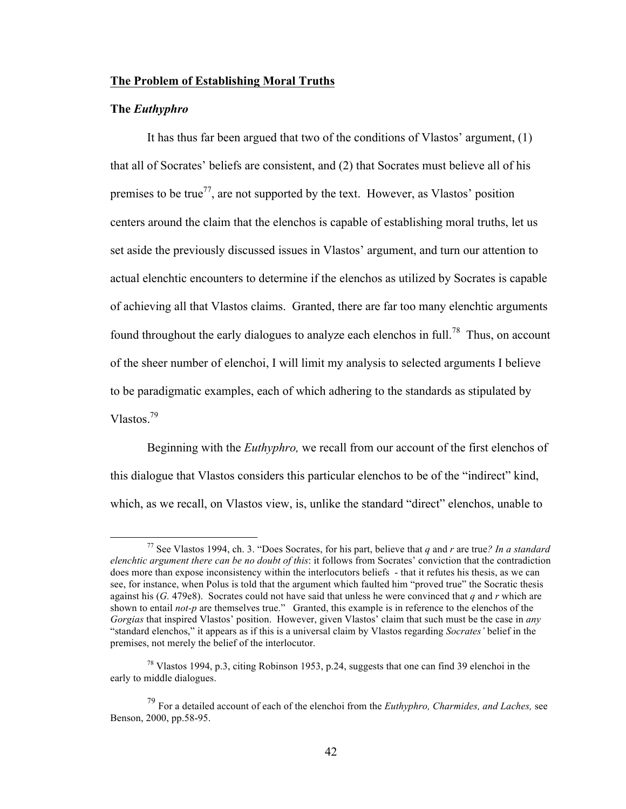# **The Problem of Establishing Moral Truths**

# **The** *Euthyphro*

It has thus far been argued that two of the conditions of Vlastos' argument, (1) that all of Socrates' beliefs are consistent, and (2) that Socrates must believe all of his premises to be true<sup>77</sup>, are not supported by the text. However, as Vlastos' position centers around the claim that the elenchos is capable of establishing moral truths, let us set aside the previously discussed issues in Vlastos' argument, and turn our attention to actual elenchtic encounters to determine if the elenchos as utilized by Socrates is capable of achieving all that Vlastos claims. Granted, there are far too many elenchtic arguments found throughout the early dialogues to analyze each elenchos in full.<sup>78</sup> Thus, on account of the sheer number of elenchoi, I will limit my analysis to selected arguments I believe to be paradigmatic examples, each of which adhering to the standards as stipulated by Vlastos.79

Beginning with the *Euthyphro,* we recall from our account of the first elenchos of this dialogue that Vlastos considers this particular elenchos to be of the "indirect" kind, which, as we recall, on Vlastos view, is, unlike the standard "direct" elenchos, unable to

 <sup>77</sup> See Vlastos 1994, ch. 3. "Does Socrates, for his part, believe that *q* and *r* are true*? In a standard elenchtic argument there can be no doubt of this*: it follows from Socrates' conviction that the contradiction does more than expose inconsistency within the interlocutors beliefs - that it refutes his thesis, as we can see, for instance, when Polus is told that the argument which faulted him "proved true" the Socratic thesis against his (*G.* 479e8). Socrates could not have said that unless he were convinced that *q* and *r* which are shown to entail *not-p* are themselves true." Granted, this example is in reference to the elenchos of the *Gorgias* that inspired Vlastos' position. However, given Vlastos' claim that such must be the case in *any* "standard elenchos," it appears as if this is a universal claim by Vlastos regarding *Socrates'* belief in the premises, not merely the belief of the interlocutor.

<sup>78</sup> Vlastos 1994, p.3, citing Robinson 1953, p.24, suggests that one can find 39 elenchoi in the early to middle dialogues.

<sup>79</sup> For a detailed account of each of the elenchoi from the *Euthyphro, Charmides, and Laches,* see Benson, 2000, pp.58-95.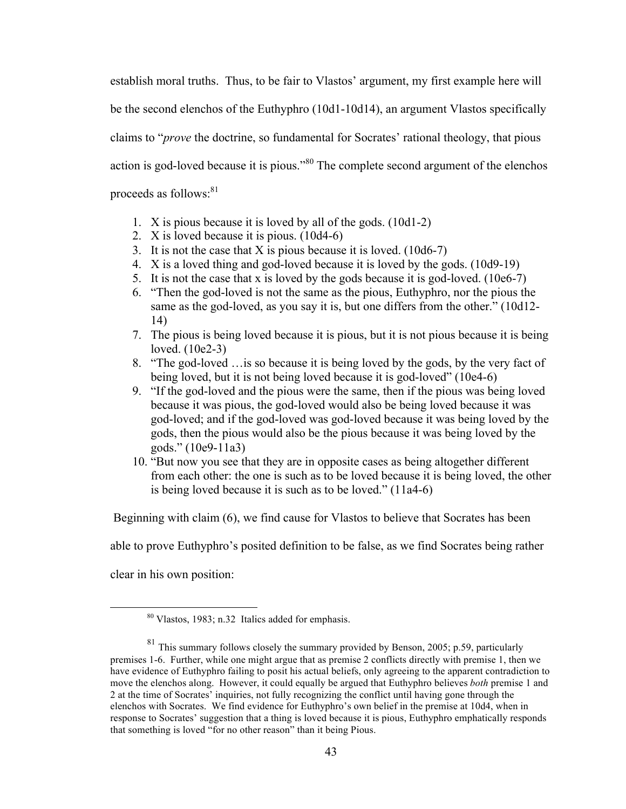establish moral truths. Thus, to be fair to Vlastos' argument, my first example here will be the second elenchos of the Euthyphro (10d1-10d14), an argument Vlastos specifically claims to "*prove* the doctrine, so fundamental for Socrates' rational theology, that pious action is god-loved because it is pious."<sup>80</sup> The complete second argument of the elenchos proceeds as follows: $81$ 

- 1. X is pious because it is loved by all of the gods. (10d1-2)
- 2. X is loved because it is pious. (10d4-6)
- 3. It is not the case that X is pious because it is loved.  $(10d6-7)$
- 4. X is a loved thing and god-loved because it is loved by the gods. (10d9-19)
- 5. It is not the case that x is loved by the gods because it is god-loved. (10e6-7)
- 6. "Then the god-loved is not the same as the pious, Euthyphro, nor the pious the same as the god-loved, as you say it is, but one differs from the other." (10d12- 14)
- 7. The pious is being loved because it is pious, but it is not pious because it is being loved. (10e2-3)
- 8. "The god-loved …is so because it is being loved by the gods, by the very fact of being loved, but it is not being loved because it is god-loved" (10e4-6)
- 9. "If the god-loved and the pious were the same, then if the pious was being loved because it was pious, the god-loved would also be being loved because it was god-loved; and if the god-loved was god-loved because it was being loved by the gods, then the pious would also be the pious because it was being loved by the gods." (10e9-11a3)
- 10. "But now you see that they are in opposite cases as being altogether different from each other: the one is such as to be loved because it is being loved, the other is being loved because it is such as to be loved." (11a4-6)

Beginning with claim (6), we find cause for Vlastos to believe that Socrates has been

able to prove Euthyphro's posited definition to be false, as we find Socrates being rather

clear in his own position:

 <sup>80</sup> Vlastos, 1983; n.32 Italics added for emphasis.

 $81$  This summary follows closely the summary provided by Benson, 2005; p.59, particularly premises 1-6. Further, while one might argue that as premise 2 conflicts directly with premise 1, then we have evidence of Euthyphro failing to posit his actual beliefs, only agreeing to the apparent contradiction to move the elenchos along. However, it could equally be argued that Euthyphro believes *both* premise 1 and 2 at the time of Socrates' inquiries, not fully recognizing the conflict until having gone through the elenchos with Socrates. We find evidence for Euthyphro's own belief in the premise at 10d4, when in response to Socrates' suggestion that a thing is loved because it is pious, Euthyphro emphatically responds that something is loved "for no other reason" than it being Pious.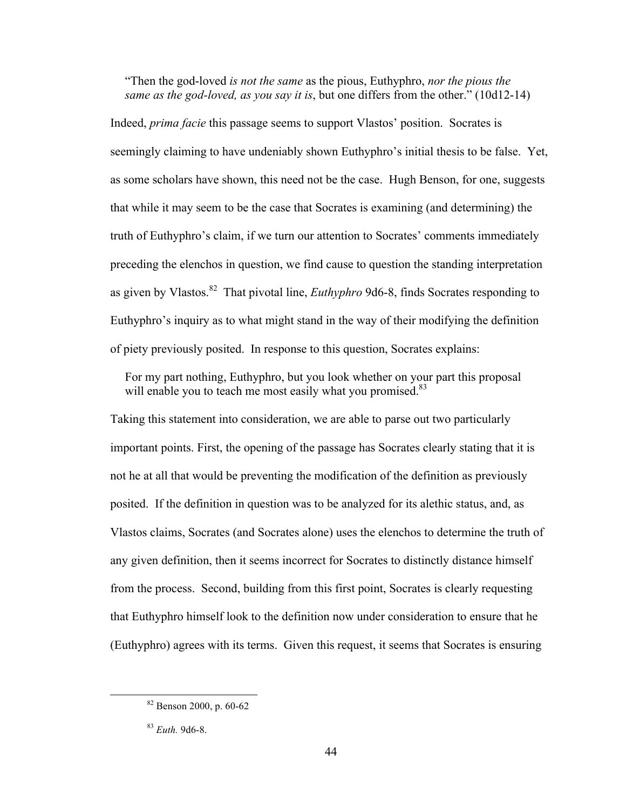"Then the god-loved *is not the same* as the pious, Euthyphro, *nor the pious the same as the god-loved, as you say it is*, but one differs from the other." (10d12-14)

Indeed, *prima facie* this passage seems to support Vlastos' position. Socrates is seemingly claiming to have undeniably shown Euthyphro's initial thesis to be false. Yet, as some scholars have shown, this need not be the case. Hugh Benson, for one, suggests that while it may seem to be the case that Socrates is examining (and determining) the truth of Euthyphro's claim, if we turn our attention to Socrates' comments immediately preceding the elenchos in question, we find cause to question the standing interpretation as given by Vlastos.82 That pivotal line, *Euthyphro* 9d6-8, finds Socrates responding to Euthyphro's inquiry as to what might stand in the way of their modifying the definition of piety previously posited. In response to this question, Socrates explains:

For my part nothing, Euthyphro, but you look whether on your part this proposal will enable you to teach me most easily what you promised.<sup>83</sup>

Taking this statement into consideration, we are able to parse out two particularly important points. First, the opening of the passage has Socrates clearly stating that it is not he at all that would be preventing the modification of the definition as previously posited. If the definition in question was to be analyzed for its alethic status, and, as Vlastos claims, Socrates (and Socrates alone) uses the elenchos to determine the truth of any given definition, then it seems incorrect for Socrates to distinctly distance himself from the process. Second, building from this first point, Socrates is clearly requesting that Euthyphro himself look to the definition now under consideration to ensure that he (Euthyphro) agrees with its terms. Given this request, it seems that Socrates is ensuring

 $82$  Benson 2000, p. 60-62

<sup>83</sup> *Euth.* 9d6-8.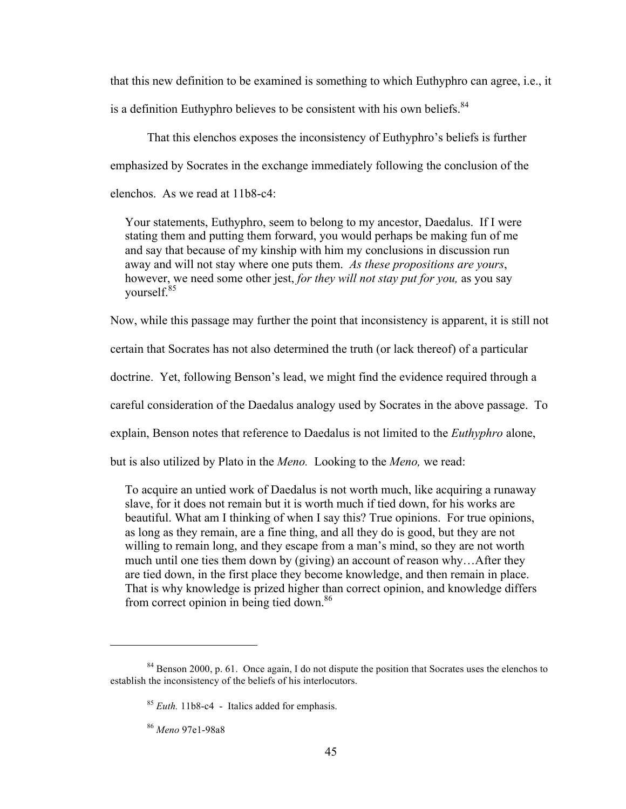that this new definition to be examined is something to which Euthyphro can agree, i.e., it is a definition Euthyphro believes to be consistent with his own beliefs.<sup>84</sup>

That this elenchos exposes the inconsistency of Euthyphro's beliefs is further emphasized by Socrates in the exchange immediately following the conclusion of the elenchos. As we read at 11b8-c4:

Your statements, Euthyphro, seem to belong to my ancestor, Daedalus. If I were stating them and putting them forward, you would perhaps be making fun of me and say that because of my kinship with him my conclusions in discussion run away and will not stay where one puts them. *As these propositions are yours*, however, we need some other jest, *for they will not stay put for you,* as you say yourself. 85

Now, while this passage may further the point that inconsistency is apparent, it is still not

certain that Socrates has not also determined the truth (or lack thereof) of a particular

doctrine. Yet, following Benson's lead, we might find the evidence required through a

careful consideration of the Daedalus analogy used by Socrates in the above passage. To

explain, Benson notes that reference to Daedalus is not limited to the *Euthyphro* alone,

but is also utilized by Plato in the *Meno.* Looking to the *Meno,* we read:

To acquire an untied work of Daedalus is not worth much, like acquiring a runaway slave, for it does not remain but it is worth much if tied down, for his works are beautiful. What am I thinking of when I say this? True opinions. For true opinions, as long as they remain, are a fine thing, and all they do is good, but they are not willing to remain long, and they escape from a man's mind, so they are not worth much until one ties them down by (giving) an account of reason why…After they are tied down, in the first place they become knowledge, and then remain in place. That is why knowledge is prized higher than correct opinion, and knowledge differs from correct opinion in being tied down.<sup>86</sup>

<sup>&</sup>lt;sup>84</sup> Benson 2000, p. 61. Once again, I do not dispute the position that Socrates uses the elenchos to establish the inconsistency of the beliefs of his interlocutors.

<sup>85</sup> *Euth.* 11b8-c4 - Italics added for emphasis.

<sup>86</sup> *Meno* 97e1-98a8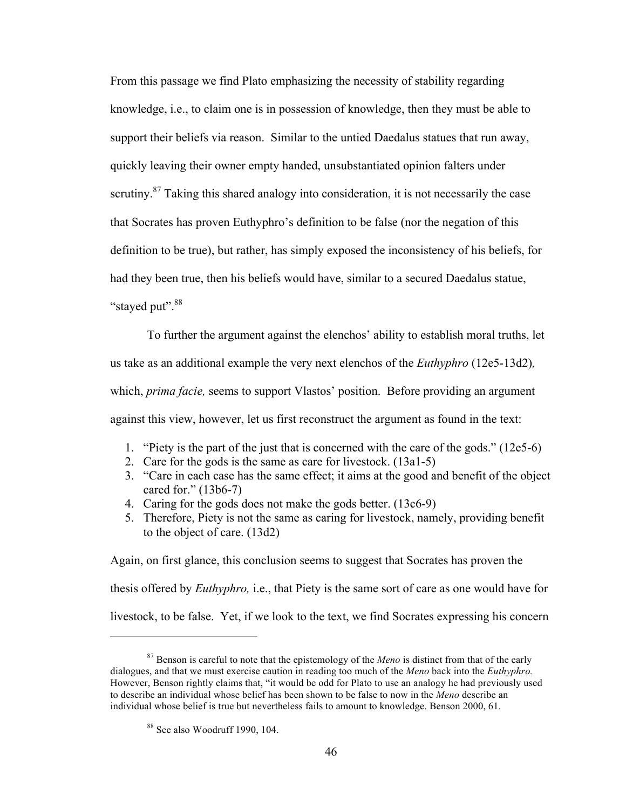From this passage we find Plato emphasizing the necessity of stability regarding knowledge, i.e., to claim one is in possession of knowledge, then they must be able to support their beliefs via reason. Similar to the untied Daedalus statues that run away, quickly leaving their owner empty handed, unsubstantiated opinion falters under scrutiny. $87$  Taking this shared analogy into consideration, it is not necessarily the case that Socrates has proven Euthyphro's definition to be false (nor the negation of this definition to be true), but rather, has simply exposed the inconsistency of his beliefs, for had they been true, then his beliefs would have, similar to a secured Daedalus statue, "stayed put".<sup>88</sup>

To further the argument against the elenchos' ability to establish moral truths, let

us take as an additional example the very next elenchos of the *Euthyphro* (12e5-13d2)*,* 

which, *prima facie,* seems to support Vlastos' position. Before providing an argument

against this view, however, let us first reconstruct the argument as found in the text:

- 1. "Piety is the part of the just that is concerned with the care of the gods." (12e5-6)
- 2. Care for the gods is the same as care for livestock. (13a1-5)
- 3. "Care in each case has the same effect; it aims at the good and benefit of the object cared for." (13b6-7)
- 4. Caring for the gods does not make the gods better. (13c6-9)
- 5. Therefore, Piety is not the same as caring for livestock, namely, providing benefit to the object of care. (13d2)

Again, on first glance, this conclusion seems to suggest that Socrates has proven the thesis offered by *Euthyphro,* i.e., that Piety is the same sort of care as one would have for livestock, to be false. Yet, if we look to the text, we find Socrates expressing his concern

<sup>87</sup> Benson is careful to note that the epistemology of the *Meno* is distinct from that of the early dialogues, and that we must exercise caution in reading too much of the *Meno* back into the *Euthyphro.*  However, Benson rightly claims that, "it would be odd for Plato to use an analogy he had previously used to describe an individual whose belief has been shown to be false to now in the *Meno* describe an individual whose belief is true but nevertheless fails to amount to knowledge. Benson 2000, 61.

<sup>88</sup> See also Woodruff 1990, 104.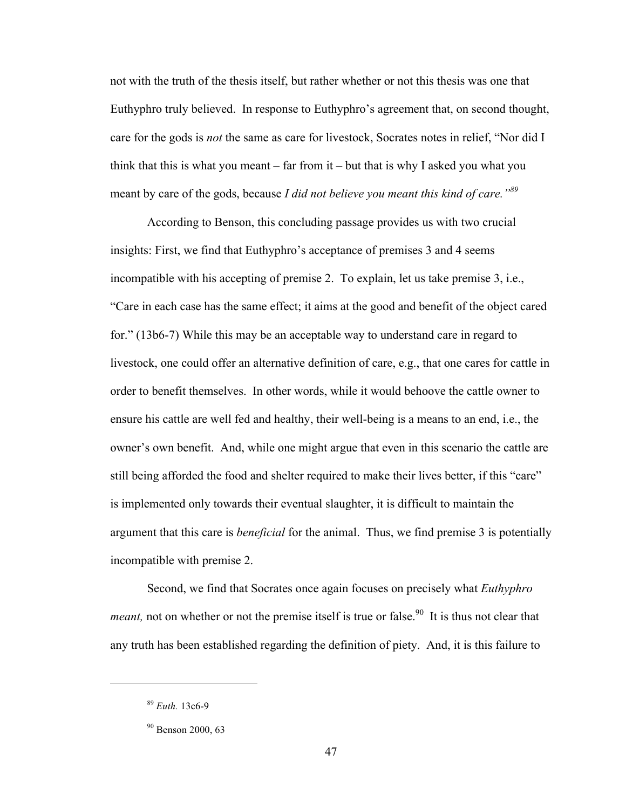not with the truth of the thesis itself, but rather whether or not this thesis was one that Euthyphro truly believed. In response to Euthyphro's agreement that, on second thought, care for the gods is *not* the same as care for livestock, Socrates notes in relief, "Nor did I think that this is what you meant – far from it – but that is why I asked you what you meant by care of the gods, because *I did not believe you meant this kind of care."89*

According to Benson, this concluding passage provides us with two crucial insights: First, we find that Euthyphro's acceptance of premises 3 and 4 seems incompatible with his accepting of premise 2. To explain, let us take premise 3, i.e., "Care in each case has the same effect; it aims at the good and benefit of the object cared for." (13b6-7) While this may be an acceptable way to understand care in regard to livestock, one could offer an alternative definition of care, e.g., that one cares for cattle in order to benefit themselves. In other words, while it would behoove the cattle owner to ensure his cattle are well fed and healthy, their well-being is a means to an end, i.e., the owner's own benefit. And, while one might argue that even in this scenario the cattle are still being afforded the food and shelter required to make their lives better, if this "care" is implemented only towards their eventual slaughter, it is difficult to maintain the argument that this care is *beneficial* for the animal. Thus, we find premise 3 is potentially incompatible with premise 2.

Second, we find that Socrates once again focuses on precisely what *Euthyphro meant*, not on whether or not the premise itself is true or false.<sup>90</sup> It is thus not clear that any truth has been established regarding the definition of piety. And, it is this failure to

<sup>89</sup> *Euth.* 13c6-9

 $90$  Benson 2000, 63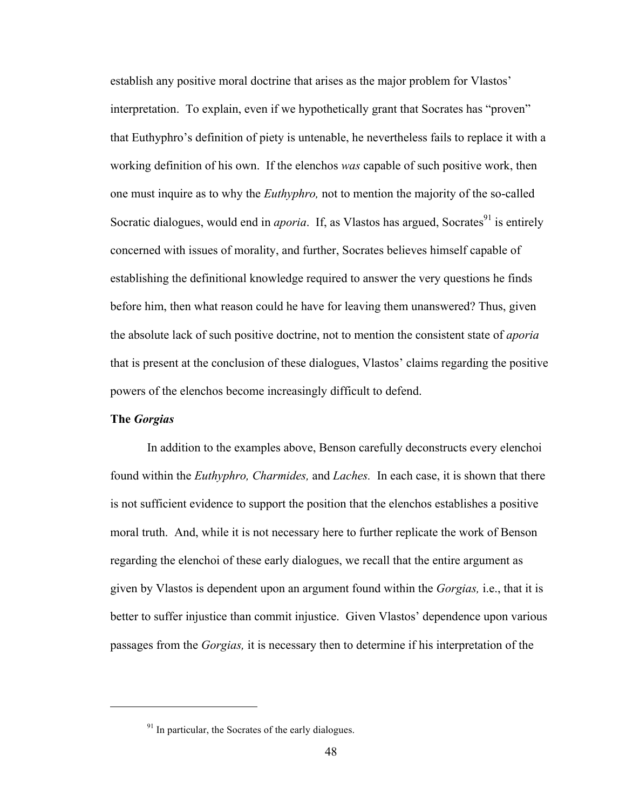establish any positive moral doctrine that arises as the major problem for Vlastos' interpretation. To explain, even if we hypothetically grant that Socrates has "proven" that Euthyphro's definition of piety is untenable, he nevertheless fails to replace it with a working definition of his own. If the elenchos *was* capable of such positive work, then one must inquire as to why the *Euthyphro,* not to mention the majority of the so-called Socratic dialogues, would end in *aporia*. If, as Vlastos has argued, Socrates<sup>91</sup> is entirely concerned with issues of morality, and further, Socrates believes himself capable of establishing the definitional knowledge required to answer the very questions he finds before him, then what reason could he have for leaving them unanswered? Thus, given the absolute lack of such positive doctrine, not to mention the consistent state of *aporia*  that is present at the conclusion of these dialogues, Vlastos' claims regarding the positive powers of the elenchos become increasingly difficult to defend.

# **The** *Gorgias*

 $\overline{a}$ 

In addition to the examples above, Benson carefully deconstructs every elenchoi found within the *Euthyphro, Charmides,* and *Laches.* In each case, it is shown that there is not sufficient evidence to support the position that the elenchos establishes a positive moral truth. And, while it is not necessary here to further replicate the work of Benson regarding the elenchoi of these early dialogues, we recall that the entire argument as given by Vlastos is dependent upon an argument found within the *Gorgias,* i.e., that it is better to suffer injustice than commit injustice. Given Vlastos' dependence upon various passages from the *Gorgias,* it is necessary then to determine if his interpretation of the

 $91$  In particular, the Socrates of the early dialogues.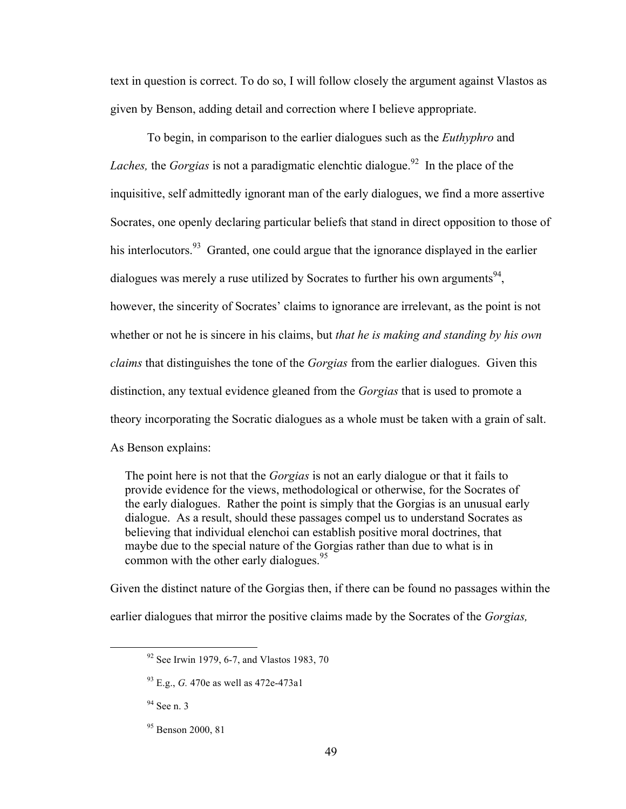text in question is correct. To do so, I will follow closely the argument against Vlastos as given by Benson, adding detail and correction where I believe appropriate.

To begin, in comparison to the earlier dialogues such as the *Euthyphro* and *Laches,* the *Gorgias* is not a paradigmatic elenchtic dialogue.<sup>92</sup> In the place of the inquisitive, self admittedly ignorant man of the early dialogues, we find a more assertive Socrates, one openly declaring particular beliefs that stand in direct opposition to those of his interlocutors.  $93$  Granted, one could argue that the ignorance displayed in the earlier dialogues was merely a ruse utilized by Socrates to further his own arguments<sup>94</sup>, however, the sincerity of Socrates' claims to ignorance are irrelevant, as the point is not whether or not he is sincere in his claims, but *that he is making and standing by his own claims* that distinguishes the tone of the *Gorgias* from the earlier dialogues. Given this distinction, any textual evidence gleaned from the *Gorgias* that is used to promote a theory incorporating the Socratic dialogues as a whole must be taken with a grain of salt. As Benson explains:

The point here is not that the *Gorgias* is not an early dialogue or that it fails to provide evidence for the views, methodological or otherwise, for the Socrates of the early dialogues. Rather the point is simply that the Gorgias is an unusual early dialogue. As a result, should these passages compel us to understand Socrates as believing that individual elenchoi can establish positive moral doctrines, that maybe due to the special nature of the Gorgias rather than due to what is in common with the other early dialogues.  $95$ 

Given the distinct nature of the Gorgias then, if there can be found no passages within the earlier dialogues that mirror the positive claims made by the Socrates of the *Gorgias,*

 $94$  See n. 3

 $92$  See Irwin 1979, 6-7, and Vlastos 1983, 70

<sup>&</sup>lt;sup>93</sup> E.g., *G*. 470e as well as 472e-473a1

<sup>&</sup>lt;sup>95</sup> Benson 2000, 81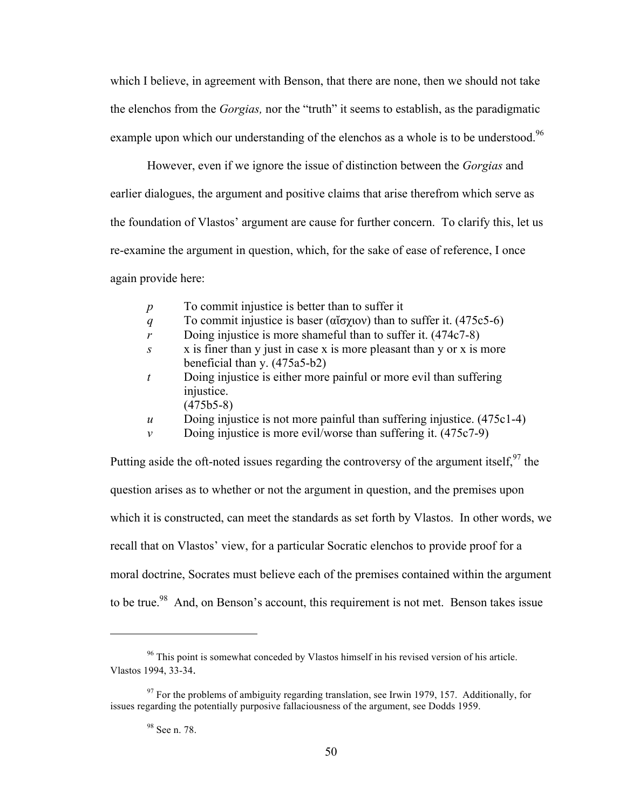which I believe, in agreement with Benson, that there are none, then we should not take the elenchos from the *Gorgias,* nor the "truth" it seems to establish, as the paradigmatic example upon which our understanding of the elenchos as a whole is to be understood.<sup>96</sup>

However, even if we ignore the issue of distinction between the *Gorgias* and earlier dialogues, the argument and positive claims that arise therefrom which serve as the foundation of Vlastos' argument are cause for further concern. To clarify this, let us re-examine the argument in question, which, for the sake of ease of reference, I once again provide here:

- *p* To commit injustice is better than to suffer it
- *q* To commit injustice is baser (αἴσχιον) than to suffer it. (475c5-6)
- *r* Doing injustice is more shameful than to suffer it. (474c7-8)
- *s* x is finer than y just in case x is more pleasant than y or x is more beneficial than y. (475a5-b2)
- *t* Doing injustice is either more painful or more evil than suffering injustice.
	- (475b5-8)
- *u* Doing injustice is not more painful than suffering injustice. (475c1-4)
- *v* Doing injustice is more evil/worse than suffering it.  $(475c7-9)$

Putting aside the oft-noted issues regarding the controversy of the argument itself,  $97$  the question arises as to whether or not the argument in question, and the premises upon which it is constructed, can meet the standards as set forth by Vlastos. In other words, we recall that on Vlastos' view, for a particular Socratic elenchos to provide proof for a moral doctrine, Socrates must believe each of the premises contained within the argument to be true.<sup>98</sup> And, on Benson's account, this requirement is not met. Benson takes issue

<sup>&</sup>lt;sup>96</sup> This point is somewhat conceded by Vlastos himself in his revised version of his article. Vlastos 1994, 33-34.

 $97$  For the problems of ambiguity regarding translation, see Irwin 1979, 157. Additionally, for issues regarding the potentially purposive fallaciousness of the argument, see Dodds 1959.

<sup>98</sup> See n. 78.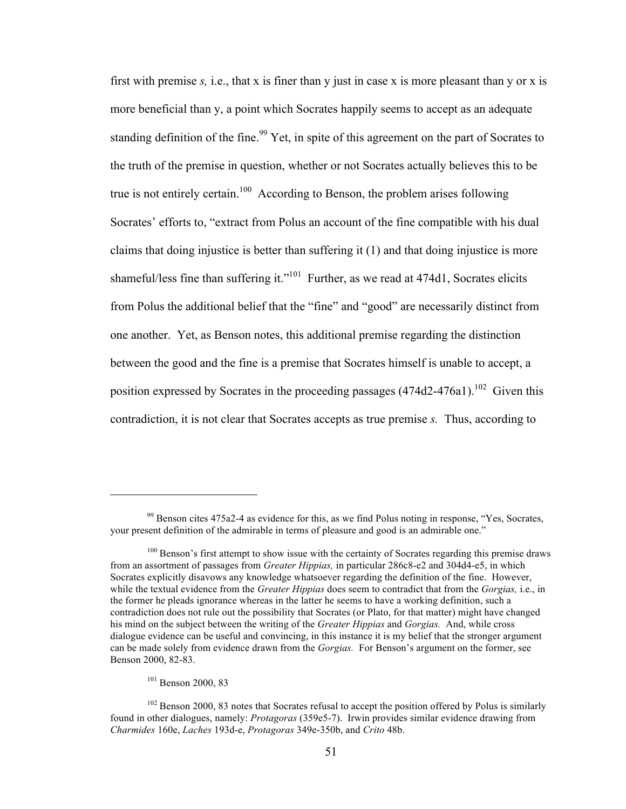first with premise *s,* i.e., that x is finer than y just in case x is more pleasant than y or x is more beneficial than y, a point which Socrates happily seems to accept as an adequate standing definition of the fine.<sup>99</sup> Yet, in spite of this agreement on the part of Socrates to the truth of the premise in question, whether or not Socrates actually believes this to be true is not entirely certain.<sup>100</sup> According to Benson, the problem arises following Socrates' efforts to, "extract from Polus an account of the fine compatible with his dual claims that doing injustice is better than suffering it (1) and that doing injustice is more shameful/less fine than suffering it."<sup>101</sup> Further, as we read at 474d1, Socrates elicits from Polus the additional belief that the "fine" and "good" are necessarily distinct from one another. Yet, as Benson notes, this additional premise regarding the distinction between the good and the fine is a premise that Socrates himself is unable to accept, a position expressed by Socrates in the proceeding passages  $(474d2-476a1)^{102}$  Given this contradiction, it is not clear that Socrates accepts as true premise *s.* Thus, according to

 $99$  Benson cites 475a2-4 as evidence for this, as we find Polus noting in response, "Yes, Socrates, your present definition of the admirable in terms of pleasure and good is an admirable one."

<sup>&</sup>lt;sup>100</sup> Benson's first attempt to show issue with the certainty of Socrates regarding this premise draws from an assortment of passages from *Greater Hippias,* in particular 286c8-e2 and 304d4-e5, in which Socrates explicitly disavows any knowledge whatsoever regarding the definition of the fine. However, while the textual evidence from the *Greater Hippias* does seem to contradict that from the *Gorgias,* i.e., in the former he pleads ignorance whereas in the latter he seems to have a working definition, such a contradiction does not rule out the possibility that Socrates (or Plato, for that matter) might have changed his mind on the subject between the writing of the *Greater Hippias* and *Gorgias.* And, while cross dialogue evidence can be useful and convincing, in this instance it is my belief that the stronger argument can be made solely from evidence drawn from the *Gorgias.* For Benson's argument on the former, see Benson 2000, 82-83.

<sup>&</sup>lt;sup>101</sup> Benson 2000, 83

<sup>&</sup>lt;sup>102</sup> Benson 2000, 83 notes that Socrates refusal to accept the position offered by Polus is similarly found in other dialogues, namely: *Protagoras* (359e5-7). Irwin provides similar evidence drawing from *Charmides* 160e, *Laches* 193d-e, *Protagoras* 349e-350b, and *Crito* 48b.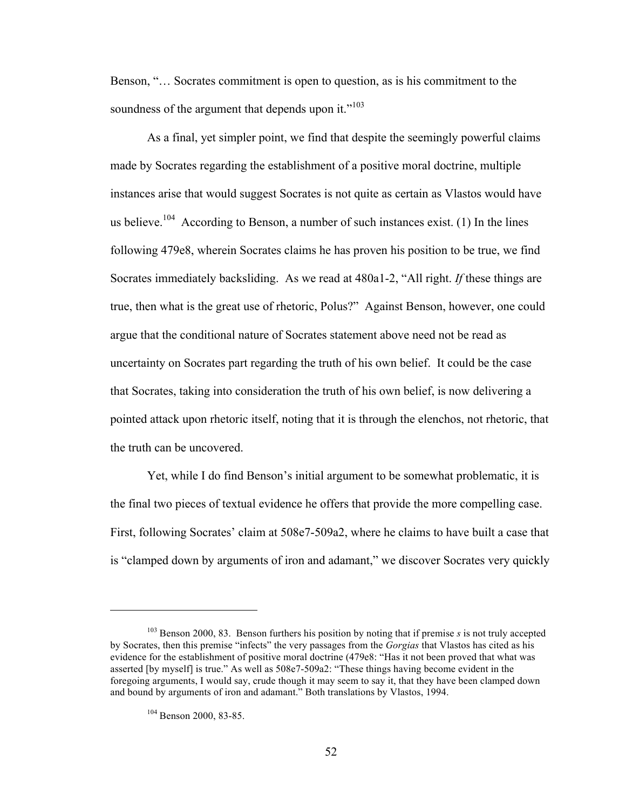Benson, "… Socrates commitment is open to question, as is his commitment to the soundness of the argument that depends upon it."<sup>103</sup>

As a final, yet simpler point, we find that despite the seemingly powerful claims made by Socrates regarding the establishment of a positive moral doctrine, multiple instances arise that would suggest Socrates is not quite as certain as Vlastos would have us believe.<sup>104</sup> According to Benson, a number of such instances exist. (1) In the lines following 479e8, wherein Socrates claims he has proven his position to be true, we find Socrates immediately backsliding. As we read at 480a1-2, "All right. *If* these things are true, then what is the great use of rhetoric, Polus?" Against Benson, however, one could argue that the conditional nature of Socrates statement above need not be read as uncertainty on Socrates part regarding the truth of his own belief. It could be the case that Socrates, taking into consideration the truth of his own belief, is now delivering a pointed attack upon rhetoric itself, noting that it is through the elenchos, not rhetoric, that the truth can be uncovered.

Yet, while I do find Benson's initial argument to be somewhat problematic, it is the final two pieces of textual evidence he offers that provide the more compelling case. First, following Socrates' claim at 508e7-509a2, where he claims to have built a case that is "clamped down by arguments of iron and adamant," we discover Socrates very quickly

<sup>103</sup> Benson 2000, 83. Benson furthers his position by noting that if premise *s* is not truly accepted by Socrates, then this premise "infects" the very passages from the *Gorgias* that Vlastos has cited as his evidence for the establishment of positive moral doctrine (479e8: "Has it not been proved that what was asserted [by myself] is true." As well as 508e7-509a2: "These things having become evident in the foregoing arguments, I would say, crude though it may seem to say it, that they have been clamped down and bound by arguments of iron and adamant." Both translations by Vlastos, 1994.

<sup>&</sup>lt;sup>104</sup> Benson 2000, 83-85.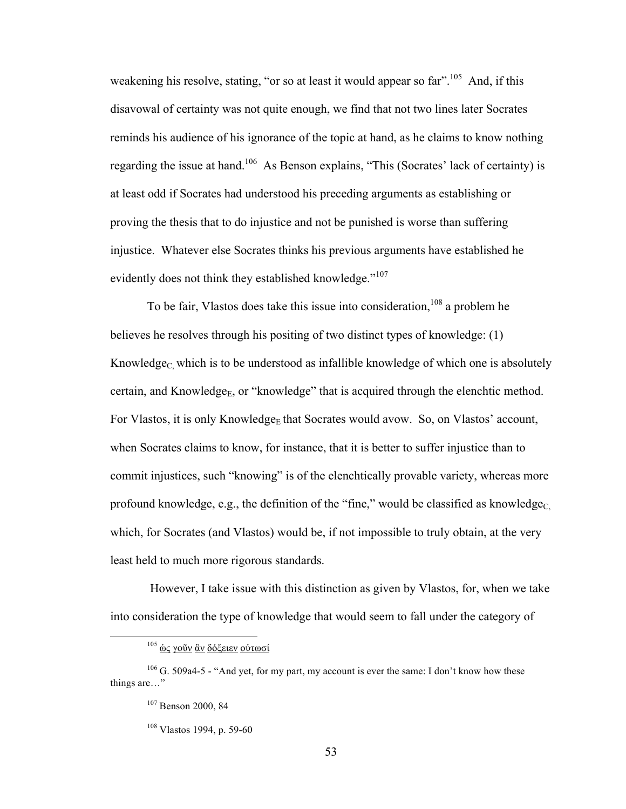weakening his resolve, stating, "or so at least it would appear so  $far$ ".<sup>105</sup> And, if this disavowal of certainty was not quite enough, we find that not two lines later Socrates reminds his audience of his ignorance of the topic at hand, as he claims to know nothing regarding the issue at hand.<sup>106</sup> As Benson explains, "This (Socrates' lack of certainty) is at least odd if Socrates had understood his preceding arguments as establishing or proving the thesis that to do injustice and not be punished is worse than suffering injustice. Whatever else Socrates thinks his previous arguments have established he evidently does not think they established knowledge."<sup>107</sup>

To be fair, Vlastos does take this issue into consideration,  $108$  a problem he believes he resolves through his positing of two distinct types of knowledge: (1) Knowledge<sub>C</sub> which is to be understood as infallible knowledge of which one is absolutely certain, and Knowledge $_{\rm E}$ , or "knowledge" that is acquired through the elenchtic method. For Vlastos, it is only Knowledge $E$  that Socrates would avow. So, on Vlastos' account, when Socrates claims to know, for instance, that it is better to suffer injustice than to commit injustices, such "knowing" is of the elenchtically provable variety, whereas more profound knowledge, e.g., the definition of the "fine," would be classified as knowledge $_{\rm C}$ which, for Socrates (and Vlastos) would be, if not impossible to truly obtain, at the very least held to much more rigorous standards.

However, I take issue with this distinction as given by Vlastos, for, when we take into consideration the type of knowledge that would seem to fall under the category of

 <sup>105</sup> ὡς γοῦν ἂν δόξειεν οὑτωσί

 $106$  G. 509a4-5 - "And yet, for my part, my account is ever the same: I don't know how these things are…"

<sup>107</sup> Benson 2000, 84

<sup>108</sup> Vlastos 1994, p. 59-60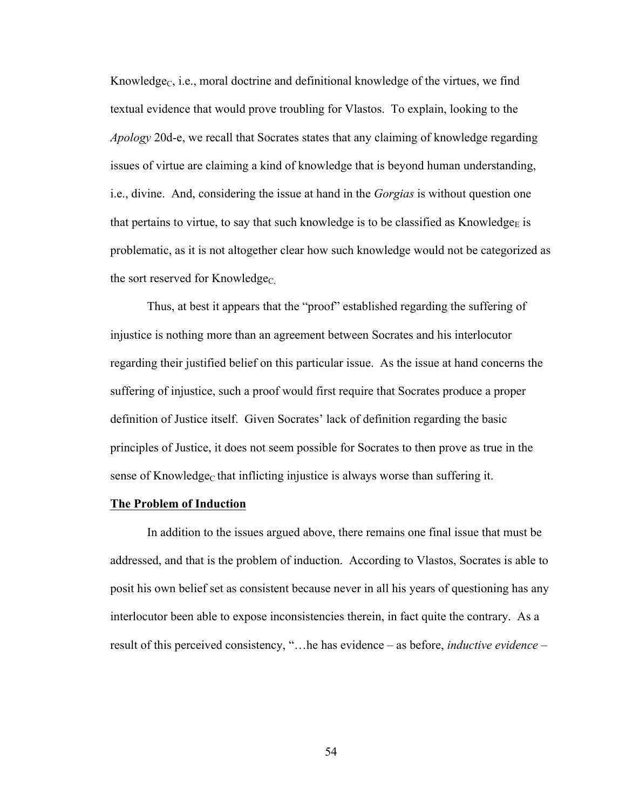Knowledge<sub>C</sub>, i.e., moral doctrine and definitional knowledge of the virtues, we find textual evidence that would prove troubling for Vlastos. To explain, looking to the *Apology* 20d-e, we recall that Socrates states that any claiming of knowledge regarding issues of virtue are claiming a kind of knowledge that is beyond human understanding, i.e., divine. And, considering the issue at hand in the *Gorgias* is without question one that pertains to virtue, to say that such knowledge is to be classified as Knowledge $E$  is problematic, as it is not altogether clear how such knowledge would not be categorized as the sort reserved for Knowledge $<sub>C</sub>$ </sub>

Thus, at best it appears that the "proof" established regarding the suffering of injustice is nothing more than an agreement between Socrates and his interlocutor regarding their justified belief on this particular issue. As the issue at hand concerns the suffering of injustice, such a proof would first require that Socrates produce a proper definition of Justice itself. Given Socrates' lack of definition regarding the basic principles of Justice, it does not seem possible for Socrates to then prove as true in the sense of Knowledge<sub>C</sub> that inflicting injustice is always worse than suffering it.

#### **The Problem of Induction**

In addition to the issues argued above, there remains one final issue that must be addressed, and that is the problem of induction. According to Vlastos, Socrates is able to posit his own belief set as consistent because never in all his years of questioning has any interlocutor been able to expose inconsistencies therein, in fact quite the contrary. As a result of this perceived consistency, "…he has evidence – as before, *inductive evidence –*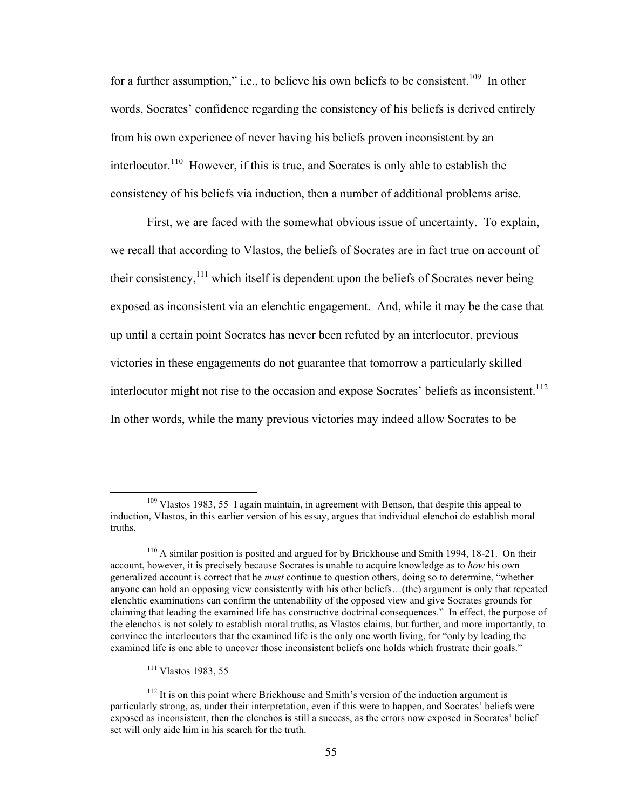for a further assumption," i.e., to believe his own beliefs to be consistent.<sup>109</sup> In other words, Socrates' confidence regarding the consistency of his beliefs is derived entirely from his own experience of never having his beliefs proven inconsistent by an interlocutor.<sup>110</sup> However, if this is true, and Socrates is only able to establish the consistency of his beliefs via induction, then a number of additional problems arise.

First, we are faced with the somewhat obvious issue of uncertainty. To explain, we recall that according to Vlastos, the beliefs of Socrates are in fact true on account of their consistency, $^{111}$  which itself is dependent upon the beliefs of Socrates never being exposed as inconsistent via an elenchtic engagement. And, while it may be the case that up until a certain point Socrates has never been refuted by an interlocutor, previous victories in these engagements do not guarantee that tomorrow a particularly skilled interlocutor might not rise to the occasion and expose Socrates' beliefs as inconsistent.<sup>112</sup> In other words, while the many previous victories may indeed allow Socrates to be

 $109$  Vlastos 1983, 55 I again maintain, in agreement with Benson, that despite this appeal to induction, Vlastos, in this earlier version of his essay, argues that individual elenchoi do establish moral truths.

 $110$  A similar position is posited and argued for by Brickhouse and Smith 1994, 18-21. On their account, however, it is precisely because Socrates is unable to acquire knowledge as to *how* his own generalized account is correct that he *must* continue to question others, doing so to determine, "whether anyone can hold an opposing view consistently with his other beliefs…(the) argument is only that repeated elenchtic examinations can confirm the untenability of the opposed view and give Socrates grounds for claiming that leading the examined life has constructive doctrinal consequences." In effect, the purpose of the elenchos is not solely to establish moral truths, as Vlastos claims, but further, and more importantly, to convince the interlocutors that the examined life is the only one worth living, for "only by leading the examined life is one able to uncover those inconsistent beliefs one holds which frustrate their goals."

<sup>111</sup> Vlastos 1983, 55

 $112$  It is on this point where Brickhouse and Smith's version of the induction argument is particularly strong, as, under their interpretation, even if this were to happen, and Socrates' beliefs were exposed as inconsistent, then the elenchos is still a success, as the errors now exposed in Socrates' belief set will only aide him in his search for the truth.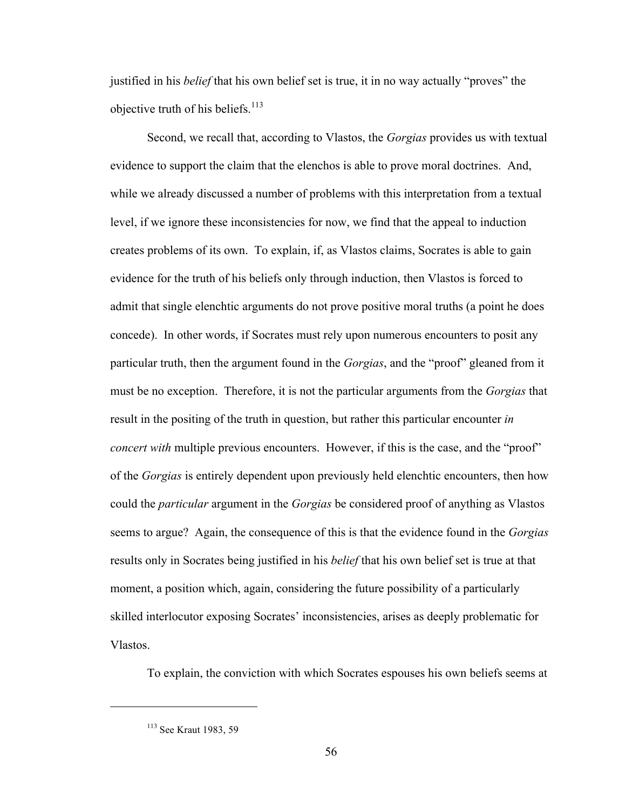justified in his *belief* that his own belief set is true, it in no way actually "proves" the objective truth of his beliefs. $^{113}$ 

Second, we recall that, according to Vlastos, the *Gorgias* provides us with textual evidence to support the claim that the elenchos is able to prove moral doctrines. And, while we already discussed a number of problems with this interpretation from a textual level, if we ignore these inconsistencies for now, we find that the appeal to induction creates problems of its own. To explain, if, as Vlastos claims, Socrates is able to gain evidence for the truth of his beliefs only through induction, then Vlastos is forced to admit that single elenchtic arguments do not prove positive moral truths (a point he does concede). In other words, if Socrates must rely upon numerous encounters to posit any particular truth, then the argument found in the *Gorgias*, and the "proof" gleaned from it must be no exception. Therefore, it is not the particular arguments from the *Gorgias* that result in the positing of the truth in question, but rather this particular encounter *in concert with* multiple previous encounters. However, if this is the case, and the "proof" of the *Gorgias* is entirely dependent upon previously held elenchtic encounters, then how could the *particular* argument in the *Gorgias* be considered proof of anything as Vlastos seems to argue? Again, the consequence of this is that the evidence found in the *Gorgias*  results only in Socrates being justified in his *belief* that his own belief set is true at that moment, a position which, again, considering the future possibility of a particularly skilled interlocutor exposing Socrates' inconsistencies, arises as deeply problematic for Vlastos.

To explain, the conviction with which Socrates espouses his own beliefs seems at

<sup>113</sup> See Kraut 1983, 59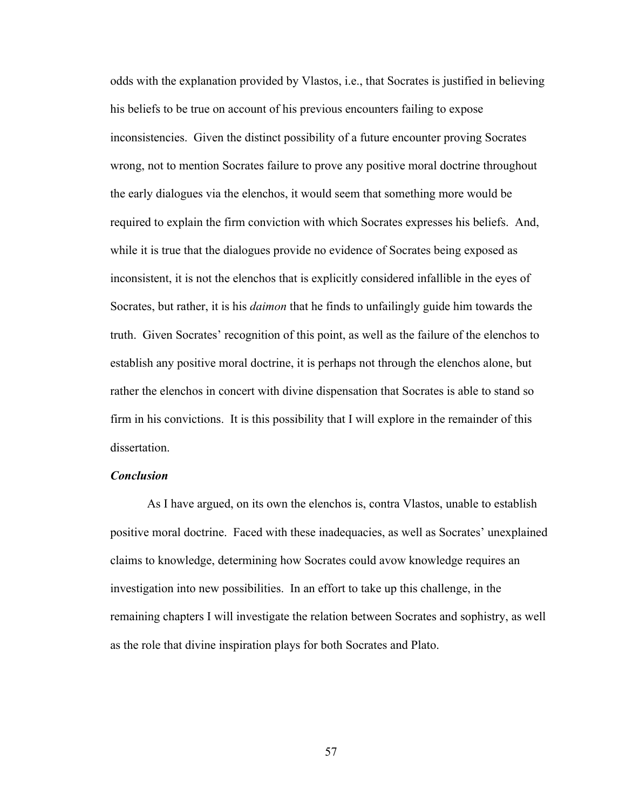odds with the explanation provided by Vlastos, i.e., that Socrates is justified in believing his beliefs to be true on account of his previous encounters failing to expose inconsistencies. Given the distinct possibility of a future encounter proving Socrates wrong, not to mention Socrates failure to prove any positive moral doctrine throughout the early dialogues via the elenchos, it would seem that something more would be required to explain the firm conviction with which Socrates expresses his beliefs. And, while it is true that the dialogues provide no evidence of Socrates being exposed as inconsistent, it is not the elenchos that is explicitly considered infallible in the eyes of Socrates, but rather, it is his *daimon* that he finds to unfailingly guide him towards the truth. Given Socrates' recognition of this point, as well as the failure of the elenchos to establish any positive moral doctrine, it is perhaps not through the elenchos alone, but rather the elenchos in concert with divine dispensation that Socrates is able to stand so firm in his convictions. It is this possibility that I will explore in the remainder of this dissertation.

# *Conclusion*

As I have argued, on its own the elenchos is, contra Vlastos, unable to establish positive moral doctrine. Faced with these inadequacies, as well as Socrates' unexplained claims to knowledge, determining how Socrates could avow knowledge requires an investigation into new possibilities. In an effort to take up this challenge, in the remaining chapters I will investigate the relation between Socrates and sophistry, as well as the role that divine inspiration plays for both Socrates and Plato.

57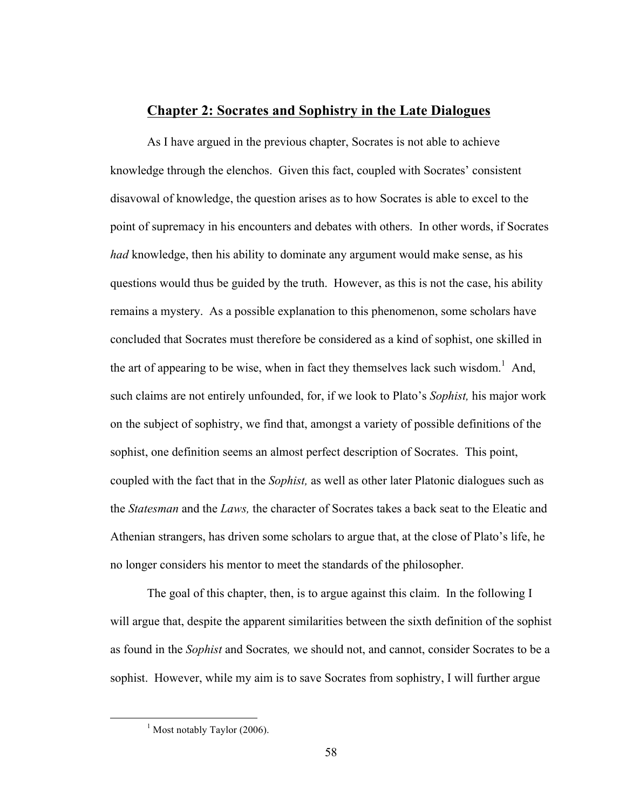# **Chapter 2: Socrates and Sophistry in the Late Dialogues**

As I have argued in the previous chapter, Socrates is not able to achieve knowledge through the elenchos. Given this fact, coupled with Socrates' consistent disavowal of knowledge, the question arises as to how Socrates is able to excel to the point of supremacy in his encounters and debates with others. In other words, if Socrates *had* knowledge, then his ability to dominate any argument would make sense, as his questions would thus be guided by the truth. However, as this is not the case, his ability remains a mystery. As a possible explanation to this phenomenon, some scholars have concluded that Socrates must therefore be considered as a kind of sophist, one skilled in the art of appearing to be wise, when in fact they themselves lack such wisdom. $<sup>1</sup>$  And,</sup> such claims are not entirely unfounded, for, if we look to Plato's *Sophist,* his major work on the subject of sophistry, we find that, amongst a variety of possible definitions of the sophist, one definition seems an almost perfect description of Socrates. This point, coupled with the fact that in the *Sophist,* as well as other later Platonic dialogues such as the *Statesman* and the *Laws,* the character of Socrates takes a back seat to the Eleatic and Athenian strangers, has driven some scholars to argue that, at the close of Plato's life, he no longer considers his mentor to meet the standards of the philosopher.

The goal of this chapter, then, is to argue against this claim. In the following I will argue that, despite the apparent similarities between the sixth definition of the sophist as found in the *Sophist* and Socrates*,* we should not, and cannot, consider Socrates to be a sophist. However, while my aim is to save Socrates from sophistry, I will further argue

 $<sup>1</sup>$  Most notably Taylor (2006).</sup>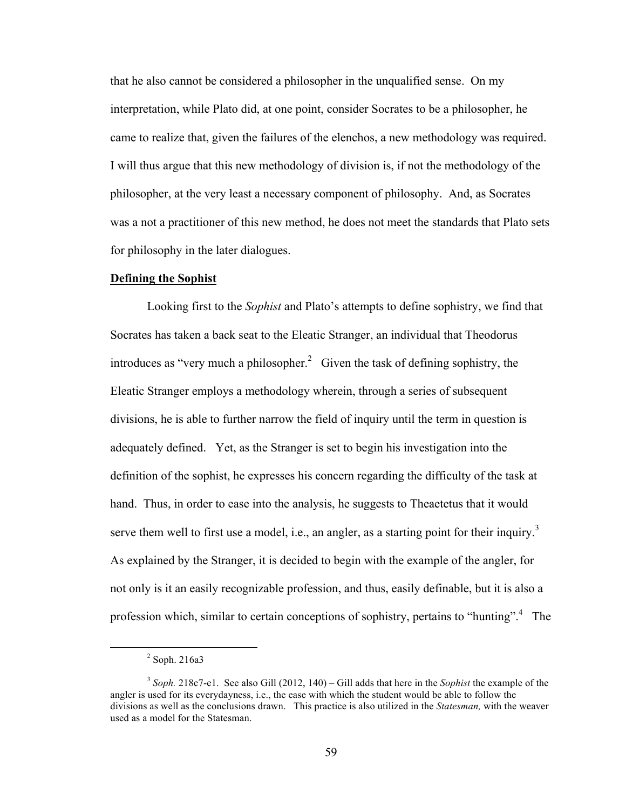that he also cannot be considered a philosopher in the unqualified sense. On my interpretation, while Plato did, at one point, consider Socrates to be a philosopher, he came to realize that, given the failures of the elenchos, a new methodology was required. I will thus argue that this new methodology of division is, if not the methodology of the philosopher, at the very least a necessary component of philosophy. And, as Socrates was a not a practitioner of this new method, he does not meet the standards that Plato sets for philosophy in the later dialogues.

## **Defining the Sophist**

Looking first to the *Sophist* and Plato's attempts to define sophistry, we find that Socrates has taken a back seat to the Eleatic Stranger, an individual that Theodorus introduces as "very much a philosopher. $^2$  Given the task of defining sophistry, the Eleatic Stranger employs a methodology wherein, through a series of subsequent divisions, he is able to further narrow the field of inquiry until the term in question is adequately defined. Yet, as the Stranger is set to begin his investigation into the definition of the sophist, he expresses his concern regarding the difficulty of the task at hand. Thus, in order to ease into the analysis, he suggests to Theaetetus that it would serve them well to first use a model, i.e., an angler, as a starting point for their inquiry.<sup>3</sup> As explained by the Stranger, it is decided to begin with the example of the angler, for not only is it an easily recognizable profession, and thus, easily definable, but it is also a profession which, similar to certain conceptions of sophistry, pertains to "hunting".<sup>4</sup> The

 $2$  Soph. 216a3

<sup>3</sup> *Soph.* 218c7-e1. See also Gill (2012, 140) – Gill adds that here in the *Sophist* the example of the angler is used for its everydayness, i.e., the ease with which the student would be able to follow the divisions as well as the conclusions drawn. This practice is also utilized in the *Statesman,* with the weaver used as a model for the Statesman.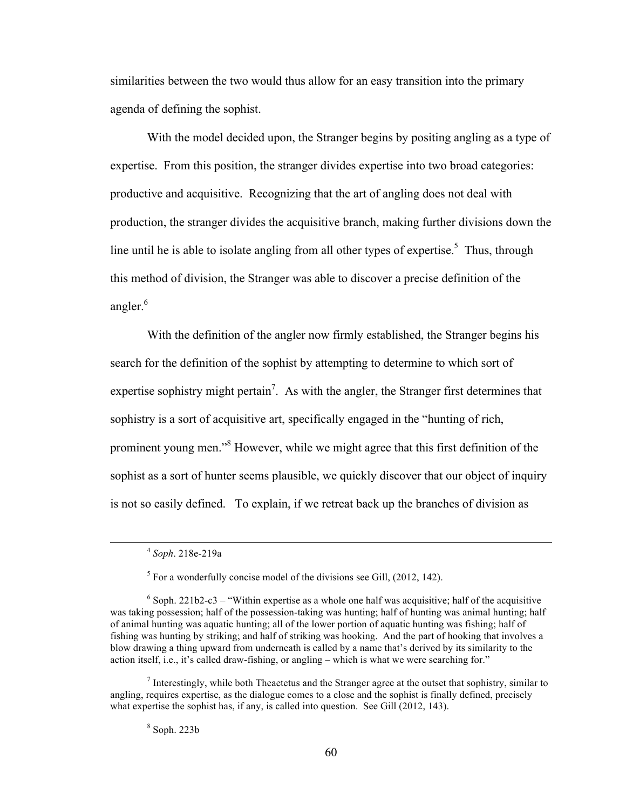similarities between the two would thus allow for an easy transition into the primary agenda of defining the sophist.

With the model decided upon, the Stranger begins by positing angling as a type of expertise. From this position, the stranger divides expertise into two broad categories: productive and acquisitive. Recognizing that the art of angling does not deal with production, the stranger divides the acquisitive branch, making further divisions down the line until he is able to isolate angling from all other types of expertise.<sup>5</sup> Thus, through this method of division, the Stranger was able to discover a precise definition of the angler.<sup>6</sup>

With the definition of the angler now firmly established, the Stranger begins his search for the definition of the sophist by attempting to determine to which sort of expertise sophistry might pertain<sup>7</sup>. As with the angler, the Stranger first determines that sophistry is a sort of acquisitive art, specifically engaged in the "hunting of rich, prominent young men."8 However, while we might agree that this first definition of the sophist as a sort of hunter seems plausible, we quickly discover that our object of inquiry is not so easily defined. To explain, if we retreat back up the branches of division as

<sup>7</sup> Interestingly, while both Theaetetus and the Stranger agree at the outset that sophistry, similar to angling, requires expertise, as the dialogue comes to a close and the sophist is finally defined, precisely what expertise the sophist has, if any, is called into question. See Gill (2012, 143).

<sup>8</sup> Soph. 223b

 <sup>4</sup> *Soph*. 218e-219a

 $<sup>5</sup>$  For a wonderfully concise model of the divisions see Gill, (2012, 142).</sup>

<sup>&</sup>lt;sup>6</sup> Soph. 221b2-c3 – "Within expertise as a whole one half was acquisitive; half of the acquisitive was taking possession; half of the possession-taking was hunting; half of hunting was animal hunting; half of animal hunting was aquatic hunting; all of the lower portion of aquatic hunting was fishing; half of fishing was hunting by striking; and half of striking was hooking. And the part of hooking that involves a blow drawing a thing upward from underneath is called by a name that's derived by its similarity to the action itself, i.e., it's called draw-fishing, or angling – which is what we were searching for."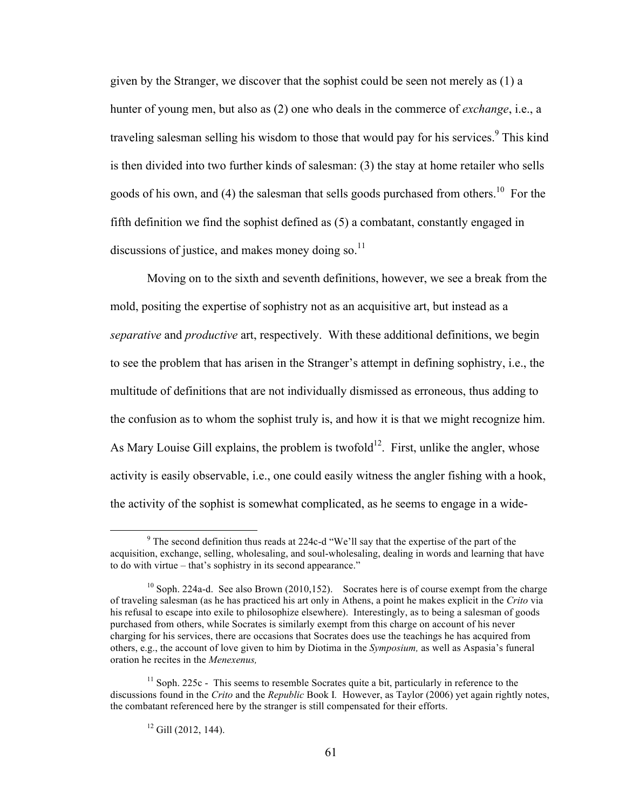given by the Stranger, we discover that the sophist could be seen not merely as (1) a hunter of young men, but also as (2) one who deals in the commerce of *exchange*, i.e., a traveling salesman selling his wisdom to those that would pay for his services.<sup>9</sup> This kind is then divided into two further kinds of salesman: (3) the stay at home retailer who sells goods of his own, and (4) the salesman that sells goods purchased from others.<sup>10</sup> For the fifth definition we find the sophist defined as (5) a combatant, constantly engaged in discussions of justice, and makes money doing so. $^{11}$ 

Moving on to the sixth and seventh definitions, however, we see a break from the mold, positing the expertise of sophistry not as an acquisitive art, but instead as a *separative* and *productive* art, respectively. With these additional definitions, we begin to see the problem that has arisen in the Stranger's attempt in defining sophistry, i.e., the multitude of definitions that are not individually dismissed as erroneous, thus adding to the confusion as to whom the sophist truly is, and how it is that we might recognize him. As Mary Louise Gill explains, the problem is twofold<sup>12</sup>. First, unlike the angler, whose activity is easily observable, i.e., one could easily witness the angler fishing with a hook, the activity of the sophist is somewhat complicated, as he seems to engage in a wide-

 $9$  The second definition thus reads at 224c-d "We'll say that the expertise of the part of the acquisition, exchange, selling, wholesaling, and soul-wholesaling, dealing in words and learning that have to do with virtue – that's sophistry in its second appearance."

 $10$  Soph. 224a-d. See also Brown (2010,152). Socrates here is of course exempt from the charge of traveling salesman (as he has practiced his art only in Athens, a point he makes explicit in the *Crito* via his refusal to escape into exile to philosophize elsewhere). Interestingly, as to being a salesman of goods purchased from others, while Socrates is similarly exempt from this charge on account of his never charging for his services, there are occasions that Socrates does use the teachings he has acquired from others, e.g., the account of love given to him by Diotima in the *Symposium,* as well as Aspasia's funeral oration he recites in the *Menexenus,* 

 $11$  Soph. 225c - This seems to resemble Socrates quite a bit, particularly in reference to the discussions found in the *Crito* and the *Republic* Book I*.* However, as Taylor (2006) yet again rightly notes, the combatant referenced here by the stranger is still compensated for their efforts.

 $12$  Gill (2012, 144).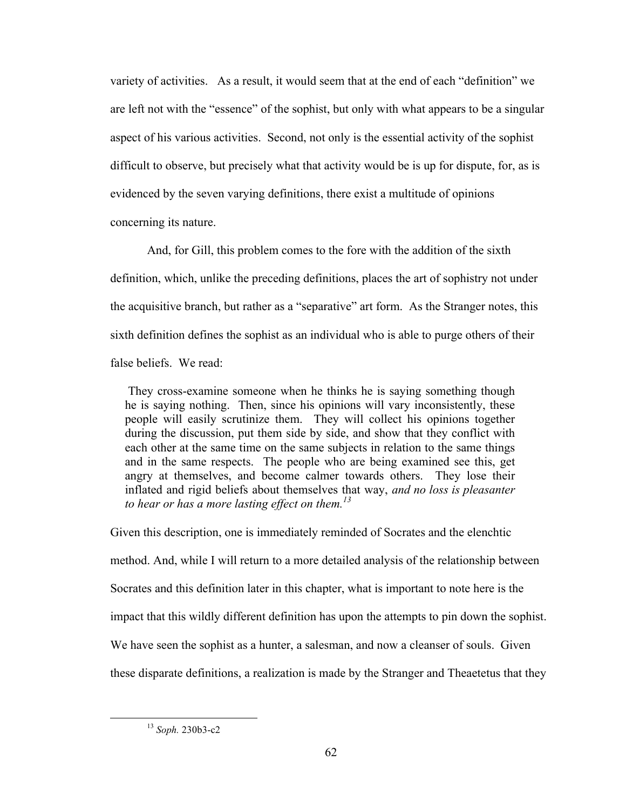variety of activities. As a result, it would seem that at the end of each "definition" we are left not with the "essence" of the sophist, but only with what appears to be a singular aspect of his various activities. Second, not only is the essential activity of the sophist difficult to observe, but precisely what that activity would be is up for dispute, for, as is evidenced by the seven varying definitions, there exist a multitude of opinions concerning its nature.

And, for Gill, this problem comes to the fore with the addition of the sixth definition, which, unlike the preceding definitions, places the art of sophistry not under the acquisitive branch, but rather as a "separative" art form. As the Stranger notes, this sixth definition defines the sophist as an individual who is able to purge others of their false beliefs. We read:

They cross-examine someone when he thinks he is saying something though he is saying nothing. Then, since his opinions will vary inconsistently, these people will easily scrutinize them. They will collect his opinions together during the discussion, put them side by side, and show that they conflict with each other at the same time on the same subjects in relation to the same things and in the same respects. The people who are being examined see this, get angry at themselves, and become calmer towards others. They lose their inflated and rigid beliefs about themselves that way, *and no loss is pleasanter to hear or has a more lasting effect on them.<sup>13</sup>*

Given this description, one is immediately reminded of Socrates and the elenchtic method. And, while I will return to a more detailed analysis of the relationship between Socrates and this definition later in this chapter, what is important to note here is the impact that this wildly different definition has upon the attempts to pin down the sophist. We have seen the sophist as a hunter, a salesman, and now a cleanser of souls. Given these disparate definitions, a realization is made by the Stranger and Theaetetus that they

 <sup>13</sup> *Soph.* 230b3-c2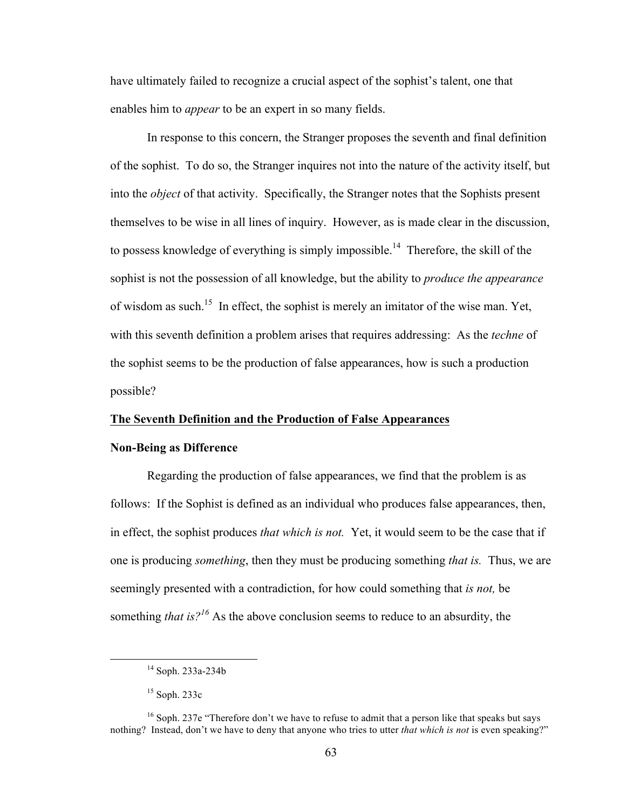have ultimately failed to recognize a crucial aspect of the sophist's talent, one that enables him to *appear* to be an expert in so many fields.

In response to this concern, the Stranger proposes the seventh and final definition of the sophist. To do so, the Stranger inquires not into the nature of the activity itself, but into the *object* of that activity. Specifically, the Stranger notes that the Sophists present themselves to be wise in all lines of inquiry. However, as is made clear in the discussion, to possess knowledge of everything is simply impossible.<sup>14</sup> Therefore, the skill of the sophist is not the possession of all knowledge, but the ability to *produce the appearance*  of wisdom as such.15 In effect, the sophist is merely an imitator of the wise man. Yet, with this seventh definition a problem arises that requires addressing: As the *techne* of the sophist seems to be the production of false appearances, how is such a production possible?

### **The Seventh Definition and the Production of False Appearances**

#### **Non-Being as Difference**

Regarding the production of false appearances, we find that the problem is as follows: If the Sophist is defined as an individual who produces false appearances, then, in effect, the sophist produces *that which is not.* Yet, it would seem to be the case that if one is producing *something*, then they must be producing something *that is.* Thus, we are seemingly presented with a contradiction, for how could something that *is not,* be something *that is*<sup>216</sup> As the above conclusion seems to reduce to an absurdity, the

 <sup>14</sup> Soph. 233a-234b

<sup>15</sup> Soph. 233c

 $16$  Soph. 237e "Therefore don't we have to refuse to admit that a person like that speaks but says nothing? Instead, don't we have to deny that anyone who tries to utter *that which is not* is even speaking?"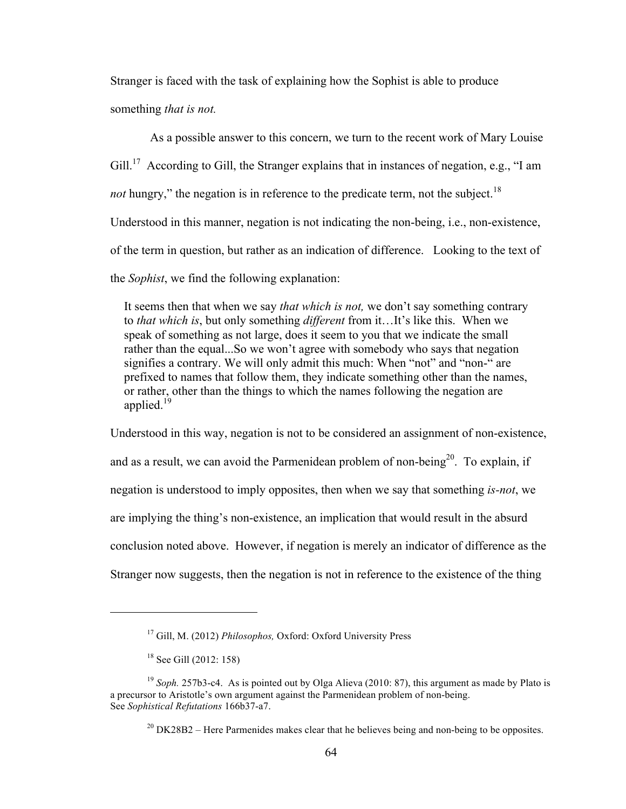Stranger is faced with the task of explaining how the Sophist is able to produce

something *that is not.* 

As a possible answer to this concern, we turn to the recent work of Mary Louise  $Gill<sup>17</sup>$  According to Gill, the Stranger explains that in instances of negation, e.g., "I am *not* hungry," the negation is in reference to the predicate term, not the subject.<sup>18</sup> Understood in this manner, negation is not indicating the non-being, i.e., non-existence, of the term in question, but rather as an indication of difference. Looking to the text of the *Sophist*, we find the following explanation:

It seems then that when we say *that which is not,* we don't say something contrary to *that which is*, but only something *different* from it…It's like this. When we speak of something as not large, does it seem to you that we indicate the small rather than the equal...So we won't agree with somebody who says that negation signifies a contrary. We will only admit this much: When "not" and "non-" are prefixed to names that follow them, they indicate something other than the names, or rather, other than the things to which the names following the negation are applied. $19$ 

Understood in this way, negation is not to be considered an assignment of non-existence, and as a result, we can avoid the Parmenidean problem of non-being<sup>20</sup>. To explain, if negation is understood to imply opposites, then when we say that something *is-not*, we are implying the thing's non-existence, an implication that would result in the absurd conclusion noted above. However, if negation is merely an indicator of difference as the Stranger now suggests, then the negation is not in reference to the existence of the thing

<sup>17</sup> Gill, M. (2012) *Philosophos,* Oxford: Oxford University Press

<sup>&</sup>lt;sup>18</sup> See Gill (2012: 158)

<sup>&</sup>lt;sup>19</sup> *Soph.* 257b3-c4. As is pointed out by Olga Alieva (2010: 87), this argument as made by Plato is a precursor to Aristotle's own argument against the Parmenidean problem of non-being. See *Sophistical Refutations* 166b37-a7.

 $^{20}$  DK28B2 – Here Parmenides makes clear that he believes being and non-being to be opposites.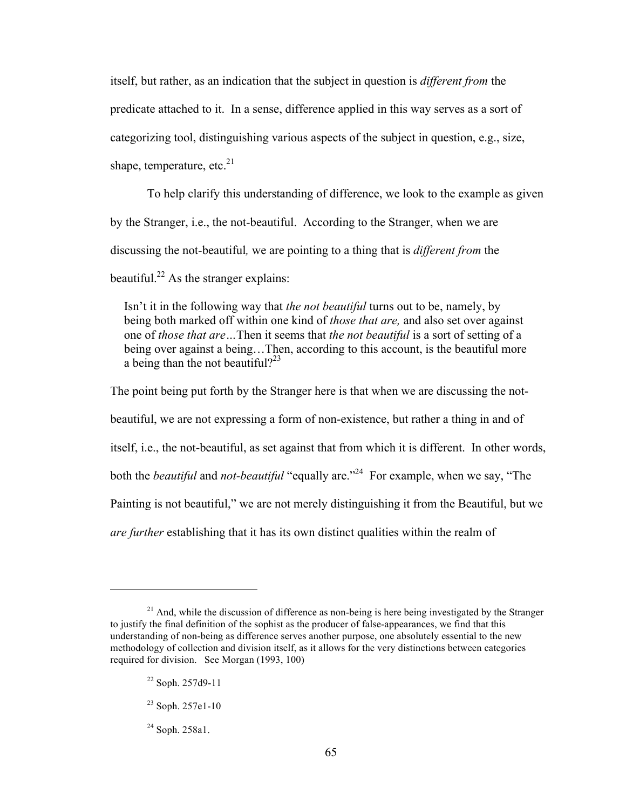itself, but rather, as an indication that the subject in question is *different from* the predicate attached to it. In a sense, difference applied in this way serves as a sort of categorizing tool, distinguishing various aspects of the subject in question, e.g., size, shape, temperature, etc. $21$ 

To help clarify this understanding of difference, we look to the example as given by the Stranger, i.e., the not-beautiful. According to the Stranger, when we are discussing the not-beautiful*,* we are pointing to a thing that is *different from* the beautiful.<sup>22</sup> As the stranger explains:

Isn't it in the following way that *the not beautiful* turns out to be, namely, by being both marked off within one kind of *those that are,* and also set over against one of *those that are…*Then it seems that *the not beautiful* is a sort of setting of a being over against a being...Then, according to this account, is the beautiful more a being than the not beautiful?<sup>23</sup>

The point being put forth by the Stranger here is that when we are discussing the notbeautiful, we are not expressing a form of non-existence, but rather a thing in and of itself, i.e., the not-beautiful, as set against that from which it is different. In other words, both the *beautiful* and *not-beautiful* "equally are."<sup>24</sup> For example, when we say, "The Painting is not beautiful," we are not merely distinguishing it from the Beautiful, but we *are further* establishing that it has its own distinct qualities within the realm of

 $21$  And, while the discussion of difference as non-being is here being investigated by the Stranger to justify the final definition of the sophist as the producer of false-appearances, we find that this understanding of non-being as difference serves another purpose, one absolutely essential to the new methodology of collection and division itself, as it allows for the very distinctions between categories required for division. See Morgan (1993, 100)

 $22$  Soph. 257d9-11

<sup>&</sup>lt;sup>23</sup> Soph. 257e1-10

 $24$  Soph. 258a1.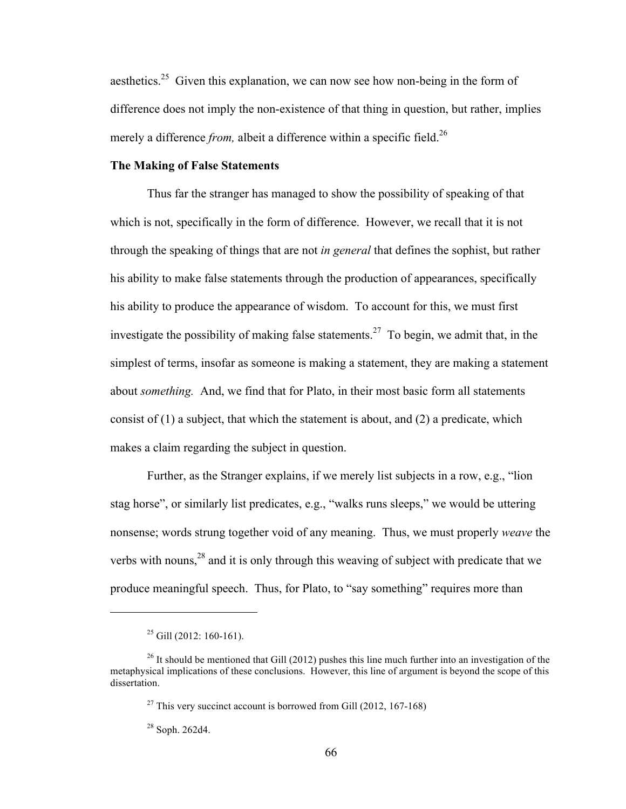aesthetics.<sup>25</sup> Given this explanation, we can now see how non-being in the form of difference does not imply the non-existence of that thing in question, but rather, implies merely a difference *from*, albeit a difference within a specific field.<sup>26</sup>

# **The Making of False Statements**

Thus far the stranger has managed to show the possibility of speaking of that which is not, specifically in the form of difference. However, we recall that it is not through the speaking of things that are not *in general* that defines the sophist, but rather his ability to make false statements through the production of appearances, specifically his ability to produce the appearance of wisdom. To account for this, we must first investigate the possibility of making false statements.<sup>27</sup> To begin, we admit that, in the simplest of terms, insofar as someone is making a statement, they are making a statement about *something.* And, we find that for Plato, in their most basic form all statements consist of  $(1)$  a subject, that which the statement is about, and  $(2)$  a predicate, which makes a claim regarding the subject in question.

Further, as the Stranger explains, if we merely list subjects in a row, e.g., "lion stag horse", or similarly list predicates, e.g., "walks runs sleeps," we would be uttering nonsense; words strung together void of any meaning. Thus, we must properly *weave* the verbs with nouns,  $28$  and it is only through this weaving of subject with predicate that we produce meaningful speech. Thus, for Plato, to "say something" requires more than

 $25$  Gill (2012: 160-161).

<sup>&</sup>lt;sup>26</sup> It should be mentioned that Gill (2012) pushes this line much further into an investigation of the metaphysical implications of these conclusions. However, this line of argument is beyond the scope of this dissertation.

<sup>&</sup>lt;sup>27</sup> This very succinct account is borrowed from Gill  $(2012, 167-168)$ 

<sup>28</sup> Soph. 262d4.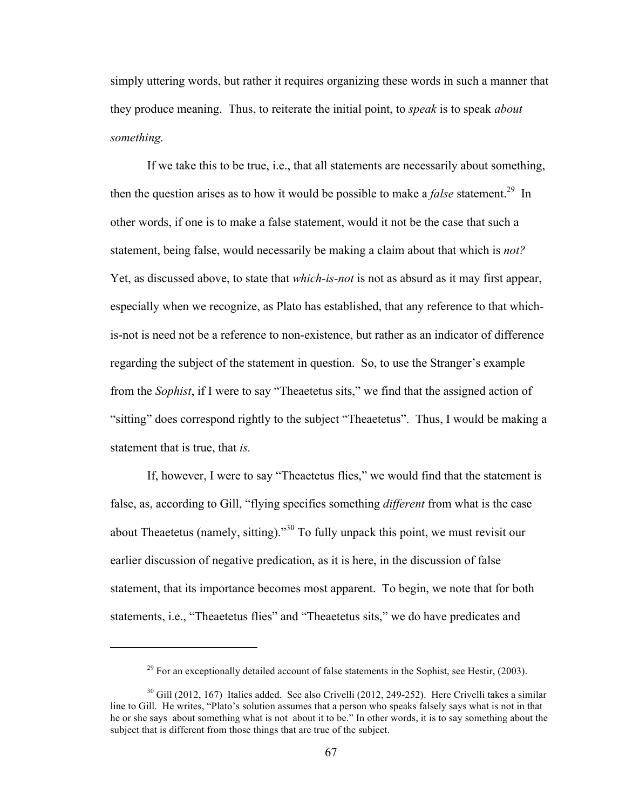simply uttering words, but rather it requires organizing these words in such a manner that they produce meaning. Thus, to reiterate the initial point, to *speak* is to speak *about something.*

If we take this to be true, i.e., that all statements are necessarily about something, then the question arises as to how it would be possible to make a *false* statement.<sup>29</sup> In other words, if one is to make a false statement, would it not be the case that such a statement, being false, would necessarily be making a claim about that which is *not?*  Yet, as discussed above, to state that *which-is-not* is not as absurd as it may first appear, especially when we recognize, as Plato has established, that any reference to that whichis-not is need not be a reference to non-existence, but rather as an indicator of difference regarding the subject of the statement in question. So, to use the Stranger's example from the *Sophist*, if I were to say "Theaetetus sits," we find that the assigned action of "sitting" does correspond rightly to the subject "Theaetetus". Thus, I would be making a statement that is true, that *is.*

If, however, I were to say "Theaetetus flies," we would find that the statement is false, as, according to Gill, "flying specifies something *different* from what is the case about Theaetetus (namely, sitting).<sup>30</sup> To fully unpack this point, we must revisit our earlier discussion of negative predication, as it is here, in the discussion of false statement, that its importance becomes most apparent. To begin, we note that for both statements, i.e., "Theaetetus flies" and "Theaetetus sits," we do have predicates and

 $29$  For an exceptionally detailed account of false statements in the Sophist, see Hestir, (2003).

<sup>&</sup>lt;sup>30</sup> Gill (2012, 167) Italics added. See also Crivelli (2012, 249-252). Here Crivelli takes a similar line to Gill. He writes, "Plato's solution assumes that a person who speaks falsely says what is not in that he or she says about something what is not about it to be." In other words, it is to say something about the subject that is different from those things that are true of the subject.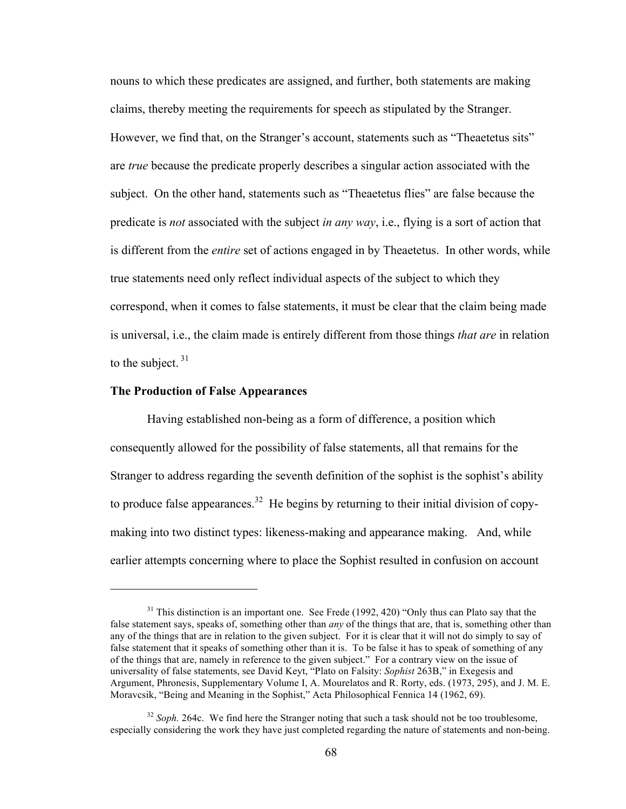nouns to which these predicates are assigned, and further, both statements are making claims, thereby meeting the requirements for speech as stipulated by the Stranger. However, we find that, on the Stranger's account, statements such as "Theaetetus sits" are *true* because the predicate properly describes a singular action associated with the subject. On the other hand, statements such as "Theaetetus flies" are false because the predicate is *not* associated with the subject *in any way*, i.e., flying is a sort of action that is different from the *entire* set of actions engaged in by Theaetetus. In other words, while true statements need only reflect individual aspects of the subject to which they correspond, when it comes to false statements, it must be clear that the claim being made is universal, i.e., the claim made is entirely different from those things *that are* in relation to the subject.  $31$ 

#### **The Production of False Appearances**

 $\overline{a}$ 

Having established non-being as a form of difference, a position which consequently allowed for the possibility of false statements, all that remains for the Stranger to address regarding the seventh definition of the sophist is the sophist's ability to produce false appearances.<sup>32</sup> He begins by returning to their initial division of copymaking into two distinct types: likeness-making and appearance making. And, while earlier attempts concerning where to place the Sophist resulted in confusion on account

 $31$  This distinction is an important one. See Frede (1992, 420) "Only thus can Plato say that the false statement says, speaks of, something other than *any* of the things that are, that is, something other than any of the things that are in relation to the given subject. For it is clear that it will not do simply to say of false statement that it speaks of something other than it is. To be false it has to speak of something of any of the things that are, namely in reference to the given subject." For a contrary view on the issue of universality of false statements, see David Keyt, "Plato on Falsity: *Sophist* 263B," in Exegesis and Argument, Phronesis, Supplementary Volume I, A. Mourelatos and R. Rorty, eds. (1973, 295), and J. M. E. Moravcsik, "Being and Meaning in the Sophist," Acta Philosophical Fennica 14 (1962, 69).

<sup>&</sup>lt;sup>32</sup> Soph. 264c. We find here the Stranger noting that such a task should not be too troublesome, especially considering the work they have just completed regarding the nature of statements and non-being.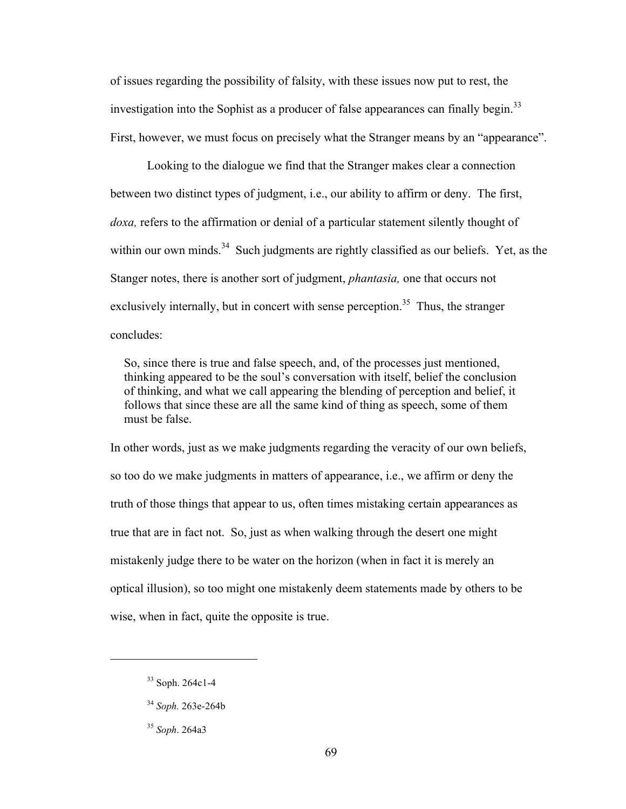of issues regarding the possibility of falsity, with these issues now put to rest, the investigation into the Sophist as a producer of false appearances can finally begin.<sup>33</sup> First, however, we must focus on precisely what the Stranger means by an "appearance".

Looking to the dialogue we find that the Stranger makes clear a connection between two distinct types of judgment, i.e., our ability to affirm or deny. The first, *doxa,* refers to the affirmation or denial of a particular statement silently thought of within our own minds.<sup>34</sup> Such judgments are rightly classified as our beliefs. Yet, as the Stanger notes, there is another sort of judgment, *phantasia,* one that occurs not exclusively internally, but in concert with sense perception.<sup>35</sup> Thus, the stranger concludes:

So, since there is true and false speech, and, of the processes just mentioned, thinking appeared to be the soul's conversation with itself, belief the conclusion of thinking, and what we call appearing the blending of perception and belief, it follows that since these are all the same kind of thing as speech, some of them must be false.

In other words, just as we make judgments regarding the veracity of our own beliefs, so too do we make judgments in matters of appearance, i.e., we affirm or deny the truth of those things that appear to us, often times mistaking certain appearances as true that are in fact not. So, just as when walking through the desert one might mistakenly judge there to be water on the horizon (when in fact it is merely an optical illusion), so too might one mistakenly deem statements made by others to be wise, when in fact, quite the opposite is true.

<sup>33</sup> Soph. 264c1-4

<sup>34</sup> *Soph.* 263e-264b

<sup>35</sup> *Soph*. 264a3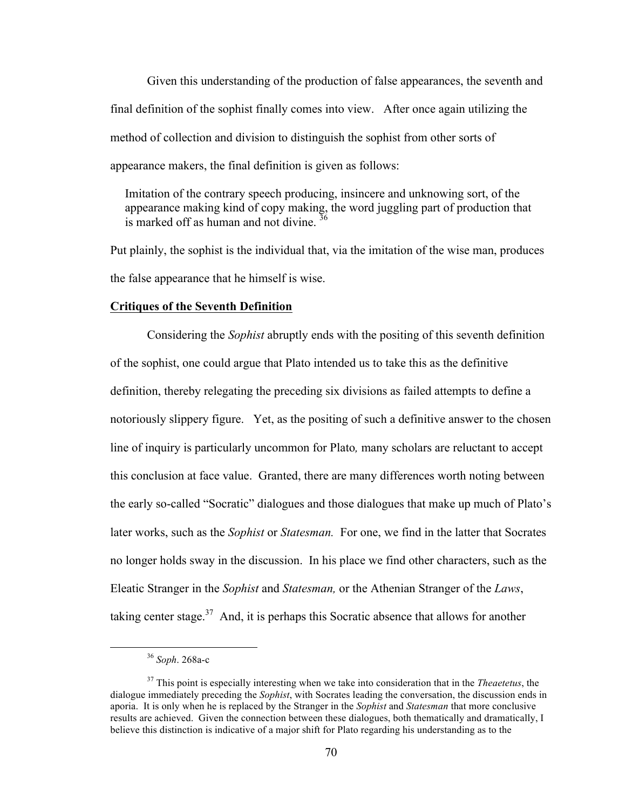Given this understanding of the production of false appearances, the seventh and final definition of the sophist finally comes into view. After once again utilizing the method of collection and division to distinguish the sophist from other sorts of appearance makers, the final definition is given as follows:

Imitation of the contrary speech producing, insincere and unknowing sort, of the appearance making kind of copy making, the word juggling part of production that is marked off as human and not divine.  $36$ 

Put plainly, the sophist is the individual that, via the imitation of the wise man, produces the false appearance that he himself is wise.

#### **Critiques of the Seventh Definition**

Considering the *Sophist* abruptly ends with the positing of this seventh definition of the sophist, one could argue that Plato intended us to take this as the definitive definition, thereby relegating the preceding six divisions as failed attempts to define a notoriously slippery figure. Yet, as the positing of such a definitive answer to the chosen line of inquiry is particularly uncommon for Plato*,* many scholars are reluctant to accept this conclusion at face value. Granted, there are many differences worth noting between the early so-called "Socratic" dialogues and those dialogues that make up much of Plato's later works, such as the *Sophist* or *Statesman.* For one, we find in the latter that Socrates no longer holds sway in the discussion. In his place we find other characters, such as the Eleatic Stranger in the *Sophist* and *Statesman,* or the Athenian Stranger of the *Laws*, taking center stage.<sup>37</sup> And, it is perhaps this Socratic absence that allows for another

 <sup>36</sup> *Soph*. 268a-c

<sup>37</sup> This point is especially interesting when we take into consideration that in the *Theaetetus*, the dialogue immediately preceding the *Sophist*, with Socrates leading the conversation, the discussion ends in aporia. It is only when he is replaced by the Stranger in the *Sophist* and *Statesman* that more conclusive results are achieved. Given the connection between these dialogues, both thematically and dramatically, I believe this distinction is indicative of a major shift for Plato regarding his understanding as to the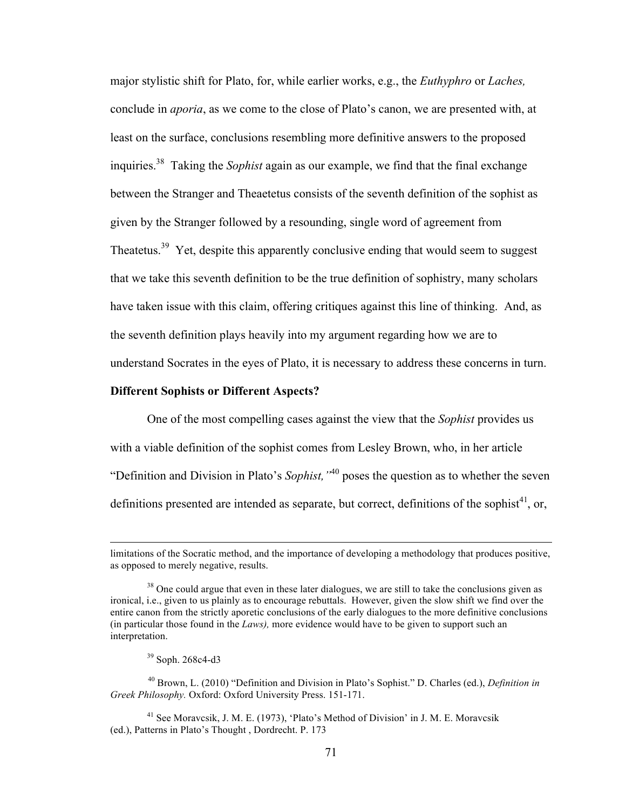major stylistic shift for Plato, for, while earlier works, e.g., the *Euthyphro* or *Laches,*  conclude in *aporia*, as we come to the close of Plato's canon, we are presented with, at least on the surface, conclusions resembling more definitive answers to the proposed inquiries.38 Taking the *Sophist* again as our example, we find that the final exchange between the Stranger and Theaetetus consists of the seventh definition of the sophist as given by the Stranger followed by a resounding, single word of agreement from Theatetus.<sup>39</sup> Yet, despite this apparently conclusive ending that would seem to suggest that we take this seventh definition to be the true definition of sophistry, many scholars have taken issue with this claim, offering critiques against this line of thinking. And, as the seventh definition plays heavily into my argument regarding how we are to understand Socrates in the eyes of Plato, it is necessary to address these concerns in turn.

### **Different Sophists or Different Aspects?**

One of the most compelling cases against the view that the *Sophist* provides us with a viable definition of the sophist comes from Lesley Brown, who, in her article "Definition and Division in Plato's *Sophist,"*<sup>40</sup> poses the question as to whether the seven definitions presented are intended as separate, but correct, definitions of the sophist<sup>41</sup>, or,

limitations of the Socratic method, and the importance of developing a methodology that produces positive, as opposed to merely negative, results.

<sup>&</sup>lt;sup>38</sup> One could argue that even in these later dialogues, we are still to take the conclusions given as ironical, i.e., given to us plainly as to encourage rebuttals. However, given the slow shift we find over the entire canon from the strictly aporetic conclusions of the early dialogues to the more definitive conclusions (in particular those found in the *Laws),* more evidence would have to be given to support such an interpretation.

<sup>39</sup> Soph. 268c4-d3

<sup>40</sup> Brown, L. (2010) "Definition and Division in Plato's Sophist." D. Charles (ed.), *Definition in Greek Philosophy.* Oxford: Oxford University Press. 151-171.

<sup>41</sup> See Moravcsik, J. M. E. (1973), 'Plato's Method of Division' in J. M. E. Moravcsik (ed.), Patterns in Plato's Thought , Dordrecht. P. 173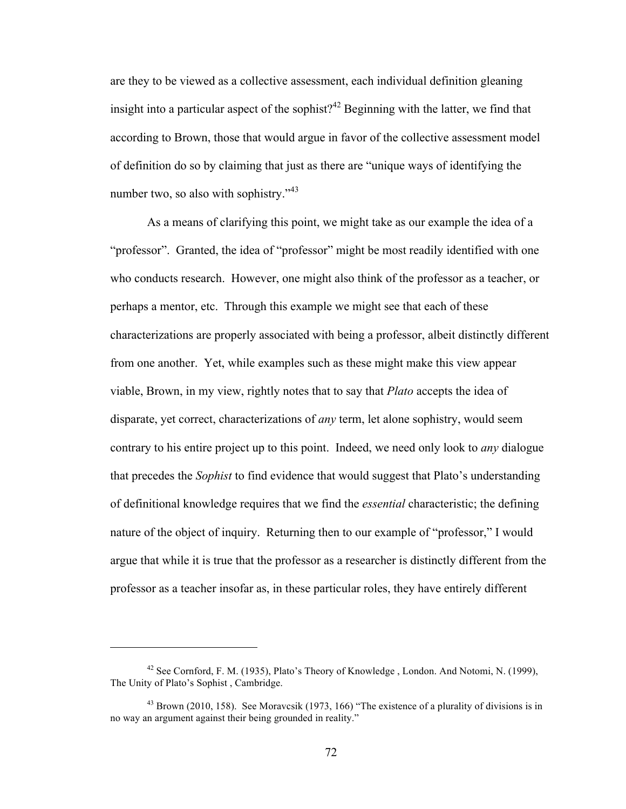are they to be viewed as a collective assessment, each individual definition gleaning insight into a particular aspect of the sophist?<sup>42</sup> Beginning with the latter, we find that according to Brown, those that would argue in favor of the collective assessment model of definition do so by claiming that just as there are "unique ways of identifying the number two, so also with sophistry."<sup>43</sup>

As a means of clarifying this point, we might take as our example the idea of a "professor". Granted, the idea of "professor" might be most readily identified with one who conducts research. However, one might also think of the professor as a teacher, or perhaps a mentor, etc. Through this example we might see that each of these characterizations are properly associated with being a professor, albeit distinctly different from one another. Yet, while examples such as these might make this view appear viable, Brown, in my view, rightly notes that to say that *Plato* accepts the idea of disparate, yet correct, characterizations of *any* term, let alone sophistry, would seem contrary to his entire project up to this point. Indeed, we need only look to *any* dialogue that precedes the *Sophist* to find evidence that would suggest that Plato's understanding of definitional knowledge requires that we find the *essential* characteristic; the defining nature of the object of inquiry. Returning then to our example of "professor," I would argue that while it is true that the professor as a researcher is distinctly different from the professor as a teacher insofar as, in these particular roles, they have entirely different

 $42$  See Cornford, F. M. (1935), Plato's Theory of Knowledge, London. And Notomi, N. (1999), The Unity of Plato's Sophist , Cambridge.

<sup>&</sup>lt;sup>43</sup> Brown (2010, 158). See Moravcsik (1973, 166) "The existence of a plurality of divisions is in no way an argument against their being grounded in reality."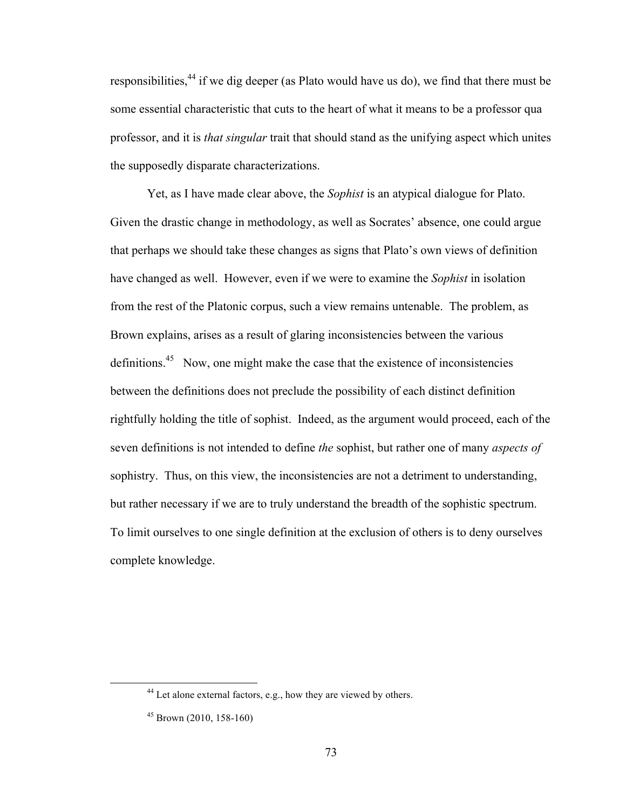responsibilities,<sup>44</sup> if we dig deeper (as Plato would have us do), we find that there must be some essential characteristic that cuts to the heart of what it means to be a professor qua professor, and it is *that singular* trait that should stand as the unifying aspect which unites the supposedly disparate characterizations.

Yet, as I have made clear above, the *Sophist* is an atypical dialogue for Plato. Given the drastic change in methodology, as well as Socrates' absence, one could argue that perhaps we should take these changes as signs that Plato's own views of definition have changed as well. However, even if we were to examine the *Sophist* in isolation from the rest of the Platonic corpus, such a view remains untenable. The problem, as Brown explains, arises as a result of glaring inconsistencies between the various definitions.<sup>45</sup> Now, one might make the case that the existence of inconsistencies between the definitions does not preclude the possibility of each distinct definition rightfully holding the title of sophist. Indeed, as the argument would proceed, each of the seven definitions is not intended to define *the* sophist, but rather one of many *aspects of*  sophistry. Thus, on this view, the inconsistencies are not a detriment to understanding, but rather necessary if we are to truly understand the breadth of the sophistic spectrum. To limit ourselves to one single definition at the exclusion of others is to deny ourselves complete knowledge.

<sup>&</sup>lt;sup>44</sup> Let alone external factors, e.g., how they are viewed by others.

<sup>45</sup> Brown (2010, 158-160)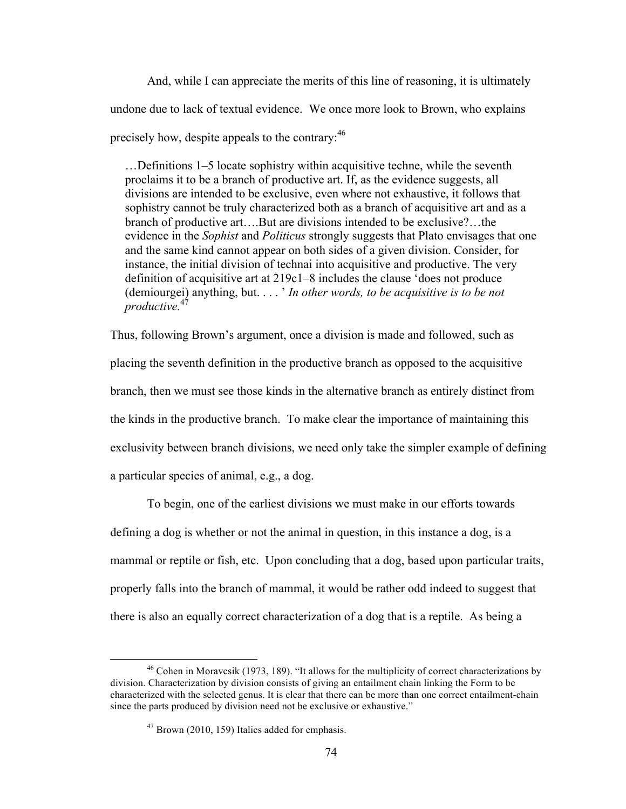And, while I can appreciate the merits of this line of reasoning, it is ultimately undone due to lack of textual evidence. We once more look to Brown, who explains precisely how, despite appeals to the contrary: <sup>46</sup>

…Definitions 1–5 locate sophistry within acquisitive techne, while the seventh proclaims it to be a branch of productive art. If, as the evidence suggests, all divisions are intended to be exclusive, even where not exhaustive, it follows that sophistry cannot be truly characterized both as a branch of acquisitive art and as a branch of productive art….But are divisions intended to be exclusive?…the evidence in the *Sophist* and *Politicus* strongly suggests that Plato envisages that one and the same kind cannot appear on both sides of a given division. Consider, for instance, the initial division of technai into acquisitive and productive. The very definition of acquisitive art at 219c1–8 includes the clause 'does not produce (demiourgei) anything, but. . . . ' *In other words, to be acquisitive is to be not productive.*<sup>47</sup>

Thus, following Brown's argument, once a division is made and followed, such as placing the seventh definition in the productive branch as opposed to the acquisitive branch, then we must see those kinds in the alternative branch as entirely distinct from the kinds in the productive branch. To make clear the importance of maintaining this exclusivity between branch divisions, we need only take the simpler example of defining a particular species of animal, e.g., a dog.

To begin, one of the earliest divisions we must make in our efforts towards defining a dog is whether or not the animal in question, in this instance a dog, is a mammal or reptile or fish, etc. Upon concluding that a dog, based upon particular traits, properly falls into the branch of mammal, it would be rather odd indeed to suggest that there is also an equally correct characterization of a dog that is a reptile. As being a

 <sup>46</sup> Cohen in Moravcsik (1973, 189). "It allows for the multiplicity of correct characterizations by division. Characterization by division consists of giving an entailment chain linking the Form to be characterized with the selected genus. It is clear that there can be more than one correct entailment-chain since the parts produced by division need not be exclusive or exhaustive."

 $47$  Brown (2010, 159) Italics added for emphasis.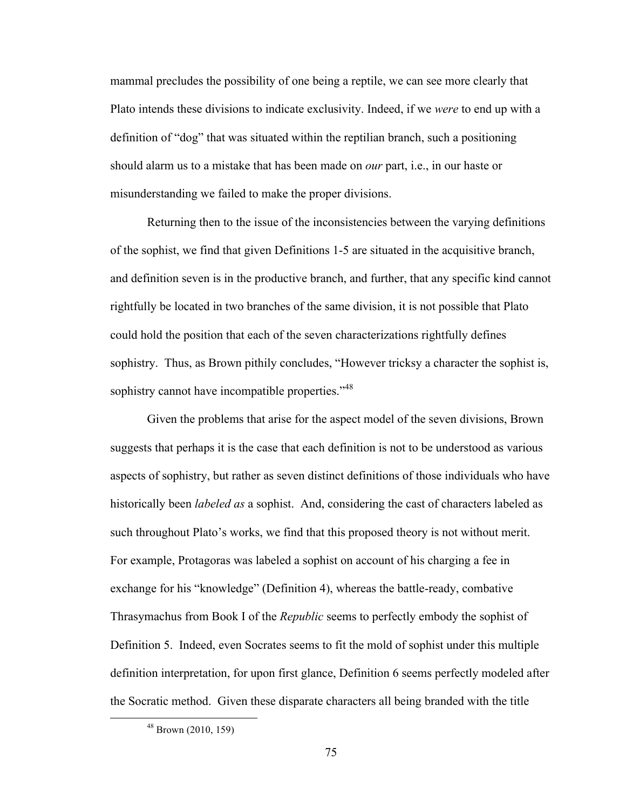mammal precludes the possibility of one being a reptile, we can see more clearly that Plato intends these divisions to indicate exclusivity. Indeed, if we *were* to end up with a definition of "dog" that was situated within the reptilian branch, such a positioning should alarm us to a mistake that has been made on *our* part, i.e., in our haste or misunderstanding we failed to make the proper divisions.

Returning then to the issue of the inconsistencies between the varying definitions of the sophist, we find that given Definitions 1-5 are situated in the acquisitive branch, and definition seven is in the productive branch, and further, that any specific kind cannot rightfully be located in two branches of the same division, it is not possible that Plato could hold the position that each of the seven characterizations rightfully defines sophistry. Thus, as Brown pithily concludes, "However tricksy a character the sophist is, sophistry cannot have incompatible properties."<sup>48</sup>

Given the problems that arise for the aspect model of the seven divisions, Brown suggests that perhaps it is the case that each definition is not to be understood as various aspects of sophistry, but rather as seven distinct definitions of those individuals who have historically been *labeled as* a sophist. And, considering the cast of characters labeled as such throughout Plato's works, we find that this proposed theory is not without merit. For example, Protagoras was labeled a sophist on account of his charging a fee in exchange for his "knowledge" (Definition 4), whereas the battle-ready, combative Thrasymachus from Book I of the *Republic* seems to perfectly embody the sophist of Definition 5. Indeed, even Socrates seems to fit the mold of sophist under this multiple definition interpretation, for upon first glance, Definition 6 seems perfectly modeled after the Socratic method. Given these disparate characters all being branded with the title

 <sup>48</sup> Brown (2010, 159)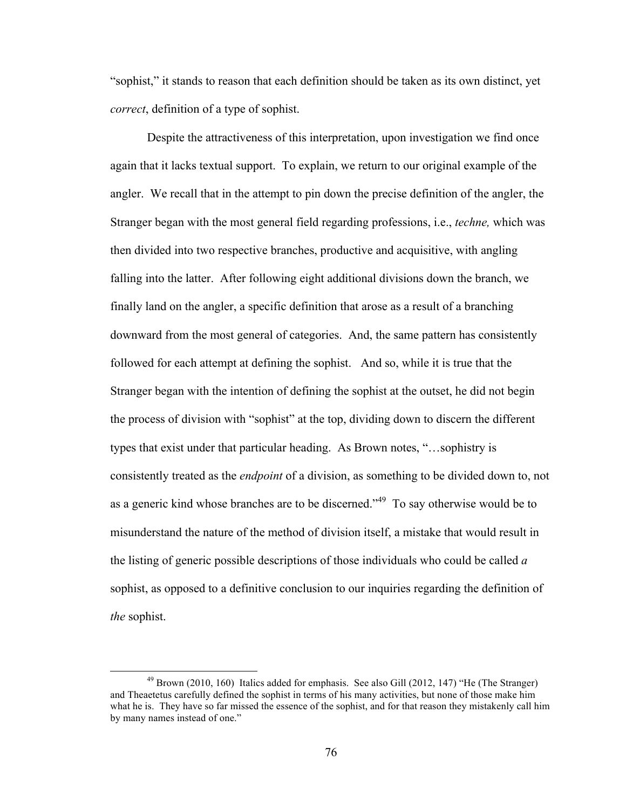"sophist," it stands to reason that each definition should be taken as its own distinct, yet *correct*, definition of a type of sophist.

Despite the attractiveness of this interpretation, upon investigation we find once again that it lacks textual support. To explain, we return to our original example of the angler. We recall that in the attempt to pin down the precise definition of the angler, the Stranger began with the most general field regarding professions, i.e., *techne,* which was then divided into two respective branches, productive and acquisitive, with angling falling into the latter. After following eight additional divisions down the branch, we finally land on the angler, a specific definition that arose as a result of a branching downward from the most general of categories. And, the same pattern has consistently followed for each attempt at defining the sophist. And so, while it is true that the Stranger began with the intention of defining the sophist at the outset, he did not begin the process of division with "sophist" at the top, dividing down to discern the different types that exist under that particular heading. As Brown notes, "…sophistry is consistently treated as the *endpoint* of a division, as something to be divided down to, not as a generic kind whose branches are to be discerned."49 To say otherwise would be to misunderstand the nature of the method of division itself, a mistake that would result in the listing of generic possible descriptions of those individuals who could be called *a* sophist, as opposed to a definitive conclusion to our inquiries regarding the definition of *the* sophist.

<sup>&</sup>lt;sup>49</sup> Brown (2010, 160) Italics added for emphasis. See also Gill (2012, 147) "He (The Stranger) and Theaetetus carefully defined the sophist in terms of his many activities, but none of those make him what he is. They have so far missed the essence of the sophist, and for that reason they mistakenly call him by many names instead of one."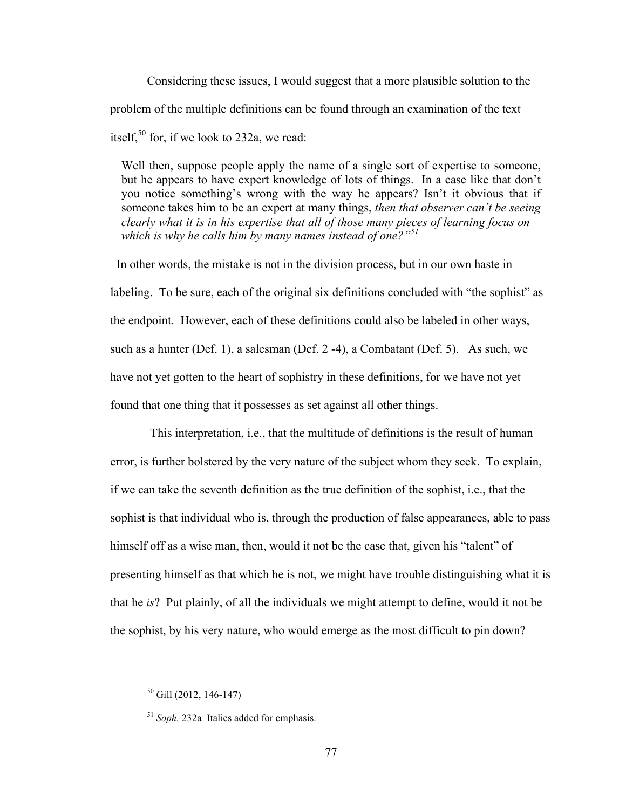Considering these issues, I would suggest that a more plausible solution to the problem of the multiple definitions can be found through an examination of the text itself,  $50$  for, if we look to 232a, we read:

Well then, suppose people apply the name of a single sort of expertise to someone, but he appears to have expert knowledge of lots of things. In a case like that don't you notice something's wrong with the way he appears? Isn't it obvious that if someone takes him to be an expert at many things, *then that observer can't be seeing clearly what it is in his expertise that all of those many pieces of learning focus on which is why he calls him by many names instead of one?"<sup>51</sup>*

In other words, the mistake is not in the division process, but in our own haste in labeling. To be sure, each of the original six definitions concluded with "the sophist" as the endpoint. However, each of these definitions could also be labeled in other ways, such as a hunter (Def. 1), a salesman (Def. 2 -4), a Combatant (Def. 5). As such, we have not yet gotten to the heart of sophistry in these definitions, for we have not yet found that one thing that it possesses as set against all other things.

This interpretation, i.e., that the multitude of definitions is the result of human error, is further bolstered by the very nature of the subject whom they seek. To explain, if we can take the seventh definition as the true definition of the sophist, i.e., that the sophist is that individual who is, through the production of false appearances, able to pass himself off as a wise man, then, would it not be the case that, given his "talent" of presenting himself as that which he is not, we might have trouble distinguishing what it is that he *is*? Put plainly, of all the individuals we might attempt to define, would it not be the sophist, by his very nature, who would emerge as the most difficult to pin down?

 $50$  Gill (2012, 146-147)

<sup>51</sup> *Soph.* 232a Italics added for emphasis.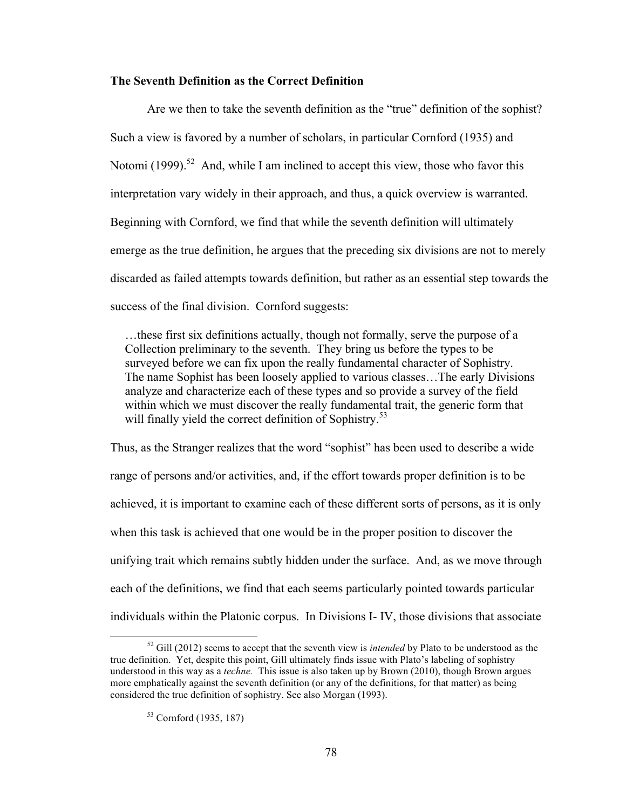## **The Seventh Definition as the Correct Definition**

Are we then to take the seventh definition as the "true" definition of the sophist? Such a view is favored by a number of scholars, in particular Cornford (1935) and Notomi (1999).<sup>52</sup> And, while I am inclined to accept this view, those who favor this interpretation vary widely in their approach, and thus, a quick overview is warranted. Beginning with Cornford, we find that while the seventh definition will ultimately emerge as the true definition, he argues that the preceding six divisions are not to merely discarded as failed attempts towards definition, but rather as an essential step towards the success of the final division. Cornford suggests:

…these first six definitions actually, though not formally, serve the purpose of a Collection preliminary to the seventh. They bring us before the types to be surveyed before we can fix upon the really fundamental character of Sophistry. The name Sophist has been loosely applied to various classes…The early Divisions analyze and characterize each of these types and so provide a survey of the field within which we must discover the really fundamental trait, the generic form that will finally yield the correct definition of Sophistry.<sup>53</sup>

Thus, as the Stranger realizes that the word "sophist" has been used to describe a wide range of persons and/or activities, and, if the effort towards proper definition is to be achieved, it is important to examine each of these different sorts of persons, as it is only when this task is achieved that one would be in the proper position to discover the unifying trait which remains subtly hidden under the surface. And, as we move through each of the definitions, we find that each seems particularly pointed towards particular individuals within the Platonic corpus. In Divisions I- IV, those divisions that associate

 <sup>52</sup> Gill (2012) seems to accept that the seventh view is *intended* by Plato to be understood as the true definition. Yet, despite this point, Gill ultimately finds issue with Plato's labeling of sophistry understood in this way as a *techne.* This issue is also taken up by Brown (2010), though Brown argues more emphatically against the seventh definition (or any of the definitions, for that matter) as being considered the true definition of sophistry. See also Morgan (1993).

<sup>53</sup> Cornford (1935, 187)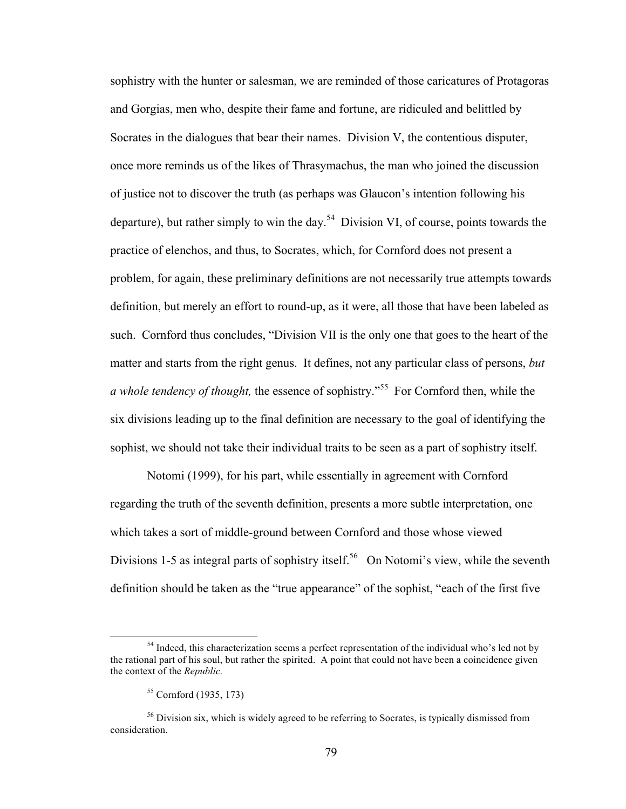sophistry with the hunter or salesman, we are reminded of those caricatures of Protagoras and Gorgias, men who, despite their fame and fortune, are ridiculed and belittled by Socrates in the dialogues that bear their names. Division V, the contentious disputer, once more reminds us of the likes of Thrasymachus, the man who joined the discussion of justice not to discover the truth (as perhaps was Glaucon's intention following his departure), but rather simply to win the day.<sup>54</sup> Division VI, of course, points towards the practice of elenchos, and thus, to Socrates, which, for Cornford does not present a problem, for again, these preliminary definitions are not necessarily true attempts towards definition, but merely an effort to round-up, as it were, all those that have been labeled as such. Cornford thus concludes, "Division VII is the only one that goes to the heart of the matter and starts from the right genus. It defines, not any particular class of persons, *but a whole tendency of thought,* the essence of sophistry."<sup>55</sup> For Cornford then, while the six divisions leading up to the final definition are necessary to the goal of identifying the sophist, we should not take their individual traits to be seen as a part of sophistry itself.

Notomi (1999), for his part, while essentially in agreement with Cornford regarding the truth of the seventh definition, presents a more subtle interpretation, one which takes a sort of middle-ground between Cornford and those whose viewed Divisions 1-5 as integral parts of sophistry itself.<sup>56</sup> On Notomi's view, while the seventh definition should be taken as the "true appearance" of the sophist, "each of the first five

<sup>&</sup>lt;sup>54</sup> Indeed, this characterization seems a perfect representation of the individual who's led not by the rational part of his soul, but rather the spirited. A point that could not have been a coincidence given the context of the *Republic.*

<sup>55</sup> Cornford (1935, 173)

<sup>&</sup>lt;sup>56</sup> Division six, which is widely agreed to be referring to Socrates, is typically dismissed from consideration.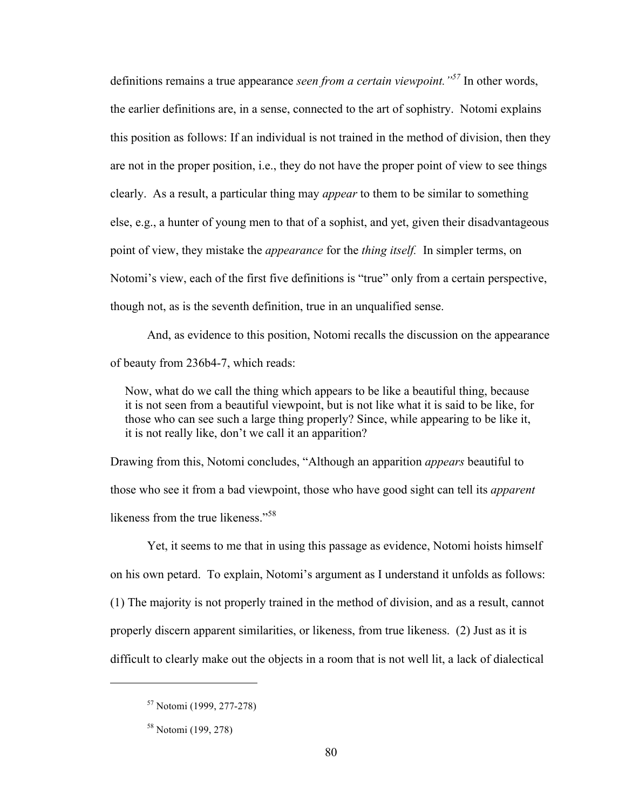definitions remains a true appearance *seen from a certain viewpoint."57* In other words, the earlier definitions are, in a sense, connected to the art of sophistry. Notomi explains this position as follows: If an individual is not trained in the method of division, then they are not in the proper position, i.e., they do not have the proper point of view to see things clearly. As a result, a particular thing may *appear* to them to be similar to something else, e.g., a hunter of young men to that of a sophist, and yet, given their disadvantageous point of view, they mistake the *appearance* for the *thing itself.* In simpler terms, on Notomi's view, each of the first five definitions is "true" only from a certain perspective, though not, as is the seventh definition, true in an unqualified sense.

And, as evidence to this position, Notomi recalls the discussion on the appearance of beauty from 236b4-7, which reads:

Now, what do we call the thing which appears to be like a beautiful thing, because it is not seen from a beautiful viewpoint, but is not like what it is said to be like, for those who can see such a large thing properly? Since, while appearing to be like it, it is not really like, don't we call it an apparition?

Drawing from this, Notomi concludes, "Although an apparition *appears* beautiful to those who see it from a bad viewpoint, those who have good sight can tell its *apparent*  likeness from the true likeness<sup>"58</sup>

Yet, it seems to me that in using this passage as evidence, Notomi hoists himself on his own petard. To explain, Notomi's argument as I understand it unfolds as follows: (1) The majority is not properly trained in the method of division, and as a result, cannot properly discern apparent similarities, or likeness, from true likeness. (2) Just as it is difficult to clearly make out the objects in a room that is not well lit, a lack of dialectical

<sup>57</sup> Notomi (1999, 277-278)

<sup>58</sup> Notomi (199, 278)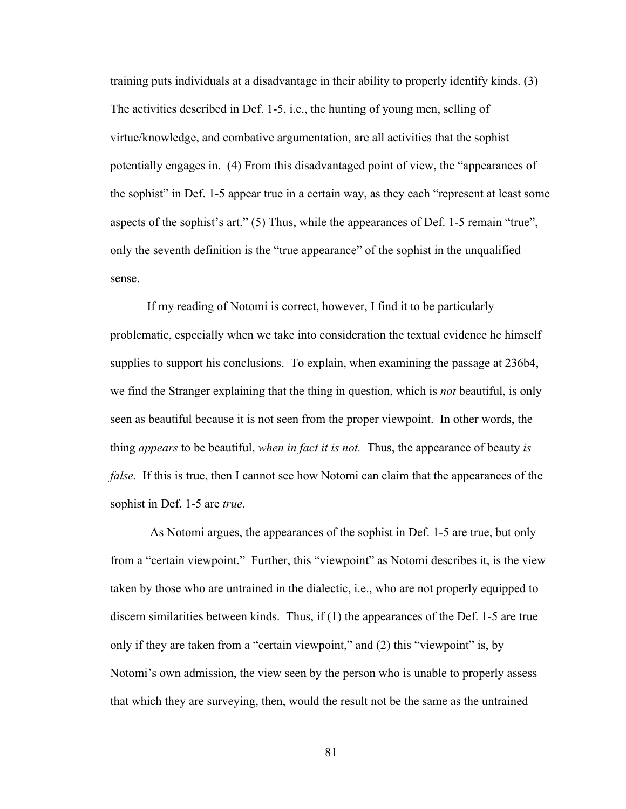training puts individuals at a disadvantage in their ability to properly identify kinds. (3) The activities described in Def. 1-5, i.e., the hunting of young men, selling of virtue/knowledge, and combative argumentation, are all activities that the sophist potentially engages in. (4) From this disadvantaged point of view, the "appearances of the sophist" in Def. 1-5 appear true in a certain way, as they each "represent at least some aspects of the sophist's art." (5) Thus, while the appearances of Def. 1-5 remain "true", only the seventh definition is the "true appearance" of the sophist in the unqualified sense.

If my reading of Notomi is correct, however, I find it to be particularly problematic, especially when we take into consideration the textual evidence he himself supplies to support his conclusions. To explain, when examining the passage at 236b4, we find the Stranger explaining that the thing in question, which is *not* beautiful, is only seen as beautiful because it is not seen from the proper viewpoint. In other words, the thing *appears* to be beautiful, *when in fact it is not.* Thus, the appearance of beauty *is false.* If this is true, then I cannot see how Notomi can claim that the appearances of the sophist in Def. 1-5 are *true.* 

As Notomi argues, the appearances of the sophist in Def. 1-5 are true, but only from a "certain viewpoint." Further, this "viewpoint" as Notomi describes it, is the view taken by those who are untrained in the dialectic, i.e., who are not properly equipped to discern similarities between kinds. Thus, if (1) the appearances of the Def. 1-5 are true only if they are taken from a "certain viewpoint," and (2) this "viewpoint" is, by Notomi's own admission, the view seen by the person who is unable to properly assess that which they are surveying, then, would the result not be the same as the untrained

81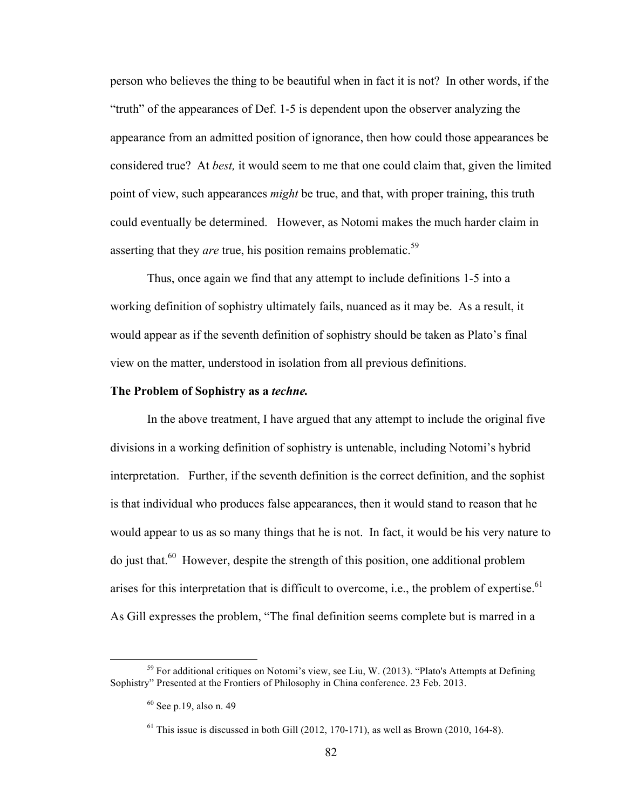person who believes the thing to be beautiful when in fact it is not? In other words, if the "truth" of the appearances of Def. 1-5 is dependent upon the observer analyzing the appearance from an admitted position of ignorance, then how could those appearances be considered true? At *best,* it would seem to me that one could claim that, given the limited point of view, such appearances *might* be true, and that, with proper training, this truth could eventually be determined. However, as Notomi makes the much harder claim in asserting that they *are* true, his position remains problematic.<sup>59</sup>

Thus, once again we find that any attempt to include definitions 1-5 into a working definition of sophistry ultimately fails, nuanced as it may be. As a result, it would appear as if the seventh definition of sophistry should be taken as Plato's final view on the matter, understood in isolation from all previous definitions.

# **The Problem of Sophistry as a** *techne.*

In the above treatment, I have argued that any attempt to include the original five divisions in a working definition of sophistry is untenable, including Notomi's hybrid interpretation. Further, if the seventh definition is the correct definition, and the sophist is that individual who produces false appearances, then it would stand to reason that he would appear to us as so many things that he is not. In fact, it would be his very nature to do just that.<sup>60</sup> However, despite the strength of this position, one additional problem arises for this interpretation that is difficult to overcome, i.e., the problem of expertise.<sup>61</sup> As Gill expresses the problem, "The final definition seems complete but is marred in a

 $59$  For additional critiques on Notomi's view, see Liu, W. (2013). "Plato's Attempts at Defining Sophistry" Presented at the Frontiers of Philosophy in China conference. 23 Feb. 2013.

 $60$  See p.19, also n. 49

 $61$ <sup>61</sup> This issue is discussed in both Gill (2012, 170-171), as well as Brown (2010, 164-8).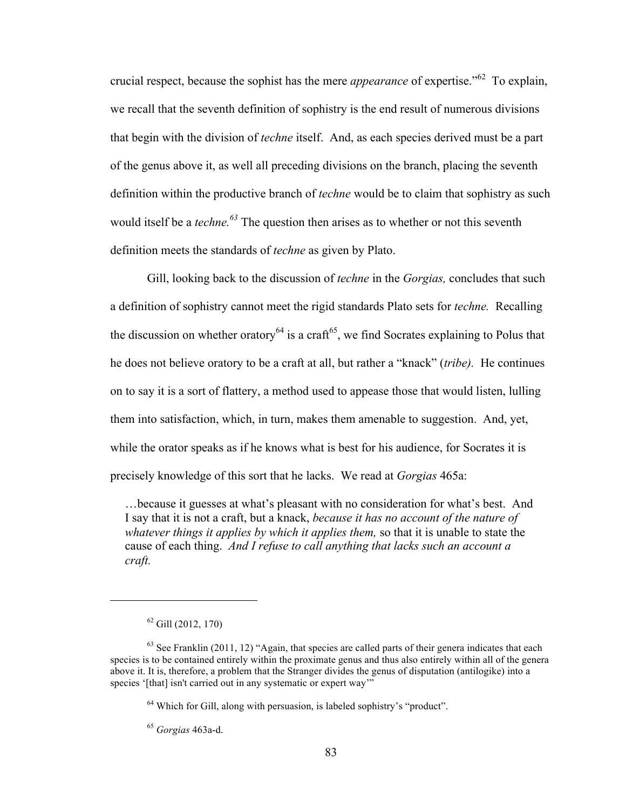crucial respect, because the sophist has the mere *appearance* of expertise."62 To explain, we recall that the seventh definition of sophistry is the end result of numerous divisions that begin with the division of *techne* itself. And, as each species derived must be a part of the genus above it, as well all preceding divisions on the branch, placing the seventh definition within the productive branch of *techne* would be to claim that sophistry as such would itself be a *techne*.<sup>63</sup> The question then arises as to whether or not this seventh definition meets the standards of *techne* as given by Plato.

Gill, looking back to the discussion of *techne* in the *Gorgias,* concludes that such a definition of sophistry cannot meet the rigid standards Plato sets for *techne.* Recalling the discussion on whether oratory<sup>64</sup> is a craft<sup>65</sup>, we find Socrates explaining to Polus that he does not believe oratory to be a craft at all, but rather a "knack" (*tribe).* He continues on to say it is a sort of flattery, a method used to appease those that would listen, lulling them into satisfaction, which, in turn, makes them amenable to suggestion. And, yet, while the orator speaks as if he knows what is best for his audience, for Socrates it is precisely knowledge of this sort that he lacks. We read at *Gorgias* 465a:

…because it guesses at what's pleasant with no consideration for what's best. And I say that it is not a craft, but a knack, *because it has no account of the nature of whatever things it applies by which it applies them,* so that it is unable to state the cause of each thing. *And I refuse to call anything that lacks such an account a craft.*

 $\overline{a}$ 

 $64$  Which for Gill, along with persuasion, is labeled sophistry's "product".

<sup>65</sup> *Gorgias* 463a-d.

 $62$  Gill (2012, 170)

 $63$  See Franklin (2011, 12) "Again, that species are called parts of their genera indicates that each species is to be contained entirely within the proximate genus and thus also entirely within all of the genera above it. It is, therefore, a problem that the Stranger divides the genus of disputation (antilogike) into a species '[that] isn't carried out in any systematic or expert way"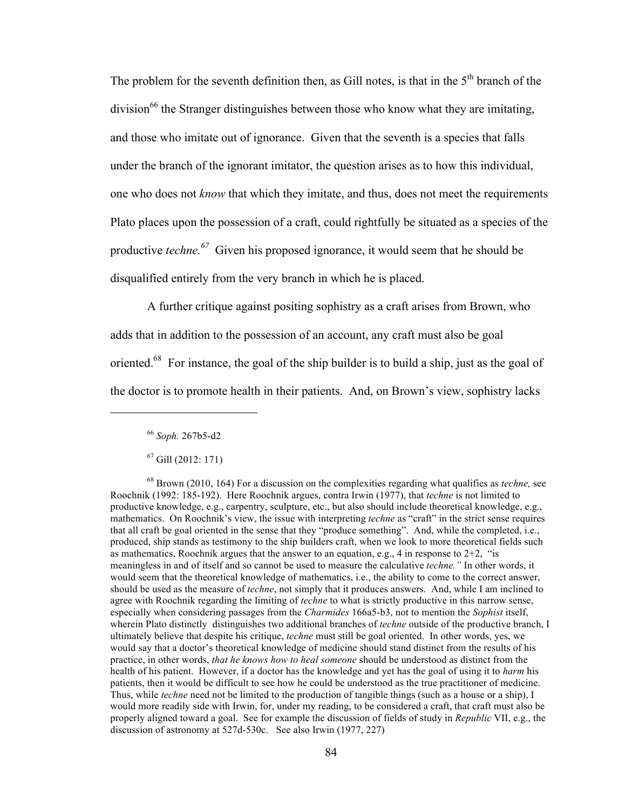The problem for the seventh definition then, as Gill notes, is that in the  $5<sup>th</sup>$  branch of the  $division<sup>66</sup>$  the Stranger distinguishes between those who know what they are imitating, and those who imitate out of ignorance. Given that the seventh is a species that falls under the branch of the ignorant imitator, the question arises as to how this individual, one who does not *know* that which they imitate, and thus, does not meet the requirements Plato places upon the possession of a craft, could rightfully be situated as a species of the productive *techne.67* Given his proposed ignorance, it would seem that he should be disqualified entirely from the very branch in which he is placed.

A further critique against positing sophistry as a craft arises from Brown, who adds that in addition to the possession of an account, any craft must also be goal oriented.<sup>68</sup> For instance, the goal of the ship builder is to build a ship, just as the goal of the doctor is to promote health in their patients. And, on Brown's view, sophistry lacks

<sup>66</sup> *Soph.* 267b5-d2

<sup>67</sup> Gill (2012: 171)

<sup>68</sup> Brown (2010, 164) For a discussion on the complexities regarding what qualifies as *techne,* see Roochnik (1992: 185-192). Here Roochnik argues, contra Irwin (1977), that *techne* is not limited to productive knowledge, e.g., carpentry, sculpture, etc., but also should include theoretical knowledge, e.g., mathematics. On Roochnik's view, the issue with interpreting *techne* as "craft" in the strict sense requires that all craft be goal oriented in the sense that they "produce something". And, while the completed, i.e., produced, ship stands as testimony to the ship builders craft, when we look to more theoretical fields such as mathematics, Roochnik argues that the answer to an equation, e.g., 4 in response to  $2+2$ , "is meaningless in and of itself and so cannot be used to measure the calculative *techne."* In other words, it would seem that the theoretical knowledge of mathematics, i.e., the ability to come to the correct answer, should be used as the measure of *techne*, not simply that it produces answers. And, while I am inclined to agree with Roochnik regarding the limiting of *techne* to what is strictly productive in this narrow sense, especially when considering passages from the *Charmides* 166a5-b3, not to mention the *Sophist* itself, wherein Plato distinctly distinguishes two additional branches of *techne* outside of the productive branch, I ultimately believe that despite his critique, *techne* must still be goal oriented. In other words, yes, we would say that a doctor's theoretical knowledge of medicine should stand distinct from the results of his practice, in other words, *that he knows how to heal someone* should be understood as distinct from the health of his patient. However, if a doctor has the knowledge and yet has the goal of using it to *harm* his patients, then it would be difficult to see how he could be understood as the true practitioner of medicine. Thus, while *techne* need not be limited to the production of tangible things (such as a house or a ship), I would more readily side with Irwin, for, under my reading, to be considered a craft, that craft must also be properly aligned toward a goal. See for example the discussion of fields of study in *Republic* VII, e.g., the discussion of astronomy at 527d-530c. See also Irwin (1977, 227)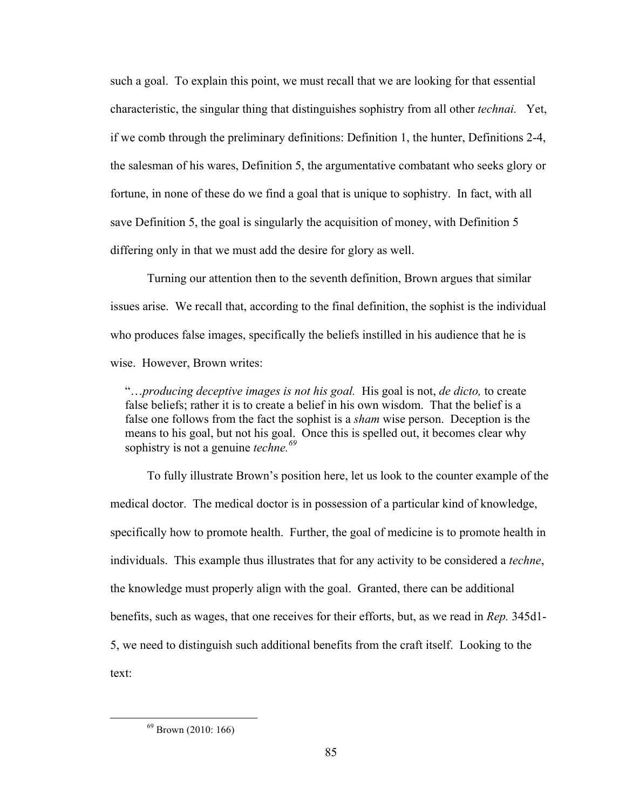such a goal. To explain this point, we must recall that we are looking for that essential characteristic, the singular thing that distinguishes sophistry from all other *technai.* Yet, if we comb through the preliminary definitions: Definition 1, the hunter, Definitions 2-4, the salesman of his wares, Definition 5, the argumentative combatant who seeks glory or fortune, in none of these do we find a goal that is unique to sophistry. In fact, with all save Definition 5, the goal is singularly the acquisition of money, with Definition 5 differing only in that we must add the desire for glory as well.

Turning our attention then to the seventh definition, Brown argues that similar issues arise. We recall that, according to the final definition, the sophist is the individual who produces false images, specifically the beliefs instilled in his audience that he is wise. However, Brown writes:

"…*producing deceptive images is not his goal.* His goal is not, *de dicto,* to create false beliefs; rather it is to create a belief in his own wisdom. That the belief is a false one follows from the fact the sophist is a *sham* wise person. Deception is the means to his goal, but not his goal. Once this is spelled out, it becomes clear why sophistry is not a genuine *techne.<sup>69</sup>*

To fully illustrate Brown's position here, let us look to the counter example of the medical doctor. The medical doctor is in possession of a particular kind of knowledge, specifically how to promote health. Further, the goal of medicine is to promote health in individuals. This example thus illustrates that for any activity to be considered a *techne*, the knowledge must properly align with the goal. Granted, there can be additional benefits, such as wages, that one receives for their efforts, but, as we read in *Rep.* 345d1- 5, we need to distinguish such additional benefits from the craft itself. Looking to the text:

 $69$  Brown (2010: 166)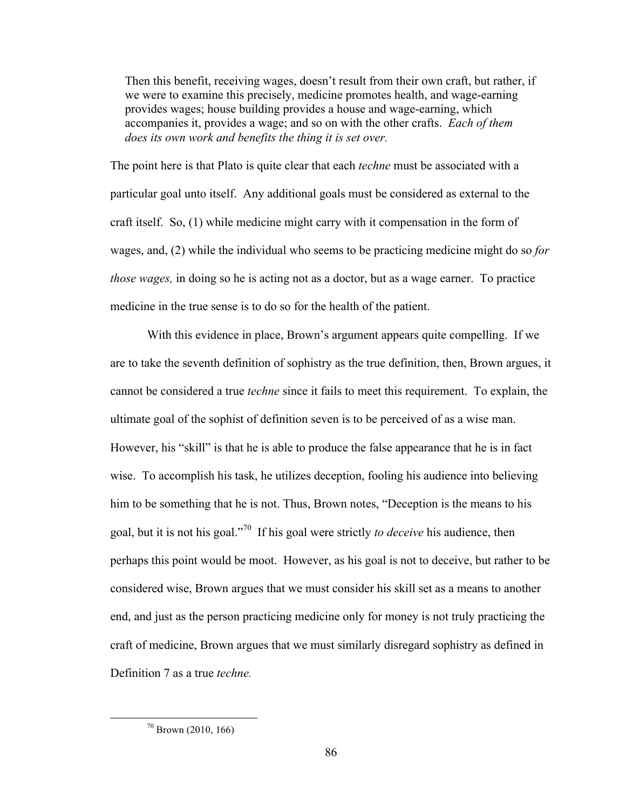Then this benefit, receiving wages, doesn't result from their own craft, but rather, if we were to examine this precisely, medicine promotes health, and wage-earning provides wages; house building provides a house and wage-earning, which accompanies it, provides a wage; and so on with the other crafts. *Each of them does its own work and benefits the thing it is set over.*

The point here is that Plato is quite clear that each *techne* must be associated with a particular goal unto itself. Any additional goals must be considered as external to the craft itself. So, (1) while medicine might carry with it compensation in the form of wages, and, (2) while the individual who seems to be practicing medicine might do so *for those wages,* in doing so he is acting not as a doctor, but as a wage earner. To practice medicine in the true sense is to do so for the health of the patient.

With this evidence in place, Brown's argument appears quite compelling. If we are to take the seventh definition of sophistry as the true definition, then, Brown argues, it cannot be considered a true *techne* since it fails to meet this requirement. To explain, the ultimate goal of the sophist of definition seven is to be perceived of as a wise man. However, his "skill" is that he is able to produce the false appearance that he is in fact wise. To accomplish his task, he utilizes deception, fooling his audience into believing him to be something that he is not. Thus, Brown notes, "Deception is the means to his goal, but it is not his goal."70 If his goal were strictly *to deceive* his audience, then perhaps this point would be moot. However, as his goal is not to deceive, but rather to be considered wise, Brown argues that we must consider his skill set as a means to another end, and just as the person practicing medicine only for money is not truly practicing the craft of medicine, Brown argues that we must similarly disregard sophistry as defined in Definition 7 as a true *techne.* 

 $70$  Brown (2010, 166)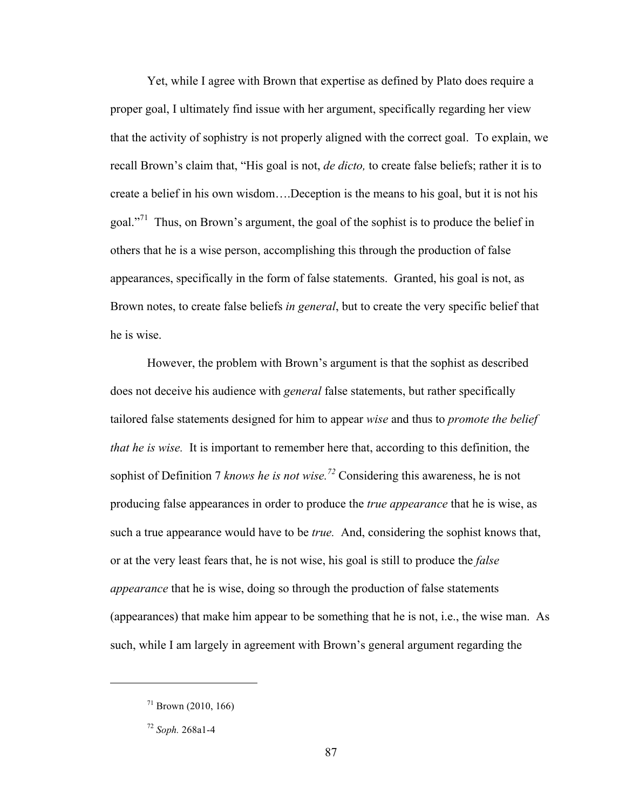Yet, while I agree with Brown that expertise as defined by Plato does require a proper goal, I ultimately find issue with her argument, specifically regarding her view that the activity of sophistry is not properly aligned with the correct goal. To explain, we recall Brown's claim that, "His goal is not, *de dicto,* to create false beliefs; rather it is to create a belief in his own wisdom….Deception is the means to his goal, but it is not his goal."<sup>71</sup> Thus, on Brown's argument, the goal of the sophist is to produce the belief in others that he is a wise person, accomplishing this through the production of false appearances, specifically in the form of false statements. Granted, his goal is not, as Brown notes, to create false beliefs *in general*, but to create the very specific belief that he is wise.

However, the problem with Brown's argument is that the sophist as described does not deceive his audience with *general* false statements, but rather specifically tailored false statements designed for him to appear *wise* and thus to *promote the belief that he is wise.* It is important to remember here that, according to this definition, the sophist of Definition 7 *knows he is not wise.<sup>72</sup>* Considering this awareness, he is not producing false appearances in order to produce the *true appearance* that he is wise, as such a true appearance would have to be *true.* And, considering the sophist knows that, or at the very least fears that, he is not wise, his goal is still to produce the *false appearance* that he is wise, doing so through the production of false statements (appearances) that make him appear to be something that he is not, i.e., the wise man. As such, while I am largely in agreement with Brown's general argument regarding the

 $71$  Brown (2010, 166)

<sup>72</sup> *Soph.* 268a1-4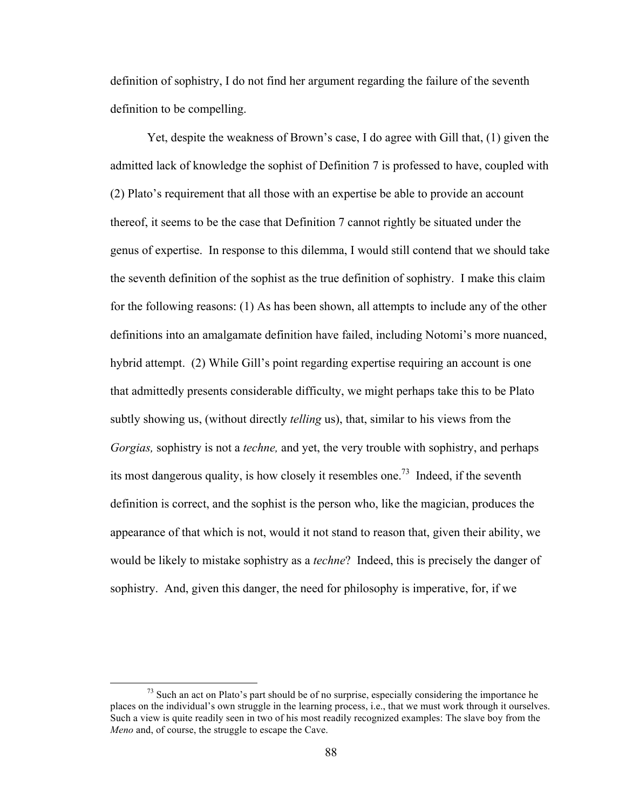definition of sophistry, I do not find her argument regarding the failure of the seventh definition to be compelling.

Yet, despite the weakness of Brown's case, I do agree with Gill that, (1) given the admitted lack of knowledge the sophist of Definition 7 is professed to have, coupled with (2) Plato's requirement that all those with an expertise be able to provide an account thereof, it seems to be the case that Definition 7 cannot rightly be situated under the genus of expertise. In response to this dilemma, I would still contend that we should take the seventh definition of the sophist as the true definition of sophistry. I make this claim for the following reasons: (1) As has been shown, all attempts to include any of the other definitions into an amalgamate definition have failed, including Notomi's more nuanced, hybrid attempt. (2) While Gill's point regarding expertise requiring an account is one that admittedly presents considerable difficulty, we might perhaps take this to be Plato subtly showing us, (without directly *telling* us), that, similar to his views from the *Gorgias,* sophistry is not a *techne,* and yet, the very trouble with sophistry, and perhaps its most dangerous quality, is how closely it resembles one.<sup>73</sup> Indeed, if the seventh definition is correct, and the sophist is the person who, like the magician, produces the appearance of that which is not, would it not stand to reason that, given their ability, we would be likely to mistake sophistry as a *techne*? Indeed, this is precisely the danger of sophistry. And, given this danger, the need for philosophy is imperative, for, if we

 $^{73}$  Such an act on Plato's part should be of no surprise, especially considering the importance he places on the individual's own struggle in the learning process, i.e., that we must work through it ourselves. Such a view is quite readily seen in two of his most readily recognized examples: The slave boy from the *Meno* and, of course, the struggle to escape the Cave.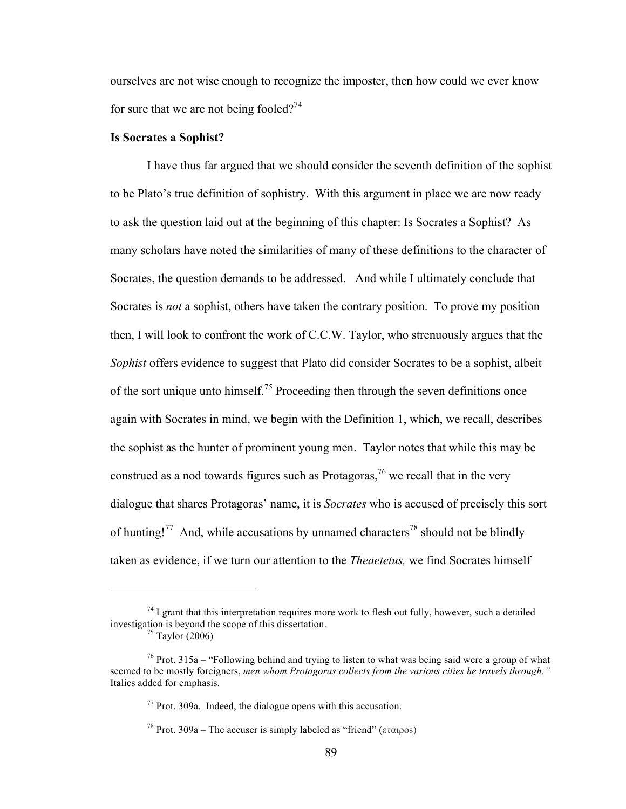ourselves are not wise enough to recognize the imposter, then how could we ever know for sure that we are not being fooled?<sup>74</sup>

## **Is Socrates a Sophist?**

I have thus far argued that we should consider the seventh definition of the sophist to be Plato's true definition of sophistry. With this argument in place we are now ready to ask the question laid out at the beginning of this chapter: Is Socrates a Sophist? As many scholars have noted the similarities of many of these definitions to the character of Socrates, the question demands to be addressed. And while I ultimately conclude that Socrates is *not* a sophist, others have taken the contrary position. To prove my position then, I will look to confront the work of C.C.W. Taylor, who strenuously argues that the *Sophist* offers evidence to suggest that Plato did consider Socrates to be a sophist, albeit of the sort unique unto himself.<sup>75</sup> Proceeding then through the seven definitions once again with Socrates in mind, we begin with the Definition 1, which, we recall, describes the sophist as the hunter of prominent young men. Taylor notes that while this may be construed as a nod towards figures such as Protagoras,<sup>76</sup> we recall that in the very dialogue that shares Protagoras' name, it is *Socrates* who is accused of precisely this sort of hunting!<sup>77</sup> And, while accusations by unnamed characters<sup>78</sup> should not be blindly taken as evidence, if we turn our attention to the *Theaetetus,* we find Socrates himself

 $^{74}$  I grant that this interpretation requires more work to flesh out fully, however, such a detailed investigation is beyond the scope of this dissertation.<br>  $^{75}$  Taylor (2006)

<sup>&</sup>lt;sup>76</sup> Prot. 315a – "Following behind and trying to listen to what was being said were a group of what seemed to be mostly foreigners, *men whom Protagoras collects from the various cities he travels through."*  Italics added for emphasis.

 $77$  Prot. 309a. Indeed, the dialogue opens with this accusation.

<sup>&</sup>lt;sup>78</sup> Prot. 309a – The accuser is simply labeled as "friend" (εταιροs)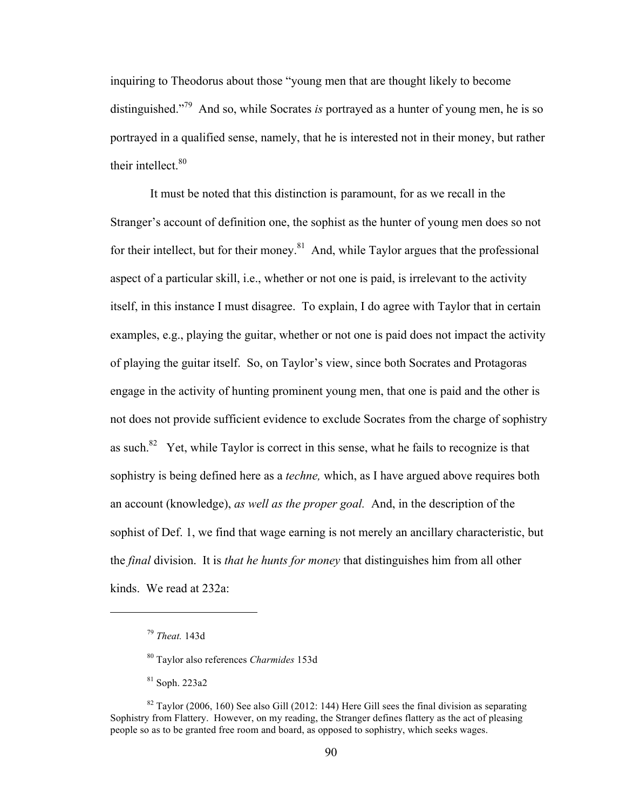inquiring to Theodorus about those "young men that are thought likely to become distinguished."79 And so, while Socrates *is* portrayed as a hunter of young men, he is so portrayed in a qualified sense, namely, that he is interested not in their money, but rather their intellect. $80$ 

It must be noted that this distinction is paramount, for as we recall in the Stranger's account of definition one, the sophist as the hunter of young men does so not for their intellect, but for their money.<sup>81</sup> And, while Taylor argues that the professional aspect of a particular skill, i.e., whether or not one is paid, is irrelevant to the activity itself, in this instance I must disagree. To explain, I do agree with Taylor that in certain examples, e.g., playing the guitar, whether or not one is paid does not impact the activity of playing the guitar itself. So, on Taylor's view, since both Socrates and Protagoras engage in the activity of hunting prominent young men, that one is paid and the other is not does not provide sufficient evidence to exclude Socrates from the charge of sophistry as such.<sup>82</sup> Yet, while Taylor is correct in this sense, what he fails to recognize is that sophistry is being defined here as a *techne,* which, as I have argued above requires both an account (knowledge), *as well as the proper goal.* And, in the description of the sophist of Def. 1, we find that wage earning is not merely an ancillary characteristic, but the *final* division. It is *that he hunts for money* that distinguishes him from all other kinds. We read at 232a:

<sup>79</sup> *Theat.* 143d

<sup>80</sup> Taylor also references *Charmides* 153d

<sup>81</sup> Soph. 223a2

 $82$  Taylor (2006, 160) See also Gill (2012: 144) Here Gill sees the final division as separating Sophistry from Flattery. However, on my reading, the Stranger defines flattery as the act of pleasing people so as to be granted free room and board, as opposed to sophistry, which seeks wages.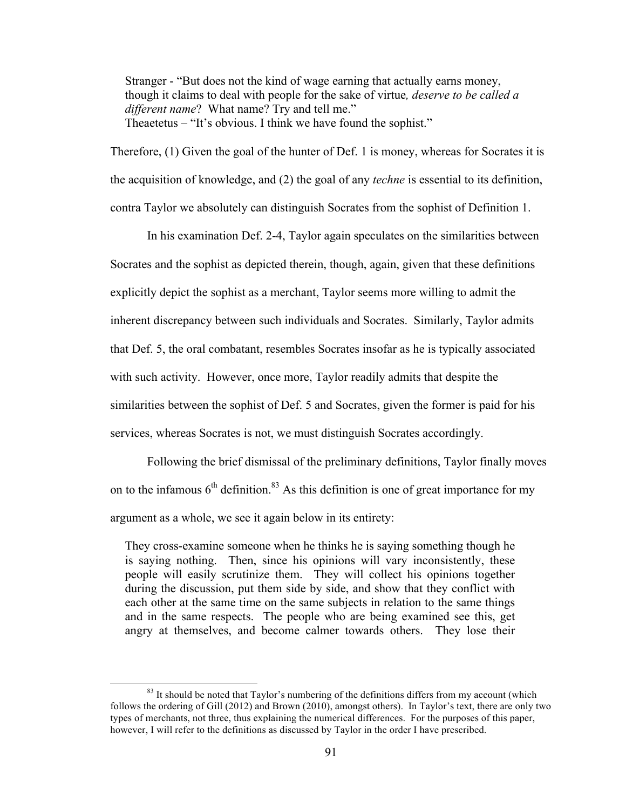Stranger - "But does not the kind of wage earning that actually earns money, though it claims to deal with people for the sake of virtue*, deserve to be called a different name*? What name? Try and tell me." Theaetetus – "It's obvious. I think we have found the sophist."

Therefore, (1) Given the goal of the hunter of Def. 1 is money, whereas for Socrates it is the acquisition of knowledge, and (2) the goal of any *techne* is essential to its definition, contra Taylor we absolutely can distinguish Socrates from the sophist of Definition 1.

In his examination Def. 2-4, Taylor again speculates on the similarities between Socrates and the sophist as depicted therein, though, again, given that these definitions explicitly depict the sophist as a merchant, Taylor seems more willing to admit the inherent discrepancy between such individuals and Socrates. Similarly, Taylor admits that Def. 5, the oral combatant, resembles Socrates insofar as he is typically associated with such activity. However, once more, Taylor readily admits that despite the similarities between the sophist of Def. 5 and Socrates, given the former is paid for his services, whereas Socrates is not, we must distinguish Socrates accordingly.

Following the brief dismissal of the preliminary definitions, Taylor finally moves on to the infamous  $6<sup>th</sup>$  definition.<sup>83</sup> As this definition is one of great importance for my argument as a whole, we see it again below in its entirety:

They cross-examine someone when he thinks he is saying something though he is saying nothing. Then, since his opinions will vary inconsistently, these people will easily scrutinize them. They will collect his opinions together during the discussion, put them side by side, and show that they conflict with each other at the same time on the same subjects in relation to the same things and in the same respects. The people who are being examined see this, get angry at themselves, and become calmer towards others. They lose their

 $83$  It should be noted that Taylor's numbering of the definitions differs from my account (which follows the ordering of Gill (2012) and Brown (2010), amongst others). In Taylor's text, there are only two types of merchants, not three, thus explaining the numerical differences. For the purposes of this paper, however, I will refer to the definitions as discussed by Taylor in the order I have prescribed.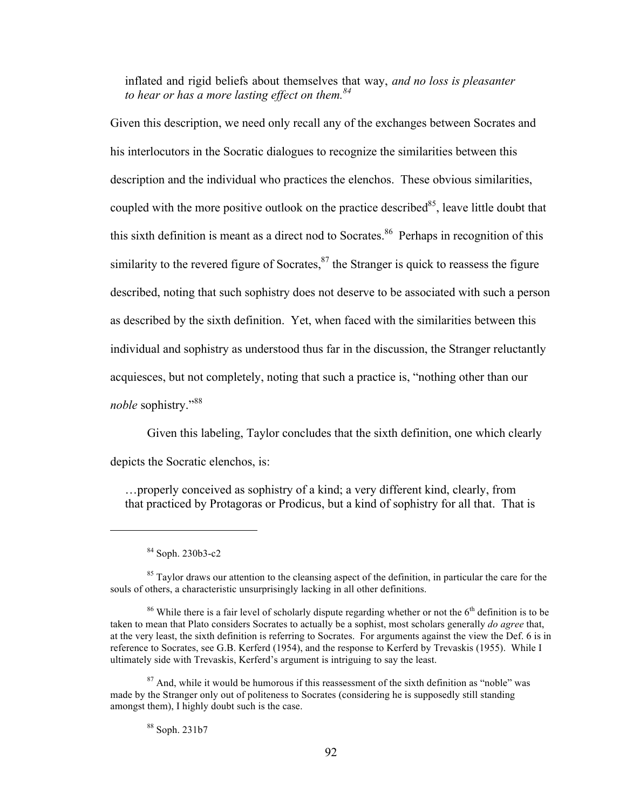inflated and rigid beliefs about themselves that way, *and no loss is pleasanter to hear or has a more lasting effect on them.<sup>84</sup>*

Given this description, we need only recall any of the exchanges between Socrates and his interlocutors in the Socratic dialogues to recognize the similarities between this description and the individual who practices the elenchos. These obvious similarities, coupled with the more positive outlook on the practice described  $85$ , leave little doubt that this sixth definition is meant as a direct nod to Socrates.<sup>86</sup> Perhaps in recognition of this similarity to the revered figure of Socrates, $87$  the Stranger is quick to reassess the figure described, noting that such sophistry does not deserve to be associated with such a person as described by the sixth definition. Yet, when faced with the similarities between this individual and sophistry as understood thus far in the discussion, the Stranger reluctantly acquiesces, but not completely, noting that such a practice is, "nothing other than our *noble* sophistry."<sup>88</sup>

Given this labeling, Taylor concludes that the sixth definition, one which clearly depicts the Socratic elenchos, is:

…properly conceived as sophistry of a kind; a very different kind, clearly, from that practiced by Protagoras or Prodicus, but a kind of sophistry for all that. That is

 $\overline{a}$ 

<sup>85</sup> Taylor draws our attention to the cleansing aspect of the definition, in particular the care for the souls of others, a characteristic unsurprisingly lacking in all other definitions.

 $87$  And, while it would be humorous if this reassessment of the sixth definition as "noble" was made by the Stranger only out of politeness to Socrates (considering he is supposedly still standing amongst them), I highly doubt such is the case.

<sup>88</sup> Soph. 231b7

<sup>84</sup> Soph. 230b3-c2

<sup>&</sup>lt;sup>86</sup> While there is a fair level of scholarly dispute regarding whether or not the  $6<sup>th</sup>$  definition is to be taken to mean that Plato considers Socrates to actually be a sophist, most scholars generally *do agree* that, at the very least, the sixth definition is referring to Socrates. For arguments against the view the Def. 6 is in reference to Socrates, see G.B. Kerferd (1954), and the response to Kerferd by Trevaskis (1955). While I ultimately side with Trevaskis, Kerferd's argument is intriguing to say the least.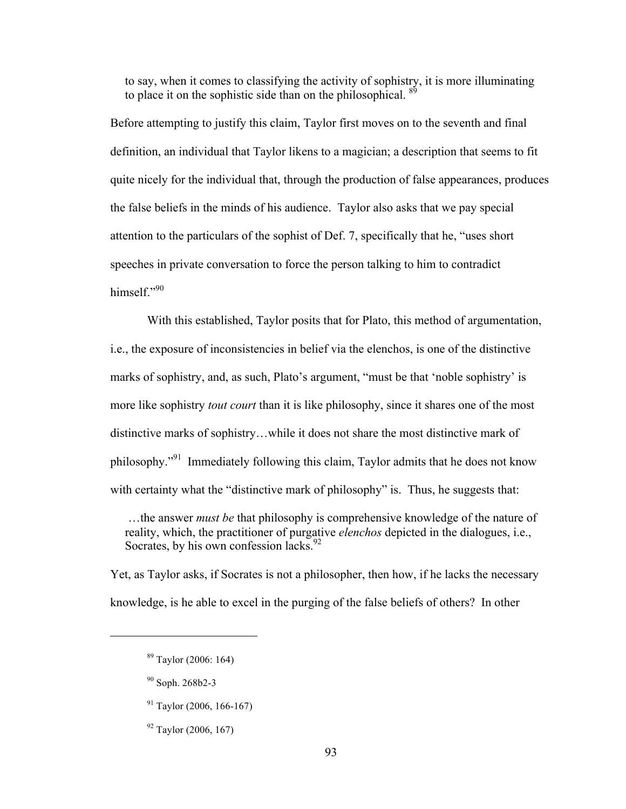to say, when it comes to classifying the activity of sophistry, it is more illuminating to place it on the sophistic side than on the philosophical.  $8$ 

Before attempting to justify this claim, Taylor first moves on to the seventh and final definition, an individual that Taylor likens to a magician; a description that seems to fit quite nicely for the individual that, through the production of false appearances, produces the false beliefs in the minds of his audience. Taylor also asks that we pay special attention to the particulars of the sophist of Def. 7, specifically that he, "uses short speeches in private conversation to force the person talking to him to contradict himself $"$ <sup>90</sup>

With this established, Taylor posits that for Plato, this method of argumentation, i.e., the exposure of inconsistencies in belief via the elenchos, is one of the distinctive marks of sophistry, and, as such, Plato's argument, "must be that 'noble sophistry' is more like sophistry *tout court* than it is like philosophy, since it shares one of the most distinctive marks of sophistry…while it does not share the most distinctive mark of philosophy."91 Immediately following this claim, Taylor admits that he does not know with certainty what the "distinctive mark of philosophy" is. Thus, he suggests that:

…the answer *must be* that philosophy is comprehensive knowledge of the nature of reality, which, the practitioner of purgative *elenchos* depicted in the dialogues, i.e., Socrates, by his own confession lacks.<sup>92</sup>

Yet, as Taylor asks, if Socrates is not a philosopher, then how, if he lacks the necessary knowledge, is he able to excel in the purging of the false beliefs of others? In other

 $90$  Soph. 268b2-3

- $91$  Taylor (2006, 166-167)
- $92$  Taylor (2006, 167)

 $89$  Taylor (2006: 164)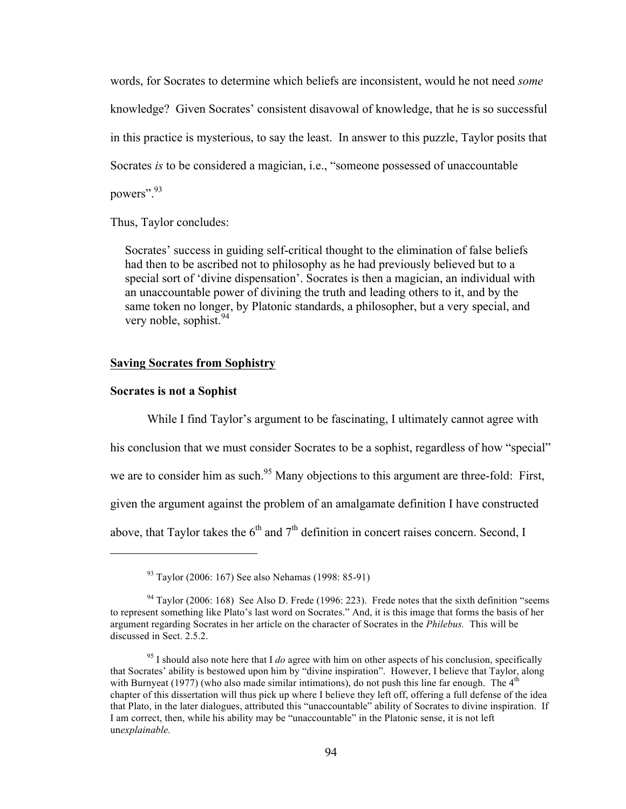words, for Socrates to determine which beliefs are inconsistent, would he not need *some*  knowledge? Given Socrates' consistent disavowal of knowledge, that he is so successful in this practice is mysterious, to say the least. In answer to this puzzle, Taylor posits that Socrates *is* to be considered a magician, i.e., "someone possessed of unaccountable powers".93

Thus, Taylor concludes:

Socrates' success in guiding self-critical thought to the elimination of false beliefs had then to be ascribed not to philosophy as he had previously believed but to a special sort of 'divine dispensation'. Socrates is then a magician, an individual with an unaccountable power of divining the truth and leading others to it, and by the same token no longer, by Platonic standards, a philosopher, but a very special, and very noble, sophist.<sup>94</sup>

## **Saving Socrates from Sophistry**

#### **Socrates is not a Sophist**

 $\overline{a}$ 

While I find Taylor's argument to be fascinating, I ultimately cannot agree with

his conclusion that we must consider Socrates to be a sophist, regardless of how "special"

we are to consider him as such.<sup>95</sup> Many objections to this argument are three-fold: First,

given the argument against the problem of an amalgamate definition I have constructed

above, that Taylor takes the  $6<sup>th</sup>$  and  $7<sup>th</sup>$  definition in concert raises concern. Second, I

<sup>93</sup> Taylor (2006: 167) See also Nehamas (1998: 85-91)

 $94$  Taylor (2006: 168) See Also D. Frede (1996: 223). Frede notes that the sixth definition "seems to represent something like Plato's last word on Socrates." And, it is this image that forms the basis of her argument regarding Socrates in her article on the character of Socrates in the *Philebus.* This will be discussed in Sect. 2.5.2.

<sup>&</sup>lt;sup>95</sup> I should also note here that I *do* agree with him on other aspects of his conclusion, specifically that Socrates' ability is bestowed upon him by "divine inspiration". However, I believe that Taylor, along with Burnyeat (1977) (who also made similar intimations), do not push this line far enough. The  $4<sup>th</sup>$ chapter of this dissertation will thus pick up where I believe they left off, offering a full defense of the idea that Plato, in the later dialogues, attributed this "unaccountable" ability of Socrates to divine inspiration. If I am correct, then, while his ability may be "unaccountable" in the Platonic sense, it is not left un*explainable.*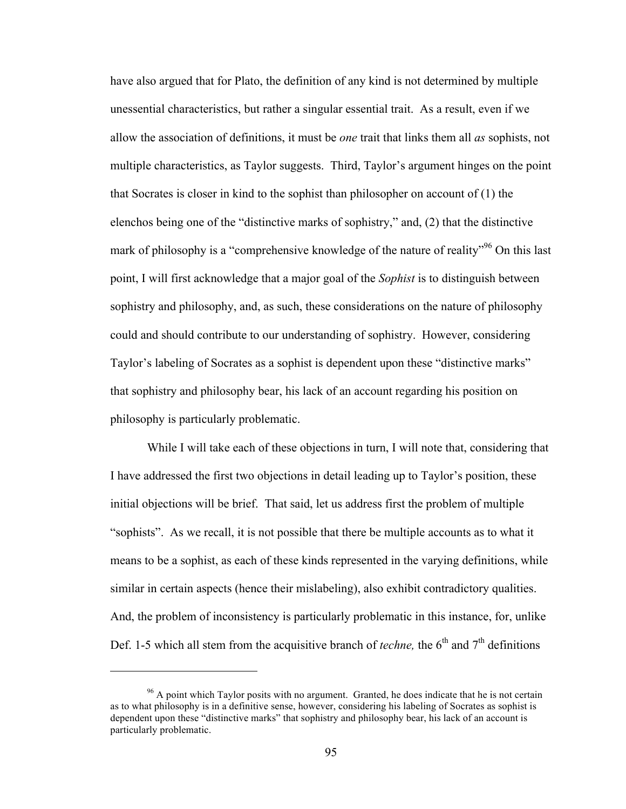have also argued that for Plato, the definition of any kind is not determined by multiple unessential characteristics, but rather a singular essential trait. As a result, even if we allow the association of definitions, it must be *one* trait that links them all *as* sophists, not multiple characteristics, as Taylor suggests. Third, Taylor's argument hinges on the point that Socrates is closer in kind to the sophist than philosopher on account of (1) the elenchos being one of the "distinctive marks of sophistry," and, (2) that the distinctive mark of philosophy is a "comprehensive knowledge of the nature of reality"<sup>96</sup> On this last point, I will first acknowledge that a major goal of the *Sophist* is to distinguish between sophistry and philosophy, and, as such, these considerations on the nature of philosophy could and should contribute to our understanding of sophistry. However, considering Taylor's labeling of Socrates as a sophist is dependent upon these "distinctive marks" that sophistry and philosophy bear, his lack of an account regarding his position on philosophy is particularly problematic.

While I will take each of these objections in turn, I will note that, considering that I have addressed the first two objections in detail leading up to Taylor's position, these initial objections will be brief. That said, let us address first the problem of multiple "sophists". As we recall, it is not possible that there be multiple accounts as to what it means to be a sophist, as each of these kinds represented in the varying definitions, while similar in certain aspects (hence their mislabeling), also exhibit contradictory qualities. And, the problem of inconsistency is particularly problematic in this instance, for, unlike Def. 1-5 which all stem from the acquisitive branch of *techne*, the  $6<sup>th</sup>$  and  $7<sup>th</sup>$  definitions

<sup>&</sup>lt;sup>96</sup> A point which Taylor posits with no argument. Granted, he does indicate that he is not certain as to what philosophy is in a definitive sense, however, considering his labeling of Socrates as sophist is dependent upon these "distinctive marks" that sophistry and philosophy bear, his lack of an account is particularly problematic.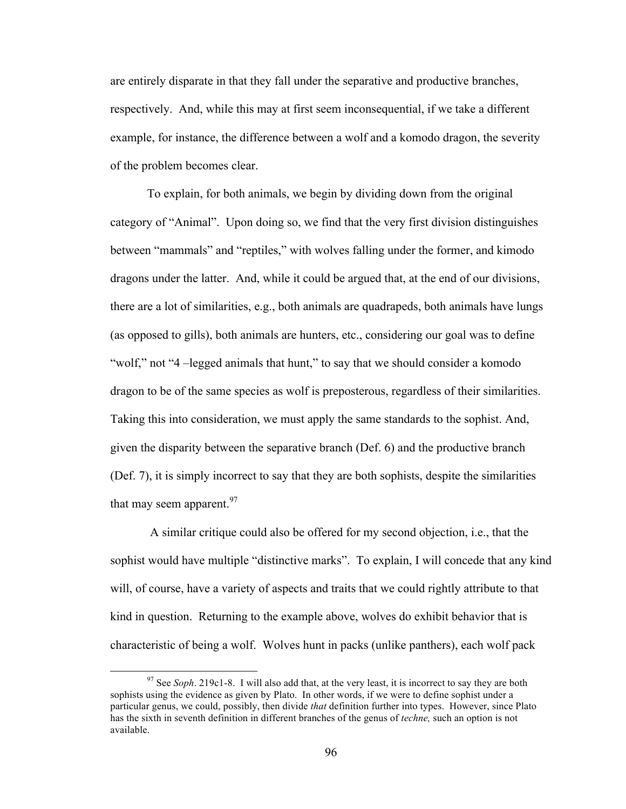are entirely disparate in that they fall under the separative and productive branches, respectively. And, while this may at first seem inconsequential, if we take a different example, for instance, the difference between a wolf and a komodo dragon, the severity of the problem becomes clear.

To explain, for both animals, we begin by dividing down from the original category of "Animal". Upon doing so, we find that the very first division distinguishes between "mammals" and "reptiles," with wolves falling under the former, and kimodo dragons under the latter. And, while it could be argued that, at the end of our divisions, there are a lot of similarities, e.g., both animals are quadrapeds, both animals have lungs (as opposed to gills), both animals are hunters, etc., considering our goal was to define "wolf," not "4 –legged animals that hunt," to say that we should consider a komodo dragon to be of the same species as wolf is preposterous, regardless of their similarities. Taking this into consideration, we must apply the same standards to the sophist. And, given the disparity between the separative branch (Def. 6) and the productive branch (Def. 7), it is simply incorrect to say that they are both sophists, despite the similarities that may seem apparent.  $97$ 

A similar critique could also be offered for my second objection, i.e., that the sophist would have multiple "distinctive marks". To explain, I will concede that any kind will, of course, have a variety of aspects and traits that we could rightly attribute to that kind in question. Returning to the example above, wolves do exhibit behavior that is characteristic of being a wolf. Wolves hunt in packs (unlike panthers), each wolf pack

<sup>&</sup>lt;sup>97</sup> See *Soph*. 219c1-8. I will also add that, at the very least, it is incorrect to say they are both sophists using the evidence as given by Plato. In other words, if we were to define sophist under a particular genus, we could, possibly, then divide *that* definition further into types. However, since Plato has the sixth in seventh definition in different branches of the genus of *techne,* such an option is not available.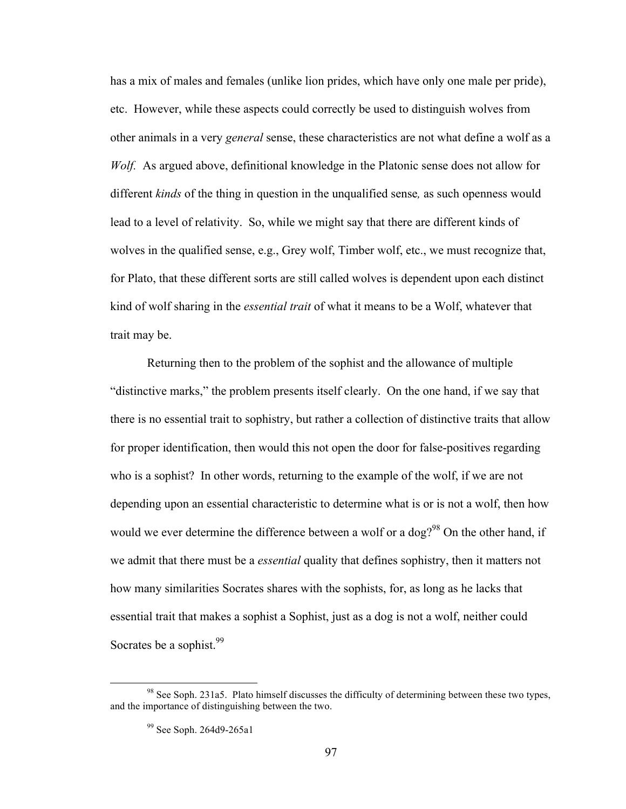has a mix of males and females (unlike lion prides, which have only one male per pride), etc. However, while these aspects could correctly be used to distinguish wolves from other animals in a very *general* sense, these characteristics are not what define a wolf as a *Wolf.* As argued above, definitional knowledge in the Platonic sense does not allow for different *kinds* of the thing in question in the unqualified sense*,* as such openness would lead to a level of relativity. So, while we might say that there are different kinds of wolves in the qualified sense, e.g., Grey wolf, Timber wolf, etc., we must recognize that, for Plato, that these different sorts are still called wolves is dependent upon each distinct kind of wolf sharing in the *essential trait* of what it means to be a Wolf, whatever that trait may be.

Returning then to the problem of the sophist and the allowance of multiple "distinctive marks," the problem presents itself clearly. On the one hand, if we say that there is no essential trait to sophistry, but rather a collection of distinctive traits that allow for proper identification, then would this not open the door for false-positives regarding who is a sophist? In other words, returning to the example of the wolf, if we are not depending upon an essential characteristic to determine what is or is not a wolf, then how would we ever determine the difference between a wolf or a  $\log$ ?<sup>98</sup> On the other hand, if we admit that there must be a *essential* quality that defines sophistry, then it matters not how many similarities Socrates shares with the sophists, for, as long as he lacks that essential trait that makes a sophist a Sophist, just as a dog is not a wolf, neither could Socrates be a sophist. $99$ 

<sup>&</sup>lt;sup>98</sup> See Soph. 231a5. Plato himself discusses the difficulty of determining between these two types, and the importance of distinguishing between the two.

<sup>&</sup>lt;sup>99</sup> See Soph. 264d9-265a1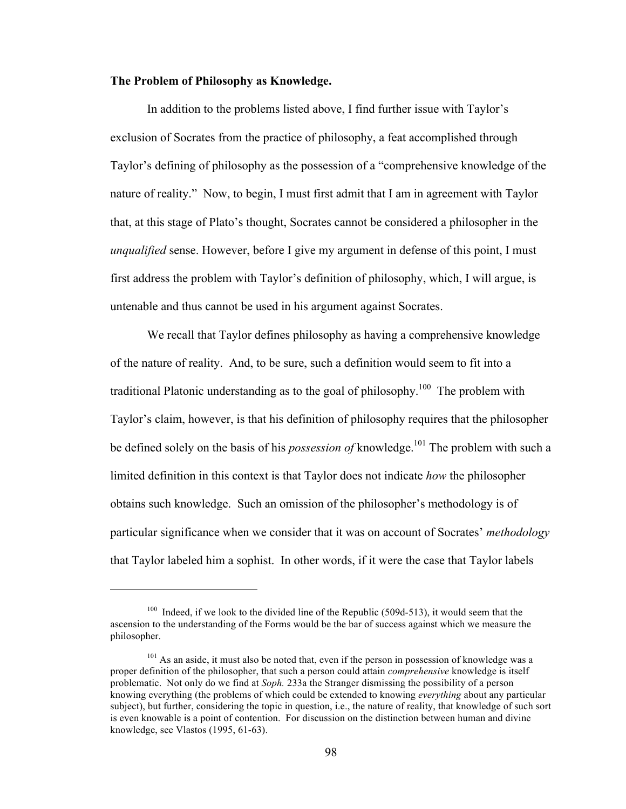## **The Problem of Philosophy as Knowledge.**

 $\overline{a}$ 

In addition to the problems listed above, I find further issue with Taylor's exclusion of Socrates from the practice of philosophy, a feat accomplished through Taylor's defining of philosophy as the possession of a "comprehensive knowledge of the nature of reality." Now, to begin, I must first admit that I am in agreement with Taylor that, at this stage of Plato's thought, Socrates cannot be considered a philosopher in the *unqualified* sense. However, before I give my argument in defense of this point, I must first address the problem with Taylor's definition of philosophy, which, I will argue, is untenable and thus cannot be used in his argument against Socrates.

We recall that Taylor defines philosophy as having a comprehensive knowledge of the nature of reality. And, to be sure, such a definition would seem to fit into a traditional Platonic understanding as to the goal of philosophy.<sup>100</sup> The problem with Taylor's claim, however, is that his definition of philosophy requires that the philosopher be defined solely on the basis of his *possession of* knowledge.<sup>101</sup> The problem with such a limited definition in this context is that Taylor does not indicate *how* the philosopher obtains such knowledge. Such an omission of the philosopher's methodology is of particular significance when we consider that it was on account of Socrates' *methodology* that Taylor labeled him a sophist. In other words, if it were the case that Taylor labels

 $100$  Indeed, if we look to the divided line of the Republic (509d-513), it would seem that the ascension to the understanding of the Forms would be the bar of success against which we measure the philosopher.

<sup>&</sup>lt;sup>101</sup> As an aside, it must also be noted that, even if the person in possession of knowledge was a proper definition of the philosopher, that such a person could attain *comprehensive* knowledge is itself problematic. Not only do we find at *Soph.* 233a the Stranger dismissing the possibility of a person knowing everything (the problems of which could be extended to knowing *everything* about any particular subject), but further, considering the topic in question, i.e., the nature of reality, that knowledge of such sort is even knowable is a point of contention. For discussion on the distinction between human and divine knowledge, see Vlastos (1995, 61-63).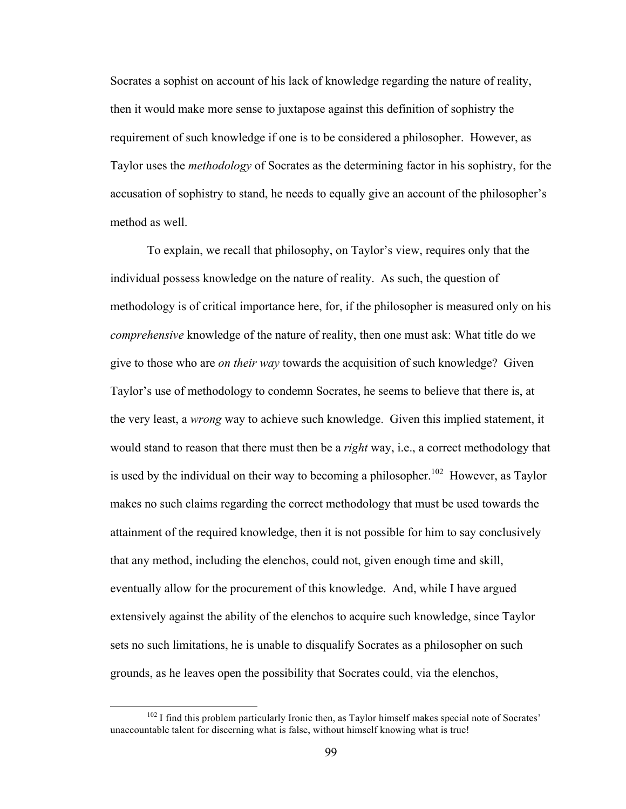Socrates a sophist on account of his lack of knowledge regarding the nature of reality, then it would make more sense to juxtapose against this definition of sophistry the requirement of such knowledge if one is to be considered a philosopher. However, as Taylor uses the *methodology* of Socrates as the determining factor in his sophistry, for the accusation of sophistry to stand, he needs to equally give an account of the philosopher's method as well.

To explain, we recall that philosophy, on Taylor's view, requires only that the individual possess knowledge on the nature of reality. As such, the question of methodology is of critical importance here, for, if the philosopher is measured only on his *comprehensive* knowledge of the nature of reality, then one must ask: What title do we give to those who are *on their way* towards the acquisition of such knowledge? Given Taylor's use of methodology to condemn Socrates, he seems to believe that there is, at the very least, a *wrong* way to achieve such knowledge. Given this implied statement, it would stand to reason that there must then be a *right* way, i.e., a correct methodology that is used by the individual on their way to becoming a philosopher.<sup>102</sup> However, as Taylor makes no such claims regarding the correct methodology that must be used towards the attainment of the required knowledge, then it is not possible for him to say conclusively that any method, including the elenchos, could not, given enough time and skill, eventually allow for the procurement of this knowledge. And, while I have argued extensively against the ability of the elenchos to acquire such knowledge, since Taylor sets no such limitations, he is unable to disqualify Socrates as a philosopher on such grounds, as he leaves open the possibility that Socrates could, via the elenchos,

 $102$  I find this problem particularly Ironic then, as Taylor himself makes special note of Socrates' unaccountable talent for discerning what is false, without himself knowing what is true!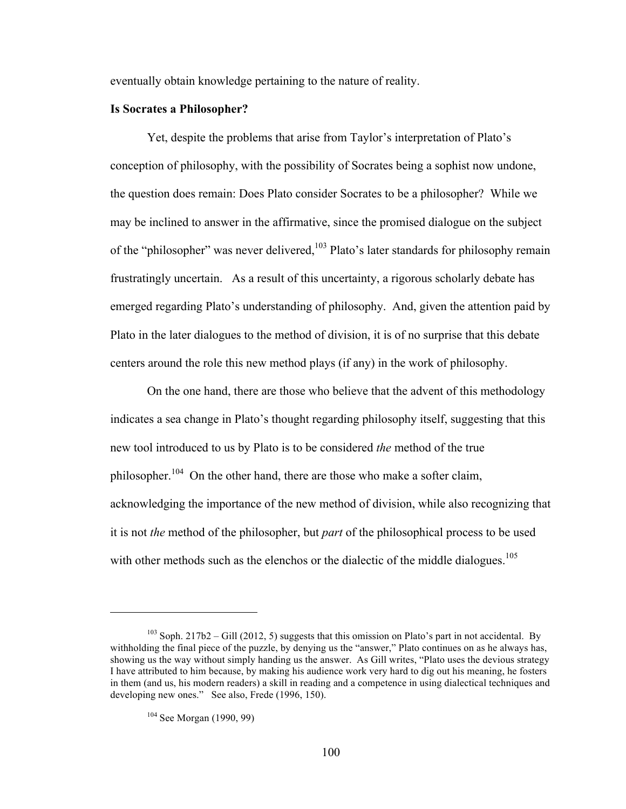eventually obtain knowledge pertaining to the nature of reality.

#### **Is Socrates a Philosopher?**

Yet, despite the problems that arise from Taylor's interpretation of Plato's conception of philosophy, with the possibility of Socrates being a sophist now undone, the question does remain: Does Plato consider Socrates to be a philosopher? While we may be inclined to answer in the affirmative, since the promised dialogue on the subject of the "philosopher" was never delivered,<sup>103</sup> Plato's later standards for philosophy remain frustratingly uncertain. As a result of this uncertainty, a rigorous scholarly debate has emerged regarding Plato's understanding of philosophy. And, given the attention paid by Plato in the later dialogues to the method of division, it is of no surprise that this debate centers around the role this new method plays (if any) in the work of philosophy.

On the one hand, there are those who believe that the advent of this methodology indicates a sea change in Plato's thought regarding philosophy itself, suggesting that this new tool introduced to us by Plato is to be considered *the* method of the true philosopher.<sup>104</sup> On the other hand, there are those who make a softer claim, acknowledging the importance of the new method of division, while also recognizing that it is not *the* method of the philosopher, but *part* of the philosophical process to be used with other methods such as the elenchos or the dialectic of the middle dialogues.<sup>105</sup>

 $\overline{a}$ 

 $103$  Soph. 217b2 – Gill (2012, 5) suggests that this omission on Plato's part in not accidental. By withholding the final piece of the puzzle, by denying us the "answer," Plato continues on as he always has, showing us the way without simply handing us the answer. As Gill writes, "Plato uses the devious strategy I have attributed to him because, by making his audience work very hard to dig out his meaning, he fosters in them (and us, his modern readers) a skill in reading and a competence in using dialectical techniques and developing new ones." See also, Frede (1996, 150).

<sup>&</sup>lt;sup>104</sup> See Morgan (1990, 99)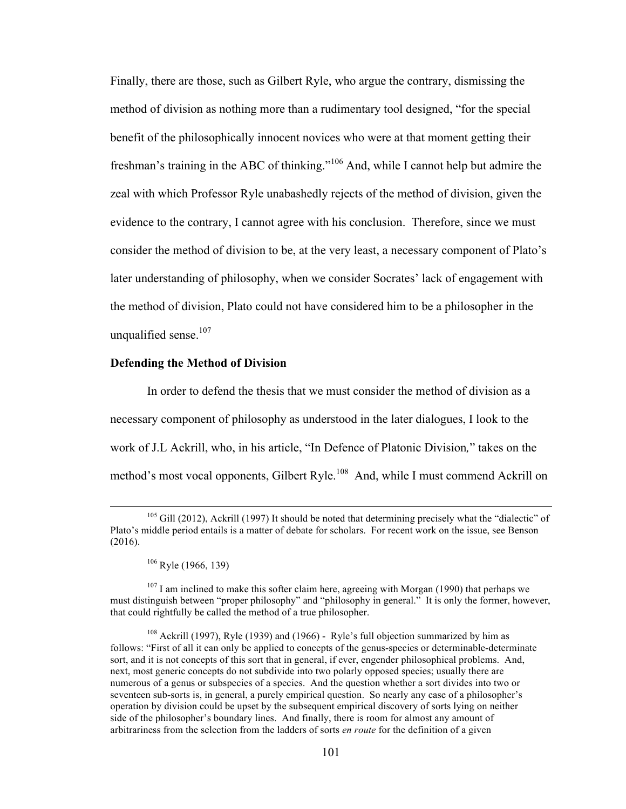Finally, there are those, such as Gilbert Ryle, who argue the contrary, dismissing the method of division as nothing more than a rudimentary tool designed, "for the special benefit of the philosophically innocent novices who were at that moment getting their freshman's training in the ABC of thinking."<sup>106</sup> And, while I cannot help but admire the zeal with which Professor Ryle unabashedly rejects of the method of division, given the evidence to the contrary, I cannot agree with his conclusion. Therefore, since we must consider the method of division to be, at the very least, a necessary component of Plato's later understanding of philosophy, when we consider Socrates' lack of engagement with the method of division, Plato could not have considered him to be a philosopher in the unqualified sense. $107$ 

#### **Defending the Method of Division**

In order to defend the thesis that we must consider the method of division as a necessary component of philosophy as understood in the later dialogues, I look to the work of J.L Ackrill, who, in his article, "In Defence of Platonic Division*,*" takes on the method's most vocal opponents, Gilbert Ryle.<sup>108</sup> And, while I must commend Ackrill on

 $107$  I am inclined to make this softer claim here, agreeing with Morgan (1990) that perhaps we must distinguish between "proper philosophy" and "philosophy in general." It is only the former, however, that could rightfully be called the method of a true philosopher.

<sup>&</sup>lt;sup>105</sup> Gill (2012), Ackrill (1997) It should be noted that determining precisely what the "dialectic" of Plato's middle period entails is a matter of debate for scholars. For recent work on the issue, see Benson (2016).

 $106$  Ryle (1966, 139)

<sup>&</sup>lt;sup>108</sup> Ackrill (1997), Ryle (1939) and (1966) - Ryle's full objection summarized by him as follows: "First of all it can only be applied to concepts of the genus-species or determinable-determinate sort, and it is not concepts of this sort that in general, if ever, engender philosophical problems. And, next, most generic concepts do not subdivide into two polarly opposed species; usually there are numerous of a genus or subspecies of a species. And the question whether a sort divides into two or seventeen sub-sorts is, in general, a purely empirical question. So nearly any case of a philosopher's operation by division could be upset by the subsequent empirical discovery of sorts lying on neither side of the philosopher's boundary lines. And finally, there is room for almost any amount of arbitrariness from the selection from the ladders of sorts *en route* for the definition of a given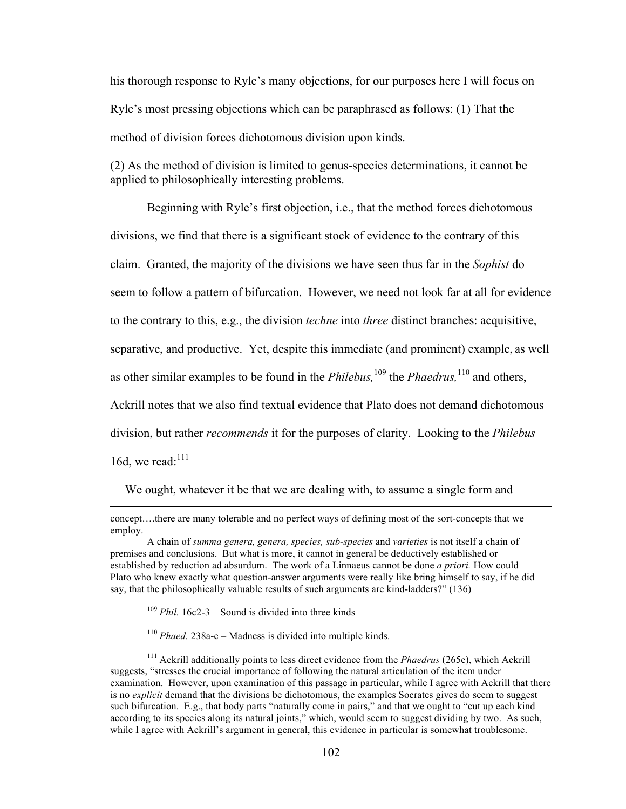his thorough response to Ryle's many objections, for our purposes here I will focus on Ryle's most pressing objections which can be paraphrased as follows: (1) That the method of division forces dichotomous division upon kinds.

(2) As the method of division is limited to genus-species determinations, it cannot be applied to philosophically interesting problems.

Beginning with Ryle's first objection, i.e., that the method forces dichotomous divisions, we find that there is a significant stock of evidence to the contrary of this claim. Granted, the majority of the divisions we have seen thus far in the *Sophist* do seem to follow a pattern of bifurcation. However, we need not look far at all for evidence to the contrary to this, e.g., the division *techne* into *three* distinct branches: acquisitive, separative, and productive. Yet, despite this immediate (and prominent) example, as well as other similar examples to be found in the *Philebus*,<sup>109</sup> the *Phaedrus*,<sup>110</sup> and others, Ackrill notes that we also find textual evidence that Plato does not demand dichotomous division, but rather *recommends* it for the purposes of clarity. Looking to the *Philebus*  16d, we read: $111$ 

We ought, whatever it be that we are dealing with, to assume a single form and

 $109$  *Phil.*  $16c2-3$  – Sound is divided into three kinds

 $\overline{a}$ 

<sup>110</sup> *Phaed.* 238a-c – Madness is divided into multiple kinds.

<sup>111</sup> Ackrill additionally points to less direct evidence from the *Phaedrus* (265e), which Ackrill suggests, "stresses the crucial importance of following the natural articulation of the item under examination. However, upon examination of this passage in particular, while I agree with Ackrill that there is no *explicit* demand that the divisions be dichotomous, the examples Socrates gives do seem to suggest such bifurcation. E.g., that body parts "naturally come in pairs," and that we ought to "cut up each kind according to its species along its natural joints," which, would seem to suggest dividing by two. As such, while I agree with Ackrill's argument in general, this evidence in particular is somewhat troublesome.

concept….there are many tolerable and no perfect ways of defining most of the sort-concepts that we employ.

A chain of *summa genera, genera, species, sub-species* and *varieties* is not itself a chain of premises and conclusions. But what is more, it cannot in general be deductively established or established by reduction ad absurdum. The work of a Linnaeus cannot be done *a priori.* How could Plato who knew exactly what question-answer arguments were really like bring himself to say, if he did say, that the philosophically valuable results of such arguments are kind-ladders?" (136)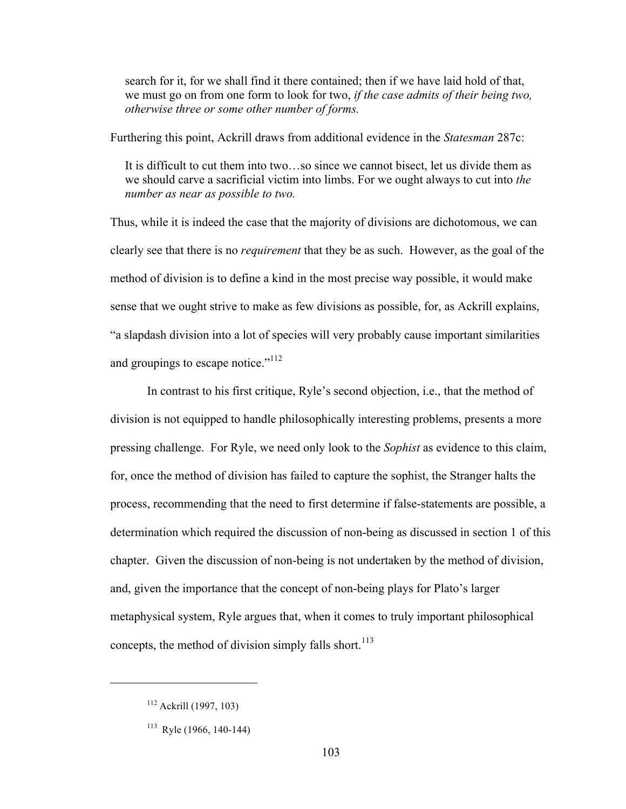search for it, for we shall find it there contained; then if we have laid hold of that, we must go on from one form to look for two, *if the case admits of their being two, otherwise three or some other number of forms.*

Furthering this point, Ackrill draws from additional evidence in the *Statesman* 287c:

It is difficult to cut them into two…so since we cannot bisect, let us divide them as we should carve a sacrificial victim into limbs. For we ought always to cut into *the number as near as possible to two.*

Thus, while it is indeed the case that the majority of divisions are dichotomous, we can clearly see that there is no *requirement* that they be as such. However, as the goal of the method of division is to define a kind in the most precise way possible, it would make sense that we ought strive to make as few divisions as possible, for, as Ackrill explains, "a slapdash division into a lot of species will very probably cause important similarities and groupings to escape notice."<sup>112</sup>

In contrast to his first critique, Ryle's second objection, i.e., that the method of division is not equipped to handle philosophically interesting problems, presents a more pressing challenge. For Ryle, we need only look to the *Sophist* as evidence to this claim, for, once the method of division has failed to capture the sophist, the Stranger halts the process, recommending that the need to first determine if false-statements are possible, a determination which required the discussion of non-being as discussed in section 1 of this chapter. Given the discussion of non-being is not undertaken by the method of division, and, given the importance that the concept of non-being plays for Plato's larger metaphysical system, Ryle argues that, when it comes to truly important philosophical concepts, the method of division simply falls short.<sup>113</sup>

 $\overline{a}$ 

<sup>112</sup> Ackrill (1997, 103)

 $113$  Ryle (1966, 140-144)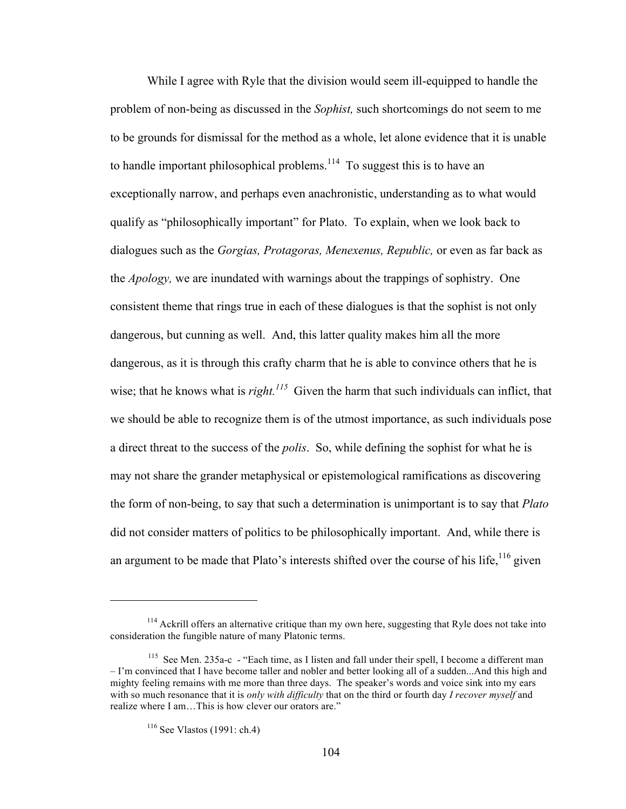While I agree with Ryle that the division would seem ill-equipped to handle the problem of non-being as discussed in the *Sophist,* such shortcomings do not seem to me to be grounds for dismissal for the method as a whole, let alone evidence that it is unable to handle important philosophical problems.<sup>114</sup> To suggest this is to have an exceptionally narrow, and perhaps even anachronistic, understanding as to what would qualify as "philosophically important" for Plato. To explain, when we look back to dialogues such as the *Gorgias, Protagoras, Menexenus, Republic,* or even as far back as the *Apology,* we are inundated with warnings about the trappings of sophistry. One consistent theme that rings true in each of these dialogues is that the sophist is not only dangerous, but cunning as well. And, this latter quality makes him all the more dangerous, as it is through this crafty charm that he is able to convince others that he is wise; that he knows what is *right.115* Given the harm that such individuals can inflict, that we should be able to recognize them is of the utmost importance, as such individuals pose a direct threat to the success of the *polis*. So, while defining the sophist for what he is may not share the grander metaphysical or epistemological ramifications as discovering the form of non-being, to say that such a determination is unimportant is to say that *Plato*  did not consider matters of politics to be philosophically important. And, while there is an argument to be made that Plato's interests shifted over the course of his life,  $116$  given

 $\overline{a}$ 

<sup>&</sup>lt;sup>114</sup> Ackrill offers an alternative critique than my own here, suggesting that Ryle does not take into consideration the fungible nature of many Platonic terms.

115 See Men. 235a-c - "Each time, as I listen and fall under their spell, I become a different man – I'm convinced that I have become taller and nobler and better looking all of a sudden...And this high and mighty feeling remains with me more than three days. The speaker's words and voice sink into my ears with so much resonance that it is *only with difficulty* that on the third or fourth day *I recover myself* and realize where I am…This is how clever our orators are."

<sup>116</sup> See Vlastos (1991: ch.4)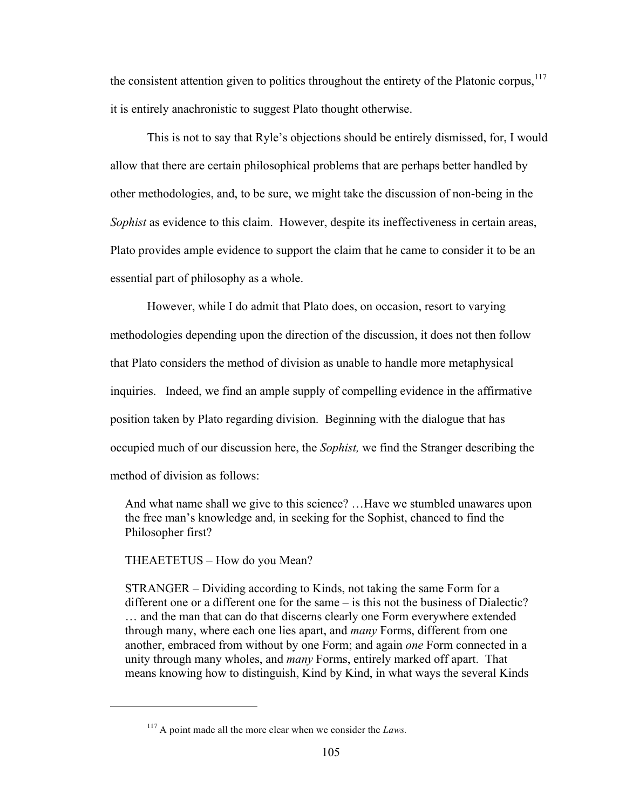the consistent attention given to politics throughout the entirety of the Platonic corpus,  $117$ it is entirely anachronistic to suggest Plato thought otherwise.

This is not to say that Ryle's objections should be entirely dismissed, for, I would allow that there are certain philosophical problems that are perhaps better handled by other methodologies, and, to be sure, we might take the discussion of non-being in the *Sophist* as evidence to this claim. However, despite its ineffectiveness in certain areas, Plato provides ample evidence to support the claim that he came to consider it to be an essential part of philosophy as a whole.

However, while I do admit that Plato does, on occasion, resort to varying methodologies depending upon the direction of the discussion, it does not then follow that Plato considers the method of division as unable to handle more metaphysical inquiries. Indeed, we find an ample supply of compelling evidence in the affirmative position taken by Plato regarding division. Beginning with the dialogue that has occupied much of our discussion here, the *Sophist,* we find the Stranger describing the method of division as follows:

And what name shall we give to this science? …Have we stumbled unawares upon the free man's knowledge and, in seeking for the Sophist, chanced to find the Philosopher first?

THEAETETUS – How do you Mean?

 $\overline{a}$ 

STRANGER – Dividing according to Kinds, not taking the same Form for a different one or a different one for the same – is this not the business of Dialectic? … and the man that can do that discerns clearly one Form everywhere extended through many, where each one lies apart, and *many* Forms, different from one another, embraced from without by one Form; and again *one* Form connected in a unity through many wholes, and *many* Forms, entirely marked off apart. That means knowing how to distinguish, Kind by Kind, in what ways the several Kinds

<sup>117</sup> A point made all the more clear when we consider the *Laws.*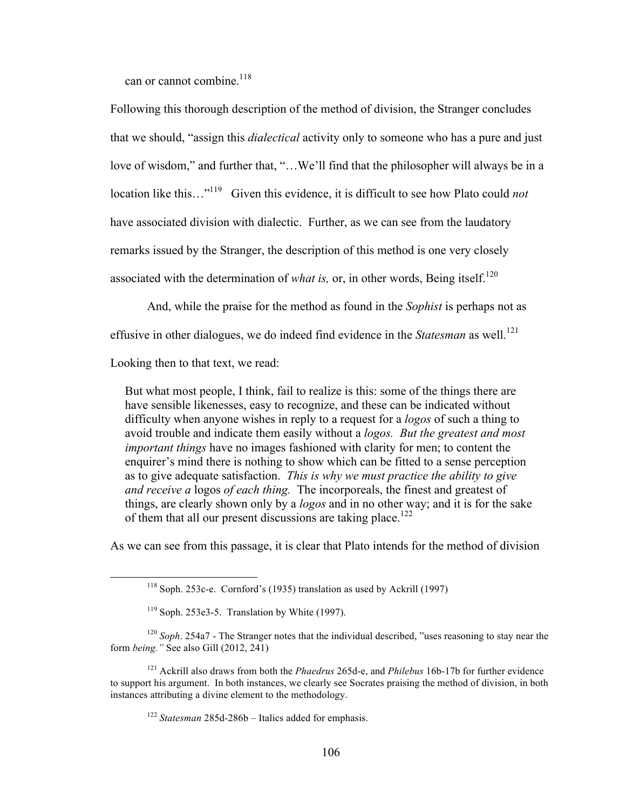can or cannot combine. $^{118}$ 

Following this thorough description of the method of division, the Stranger concludes that we should, "assign this *dialectical* activity only to someone who has a pure and just love of wisdom," and further that, "…We'll find that the philosopher will always be in a location like this…"<sup>119</sup> Given this evidence, it is difficult to see how Plato could *not* have associated division with dialectic. Further, as we can see from the laudatory remarks issued by the Stranger, the description of this method is one very closely associated with the determination of *what is, or, in other words, Being itself.*<sup>120</sup>

And, while the praise for the method as found in the *Sophist* is perhaps not as

effusive in other dialogues, we do indeed find evidence in the *Statesman* as well.<sup>121</sup>

Looking then to that text, we read:

But what most people, I think, fail to realize is this: some of the things there are have sensible likenesses, easy to recognize, and these can be indicated without difficulty when anyone wishes in reply to a request for a *logos* of such a thing to avoid trouble and indicate them easily without a *logos. But the greatest and most important things* have no images fashioned with clarity for men; to content the enquirer's mind there is nothing to show which can be fitted to a sense perception as to give adequate satisfaction. *This is why we must practice the ability to give and receive a* logos *of each thing.* The incorporeals, the finest and greatest of things, are clearly shown only by a *logos* and in no other way; and it is for the sake of them that all our present discussions are taking place.<sup>122</sup>

As we can see from this passage, it is clear that Plato intends for the method of division

<sup>122</sup> *Statesman* 285d-286b – Italics added for emphasis.

<sup>&</sup>lt;sup>118</sup> Soph. 253c-e. Cornford's (1935) translation as used by Ackrill (1997)

 $119$  Soph. 253e3-5. Translation by White (1997).

<sup>120</sup> *Soph*. 254a7 - The Stranger notes that the individual described, "uses reasoning to stay near the form *being."* See also Gill (2012, 241)

<sup>121</sup> Ackrill also draws from both the *Phaedrus* 265d-e, and *Philebus* 16b-17b for further evidence to support his argument. In both instances, we clearly see Socrates praising the method of division, in both instances attributing a divine element to the methodology.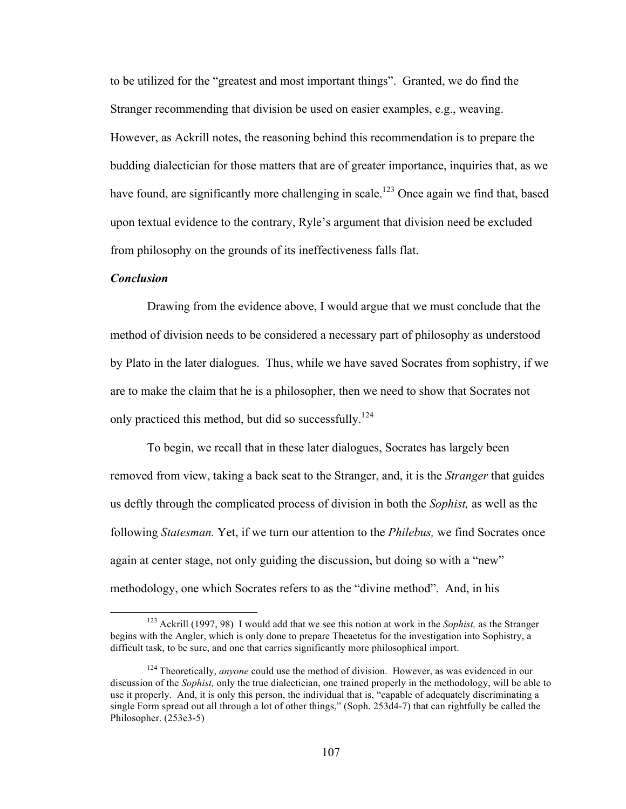to be utilized for the "greatest and most important things". Granted, we do find the Stranger recommending that division be used on easier examples, e.g., weaving. However, as Ackrill notes, the reasoning behind this recommendation is to prepare the budding dialectician for those matters that are of greater importance, inquiries that, as we have found, are significantly more challenging in scale.<sup>123</sup> Once again we find that, based upon textual evidence to the contrary, Ryle's argument that division need be excluded from philosophy on the grounds of its ineffectiveness falls flat.

#### *Conclusion*

Drawing from the evidence above, I would argue that we must conclude that the method of division needs to be considered a necessary part of philosophy as understood by Plato in the later dialogues. Thus, while we have saved Socrates from sophistry, if we are to make the claim that he is a philosopher, then we need to show that Socrates not only practiced this method, but did so successfully.<sup>124</sup>

To begin, we recall that in these later dialogues, Socrates has largely been removed from view, taking a back seat to the Stranger, and, it is the *Stranger* that guides us deftly through the complicated process of division in both the *Sophist,* as well as the following *Statesman.* Yet, if we turn our attention to the *Philebus,* we find Socrates once again at center stage, not only guiding the discussion, but doing so with a "new" methodology, one which Socrates refers to as the "divine method". And, in his

 <sup>123</sup> Ackrill (1997, 98) I would add that we see this notion at work in the *Sophist,* as the Stranger begins with the Angler, which is only done to prepare Theaetetus for the investigation into Sophistry, a difficult task, to be sure, and one that carries significantly more philosophical import.

<sup>&</sup>lt;sup>124</sup> Theoretically, *anyone* could use the method of division. However, as was evidenced in our discussion of the *Sophist,* only the true dialectician, one trained properly in the methodology, will be able to use it properly. And, it is only this person, the individual that is, "capable of adequately discriminating a single Form spread out all through a lot of other things," (Soph. 253d4-7) that can rightfully be called the Philosopher. (253e3-5)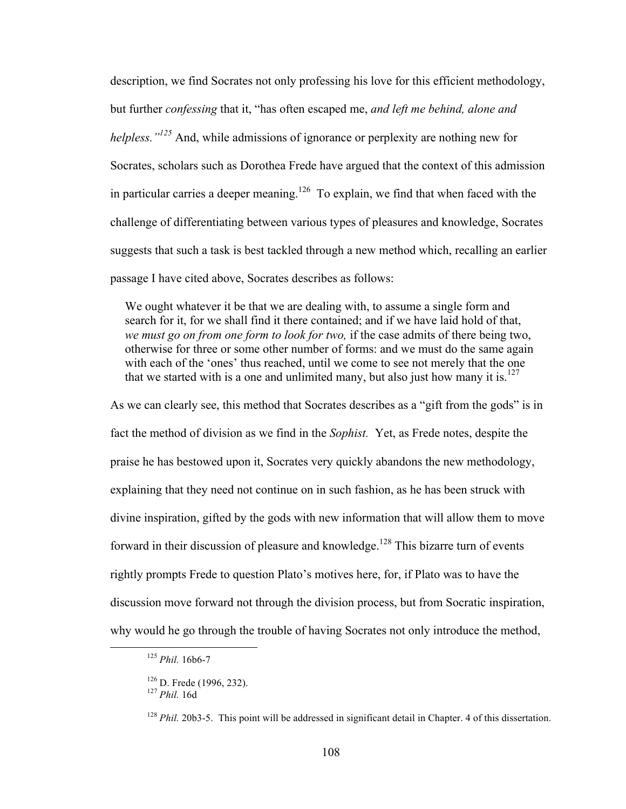description, we find Socrates not only professing his love for this efficient methodology, but further *confessing* that it, "has often escaped me, *and left me behind, alone and helpless."125* And, while admissions of ignorance or perplexity are nothing new for Socrates, scholars such as Dorothea Frede have argued that the context of this admission in particular carries a deeper meaning.<sup>126</sup> To explain, we find that when faced with the challenge of differentiating between various types of pleasures and knowledge, Socrates suggests that such a task is best tackled through a new method which, recalling an earlier passage I have cited above, Socrates describes as follows:

We ought whatever it be that we are dealing with, to assume a single form and search for it, for we shall find it there contained; and if we have laid hold of that, *we must go on from one form to look for two,* if the case admits of there being two, otherwise for three or some other number of forms: and we must do the same again with each of the 'ones' thus reached, until we come to see not merely that the one that we started with is a one and unlimited many, but also just how many it is.<sup>127</sup>

As we can clearly see, this method that Socrates describes as a "gift from the gods" is in fact the method of division as we find in the *Sophist.* Yet, as Frede notes, despite the praise he has bestowed upon it, Socrates very quickly abandons the new methodology, explaining that they need not continue on in such fashion, as he has been struck with divine inspiration, gifted by the gods with new information that will allow them to move forward in their discussion of pleasure and knowledge.<sup>128</sup> This bizarre turn of events rightly prompts Frede to question Plato's motives here, for, if Plato was to have the discussion move forward not through the division process, but from Socratic inspiration, why would he go through the trouble of having Socrates not only introduce the method,

 <sup>125</sup> *Phil.* 16b6-7

<sup>126</sup> D. Frede (1996, 232). 127 *Phil.* 16d

<sup>&</sup>lt;sup>128</sup> *Phil.* 20b3-5. This point will be addressed in significant detail in Chapter. 4 of this dissertation.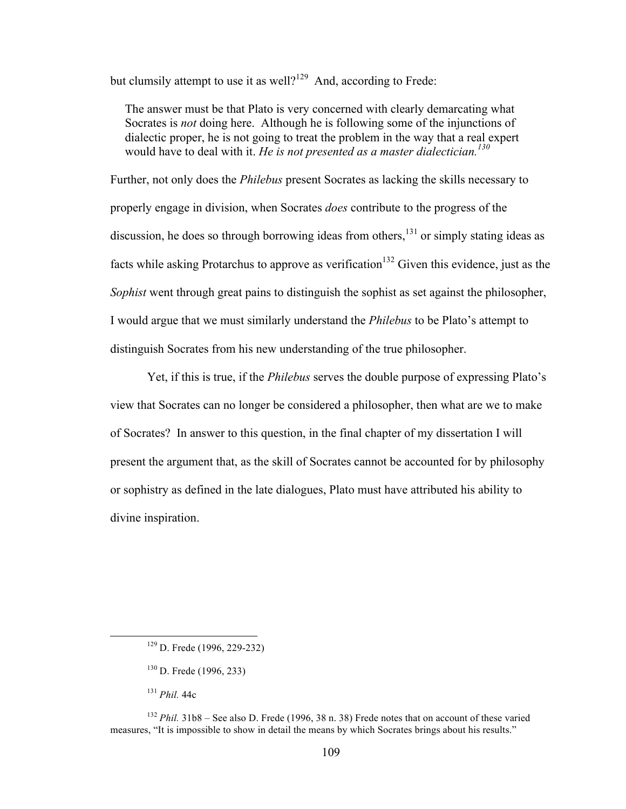but clumsily attempt to use it as well?<sup>129</sup> And, according to Frede:

The answer must be that Plato is very concerned with clearly demarcating what Socrates is *not* doing here. Although he is following some of the injunctions of dialectic proper, he is not going to treat the problem in the way that a real expert would have to deal with it. *He is not presented as a master dialectician*.<sup>130</sup>

Further, not only does the *Philebus* present Socrates as lacking the skills necessary to properly engage in division, when Socrates *does* contribute to the progress of the discussion, he does so through borrowing ideas from others,  $131$  or simply stating ideas as facts while asking Protarchus to approve as verification<sup>132</sup> Given this evidence, just as the *Sophist* went through great pains to distinguish the sophist as set against the philosopher, I would argue that we must similarly understand the *Philebus* to be Plato's attempt to distinguish Socrates from his new understanding of the true philosopher.

Yet, if this is true, if the *Philebus* serves the double purpose of expressing Plato's view that Socrates can no longer be considered a philosopher, then what are we to make of Socrates? In answer to this question, in the final chapter of my dissertation I will present the argument that, as the skill of Socrates cannot be accounted for by philosophy or sophistry as defined in the late dialogues, Plato must have attributed his ability to divine inspiration.

 <sup>129</sup> D. Frede (1996, 229-232)

 $130$  D. Frede (1996, 233)

<sup>131</sup> *Phil.* 44c

<sup>&</sup>lt;sup>132</sup> *Phil.* 31b8 – See also D. Frede (1996, 38 n. 38) Frede notes that on account of these varied measures, "It is impossible to show in detail the means by which Socrates brings about his results."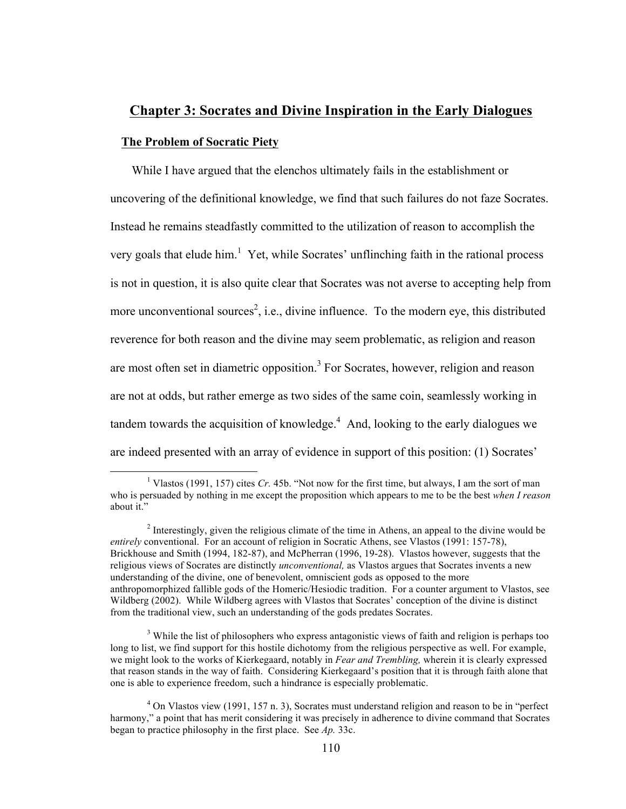# **Chapter 3: Socrates and Divine Inspiration in the Early Dialogues**

# **The Problem of Socratic Piety**

 While I have argued that the elenchos ultimately fails in the establishment or uncovering of the definitional knowledge, we find that such failures do not faze Socrates. Instead he remains steadfastly committed to the utilization of reason to accomplish the very goals that elude him.<sup>1</sup> Yet, while Socrates' unflinching faith in the rational process is not in question, it is also quite clear that Socrates was not averse to accepting help from more unconventional sources<sup>2</sup>, i.e., divine influence. To the modern eye, this distributed reverence for both reason and the divine may seem problematic, as religion and reason are most often set in diametric opposition.<sup>3</sup> For Socrates, however, religion and reason are not at odds, but rather emerge as two sides of the same coin, seamlessly working in tandem towards the acquisition of knowledge. $4$  And, looking to the early dialogues we are indeed presented with an array of evidence in support of this position: (1) Socrates'

<sup>&</sup>lt;sup>1</sup> Vlastos (1991, 157) cites *Cr.* 45b. "Not now for the first time, but always, I am the sort of man who is persuaded by nothing in me except the proposition which appears to me to be the best *when I reason* about it."

<sup>2</sup> Interestingly, given the religious climate of the time in Athens, an appeal to the divine would be *entirely* conventional. For an account of religion in Socratic Athens, see Vlastos (1991: 157-78), Brickhouse and Smith (1994, 182-87), and McPherran (1996, 19-28). Vlastos however, suggests that the religious views of Socrates are distinctly *unconventional,* as Vlastos argues that Socrates invents a new understanding of the divine, one of benevolent, omniscient gods as opposed to the more anthropomorphized fallible gods of the Homeric/Hesiodic tradition. For a counter argument to Vlastos, see Wildberg (2002). While Wildberg agrees with Vlastos that Socrates' conception of the divine is distinct from the traditional view, such an understanding of the gods predates Socrates.

<sup>&</sup>lt;sup>3</sup> While the list of philosophers who express antagonistic views of faith and religion is perhaps too long to list, we find support for this hostile dichotomy from the religious perspective as well. For example, we might look to the works of Kierkegaard, notably in *Fear and Trembling,* wherein it is clearly expressed that reason stands in the way of faith. Considering Kierkegaard's position that it is through faith alone that one is able to experience freedom, such a hindrance is especially problematic.

<sup>4</sup> On Vlastos view (1991, 157 n. 3), Socrates must understand religion and reason to be in "perfect harmony," a point that has merit considering it was precisely in adherence to divine command that Socrates began to practice philosophy in the first place. See *Ap.* 33c.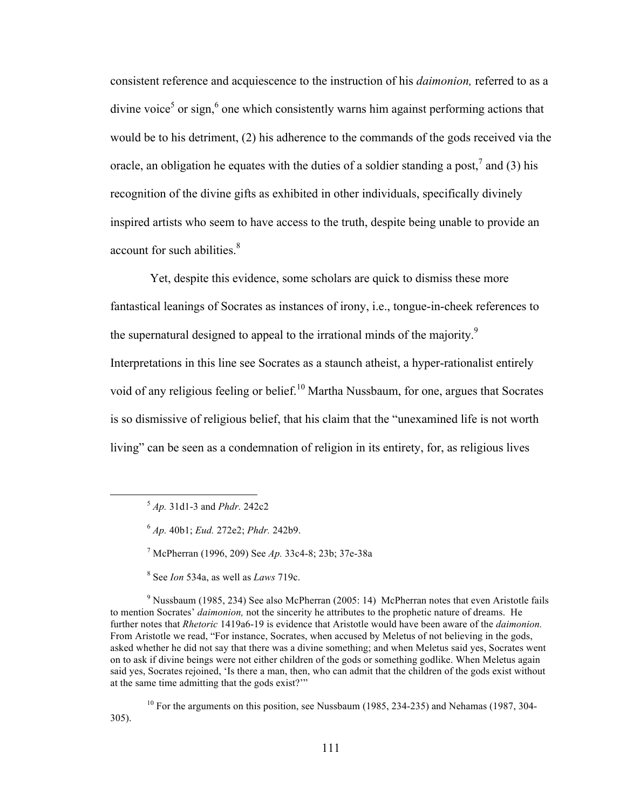consistent reference and acquiescence to the instruction of his *daimonion,* referred to as a divine voice<sup>5</sup> or sign, $6$  one which consistently warns him against performing actions that would be to his detriment, (2) his adherence to the commands of the gods received via the oracle, an obligation he equates with the duties of a soldier standing a post,<sup>7</sup> and (3) his recognition of the divine gifts as exhibited in other individuals, specifically divinely inspired artists who seem to have access to the truth, despite being unable to provide an account for such abilities.<sup>8</sup>

Yet, despite this evidence, some scholars are quick to dismiss these more fantastical leanings of Socrates as instances of irony, i.e., tongue-in-cheek references to the supernatural designed to appeal to the irrational minds of the majority.<sup>9</sup> Interpretations in this line see Socrates as a staunch atheist, a hyper-rationalist entirely void of any religious feeling or belief.<sup>10</sup> Martha Nussbaum, for one, argues that Socrates is so dismissive of religious belief, that his claim that the "unexamined life is not worth living" can be seen as a condemnation of religion in its entirety, for, as religious lives

<sup>9</sup> Nussbaum (1985, 234) See also McPherran (2005: 14) McPherran notes that even Aristotle fails to mention Socrates' *daimonion,* not the sincerity he attributes to the prophetic nature of dreams. He further notes that *Rhetoric* 1419a6-19 is evidence that Aristotle would have been aware of the *daimonion.*  From Aristotle we read, "For instance, Socrates, when accused by Meletus of not believing in the gods, asked whether he did not say that there was a divine something; and when Meletus said yes, Socrates went on to ask if divine beings were not either children of the gods or something godlike. When Meletus again said yes, Socrates rejoined, 'Is there a man, then, who can admit that the children of the gods exist without at the same time admitting that the gods exist?'"

 $10$  For the arguments on this position, see Nussbaum (1985, 234-235) and Nehamas (1987, 304-305).

 <sup>5</sup> *Ap.* 31d1-3 and *Phdr.* 242c2

<sup>6</sup> *Ap.* 40b1; *Eud.* 272e2; *Phdr.* 242b9.

<sup>7</sup> McPherran (1996, 209) See *Ap.* 33c4-8; 23b; 37e-38a

<sup>8</sup> See *Ion* 534a, as well as *Laws* 719c.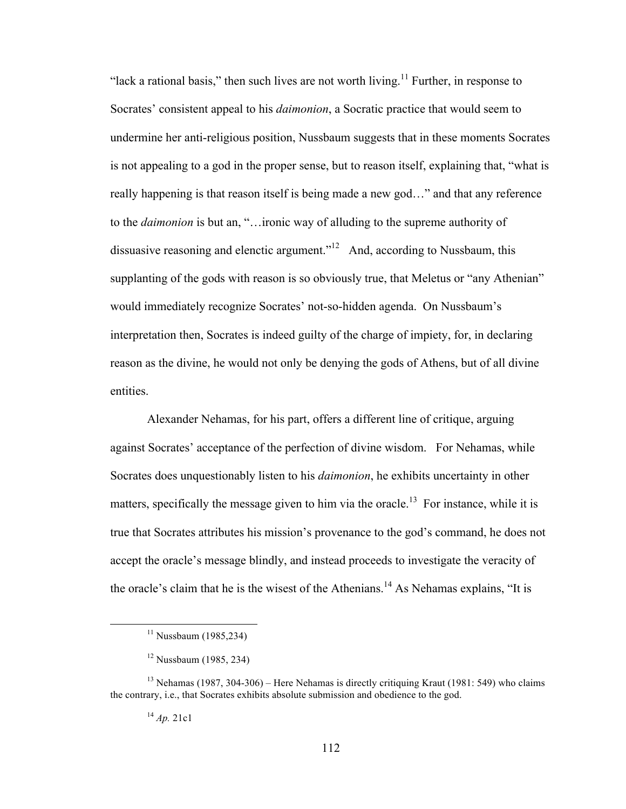"lack a rational basis," then such lives are not worth living.<sup>11</sup> Further, in response to Socrates' consistent appeal to his *daimonion*, a Socratic practice that would seem to undermine her anti-religious position, Nussbaum suggests that in these moments Socrates is not appealing to a god in the proper sense, but to reason itself, explaining that, "what is really happening is that reason itself is being made a new god…" and that any reference to the *daimonion* is but an, "…ironic way of alluding to the supreme authority of dissuasive reasoning and elenctic argument."<sup>12</sup> And, according to Nussbaum, this supplanting of the gods with reason is so obviously true, that Meletus or "any Athenian" would immediately recognize Socrates' not-so-hidden agenda. On Nussbaum's interpretation then, Socrates is indeed guilty of the charge of impiety, for, in declaring reason as the divine, he would not only be denying the gods of Athens, but of all divine entities.

Alexander Nehamas, for his part, offers a different line of critique, arguing against Socrates' acceptance of the perfection of divine wisdom. For Nehamas, while Socrates does unquestionably listen to his *daimonion*, he exhibits uncertainty in other matters, specifically the message given to him via the oracle.<sup>13</sup> For instance, while it is true that Socrates attributes his mission's provenance to the god's command, he does not accept the oracle's message blindly, and instead proceeds to investigate the veracity of the oracle's claim that he is the wisest of the Athenians.<sup>14</sup> As Nehamas explains, "It is

 $11$  Nussbaum (1985,234)

 $12$  Nussbaum (1985, 234)

<sup>&</sup>lt;sup>13</sup> Nehamas (1987, 304-306) – Here Nehamas is directly critiquing Kraut (1981: 549) who claims the contrary, i.e., that Socrates exhibits absolute submission and obedience to the god.

<sup>14</sup> *Ap.* 21c1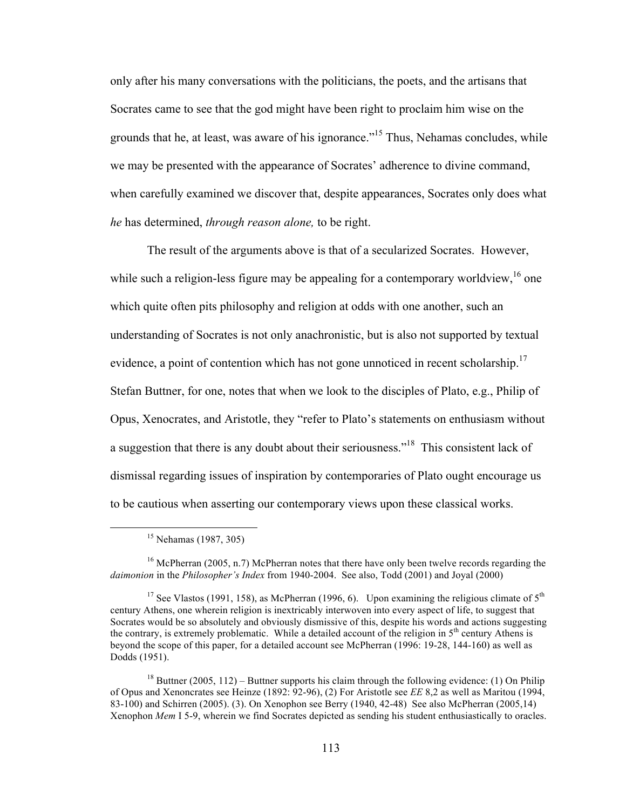only after his many conversations with the politicians, the poets, and the artisans that Socrates came to see that the god might have been right to proclaim him wise on the grounds that he, at least, was aware of his ignorance."<sup>15</sup> Thus, Nehamas concludes, while we may be presented with the appearance of Socrates' adherence to divine command, when carefully examined we discover that, despite appearances, Socrates only does what *he* has determined, *through reason alone,* to be right.

The result of the arguments above is that of a secularized Socrates. However, while such a religion-less figure may be appealing for a contemporary worldview,  $16$  one which quite often pits philosophy and religion at odds with one another, such an understanding of Socrates is not only anachronistic, but is also not supported by textual evidence, a point of contention which has not gone unnoticed in recent scholarship.<sup>17</sup> Stefan Buttner, for one, notes that when we look to the disciples of Plato, e.g., Philip of Opus, Xenocrates, and Aristotle, they "refer to Plato's statements on enthusiasm without a suggestion that there is any doubt about their seriousness.<sup>"18</sup> This consistent lack of dismissal regarding issues of inspiration by contemporaries of Plato ought encourage us to be cautious when asserting our contemporary views upon these classical works.

 <sup>15</sup> Nehamas (1987, 305)

<sup>&</sup>lt;sup>16</sup> McPherran (2005, n.7) McPherran notes that there have only been twelve records regarding the *daimonion* in the *Philosopher's Index* from 1940-2004. See also, Todd (2001) and Joyal (2000)

<sup>&</sup>lt;sup>17</sup> See Vlastos (1991, 158), as McPherran (1996, 6). Upon examining the religious climate of  $5<sup>th</sup>$ century Athens, one wherein religion is inextricably interwoven into every aspect of life, to suggest that Socrates would be so absolutely and obviously dismissive of this, despite his words and actions suggesting the contrary, is extremely problematic. While a detailed account of the religion in  $5<sup>th</sup>$  century Athens is beyond the scope of this paper, for a detailed account see McPherran (1996: 19-28, 144-160) as well as Dodds (1951).

<sup>&</sup>lt;sup>18</sup> Buttner (2005, 112) – Buttner supports his claim through the following evidence: (1) On Philip of Opus and Xenoncrates see Heinze (1892: 92-96), (2) For Aristotle see *EE* 8,2 as well as Maritou (1994, 83-100) and Schirren (2005). (3). On Xenophon see Berry (1940, 42-48) See also McPherran (2005,14) Xenophon *Mem* I 5-9, wherein we find Socrates depicted as sending his student enthusiastically to oracles.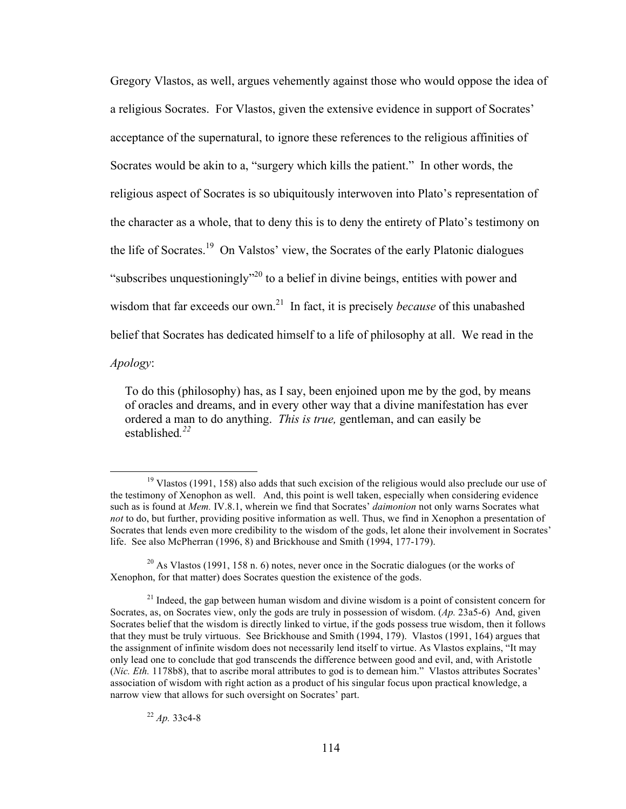Gregory Vlastos, as well, argues vehemently against those who would oppose the idea of a religious Socrates. For Vlastos, given the extensive evidence in support of Socrates' acceptance of the supernatural, to ignore these references to the religious affinities of Socrates would be akin to a, "surgery which kills the patient." In other words, the religious aspect of Socrates is so ubiquitously interwoven into Plato's representation of the character as a whole, that to deny this is to deny the entirety of Plato's testimony on the life of Socrates.<sup>19</sup> On Valstos' view, the Socrates of the early Platonic dialogues "subscribes unquestioningly"<sup>20</sup> to a belief in divine beings, entities with power and wisdom that far exceeds our own.21 In fact, it is precisely *because* of this unabashed belief that Socrates has dedicated himself to a life of philosophy at all. We read in the *Apology*:

To do this (philosophy) has, as I say, been enjoined upon me by the god, by means of oracles and dreams, and in every other way that a divine manifestation has ever ordered a man to do anything. *This is true,* gentleman, and can easily be established*. 22*

<sup>22</sup> *Ap.* 33c4-8

<sup>&</sup>lt;sup>19</sup> Vlastos (1991, 158) also adds that such excision of the religious would also preclude our use of the testimony of Xenophon as well. And, this point is well taken, especially when considering evidence such as is found at *Mem.* IV.8.1, wherein we find that Socrates' *daimonion* not only warns Socrates what *not* to do, but further, providing positive information as well. Thus, we find in Xenophon a presentation of Socrates that lends even more credibility to the wisdom of the gods, let alone their involvement in Socrates' life. See also McPherran (1996, 8) and Brickhouse and Smith (1994, 177-179).

 $20$  As Vlastos (1991, 158 n. 6) notes, never once in the Socratic dialogues (or the works of Xenophon, for that matter) does Socrates question the existence of the gods.

 $2<sup>1</sup>$  Indeed, the gap between human wisdom and divine wisdom is a point of consistent concern for Socrates, as, on Socrates view, only the gods are truly in possession of wisdom. (*Ap.* 23a5-6) And, given Socrates belief that the wisdom is directly linked to virtue, if the gods possess true wisdom, then it follows that they must be truly virtuous. See Brickhouse and Smith (1994, 179). Vlastos (1991, 164) argues that the assignment of infinite wisdom does not necessarily lend itself to virtue. As Vlastos explains, "It may only lead one to conclude that god transcends the difference between good and evil, and, with Aristotle (*Nic. Eth.* 1178b8), that to ascribe moral attributes to god is to demean him." Vlastos attributes Socrates' association of wisdom with right action as a product of his singular focus upon practical knowledge, a narrow view that allows for such oversight on Socrates' part.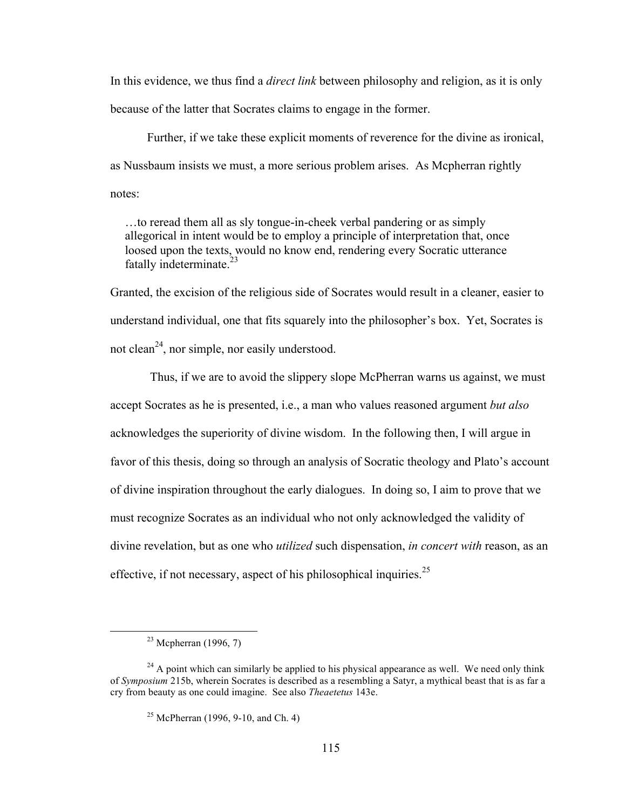In this evidence, we thus find a *direct link* between philosophy and religion, as it is only because of the latter that Socrates claims to engage in the former.

Further, if we take these explicit moments of reverence for the divine as ironical, as Nussbaum insists we must, a more serious problem arises. As Mcpherran rightly notes:

…to reread them all as sly tongue-in-cheek verbal pandering or as simply allegorical in intent would be to employ a principle of interpretation that, once loosed upon the texts, would no know end, rendering every Socratic utterance fatally indeterminate. $^{23}$ 

Granted, the excision of the religious side of Socrates would result in a cleaner, easier to understand individual, one that fits squarely into the philosopher's box. Yet, Socrates is not clean<sup>24</sup>, nor simple, nor easily understood.

Thus, if we are to avoid the slippery slope McPherran warns us against, we must accept Socrates as he is presented, i.e., a man who values reasoned argument *but also*  acknowledges the superiority of divine wisdom. In the following then, I will argue in favor of this thesis, doing so through an analysis of Socratic theology and Plato's account of divine inspiration throughout the early dialogues. In doing so, I aim to prove that we must recognize Socrates as an individual who not only acknowledged the validity of divine revelation, but as one who *utilized* such dispensation, *in concert with* reason, as an effective, if not necessary, aspect of his philosophical inquiries.<sup>25</sup>

 $23$  Mcpherran (1996, 7)

 $^{24}$  A point which can similarly be applied to his physical appearance as well. We need only think of *Symposium* 215b, wherein Socrates is described as a resembling a Satyr, a mythical beast that is as far a cry from beauty as one could imagine. See also *Theaetetus* 143e.

<sup>&</sup>lt;sup>25</sup> McPherran (1996, 9-10, and Ch. 4)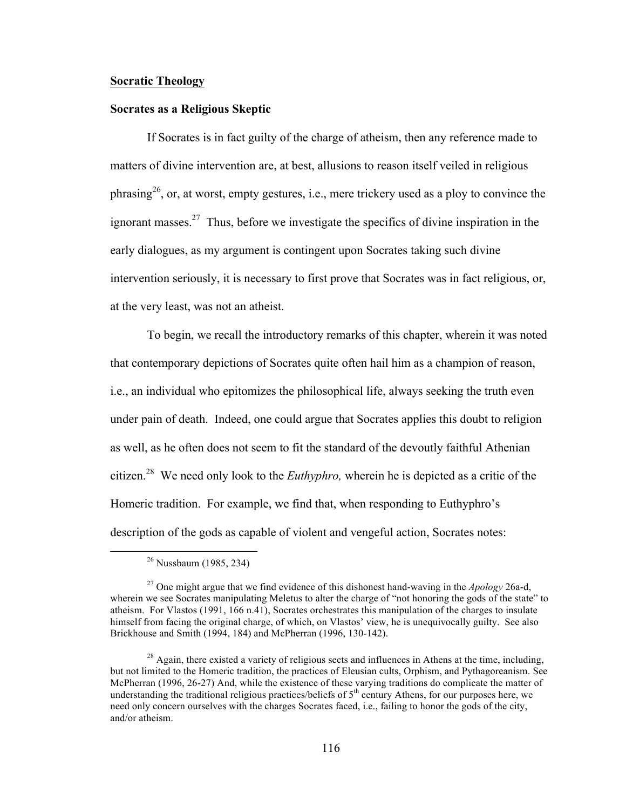### **Socratic Theology**

#### **Socrates as a Religious Skeptic**

If Socrates is in fact guilty of the charge of atheism, then any reference made to matters of divine intervention are, at best, allusions to reason itself veiled in religious phrasing<sup>26</sup>, or, at worst, empty gestures, i.e., mere trickery used as a ploy to convince the ignorant masses.<sup>27</sup> Thus, before we investigate the specifics of divine inspiration in the early dialogues, as my argument is contingent upon Socrates taking such divine intervention seriously, it is necessary to first prove that Socrates was in fact religious, or, at the very least, was not an atheist.

To begin, we recall the introductory remarks of this chapter, wherein it was noted that contemporary depictions of Socrates quite often hail him as a champion of reason, i.e., an individual who epitomizes the philosophical life, always seeking the truth even under pain of death. Indeed, one could argue that Socrates applies this doubt to religion as well, as he often does not seem to fit the standard of the devoutly faithful Athenian citizen.28 We need only look to the *Euthyphro,* wherein he is depicted as a critic of the Homeric tradition. For example, we find that, when responding to Euthyphro's description of the gods as capable of violent and vengeful action, Socrates notes:

 <sup>26</sup> Nussbaum (1985, 234)

<sup>27</sup> One might argue that we find evidence of this dishonest hand-waving in the *Apology* 26a-d, wherein we see Socrates manipulating Meletus to alter the charge of "not honoring the gods of the state" to atheism. For Vlastos (1991, 166 n.41), Socrates orchestrates this manipulation of the charges to insulate himself from facing the original charge, of which, on Vlastos' view, he is unequivocally guilty. See also Brickhouse and Smith (1994, 184) and McPherran (1996, 130-142).

 $^{28}$  Again, there existed a variety of religious sects and influences in Athens at the time, including, but not limited to the Homeric tradition, the practices of Eleusian cults, Orphism, and Pythagoreanism. See McPherran (1996, 26-27) And, while the existence of these varying traditions do complicate the matter of understanding the traditional religious practices/beliefs of 5<sup>th</sup> century Athens, for our purposes here, we need only concern ourselves with the charges Socrates faced, i.e., failing to honor the gods of the city, and/or atheism.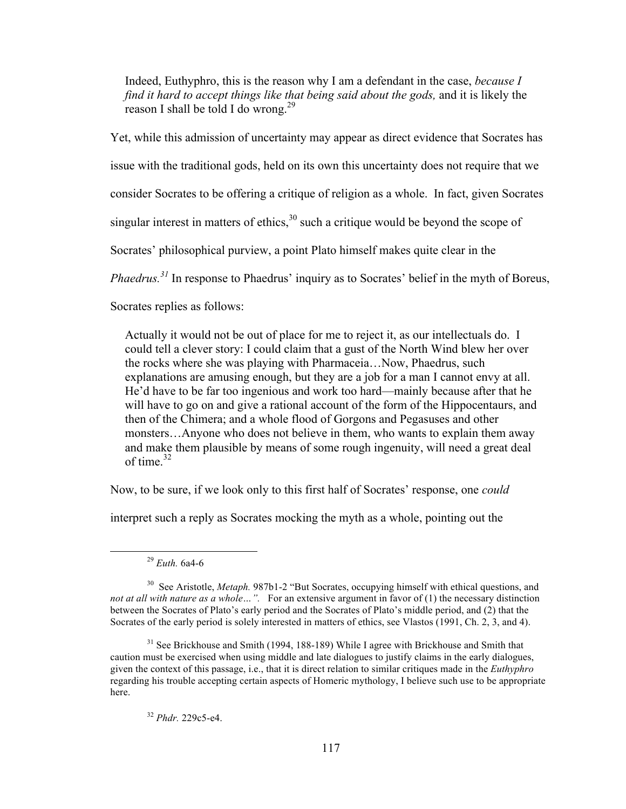Indeed, Euthyphro, this is the reason why I am a defendant in the case, *because I find it hard to accept things like that being said about the gods,* and it is likely the reason I shall be told I do wrong.<sup>29</sup>

Yet, while this admission of uncertainty may appear as direct evidence that Socrates has issue with the traditional gods, held on its own this uncertainty does not require that we consider Socrates to be offering a critique of religion as a whole. In fact, given Socrates singular interest in matters of ethics,  $30$  such a critique would be beyond the scope of Socrates' philosophical purview, a point Plato himself makes quite clear in the *Phaedrus.*<sup>31</sup> In response to Phaedrus' inquiry as to Socrates' belief in the myth of Boreus, Socrates replies as follows:

Actually it would not be out of place for me to reject it, as our intellectuals do. I could tell a clever story: I could claim that a gust of the North Wind blew her over the rocks where she was playing with Pharmaceia…Now, Phaedrus, such explanations are amusing enough, but they are a job for a man I cannot envy at all. He'd have to be far too ingenious and work too hard—mainly because after that he will have to go on and give a rational account of the form of the Hippocentaurs, and then of the Chimera; and a whole flood of Gorgons and Pegasuses and other monsters…Anyone who does not believe in them, who wants to explain them away and make them plausible by means of some rough ingenuity, will need a great deal of time.<sup>32</sup>

Now, to be sure, if we look only to this first half of Socrates' response, one *could* 

interpret such a reply as Socrates mocking the myth as a whole, pointing out the

<sup>32</sup> *Phdr.* 229c5-e4.

 <sup>29</sup> *Euth.* 6a4-6

<sup>&</sup>lt;sup>30</sup> See Aristotle, *Metaph.* 987b1-2 "But Socrates, occupying himself with ethical questions, and *not at all with nature as a whole* ... ". For an extensive argument in favor of (1) the necessary distinction between the Socrates of Plato's early period and the Socrates of Plato's middle period, and (2) that the Socrates of the early period is solely interested in matters of ethics, see Vlastos (1991, Ch. 2, 3, and 4).

 $31$  See Brickhouse and Smith (1994, 188-189) While I agree with Brickhouse and Smith that caution must be exercised when using middle and late dialogues to justify claims in the early dialogues, given the context of this passage, i.e., that it is direct relation to similar critiques made in the *Euthyphro*  regarding his trouble accepting certain aspects of Homeric mythology, I believe such use to be appropriate here.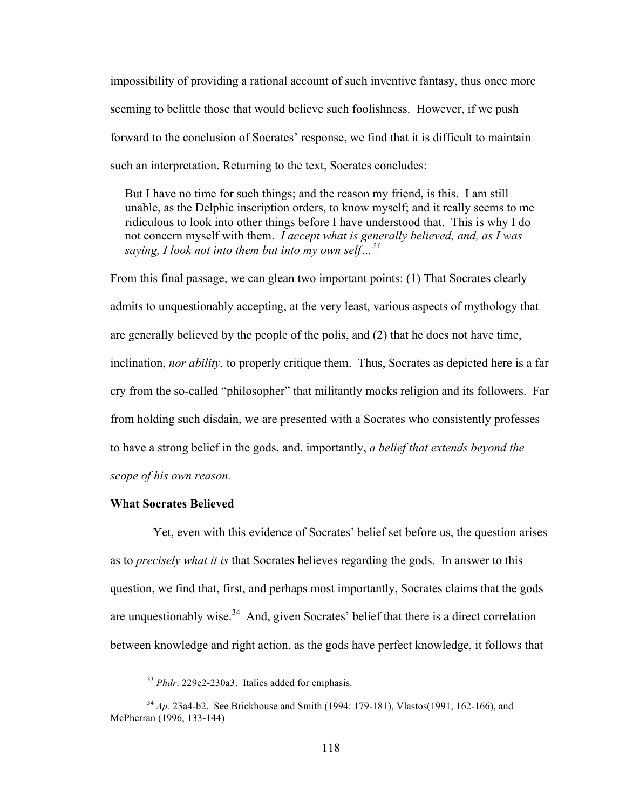impossibility of providing a rational account of such inventive fantasy, thus once more seeming to belittle those that would believe such foolishness. However, if we push forward to the conclusion of Socrates' response, we find that it is difficult to maintain such an interpretation. Returning to the text, Socrates concludes:

But I have no time for such things; and the reason my friend, is this. I am still unable, as the Delphic inscription orders, to know myself; and it really seems to me ridiculous to look into other things before I have understood that. This is why I do not concern myself with them. *I accept what is generally believed, and, as I was saying, I look not into them but into my own self…<sup>33</sup>*

From this final passage, we can glean two important points: (1) That Socrates clearly admits to unquestionably accepting, at the very least, various aspects of mythology that are generally believed by the people of the polis, and (2) that he does not have time, inclination, *nor ability,* to properly critique them. Thus, Socrates as depicted here is a far cry from the so-called "philosopher" that militantly mocks religion and its followers. Far from holding such disdain, we are presented with a Socrates who consistently professes to have a strong belief in the gods, and, importantly, *a belief that extends beyond the scope of his own reason.*

### **What Socrates Believed**

 Yet, even with this evidence of Socrates' belief set before us, the question arises as to *precisely what it is* that Socrates believes regarding the gods. In answer to this question, we find that, first, and perhaps most importantly, Socrates claims that the gods are unquestionably wise.<sup>34</sup> And, given Socrates' belief that there is a direct correlation between knowledge and right action, as the gods have perfect knowledge, it follows that

 <sup>33</sup> *Phdr*. 229e2-230a3. Italics added for emphasis.

<sup>34</sup> *Ap.* 23a4-b2. See Brickhouse and Smith (1994: 179-181), Vlastos(1991, 162-166), and McPherran (1996, 133-144)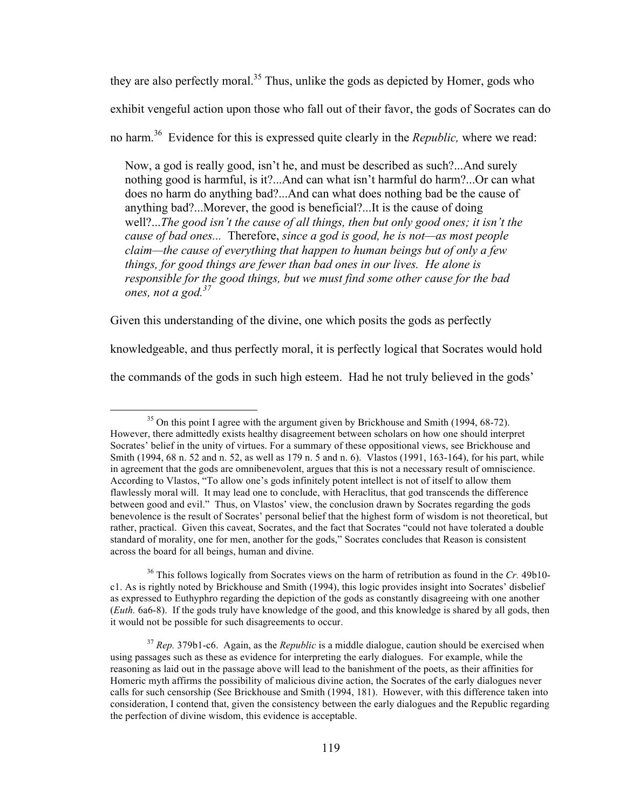they are also perfectly moral.<sup>35</sup> Thus, unlike the gods as depicted by Homer, gods who

exhibit vengeful action upon those who fall out of their favor, the gods of Socrates can do

no harm.36 Evidence for this is expressed quite clearly in the *Republic,* where we read:

Now, a god is really good, isn't he, and must be described as such?...And surely nothing good is harmful, is it?...And can what isn't harmful do harm?...Or can what does no harm do anything bad?...And can what does nothing bad be the cause of anything bad?...Morever, the good is beneficial?...It is the cause of doing well?...*The good isn't the cause of all things, then but only good ones; it isn't the cause of bad ones...* Therefore, *since a god is good, he is not—as most people claim—the cause of everything that happen to human beings but of only a few things, for good things are fewer than bad ones in our lives. He alone is responsible for the good things, but we must find some other cause for the bad ones, not a god.37*

Given this understanding of the divine, one which posits the gods as perfectly

knowledgeable, and thus perfectly moral, it is perfectly logical that Socrates would hold

the commands of the gods in such high esteem. Had he not truly believed in the gods'

<sup>&</sup>lt;sup>35</sup> On this point I agree with the argument given by Brickhouse and Smith (1994, 68-72). However, there admittedly exists healthy disagreement between scholars on how one should interpret Socrates' belief in the unity of virtues. For a summary of these oppositional views, see Brickhouse and Smith (1994, 68 n. 52 and n. 52, as well as 179 n. 5 and n. 6). Vlastos (1991, 163-164), for his part, while in agreement that the gods are omnibenevolent, argues that this is not a necessary result of omniscience. According to Vlastos, "To allow one's gods infinitely potent intellect is not of itself to allow them flawlessly moral will. It may lead one to conclude, with Heraclitus, that god transcends the difference between good and evil." Thus, on Vlastos' view, the conclusion drawn by Socrates regarding the gods benevolence is the result of Socrates' personal belief that the highest form of wisdom is not theoretical, but rather, practical. Given this caveat, Socrates, and the fact that Socrates "could not have tolerated a double standard of morality, one for men, another for the gods," Socrates concludes that Reason is consistent across the board for all beings, human and divine.

<sup>36</sup> This follows logically from Socrates views on the harm of retribution as found in the *Cr.* 49b10 c1. As is rightly noted by Brickhouse and Smith (1994), this logic provides insight into Socrates' disbelief as expressed to Euthyphro regarding the depiction of the gods as constantly disagreeing with one another (*Euth.* 6a6-8). If the gods truly have knowledge of the good, and this knowledge is shared by all gods, then it would not be possible for such disagreements to occur.

<sup>37</sup> *Rep.* 379b1-c6. Again, as the *Republic* is a middle dialogue, caution should be exercised when using passages such as these as evidence for interpreting the early dialogues. For example, while the reasoning as laid out in the passage above will lead to the banishment of the poets, as their affinities for Homeric myth affirms the possibility of malicious divine action, the Socrates of the early dialogues never calls for such censorship (See Brickhouse and Smith (1994, 181). However, with this difference taken into consideration, I contend that, given the consistency between the early dialogues and the Republic regarding the perfection of divine wisdom, this evidence is acceptable.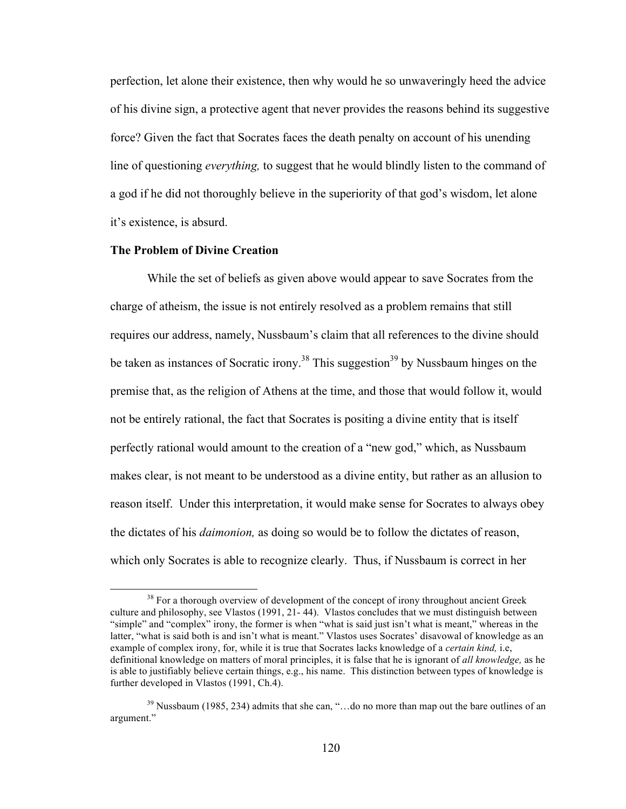perfection, let alone their existence, then why would he so unwaveringly heed the advice of his divine sign, a protective agent that never provides the reasons behind its suggestive force? Given the fact that Socrates faces the death penalty on account of his unending line of questioning *everything,* to suggest that he would blindly listen to the command of a god if he did not thoroughly believe in the superiority of that god's wisdom, let alone it's existence, is absurd.

#### **The Problem of Divine Creation**

While the set of beliefs as given above would appear to save Socrates from the charge of atheism, the issue is not entirely resolved as a problem remains that still requires our address, namely, Nussbaum's claim that all references to the divine should be taken as instances of Socratic irony.<sup>38</sup> This suggestion<sup>39</sup> by Nussbaum hinges on the premise that, as the religion of Athens at the time, and those that would follow it, would not be entirely rational, the fact that Socrates is positing a divine entity that is itself perfectly rational would amount to the creation of a "new god," which, as Nussbaum makes clear, is not meant to be understood as a divine entity, but rather as an allusion to reason itself. Under this interpretation, it would make sense for Socrates to always obey the dictates of his *daimonion,* as doing so would be to follow the dictates of reason, which only Socrates is able to recognize clearly. Thus, if Nussbaum is correct in her

 $38$  For a thorough overview of development of the concept of irony throughout ancient Greek culture and philosophy, see Vlastos (1991, 21- 44). Vlastos concludes that we must distinguish between "simple" and "complex" irony, the former is when "what is said just isn't what is meant," whereas in the latter, "what is said both is and isn't what is meant." Vlastos uses Socrates' disavowal of knowledge as an example of complex irony, for, while it is true that Socrates lacks knowledge of a *certain kind,* i.e, definitional knowledge on matters of moral principles, it is false that he is ignorant of *all knowledge,* as he is able to justifiably believe certain things, e.g., his name. This distinction between types of knowledge is further developed in Vlastos (1991, Ch.4).

 $39$  Nussbaum (1985, 234) admits that she can, "... do no more than map out the bare outlines of an argument."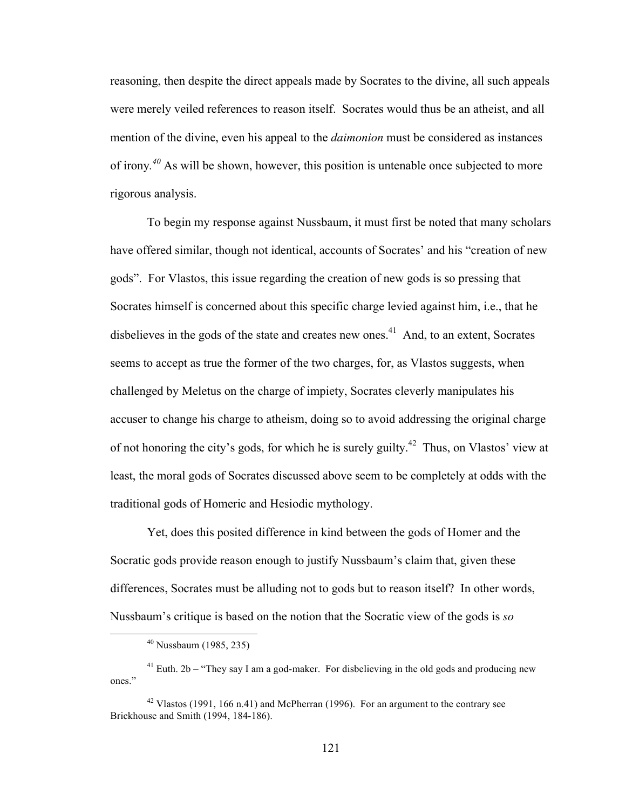reasoning, then despite the direct appeals made by Socrates to the divine, all such appeals were merely veiled references to reason itself. Socrates would thus be an atheist, and all mention of the divine, even his appeal to the *daimonion* must be considered as instances of irony*. <sup>40</sup>* As will be shown, however, this position is untenable once subjected to more rigorous analysis.

To begin my response against Nussbaum, it must first be noted that many scholars have offered similar, though not identical, accounts of Socrates' and his "creation of new gods". For Vlastos, this issue regarding the creation of new gods is so pressing that Socrates himself is concerned about this specific charge levied against him, i.e., that he disbelieves in the gods of the state and creates new ones.<sup>41</sup> And, to an extent, Socrates seems to accept as true the former of the two charges, for, as Vlastos suggests, when challenged by Meletus on the charge of impiety, Socrates cleverly manipulates his accuser to change his charge to atheism, doing so to avoid addressing the original charge of not honoring the city's gods, for which he is surely guilty.<sup>42</sup> Thus, on Vlastos' view at least, the moral gods of Socrates discussed above seem to be completely at odds with the traditional gods of Homeric and Hesiodic mythology.

Yet, does this posited difference in kind between the gods of Homer and the Socratic gods provide reason enough to justify Nussbaum's claim that, given these differences, Socrates must be alluding not to gods but to reason itself? In other words, Nussbaum's critique is based on the notion that the Socratic view of the gods is *so* 

 $40$  Nussbaum (1985, 235)

 $41$  Euth. 2b – "They say I am a god-maker. For disbelieving in the old gods and producing new ones."

 $42$  Vlastos (1991, 166 n.41) and McPherran (1996). For an argument to the contrary see Brickhouse and Smith (1994, 184-186).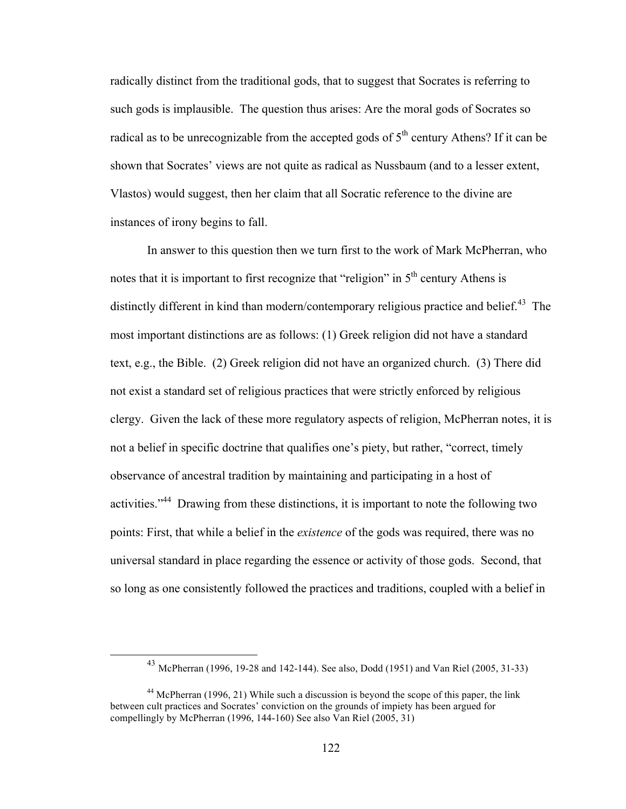radically distinct from the traditional gods, that to suggest that Socrates is referring to such gods is implausible. The question thus arises: Are the moral gods of Socrates so radical as to be unrecognizable from the accepted gods of  $5<sup>th</sup>$  century Athens? If it can be shown that Socrates' views are not quite as radical as Nussbaum (and to a lesser extent, Vlastos) would suggest, then her claim that all Socratic reference to the divine are instances of irony begins to fall.

In answer to this question then we turn first to the work of Mark McPherran, who notes that it is important to first recognize that "religion" in  $5<sup>th</sup>$  century Athens is distinctly different in kind than modern/contemporary religious practice and belief.<sup>43</sup> The most important distinctions are as follows: (1) Greek religion did not have a standard text, e.g., the Bible. (2) Greek religion did not have an organized church. (3) There did not exist a standard set of religious practices that were strictly enforced by religious clergy. Given the lack of these more regulatory aspects of religion, McPherran notes, it is not a belief in specific doctrine that qualifies one's piety, but rather, "correct, timely observance of ancestral tradition by maintaining and participating in a host of activities."44 Drawing from these distinctions, it is important to note the following two points: First, that while a belief in the *existence* of the gods was required, there was no universal standard in place regarding the essence or activity of those gods. Second, that so long as one consistently followed the practices and traditions, coupled with a belief in

 <sup>43</sup> McPherran (1996, 19-28 and 142-144). See also, Dodd (1951) and Van Riel (2005, 31-33)

 $44$  McPherran (1996, 21) While such a discussion is beyond the scope of this paper, the link between cult practices and Socrates' conviction on the grounds of impiety has been argued for compellingly by McPherran (1996, 144-160) See also Van Riel (2005, 31)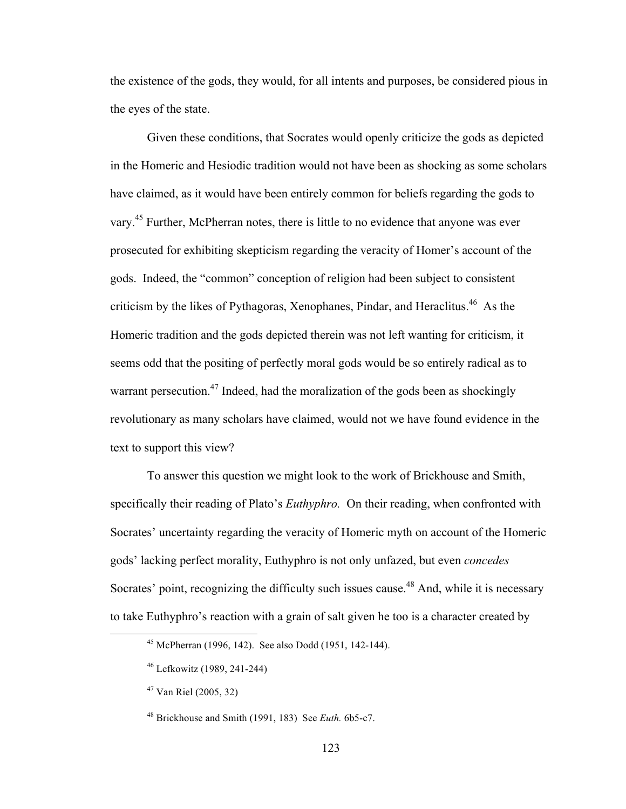the existence of the gods, they would, for all intents and purposes, be considered pious in the eyes of the state.

Given these conditions, that Socrates would openly criticize the gods as depicted in the Homeric and Hesiodic tradition would not have been as shocking as some scholars have claimed, as it would have been entirely common for beliefs regarding the gods to vary.45 Further, McPherran notes, there is little to no evidence that anyone was ever prosecuted for exhibiting skepticism regarding the veracity of Homer's account of the gods. Indeed, the "common" conception of religion had been subject to consistent criticism by the likes of Pythagoras, Xenophanes, Pindar, and Heraclitus.<sup>46</sup> As the Homeric tradition and the gods depicted therein was not left wanting for criticism, it seems odd that the positing of perfectly moral gods would be so entirely radical as to warrant persecution.<sup>47</sup> Indeed, had the moralization of the gods been as shockingly revolutionary as many scholars have claimed, would not we have found evidence in the text to support this view?

To answer this question we might look to the work of Brickhouse and Smith, specifically their reading of Plato's *Euthyphro.* On their reading, when confronted with Socrates' uncertainty regarding the veracity of Homeric myth on account of the Homeric gods' lacking perfect morality, Euthyphro is not only unfazed, but even *concedes*  Socrates' point, recognizing the difficulty such issues cause.<sup>48</sup> And, while it is necessary to take Euthyphro's reaction with a grain of salt given he too is a character created by

 <sup>45</sup> McPherran (1996, 142). See also Dodd (1951, 142-144).

<sup>46</sup> Lefkowitz (1989, 241-244)

 $47$  Van Riel (2005, 32)

<sup>48</sup> Brickhouse and Smith (1991, 183) See *Euth.* 6b5-c7.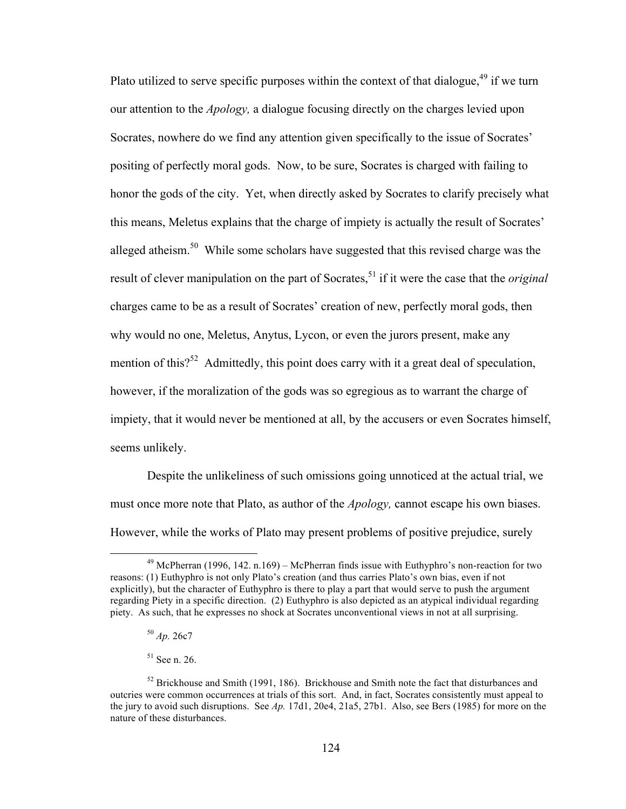Plato utilized to serve specific purposes within the context of that dialogue,  $49$  if we turn our attention to the *Apology,* a dialogue focusing directly on the charges levied upon Socrates, nowhere do we find any attention given specifically to the issue of Socrates' positing of perfectly moral gods. Now, to be sure, Socrates is charged with failing to honor the gods of the city. Yet, when directly asked by Socrates to clarify precisely what this means, Meletus explains that the charge of impiety is actually the result of Socrates' alleged atheism.<sup>50</sup> While some scholars have suggested that this revised charge was the result of clever manipulation on the part of Socrates,<sup>51</sup> if it were the case that the *original* charges came to be as a result of Socrates' creation of new, perfectly moral gods, then why would no one, Meletus, Anytus, Lycon, or even the jurors present, make any mention of this?<sup>52</sup> Admittedly, this point does carry with it a great deal of speculation, however, if the moralization of the gods was so egregious as to warrant the charge of impiety, that it would never be mentioned at all, by the accusers or even Socrates himself, seems unlikely.

Despite the unlikeliness of such omissions going unnoticed at the actual trial, we must once more note that Plato, as author of the *Apology,* cannot escape his own biases. However, while the works of Plato may present problems of positive prejudice, surely

 $^{49}$  McPherran (1996, 142, n.169) – McPherran finds issue with Euthyphro's non-reaction for two reasons: (1) Euthyphro is not only Plato's creation (and thus carries Plato's own bias, even if not explicitly), but the character of Euthyphro is there to play a part that would serve to push the argument regarding Piety in a specific direction. (2) Euthyphro is also depicted as an atypical individual regarding piety. As such, that he expresses no shock at Socrates unconventional views in not at all surprising.

<sup>50</sup> *Ap.* 26c7

 $51$  See n. 26.

 $52$  Brickhouse and Smith (1991, 186). Brickhouse and Smith note the fact that disturbances and outcries were common occurrences at trials of this sort. And, in fact, Socrates consistently must appeal to the jury to avoid such disruptions. See *Ap.* 17d1, 20e4, 21a5, 27b1. Also, see Bers (1985) for more on the nature of these disturbances.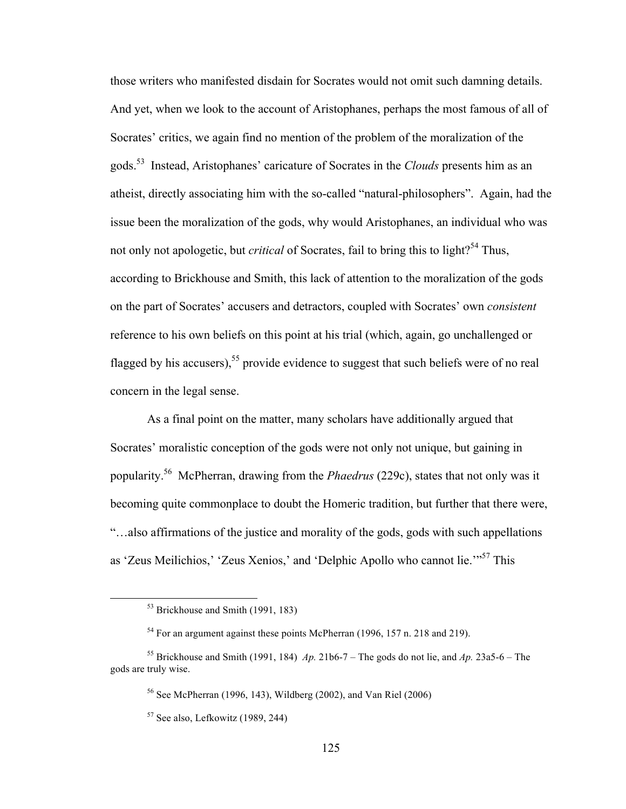those writers who manifested disdain for Socrates would not omit such damning details. And yet, when we look to the account of Aristophanes, perhaps the most famous of all of Socrates' critics, we again find no mention of the problem of the moralization of the gods.53 Instead, Aristophanes' caricature of Socrates in the *Clouds* presents him as an atheist, directly associating him with the so-called "natural-philosophers". Again, had the issue been the moralization of the gods, why would Aristophanes, an individual who was not only not apologetic, but *critical* of Socrates, fail to bring this to light?<sup>54</sup> Thus, according to Brickhouse and Smith, this lack of attention to the moralization of the gods on the part of Socrates' accusers and detractors, coupled with Socrates' own *consistent*  reference to his own beliefs on this point at his trial (which, again, go unchallenged or flagged by his accusers),  $55$  provide evidence to suggest that such beliefs were of no real concern in the legal sense.

As a final point on the matter, many scholars have additionally argued that Socrates' moralistic conception of the gods were not only not unique, but gaining in popularity.56 McPherran, drawing from the *Phaedrus* (229c), states that not only was it becoming quite commonplace to doubt the Homeric tradition, but further that there were, "…also affirmations of the justice and morality of the gods, gods with such appellations as 'Zeus Meilichios,' 'Zeus Xenios,' and 'Delphic Apollo who cannot lie.'"<sup>57</sup> This

<sup>&</sup>lt;sup>53</sup> Brickhouse and Smith (1991, 183)

<sup>54</sup> For an argument against these points McPherran (1996, 157 n. 218 and 219).

<sup>&</sup>lt;sup>55</sup> Brickhouse and Smith (1991, 184) *Ap.* 21b6-7 – The gods do not lie, and *Ap.* 23a5-6 – The gods are truly wise.

<sup>56</sup> See McPherran (1996, 143), Wildberg (2002), and Van Riel (2006)

<sup>57</sup> See also, Lefkowitz (1989, 244)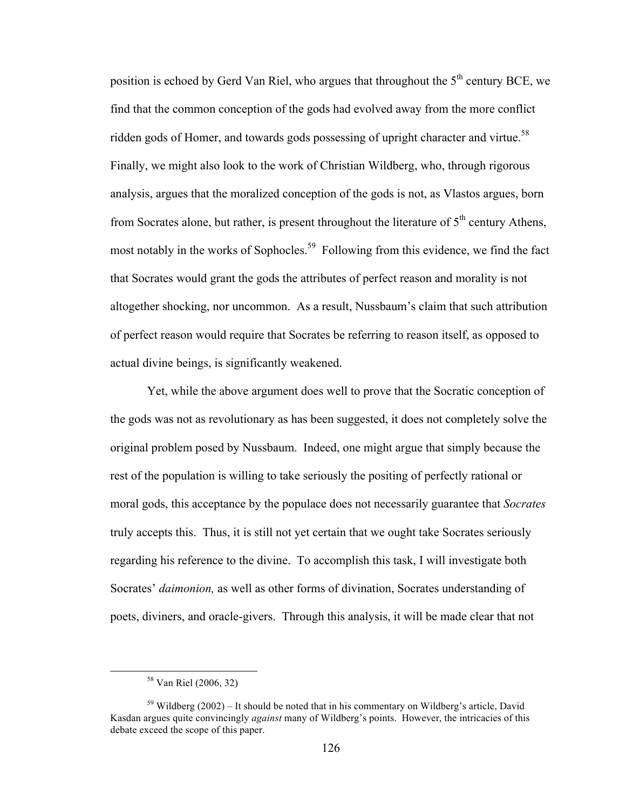position is echoed by Gerd Van Riel, who argues that throughout the  $5<sup>th</sup>$  century BCE, we find that the common conception of the gods had evolved away from the more conflict ridden gods of Homer, and towards gods possessing of upright character and virtue.<sup>58</sup> Finally, we might also look to the work of Christian Wildberg, who, through rigorous analysis, argues that the moralized conception of the gods is not, as Vlastos argues, born from Socrates alone, but rather, is present throughout the literature of  $5<sup>th</sup>$  century Athens, most notably in the works of Sophocles.<sup>59</sup> Following from this evidence, we find the fact that Socrates would grant the gods the attributes of perfect reason and morality is not altogether shocking, nor uncommon. As a result, Nussbaum's claim that such attribution of perfect reason would require that Socrates be referring to reason itself, as opposed to actual divine beings, is significantly weakened.

Yet, while the above argument does well to prove that the Socratic conception of the gods was not as revolutionary as has been suggested, it does not completely solve the original problem posed by Nussbaum. Indeed, one might argue that simply because the rest of the population is willing to take seriously the positing of perfectly rational or moral gods, this acceptance by the populace does not necessarily guarantee that *Socrates*  truly accepts this. Thus, it is still not yet certain that we ought take Socrates seriously regarding his reference to the divine. To accomplish this task, I will investigate both Socrates' *daimonion,* as well as other forms of divination, Socrates understanding of poets, diviners, and oracle-givers. Through this analysis, it will be made clear that not

 <sup>58</sup> Van Riel (2006, 32)

 $59$  Wildberg (2002) – It should be noted that in his commentary on Wildberg's article, David Kasdan argues quite convincingly *against* many of Wildberg's points. However, the intricacies of this debate exceed the scope of this paper.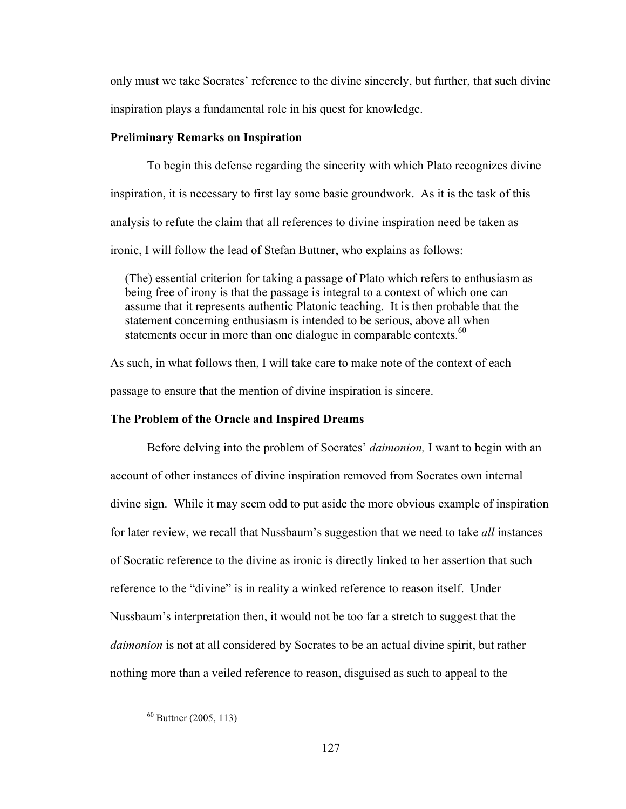only must we take Socrates' reference to the divine sincerely, but further, that such divine inspiration plays a fundamental role in his quest for knowledge.

### **Preliminary Remarks on Inspiration**

To begin this defense regarding the sincerity with which Plato recognizes divine inspiration, it is necessary to first lay some basic groundwork. As it is the task of this analysis to refute the claim that all references to divine inspiration need be taken as ironic, I will follow the lead of Stefan Buttner, who explains as follows:

(The) essential criterion for taking a passage of Plato which refers to enthusiasm as being free of irony is that the passage is integral to a context of which one can assume that it represents authentic Platonic teaching. It is then probable that the statement concerning enthusiasm is intended to be serious, above all when statements occur in more than one dialogue in comparable contexts.<sup>60</sup>

As such, in what follows then, I will take care to make note of the context of each passage to ensure that the mention of divine inspiration is sincere.

# **The Problem of the Oracle and Inspired Dreams**

Before delving into the problem of Socrates' *daimonion,* I want to begin with an account of other instances of divine inspiration removed from Socrates own internal divine sign. While it may seem odd to put aside the more obvious example of inspiration for later review, we recall that Nussbaum's suggestion that we need to take *all* instances of Socratic reference to the divine as ironic is directly linked to her assertion that such reference to the "divine" is in reality a winked reference to reason itself. Under Nussbaum's interpretation then, it would not be too far a stretch to suggest that the *daimonion* is not at all considered by Socrates to be an actual divine spirit, but rather nothing more than a veiled reference to reason, disguised as such to appeal to the

 $^{60}$  Buttner (2005, 113)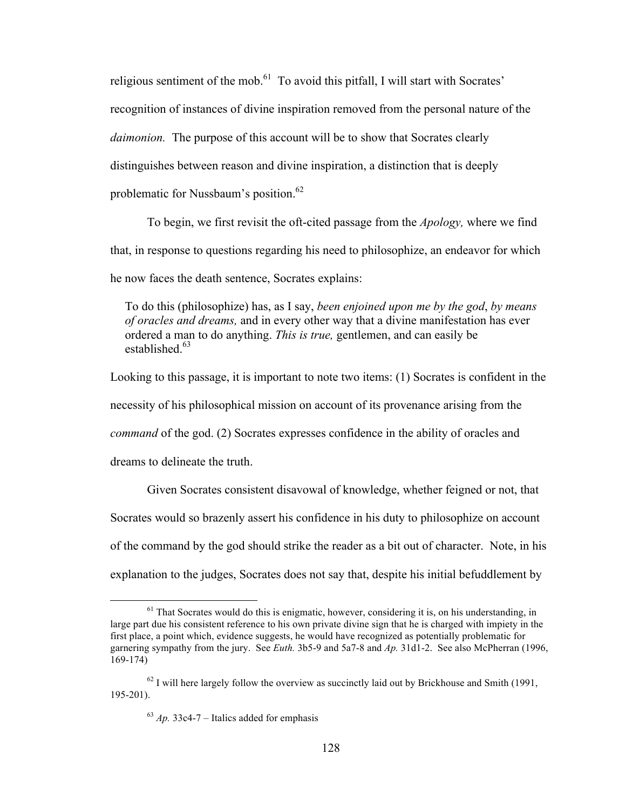religious sentiment of the mob.<sup>61</sup> To avoid this pitfall, I will start with Socrates' recognition of instances of divine inspiration removed from the personal nature of the *daimonion.* The purpose of this account will be to show that Socrates clearly distinguishes between reason and divine inspiration, a distinction that is deeply problematic for Nussbaum's position.<sup>62</sup>

To begin, we first revisit the oft-cited passage from the *Apology,* where we find that, in response to questions regarding his need to philosophize, an endeavor for which he now faces the death sentence, Socrates explains:

To do this (philosophize) has, as I say, *been enjoined upon me by the god*, *by means of oracles and dreams,* and in every other way that a divine manifestation has ever ordered a man to do anything. *This is true,* gentlemen, and can easily be established  $63$ 

Looking to this passage, it is important to note two items: (1) Socrates is confident in the necessity of his philosophical mission on account of its provenance arising from the *command* of the god. (2) Socrates expresses confidence in the ability of oracles and dreams to delineate the truth.

Given Socrates consistent disavowal of knowledge, whether feigned or not, that Socrates would so brazenly assert his confidence in his duty to philosophize on account of the command by the god should strike the reader as a bit out of character. Note, in his explanation to the judges, Socrates does not say that, despite his initial befuddlement by

 $<sup>61</sup>$  That Socrates would do this is enigmatic, however, considering it is, on his understanding, in</sup> large part due his consistent reference to his own private divine sign that he is charged with impiety in the first place, a point which, evidence suggests, he would have recognized as potentially problematic for garnering sympathy from the jury. See *Euth.* 3b5-9 and 5a7-8 and *Ap.* 31d1-2. See also McPherran (1996, 169-174)

 $62$  I will here largely follow the overview as succinctly laid out by Brickhouse and Smith (1991, 195-201).

 $^{63}$  *Ap.* 33c4-7 – Italics added for emphasis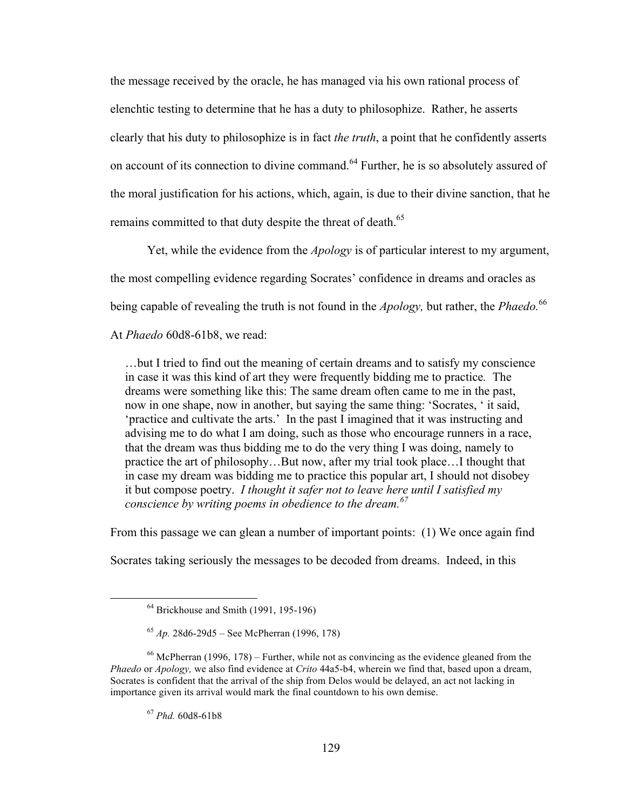the message received by the oracle, he has managed via his own rational process of elenchtic testing to determine that he has a duty to philosophize. Rather, he asserts clearly that his duty to philosophize is in fact *the truth*, a point that he confidently asserts on account of its connection to divine command.<sup>64</sup> Further, he is so absolutely assured of the moral justification for his actions, which, again, is due to their divine sanction, that he remains committed to that duty despite the threat of death.<sup>65</sup>

Yet, while the evidence from the *Apology* is of particular interest to my argument, the most compelling evidence regarding Socrates' confidence in dreams and oracles as being capable of revealing the truth is not found in the *Apology,* but rather, the *Phaedo.*<sup>66</sup> At *Phaedo* 60d8-61b8, we read:

…but I tried to find out the meaning of certain dreams and to satisfy my conscience in case it was this kind of art they were frequently bidding me to practice*.* The dreams were something like this: The same dream often came to me in the past, now in one shape, now in another, but saying the same thing: 'Socrates, ' it said, 'practice and cultivate the arts.' In the past I imagined that it was instructing and advising me to do what I am doing, such as those who encourage runners in a race, that the dream was thus bidding me to do the very thing I was doing, namely to practice the art of philosophy…But now, after my trial took place…I thought that in case my dream was bidding me to practice this popular art, I should not disobey it but compose poetry. *I thought it safer not to leave here until I satisfied my conscience by writing poems in obedience to the dream.<sup>67</sup>*

From this passage we can glean a number of important points: (1) We once again find

Socrates taking seriously the messages to be decoded from dreams. Indeed, in this

<sup>67</sup> *Phd.* 60d8-61b8

 <sup>64</sup> Brickhouse and Smith (1991, 195-196)

<sup>65</sup> *Ap.* 28d6-29d5 – See McPherran (1996, 178)

 $66$  McPherran (1996, 178) – Further, while not as convincing as the evidence gleaned from the *Phaedo* or *Apology,* we also find evidence at *Crito* 44a5-b4, wherein we find that, based upon a dream, Socrates is confident that the arrival of the ship from Delos would be delayed, an act not lacking in importance given its arrival would mark the final countdown to his own demise.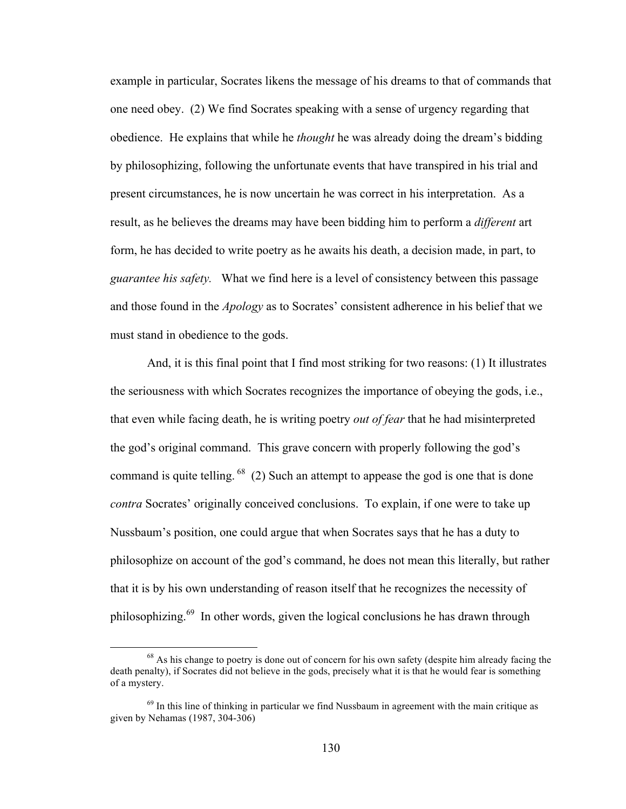example in particular, Socrates likens the message of his dreams to that of commands that one need obey. (2) We find Socrates speaking with a sense of urgency regarding that obedience. He explains that while he *thought* he was already doing the dream's bidding by philosophizing, following the unfortunate events that have transpired in his trial and present circumstances, he is now uncertain he was correct in his interpretation. As a result, as he believes the dreams may have been bidding him to perform a *different* art form, he has decided to write poetry as he awaits his death, a decision made, in part, to *guarantee his safety.* What we find here is a level of consistency between this passage and those found in the *Apology* as to Socrates' consistent adherence in his belief that we must stand in obedience to the gods.

And, it is this final point that I find most striking for two reasons: (1) It illustrates the seriousness with which Socrates recognizes the importance of obeying the gods, i.e., that even while facing death, he is writing poetry *out of fear* that he had misinterpreted the god's original command. This grave concern with properly following the god's command is quite telling.  $^{68}$  (2) Such an attempt to appease the god is one that is done *contra* Socrates' originally conceived conclusions. To explain, if one were to take up Nussbaum's position, one could argue that when Socrates says that he has a duty to philosophize on account of the god's command, he does not mean this literally, but rather that it is by his own understanding of reason itself that he recognizes the necessity of philosophizing.69 In other words, given the logical conclusions he has drawn through

<sup>&</sup>lt;sup>68</sup> As his change to poetry is done out of concern for his own safety (despite him already facing the death penalty), if Socrates did not believe in the gods, precisely what it is that he would fear is something of a mystery.

 $<sup>69</sup>$  In this line of thinking in particular we find Nussbaum in agreement with the main critique as</sup> given by Nehamas (1987, 304-306)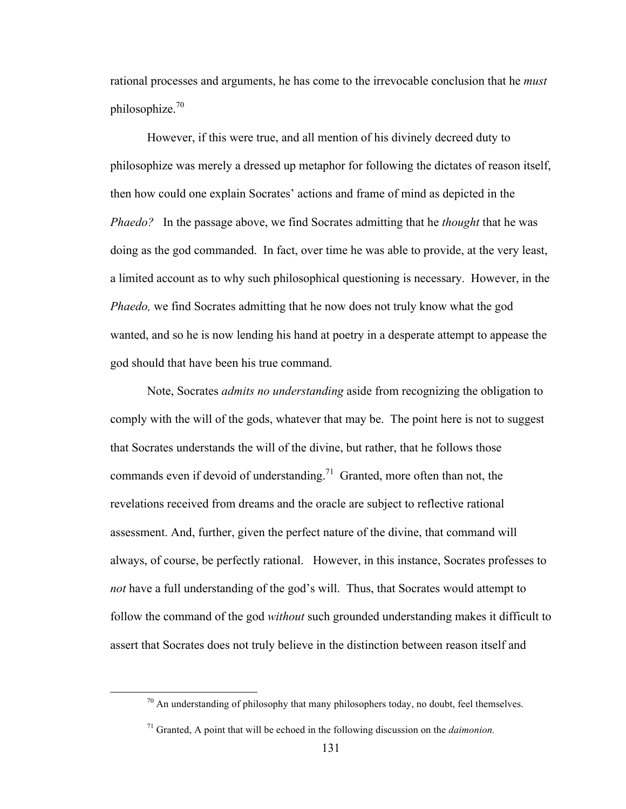rational processes and arguments, he has come to the irrevocable conclusion that he *must*  philosophize.70

However, if this were true, and all mention of his divinely decreed duty to philosophize was merely a dressed up metaphor for following the dictates of reason itself, then how could one explain Socrates' actions and frame of mind as depicted in the *Phaedo?* In the passage above, we find Socrates admitting that he *thought* that he was doing as the god commanded. In fact, over time he was able to provide, at the very least, a limited account as to why such philosophical questioning is necessary. However, in the *Phaedo*, we find Socrates admitting that he now does not truly know what the god wanted, and so he is now lending his hand at poetry in a desperate attempt to appease the god should that have been his true command.

Note, Socrates *admits no understanding* aside from recognizing the obligation to comply with the will of the gods, whatever that may be. The point here is not to suggest that Socrates understands the will of the divine, but rather, that he follows those commands even if devoid of understanding.<sup>71</sup> Granted, more often than not, the revelations received from dreams and the oracle are subject to reflective rational assessment. And, further, given the perfect nature of the divine, that command will always, of course, be perfectly rational. However, in this instance, Socrates professes to *not* have a full understanding of the god's will. Thus, that Socrates would attempt to follow the command of the god *without* such grounded understanding makes it difficult to assert that Socrates does not truly believe in the distinction between reason itself and

 $70$  An understanding of philosophy that many philosophers today, no doubt, feel themselves.

<sup>71</sup> Granted, A point that will be echoed in the following discussion on the *daimonion.*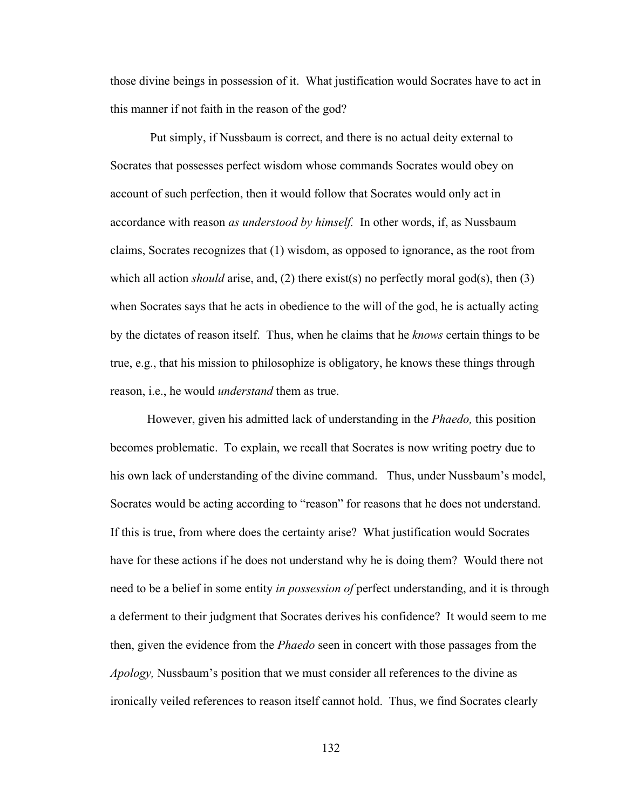those divine beings in possession of it. What justification would Socrates have to act in this manner if not faith in the reason of the god?

Put simply, if Nussbaum is correct, and there is no actual deity external to Socrates that possesses perfect wisdom whose commands Socrates would obey on account of such perfection, then it would follow that Socrates would only act in accordance with reason *as understood by himself.* In other words, if, as Nussbaum claims, Socrates recognizes that (1) wisdom, as opposed to ignorance, as the root from which all action *should* arise, and, (2) there exist(s) no perfectly moral god(s), then (3) when Socrates says that he acts in obedience to the will of the god, he is actually acting by the dictates of reason itself. Thus, when he claims that he *knows* certain things to be true, e.g., that his mission to philosophize is obligatory, he knows these things through reason, i.e., he would *understand* them as true.

However, given his admitted lack of understanding in the *Phaedo,* this position becomes problematic. To explain, we recall that Socrates is now writing poetry due to his own lack of understanding of the divine command. Thus, under Nussbaum's model, Socrates would be acting according to "reason" for reasons that he does not understand. If this is true, from where does the certainty arise? What justification would Socrates have for these actions if he does not understand why he is doing them? Would there not need to be a belief in some entity *in possession of* perfect understanding, and it is through a deferment to their judgment that Socrates derives his confidence? It would seem to me then, given the evidence from the *Phaedo* seen in concert with those passages from the *Apology,* Nussbaum's position that we must consider all references to the divine as ironically veiled references to reason itself cannot hold. Thus, we find Socrates clearly

132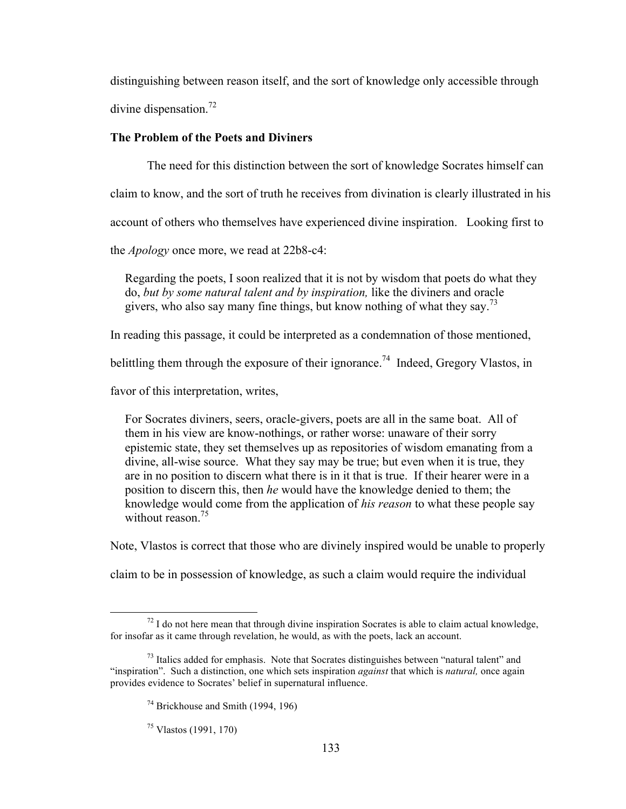distinguishing between reason itself, and the sort of knowledge only accessible through divine dispensation.<sup>72</sup>

### **The Problem of the Poets and Diviners**

The need for this distinction between the sort of knowledge Socrates himself can

claim to know, and the sort of truth he receives from divination is clearly illustrated in his

account of others who themselves have experienced divine inspiration. Looking first to

the *Apology* once more, we read at 22b8-c4:

Regarding the poets, I soon realized that it is not by wisdom that poets do what they do, *but by some natural talent and by inspiration,* like the diviners and oracle givers, who also say many fine things, but know nothing of what they say.<sup>73</sup>

In reading this passage, it could be interpreted as a condemnation of those mentioned,

belittling them through the exposure of their ignorance.<sup>74</sup> Indeed, Gregory Vlastos, in

favor of this interpretation, writes,

For Socrates diviners, seers, oracle-givers, poets are all in the same boat. All of them in his view are know-nothings, or rather worse: unaware of their sorry epistemic state, they set themselves up as repositories of wisdom emanating from a divine, all-wise source. What they say may be true; but even when it is true, they are in no position to discern what there is in it that is true. If their hearer were in a position to discern this, then *he* would have the knowledge denied to them; the knowledge would come from the application of *his reason* to what these people say without reason  $75$ 

Note, Vlastos is correct that those who are divinely inspired would be unable to properly

claim to be in possession of knowledge, as such a claim would require the individual

 $72$  I do not here mean that through divine inspiration Socrates is able to claim actual knowledge, for insofar as it came through revelation, he would, as with the poets, lack an account.

 $<sup>73</sup>$  Italics added for emphasis. Note that Socrates distinguishes between "natural talent" and</sup> "inspiration". Such a distinction, one which sets inspiration *against* that which is *natural,* once again provides evidence to Socrates' belief in supernatural influence.

<sup>74</sup> Brickhouse and Smith (1994, 196)

<sup>75</sup> Vlastos (1991, 170)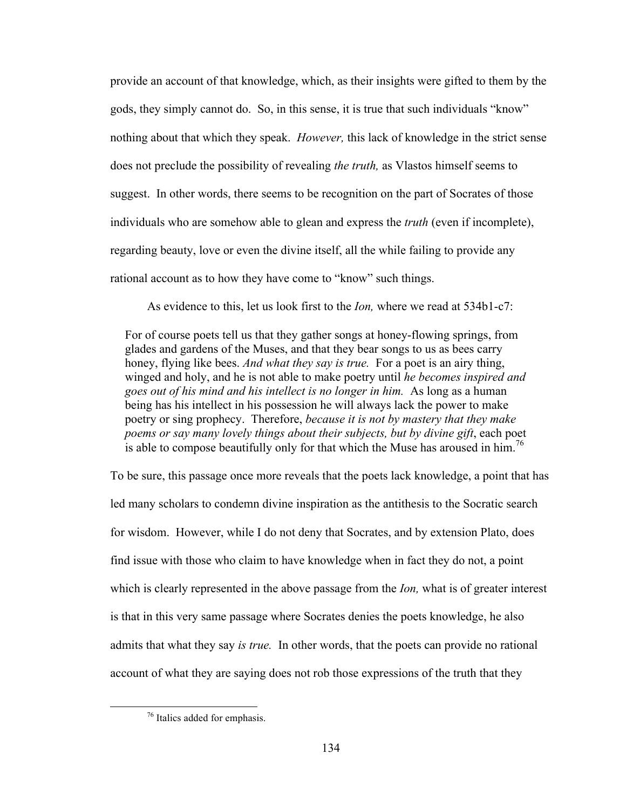provide an account of that knowledge, which, as their insights were gifted to them by the gods, they simply cannot do. So, in this sense, it is true that such individuals "know" nothing about that which they speak. *However,* this lack of knowledge in the strict sense does not preclude the possibility of revealing *the truth,* as Vlastos himself seems to suggest. In other words, there seems to be recognition on the part of Socrates of those individuals who are somehow able to glean and express the *truth* (even if incomplete), regarding beauty, love or even the divine itself, all the while failing to provide any rational account as to how they have come to "know" such things.

As evidence to this, let us look first to the *Ion,* where we read at 534b1-c7:

For of course poets tell us that they gather songs at honey-flowing springs, from glades and gardens of the Muses, and that they bear songs to us as bees carry honey, flying like bees. *And what they say is true.* For a poet is an airy thing, winged and holy, and he is not able to make poetry until *he becomes inspired and goes out of his mind and his intellect is no longer in him.* As long as a human being has his intellect in his possession he will always lack the power to make poetry or sing prophecy. Therefore, *because it is not by mastery that they make*  poems or say many lovely things about their subjects, but by divine gift, each poet is able to compose beautifully only for that which the Muse has aroused in him.<sup>76</sup>

To be sure, this passage once more reveals that the poets lack knowledge, a point that has led many scholars to condemn divine inspiration as the antithesis to the Socratic search for wisdom. However, while I do not deny that Socrates, and by extension Plato, does find issue with those who claim to have knowledge when in fact they do not, a point which is clearly represented in the above passage from the *Ion,* what is of greater interest is that in this very same passage where Socrates denies the poets knowledge, he also admits that what they say *is true.* In other words, that the poets can provide no rational account of what they are saying does not rob those expressions of the truth that they

 <sup>76</sup> Italics added for emphasis.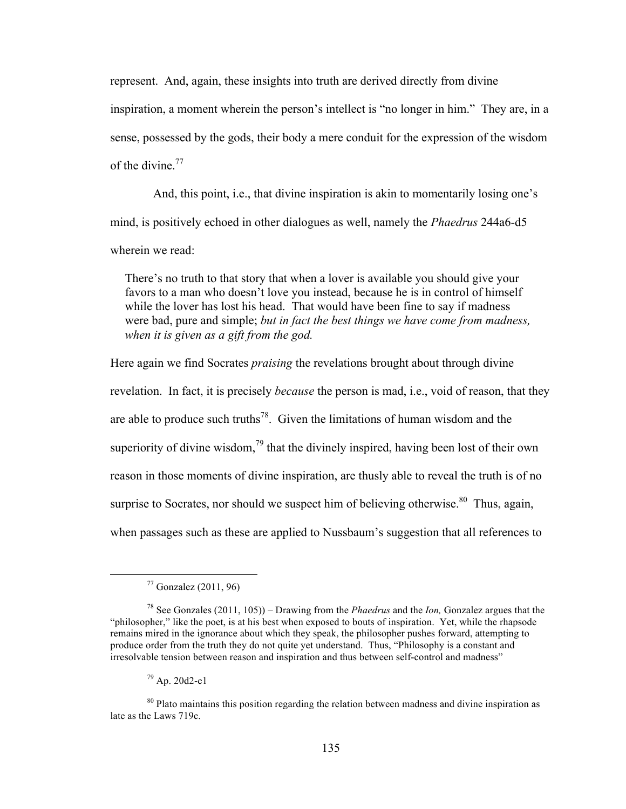represent. And, again, these insights into truth are derived directly from divine inspiration, a moment wherein the person's intellect is "no longer in him." They are, in a sense, possessed by the gods, their body a mere conduit for the expression of the wisdom of the divine.<sup>77</sup>

 And, this point, i.e., that divine inspiration is akin to momentarily losing one's mind, is positively echoed in other dialogues as well, namely the *Phaedrus* 244a6-d5 wherein we read:

There's no truth to that story that when a lover is available you should give your favors to a man who doesn't love you instead, because he is in control of himself while the lover has lost his head. That would have been fine to say if madness were bad, pure and simple; *but in fact the best things we have come from madness, when it is given as a gift from the god.*

Here again we find Socrates *praising* the revelations brought about through divine revelation. In fact, it is precisely *because* the person is mad, i.e., void of reason, that they are able to produce such truths<sup>78</sup>. Given the limitations of human wisdom and the superiority of divine wisdom, $^{79}$  that the divinely inspired, having been lost of their own reason in those moments of divine inspiration, are thusly able to reveal the truth is of no surprise to Socrates, nor should we suspect him of believing otherwise.<sup>80</sup> Thus, again, when passages such as these are applied to Nussbaum's suggestion that all references to

 <sup>77</sup> Gonzalez (2011, 96)

<sup>78</sup> See Gonzales (2011, 105)) – Drawing from the *Phaedrus* and the *Ion,* Gonzalez argues that the "philosopher," like the poet, is at his best when exposed to bouts of inspiration. Yet, while the rhapsode remains mired in the ignorance about which they speak, the philosopher pushes forward, attempting to produce order from the truth they do not quite yet understand. Thus, "Philosophy is a constant and irresolvable tension between reason and inspiration and thus between self-control and madness"

 $79$  Ap. 20d2-e1

<sup>&</sup>lt;sup>80</sup> Plato maintains this position regarding the relation between madness and divine inspiration as late as the Laws 719c.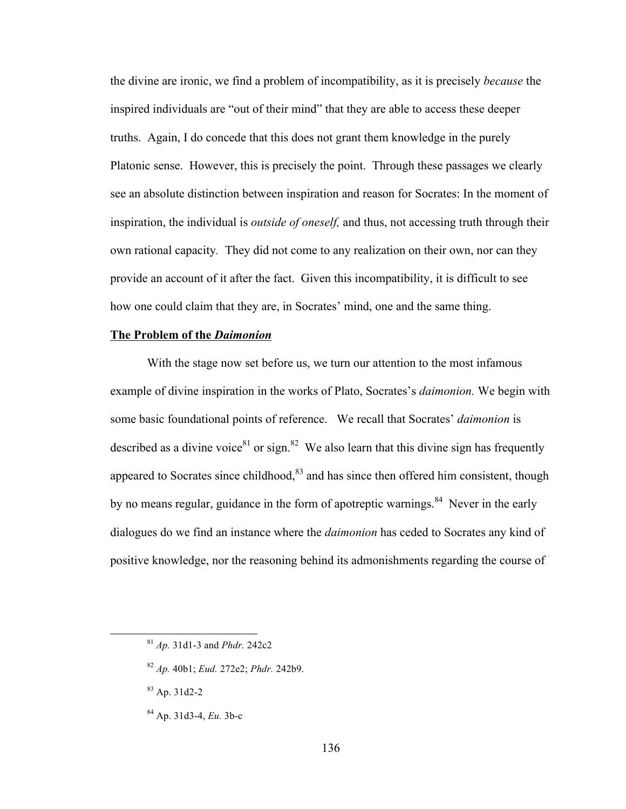the divine are ironic, we find a problem of incompatibility, as it is precisely *because* the inspired individuals are "out of their mind" that they are able to access these deeper truths. Again, I do concede that this does not grant them knowledge in the purely Platonic sense. However, this is precisely the point. Through these passages we clearly see an absolute distinction between inspiration and reason for Socrates: In the moment of inspiration, the individual is *outside of oneself,* and thus, not accessing truth through their own rational capacity*.* They did not come to any realization on their own, nor can they provide an account of it after the fact. Given this incompatibility, it is difficult to see how one could claim that they are, in Socrates' mind, one and the same thing.

# **The Problem of the** *Daimonion*

With the stage now set before us, we turn our attention to the most infamous example of divine inspiration in the works of Plato, Socrates's *daimonion.* We begin with some basic foundational points of reference. We recall that Socrates' *daimonion* is described as a divine voice<sup>81</sup> or sign.<sup>82</sup> We also learn that this divine sign has frequently appeared to Socrates since childhood, $83$  and has since then offered him consistent, though by no means regular, guidance in the form of apotreptic warnings.<sup>84</sup> Never in the early dialogues do we find an instance where the *daimonion* has ceded to Socrates any kind of positive knowledge, nor the reasoning behind its admonishments regarding the course of

 <sup>81</sup> *Ap.* 31d1-3 and *Phdr.* 242c2

<sup>82</sup> *Ap.* 40b1; *Eud.* 272e2; *Phdr.* 242b9.

<sup>83</sup> Ap. 31d2-2

<sup>84</sup> Ap. 31d3-4, *Eu.* 3b-c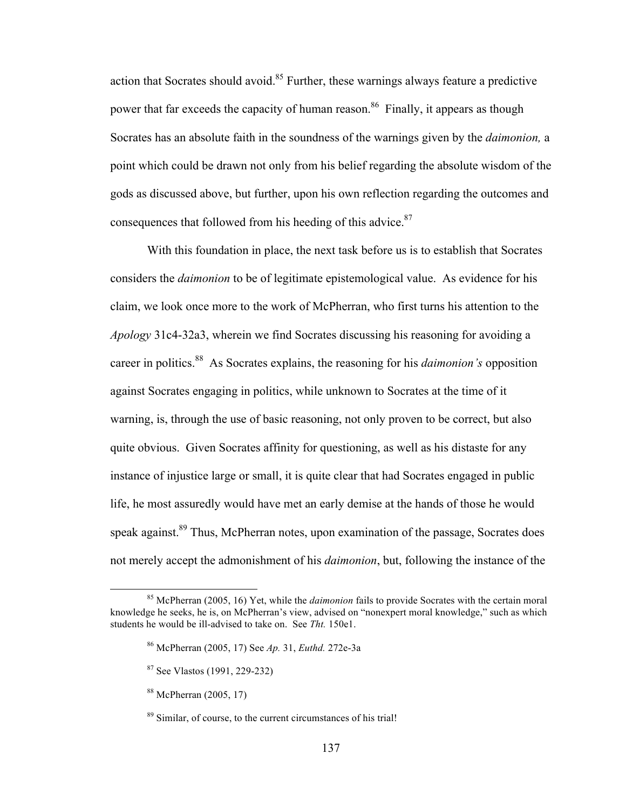action that Socrates should avoid.<sup>85</sup> Further, these warnings always feature a predictive power that far exceeds the capacity of human reason.<sup>86</sup> Finally, it appears as though Socrates has an absolute faith in the soundness of the warnings given by the *daimonion,* a point which could be drawn not only from his belief regarding the absolute wisdom of the gods as discussed above, but further, upon his own reflection regarding the outcomes and consequences that followed from his heeding of this advice.<sup>87</sup>

With this foundation in place, the next task before us is to establish that Socrates considers the *daimonion* to be of legitimate epistemological value. As evidence for his claim, we look once more to the work of McPherran, who first turns his attention to the *Apology* 31c4-32a3, wherein we find Socrates discussing his reasoning for avoiding a career in politics.88 As Socrates explains, the reasoning for his *daimonion's* opposition against Socrates engaging in politics, while unknown to Socrates at the time of it warning, is, through the use of basic reasoning, not only proven to be correct, but also quite obvious. Given Socrates affinity for questioning, as well as his distaste for any instance of injustice large or small, it is quite clear that had Socrates engaged in public life, he most assuredly would have met an early demise at the hands of those he would speak against.<sup>89</sup> Thus, McPherran notes, upon examination of the passage, Socrates does not merely accept the admonishment of his *daimonion*, but, following the instance of the

 <sup>85</sup> McPherran (2005, 16) Yet, while the *daimonion* fails to provide Socrates with the certain moral knowledge he seeks, he is, on McPherran's view, advised on "nonexpert moral knowledge," such as which students he would be ill-advised to take on. See *Tht.* 150e1.

<sup>86</sup> McPherran (2005, 17) See *Ap.* 31, *Euthd.* 272e-3a

<sup>87</sup> See Vlastos (1991, 229-232)

<sup>88</sup> McPherran (2005, 17)

<sup>&</sup>lt;sup>89</sup> Similar, of course, to the current circumstances of his trial!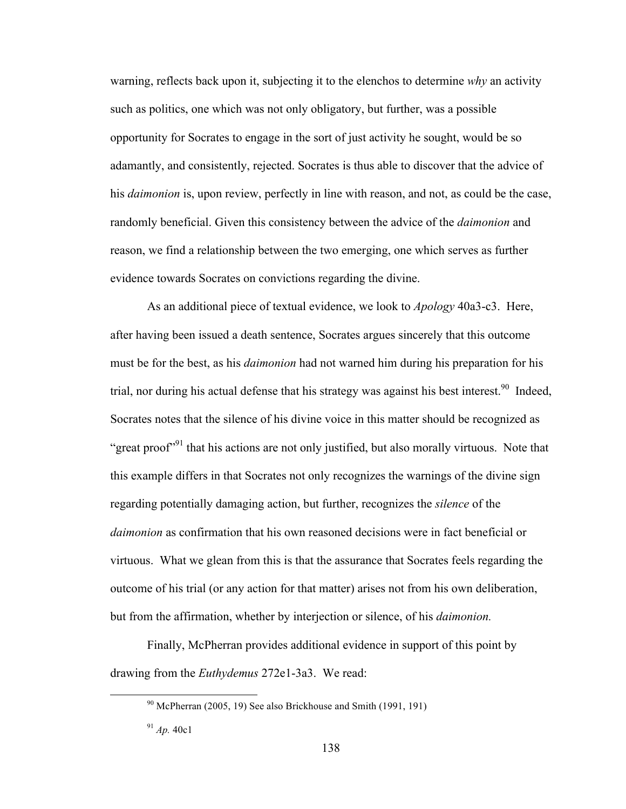warning, reflects back upon it, subjecting it to the elenchos to determine *why* an activity such as politics, one which was not only obligatory, but further, was a possible opportunity for Socrates to engage in the sort of just activity he sought, would be so adamantly, and consistently, rejected. Socrates is thus able to discover that the advice of his *daimonion* is, upon review, perfectly in line with reason, and not, as could be the case, randomly beneficial. Given this consistency between the advice of the *daimonion* and reason, we find a relationship between the two emerging, one which serves as further evidence towards Socrates on convictions regarding the divine.

As an additional piece of textual evidence, we look to *Apology* 40a3-c3. Here, after having been issued a death sentence, Socrates argues sincerely that this outcome must be for the best, as his *daimonion* had not warned him during his preparation for his trial, nor during his actual defense that his strategy was against his best interest.<sup>90</sup> Indeed, Socrates notes that the silence of his divine voice in this matter should be recognized as "great proof"<sup>91</sup> that his actions are not only justified, but also morally virtuous. Note that this example differs in that Socrates not only recognizes the warnings of the divine sign regarding potentially damaging action, but further, recognizes the *silence* of the *daimonion* as confirmation that his own reasoned decisions were in fact beneficial or virtuous. What we glean from this is that the assurance that Socrates feels regarding the outcome of his trial (or any action for that matter) arises not from his own deliberation, but from the affirmation, whether by interjection or silence, of his *daimonion.* 

Finally, McPherran provides additional evidence in support of this point by drawing from the *Euthydemus* 272e1-3a3. We read:

 $90$  McPherran (2005, 19) See also Brickhouse and Smith (1991, 191)

<sup>91</sup> *Ap.* 40c1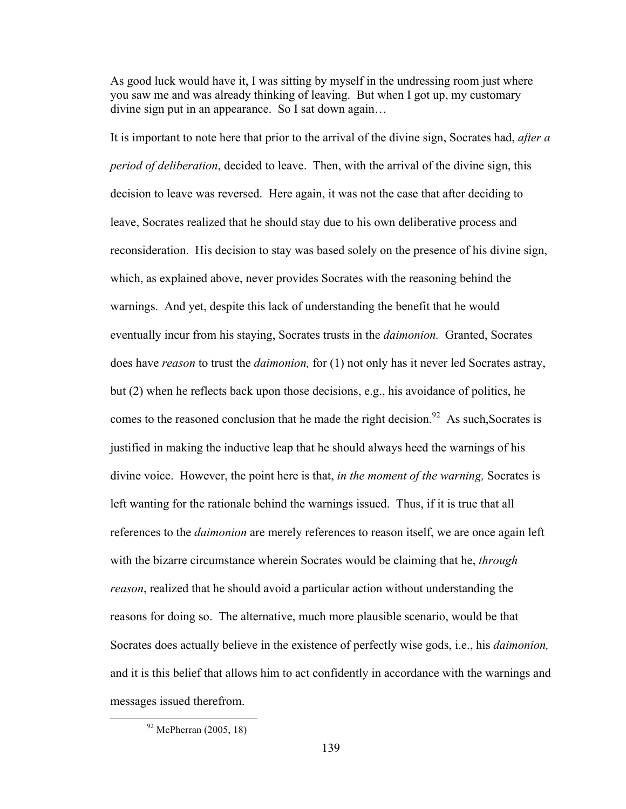As good luck would have it, I was sitting by myself in the undressing room just where you saw me and was already thinking of leaving. But when I got up, my customary divine sign put in an appearance. So I sat down again…

It is important to note here that prior to the arrival of the divine sign, Socrates had, *after a period of deliberation*, decided to leave. Then, with the arrival of the divine sign, this decision to leave was reversed. Here again, it was not the case that after deciding to leave, Socrates realized that he should stay due to his own deliberative process and reconsideration. His decision to stay was based solely on the presence of his divine sign, which, as explained above, never provides Socrates with the reasoning behind the warnings. And yet, despite this lack of understanding the benefit that he would eventually incur from his staying, Socrates trusts in the *daimonion.* Granted, Socrates does have *reason* to trust the *daimonion,* for (1) not only has it never led Socrates astray, but (2) when he reflects back upon those decisions, e.g., his avoidance of politics, he comes to the reasoned conclusion that he made the right decision.<sup>92</sup> As such,Socrates is justified in making the inductive leap that he should always heed the warnings of his divine voice. However, the point here is that, *in the moment of the warning,* Socrates is left wanting for the rationale behind the warnings issued. Thus, if it is true that all references to the *daimonion* are merely references to reason itself, we are once again left with the bizarre circumstance wherein Socrates would be claiming that he, *through reason*, realized that he should avoid a particular action without understanding the reasons for doing so. The alternative, much more plausible scenario, would be that Socrates does actually believe in the existence of perfectly wise gods, i.e., his *daimonion,* and it is this belief that allows him to act confidently in accordance with the warnings and messages issued therefrom.

 $92$  McPherran (2005, 18)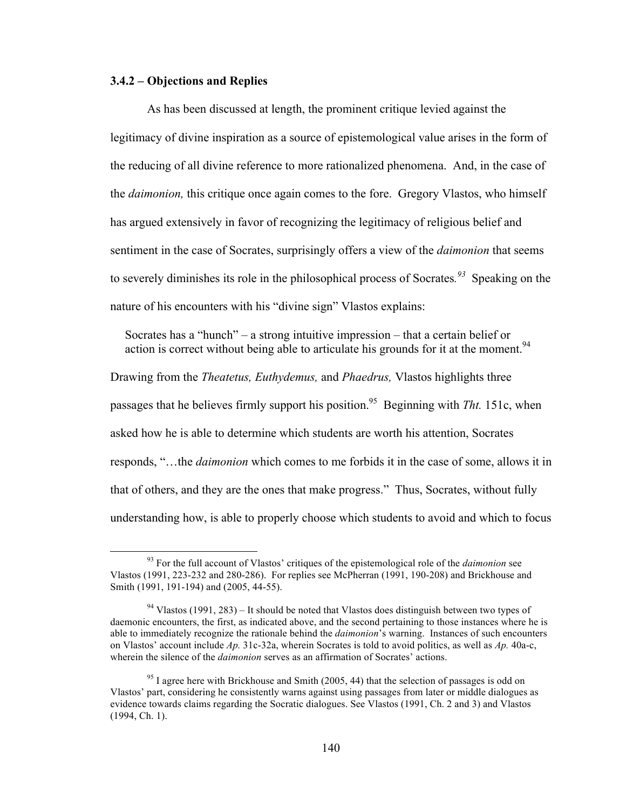## **3.4.2 – Objections and Replies**

As has been discussed at length, the prominent critique levied against the legitimacy of divine inspiration as a source of epistemological value arises in the form of the reducing of all divine reference to more rationalized phenomena. And, in the case of the *daimonion,* this critique once again comes to the fore. Gregory Vlastos, who himself has argued extensively in favor of recognizing the legitimacy of religious belief and sentiment in the case of Socrates, surprisingly offers a view of the *daimonion* that seems to severely diminishes its role in the philosophical process of Socrates*. 93* Speaking on the nature of his encounters with his "divine sign" Vlastos explains:

Socrates has a "hunch" – a strong intuitive impression – that a certain belief or action is correct without being able to articulate his grounds for it at the moment.<sup>94</sup>

Drawing from the *Theatetus, Euthydemus,* and *Phaedrus,* Vlastos highlights three passages that he believes firmly support his position. 95 Beginning with *Tht.* 151c, when asked how he is able to determine which students are worth his attention, Socrates responds, "…the *daimonion* which comes to me forbids it in the case of some, allows it in that of others, and they are the ones that make progress." Thus, Socrates, without fully understanding how, is able to properly choose which students to avoid and which to focus

 <sup>93</sup> For the full account of Vlastos' critiques of the epistemological role of the *daimonion* see Vlastos (1991, 223-232 and 280-286). For replies see McPherran (1991, 190-208) and Brickhouse and Smith (1991, 191-194) and (2005, 44-55).

 $94$  Vlastos (1991, 283) – It should be noted that Vlastos does distinguish between two types of daemonic encounters, the first, as indicated above, and the second pertaining to those instances where he is able to immediately recognize the rationale behind the *daimonion*'s warning. Instances of such encounters on Vlastos' account include *Ap.* 31c-32a, wherein Socrates is told to avoid politics, as well as *Ap.* 40a-c, wherein the silence of the *daimonion* serves as an affirmation of Socrates' actions.

 $95$  I agree here with Brickhouse and Smith (2005, 44) that the selection of passages is odd on Vlastos' part, considering he consistently warns against using passages from later or middle dialogues as evidence towards claims regarding the Socratic dialogues. See Vlastos (1991, Ch. 2 and 3) and Vlastos (1994, Ch. 1).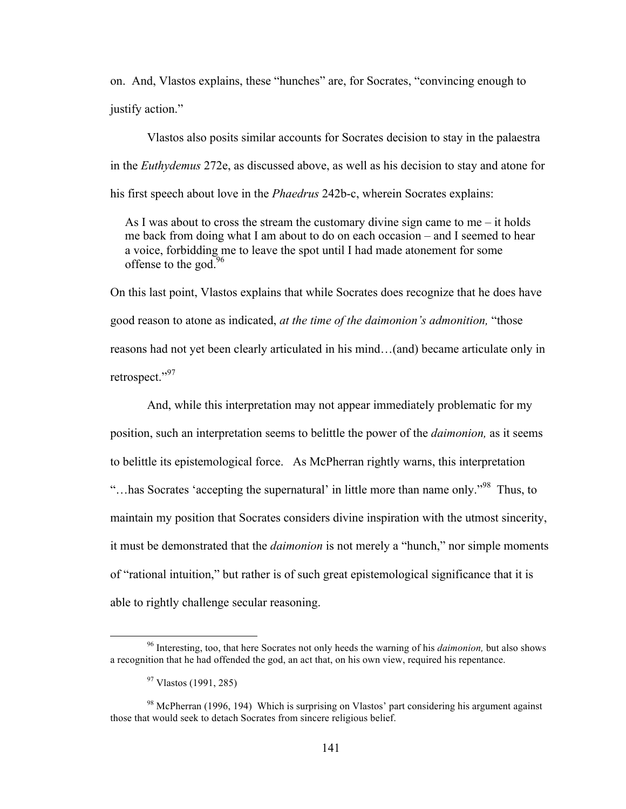on. And, Vlastos explains, these "hunches" are, for Socrates, "convincing enough to justify action."

Vlastos also posits similar accounts for Socrates decision to stay in the palaestra in the *Euthydemus* 272e, as discussed above, as well as his decision to stay and atone for his first speech about love in the *Phaedrus* 242b-c, wherein Socrates explains:

As I was about to cross the stream the customary divine sign came to me  $-$  it holds me back from doing what I am about to do on each occasion – and I seemed to hear a voice, forbidding me to leave the spot until I had made atonement for some offense to the god. $96$ 

On this last point, Vlastos explains that while Socrates does recognize that he does have good reason to atone as indicated, *at the time of the daimonion's admonition,* "those reasons had not yet been clearly articulated in his mind…(and) became articulate only in retrospect."<sup>97</sup>

And, while this interpretation may not appear immediately problematic for my position, such an interpretation seems to belittle the power of the *daimonion,* as it seems to belittle its epistemological force. As McPherran rightly warns, this interpretation "...has Socrates 'accepting the supernatural' in little more than name only."<sup>98</sup> Thus, to maintain my position that Socrates considers divine inspiration with the utmost sincerity, it must be demonstrated that the *daimonion* is not merely a "hunch," nor simple moments of "rational intuition," but rather is of such great epistemological significance that it is able to rightly challenge secular reasoning.

 <sup>96</sup> Interesting, too, that here Socrates not only heeds the warning of his *daimonion,* but also shows a recognition that he had offended the god, an act that, on his own view, required his repentance.

 $97$  Vlastos (1991, 285)

<sup>&</sup>lt;sup>98</sup> McPherran (1996, 194) Which is surprising on Vlastos' part considering his argument against those that would seek to detach Socrates from sincere religious belief.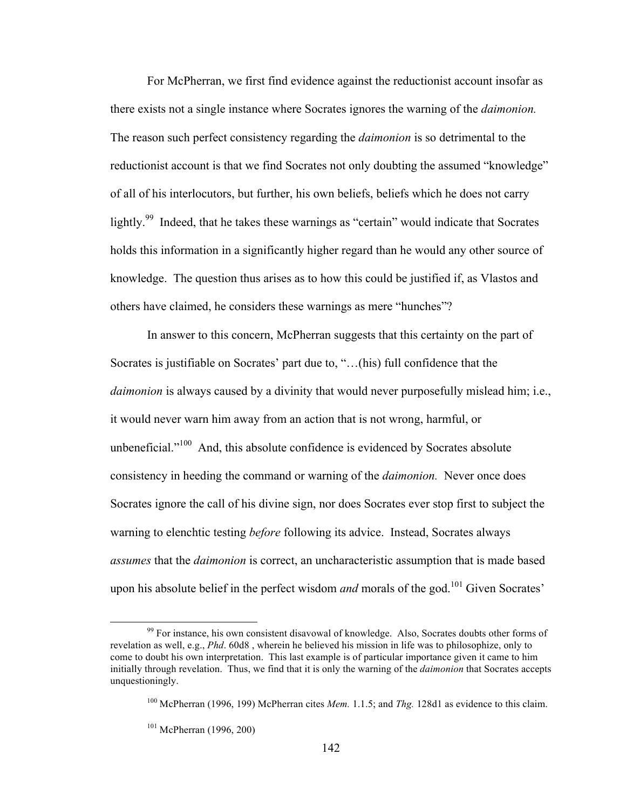For McPherran, we first find evidence against the reductionist account insofar as there exists not a single instance where Socrates ignores the warning of the *daimonion.*  The reason such perfect consistency regarding the *daimonion* is so detrimental to the reductionist account is that we find Socrates not only doubting the assumed "knowledge" of all of his interlocutors, but further, his own beliefs, beliefs which he does not carry lightly.<sup>99</sup> Indeed, that he takes these warnings as "certain" would indicate that Socrates holds this information in a significantly higher regard than he would any other source of knowledge. The question thus arises as to how this could be justified if, as Vlastos and others have claimed, he considers these warnings as mere "hunches"?

In answer to this concern, McPherran suggests that this certainty on the part of Socrates is justifiable on Socrates' part due to, "…(his) full confidence that the *daimonion* is always caused by a divinity that would never purposefully mislead him; i.e., it would never warn him away from an action that is not wrong, harmful, or unbeneficial. $1^{100}$  And, this absolute confidence is evidenced by Socrates absolute consistency in heeding the command or warning of the *daimonion.* Never once does Socrates ignore the call of his divine sign, nor does Socrates ever stop first to subject the warning to elenchtic testing *before* following its advice. Instead, Socrates always *assumes* that the *daimonion* is correct, an uncharacteristic assumption that is made based upon his absolute belief in the perfect wisdom *and* morals of the god.<sup>101</sup> Given Socrates'

<sup>&</sup>lt;sup>99</sup> For instance, his own consistent disavowal of knowledge. Also, Socrates doubts other forms of revelation as well, e.g., *Phd*. 60d8 , wherein he believed his mission in life was to philosophize, only to come to doubt his own interpretation. This last example is of particular importance given it came to him initially through revelation. Thus, we find that it is only the warning of the *daimonion* that Socrates accepts unquestioningly.

<sup>100</sup> McPherran (1996, 199) McPherran cites *Mem.* 1.1.5; and *Thg.* 128d1 as evidence to this claim.

<sup>101</sup> McPherran (1996, 200)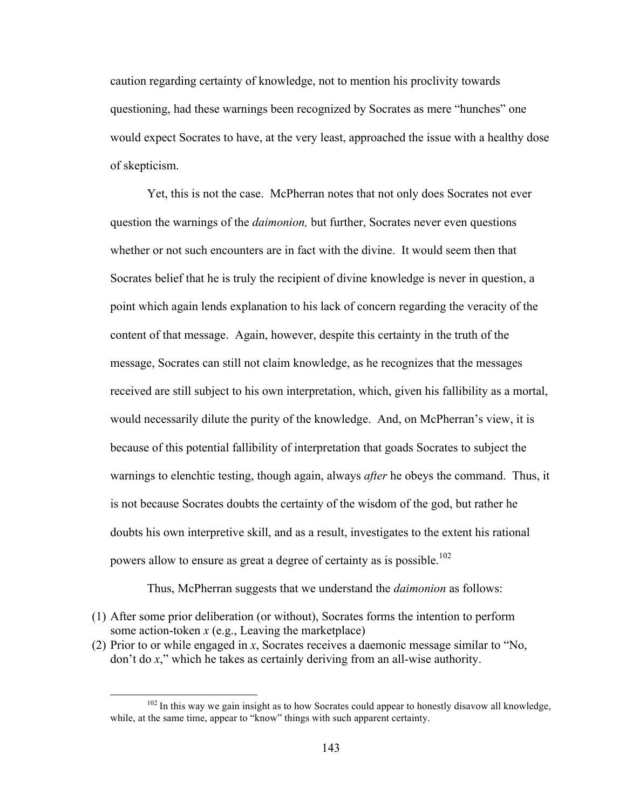caution regarding certainty of knowledge, not to mention his proclivity towards questioning, had these warnings been recognized by Socrates as mere "hunches" one would expect Socrates to have, at the very least, approached the issue with a healthy dose of skepticism.

Yet, this is not the case. McPherran notes that not only does Socrates not ever question the warnings of the *daimonion,* but further, Socrates never even questions whether or not such encounters are in fact with the divine. It would seem then that Socrates belief that he is truly the recipient of divine knowledge is never in question, a point which again lends explanation to his lack of concern regarding the veracity of the content of that message. Again, however, despite this certainty in the truth of the message, Socrates can still not claim knowledge, as he recognizes that the messages received are still subject to his own interpretation, which, given his fallibility as a mortal, would necessarily dilute the purity of the knowledge. And, on McPherran's view, it is because of this potential fallibility of interpretation that goads Socrates to subject the warnings to elenchtic testing, though again, always *after* he obeys the command. Thus, it is not because Socrates doubts the certainty of the wisdom of the god, but rather he doubts his own interpretive skill, and as a result, investigates to the extent his rational powers allow to ensure as great a degree of certainty as is possible.<sup>102</sup>

Thus, McPherran suggests that we understand the *daimonion* as follows:

- (1) After some prior deliberation (or without), Socrates forms the intention to perform some action-token *x* (e.g., Leaving the marketplace)
- (2) Prior to or while engaged in *x*, Socrates receives a daemonic message similar to "No, don't do *x*," which he takes as certainly deriving from an all-wise authority.

<sup>&</sup>lt;sup>102</sup> In this way we gain insight as to how Socrates could appear to honestly disavow all knowledge, while, at the same time, appear to "know" things with such apparent certainty.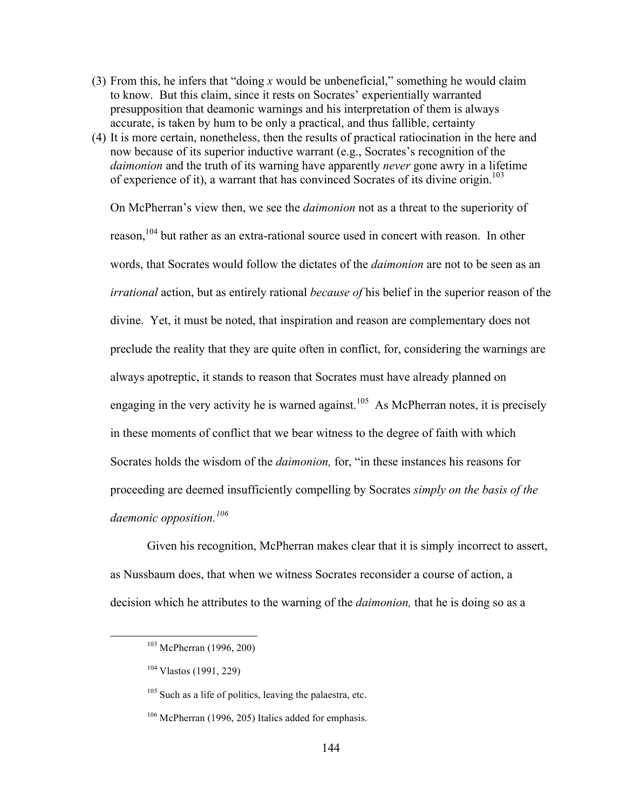- (3) From this, he infers that "doing *x* would be unbeneficial," something he would claim to know. But this claim, since it rests on Socrates' experientially warranted presupposition that deamonic warnings and his interpretation of them is always accurate, is taken by hum to be only a practical, and thus fallible, certainty
- (4) It is more certain, nonetheless, then the results of practical ratiocination in the here and now because of its superior inductive warrant (e.g., Socrates's recognition of the *daimonion* and the truth of its warning have apparently *never* gone awry in a lifetime of experience of it), a warrant that has convinced Socrates of its divine origin.<sup>103</sup>

On McPherran's view then, we see the *daimonion* not as a threat to the superiority of reason,<sup>104</sup> but rather as an extra-rational source used in concert with reason. In other words, that Socrates would follow the dictates of the *daimonion* are not to be seen as an *irrational* action, but as entirely rational *because of* his belief in the superior reason of the divine. Yet, it must be noted, that inspiration and reason are complementary does not preclude the reality that they are quite often in conflict, for, considering the warnings are always apotreptic, it stands to reason that Socrates must have already planned on engaging in the very activity he is warned against.<sup>105</sup> As McPherran notes, it is precisely in these moments of conflict that we bear witness to the degree of faith with which Socrates holds the wisdom of the *daimonion,* for, "in these instances his reasons for proceeding are deemed insufficiently compelling by Socrates *simply on the basis of the daemonic opposition.<sup>106</sup>*

Given his recognition, McPherran makes clear that it is simply incorrect to assert, as Nussbaum does, that when we witness Socrates reconsider a course of action, a decision which he attributes to the warning of the *daimonion,* that he is doing so as a

 <sup>103</sup> McPherran (1996, 200)

<sup>104</sup> Vlastos (1991, 229)

 $105$  Such as a life of politics, leaving the palaestra, etc.

<sup>&</sup>lt;sup>106</sup> McPherran (1996, 205) Italics added for emphasis.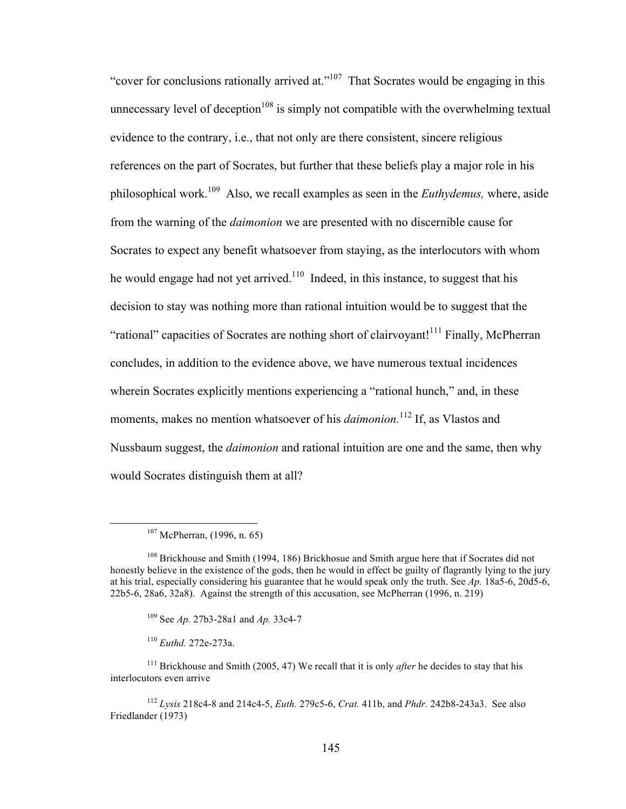"cover for conclusions rationally arrived at."<sup>107</sup> That Socrates would be engaging in this unnecessary level of deception<sup>108</sup> is simply not compatible with the overwhelming textual evidence to the contrary, i.e., that not only are there consistent, sincere religious references on the part of Socrates, but further that these beliefs play a major role in his philosophical work.109 Also, we recall examples as seen in the *Euthydemus,* where, aside from the warning of the *daimonion* we are presented with no discernible cause for Socrates to expect any benefit whatsoever from staying, as the interlocutors with whom he would engage had not yet arrived.<sup>110</sup> Indeed, in this instance, to suggest that his decision to stay was nothing more than rational intuition would be to suggest that the "rational" capacities of Socrates are nothing short of clairvoyant!<sup>111</sup> Finally, McPherran concludes, in addition to the evidence above, we have numerous textual incidences wherein Socrates explicitly mentions experiencing a "rational hunch," and, in these moments, makes no mention whatsoever of his *daimonion*.<sup>112</sup> If, as Vlastos and Nussbaum suggest, the *daimonion* and rational intuition are one and the same, then why would Socrates distinguish them at all?

<sup>109</sup> See *Ap.* 27b3-28a1 and *Ap.* 33c4-7

<sup>110</sup> *Euthd.* 272e-273a.

<sup>111</sup> Brickhouse and Smith (2005, 47) We recall that it is only *after* he decides to stay that his interlocutors even arrive

<sup>112</sup> *Lysis* 218c4-8 and 214c4-5, *Euth.* 279c5-6, *Crat.* 411b, and *Phdr.* 242b8-243a3. See also Friedlander (1973)

 <sup>107</sup> McPherran, (1996, n. 65)

<sup>&</sup>lt;sup>108</sup> Brickhouse and Smith (1994, 186) Brickhosue and Smith argue here that if Socrates did not honestly believe in the existence of the gods, then he would in effect be guilty of flagrantly lying to the jury at his trial, especially considering his guarantee that he would speak only the truth. See *Ap.* 18a5-6, 20d5-6, 22b5-6, 28a6, 32a8). Against the strength of this accusation, see McPherran (1996, n. 219)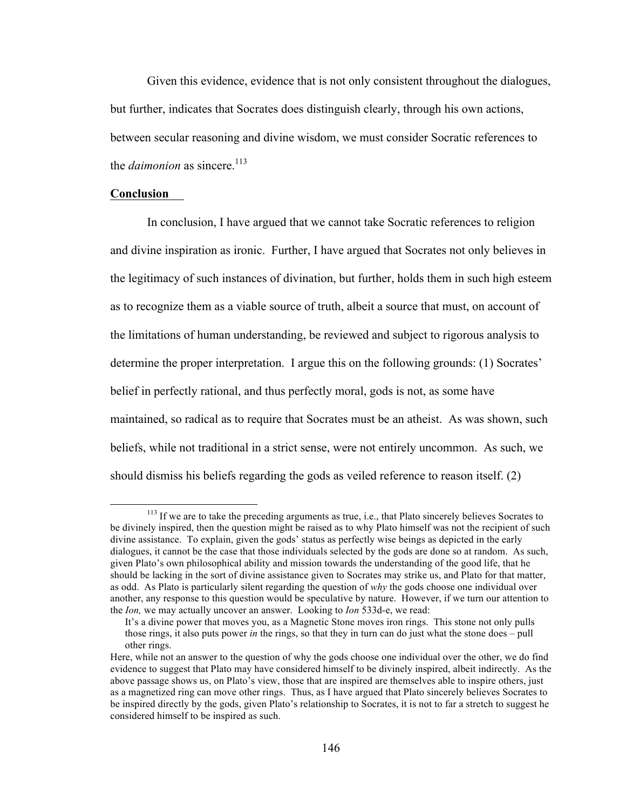Given this evidence, evidence that is not only consistent throughout the dialogues, but further, indicates that Socrates does distinguish clearly, through his own actions, between secular reasoning and divine wisdom, we must consider Socratic references to the *daimonion* as sincere.<sup>113</sup>

#### **Conclusion**

In conclusion, I have argued that we cannot take Socratic references to religion and divine inspiration as ironic. Further, I have argued that Socrates not only believes in the legitimacy of such instances of divination, but further, holds them in such high esteem as to recognize them as a viable source of truth, albeit a source that must, on account of the limitations of human understanding, be reviewed and subject to rigorous analysis to determine the proper interpretation. I argue this on the following grounds: (1) Socrates' belief in perfectly rational, and thus perfectly moral, gods is not, as some have maintained, so radical as to require that Socrates must be an atheist. As was shown, such beliefs, while not traditional in a strict sense, were not entirely uncommon. As such, we should dismiss his beliefs regarding the gods as veiled reference to reason itself. (2)

<sup>&</sup>lt;sup>113</sup> If we are to take the preceding arguments as true, i.e., that Plato sincerely believes Socrates to be divinely inspired, then the question might be raised as to why Plato himself was not the recipient of such divine assistance. To explain, given the gods' status as perfectly wise beings as depicted in the early dialogues, it cannot be the case that those individuals selected by the gods are done so at random. As such, given Plato's own philosophical ability and mission towards the understanding of the good life, that he should be lacking in the sort of divine assistance given to Socrates may strike us, and Plato for that matter, as odd. As Plato is particularly silent regarding the question of *why* the gods choose one individual over another, any response to this question would be speculative by nature. However, if we turn our attention to the *Ion,* we may actually uncover an answer. Looking to *Ion* 533d-e, we read:

It's a divine power that moves you, as a Magnetic Stone moves iron rings. This stone not only pulls those rings, it also puts power *in* the rings, so that they in turn can do just what the stone does – pull other rings.

Here, while not an answer to the question of why the gods choose one individual over the other, we do find evidence to suggest that Plato may have considered himself to be divinely inspired, albeit indirectly. As the above passage shows us, on Plato's view, those that are inspired are themselves able to inspire others, just as a magnetized ring can move other rings. Thus, as I have argued that Plato sincerely believes Socrates to be inspired directly by the gods, given Plato's relationship to Socrates, it is not to far a stretch to suggest he considered himself to be inspired as such.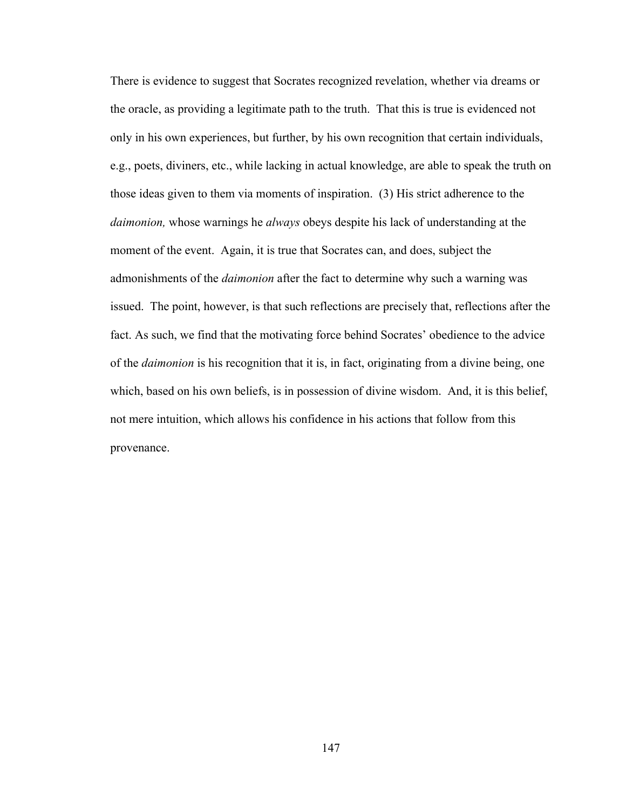There is evidence to suggest that Socrates recognized revelation, whether via dreams or the oracle, as providing a legitimate path to the truth. That this is true is evidenced not only in his own experiences, but further, by his own recognition that certain individuals, e.g., poets, diviners, etc., while lacking in actual knowledge, are able to speak the truth on those ideas given to them via moments of inspiration. (3) His strict adherence to the *daimonion,* whose warnings he *always* obeys despite his lack of understanding at the moment of the event. Again, it is true that Socrates can, and does, subject the admonishments of the *daimonion* after the fact to determine why such a warning was issued. The point, however, is that such reflections are precisely that, reflections after the fact. As such, we find that the motivating force behind Socrates' obedience to the advice of the *daimonion* is his recognition that it is, in fact, originating from a divine being, one which, based on his own beliefs, is in possession of divine wisdom. And, it is this belief, not mere intuition, which allows his confidence in his actions that follow from this provenance.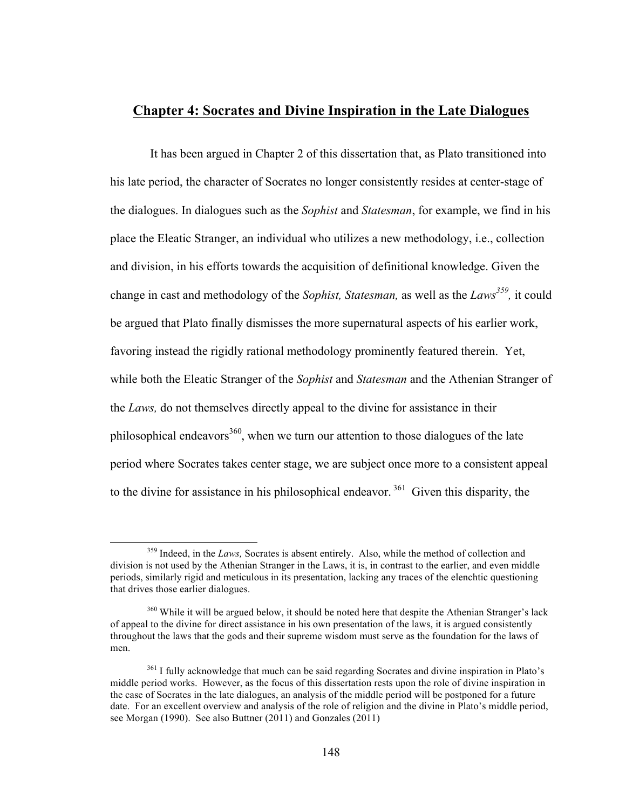# **Chapter 4: Socrates and Divine Inspiration in the Late Dialogues**

It has been argued in Chapter 2 of this dissertation that, as Plato transitioned into his late period, the character of Socrates no longer consistently resides at center-stage of the dialogues. In dialogues such as the *Sophist* and *Statesman*, for example, we find in his place the Eleatic Stranger, an individual who utilizes a new methodology, i.e., collection and division, in his efforts towards the acquisition of definitional knowledge. Given the change in cast and methodology of the *Sophist, Statesman*, as well as the *Laws*<sup>359</sup>, it could be argued that Plato finally dismisses the more supernatural aspects of his earlier work, favoring instead the rigidly rational methodology prominently featured therein. Yet, while both the Eleatic Stranger of the *Sophist* and *Statesman* and the Athenian Stranger of the *Laws,* do not themselves directly appeal to the divine for assistance in their philosophical endeavors<sup>360</sup>, when we turn our attention to those dialogues of the late period where Socrates takes center stage, we are subject once more to a consistent appeal to the divine for assistance in his philosophical endeavor.<sup>361</sup> Given this disparity, the

<sup>&</sup>lt;sup>359</sup> Indeed, in the *Laws*. Socrates is absent entirely. Also, while the method of collection and division is not used by the Athenian Stranger in the Laws, it is, in contrast to the earlier, and even middle periods, similarly rigid and meticulous in its presentation, lacking any traces of the elenchtic questioning that drives those earlier dialogues.

<sup>&</sup>lt;sup>360</sup> While it will be argued below, it should be noted here that despite the Athenian Stranger's lack of appeal to the divine for direct assistance in his own presentation of the laws, it is argued consistently throughout the laws that the gods and their supreme wisdom must serve as the foundation for the laws of men.

<sup>&</sup>lt;sup>361</sup> I fully acknowledge that much can be said regarding Socrates and divine inspiration in Plato's middle period works. However, as the focus of this dissertation rests upon the role of divine inspiration in the case of Socrates in the late dialogues, an analysis of the middle period will be postponed for a future date. For an excellent overview and analysis of the role of religion and the divine in Plato's middle period, see Morgan (1990). See also Buttner (2011) and Gonzales (2011)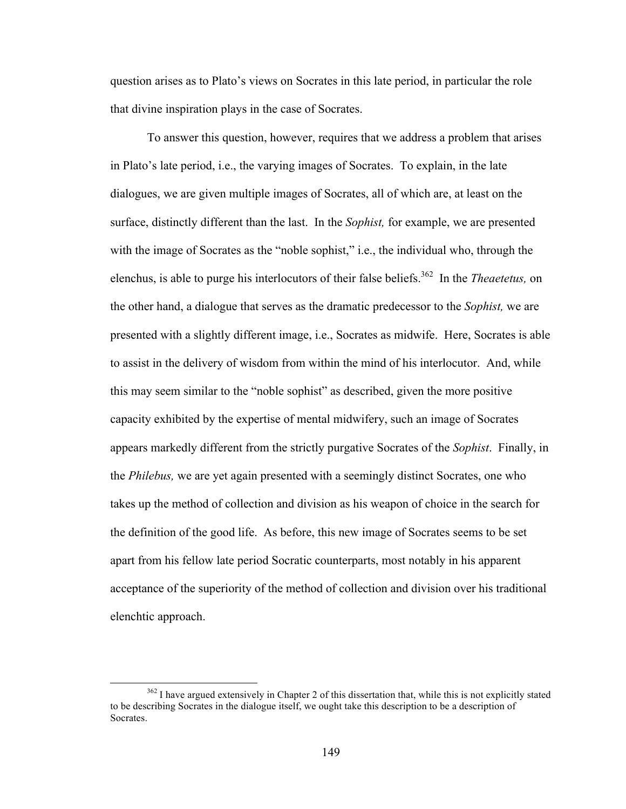question arises as to Plato's views on Socrates in this late period, in particular the role that divine inspiration plays in the case of Socrates.

To answer this question, however, requires that we address a problem that arises in Plato's late period, i.e., the varying images of Socrates. To explain, in the late dialogues, we are given multiple images of Socrates, all of which are, at least on the surface, distinctly different than the last. In the *Sophist,* for example, we are presented with the image of Socrates as the "noble sophist," i.e., the individual who, through the elenchus, is able to purge his interlocutors of their false beliefs.362 In the *Theaetetus,* on the other hand, a dialogue that serves as the dramatic predecessor to the *Sophist,* we are presented with a slightly different image, i.e., Socrates as midwife. Here, Socrates is able to assist in the delivery of wisdom from within the mind of his interlocutor. And, while this may seem similar to the "noble sophist" as described, given the more positive capacity exhibited by the expertise of mental midwifery, such an image of Socrates appears markedly different from the strictly purgative Socrates of the *Sophist*. Finally, in the *Philebus,* we are yet again presented with a seemingly distinct Socrates, one who takes up the method of collection and division as his weapon of choice in the search for the definition of the good life. As before, this new image of Socrates seems to be set apart from his fellow late period Socratic counterparts, most notably in his apparent acceptance of the superiority of the method of collection and division over his traditional elenchtic approach.

<sup>&</sup>lt;sup>362</sup> I have argued extensively in Chapter 2 of this dissertation that, while this is not explicitly stated to be describing Socrates in the dialogue itself, we ought take this description to be a description of Socrates.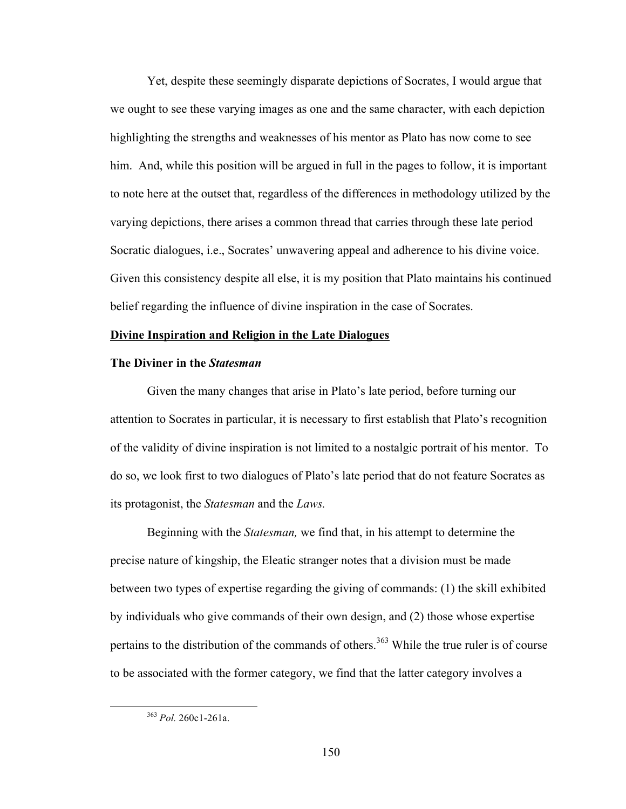Yet, despite these seemingly disparate depictions of Socrates, I would argue that we ought to see these varying images as one and the same character, with each depiction highlighting the strengths and weaknesses of his mentor as Plato has now come to see him. And, while this position will be argued in full in the pages to follow, it is important to note here at the outset that, regardless of the differences in methodology utilized by the varying depictions, there arises a common thread that carries through these late period Socratic dialogues, i.e., Socrates' unwavering appeal and adherence to his divine voice. Given this consistency despite all else, it is my position that Plato maintains his continued belief regarding the influence of divine inspiration in the case of Socrates.

#### **Divine Inspiration and Religion in the Late Dialogues**

## **The Diviner in the** *Statesman*

Given the many changes that arise in Plato's late period, before turning our attention to Socrates in particular, it is necessary to first establish that Plato's recognition of the validity of divine inspiration is not limited to a nostalgic portrait of his mentor. To do so, we look first to two dialogues of Plato's late period that do not feature Socrates as its protagonist, the *Statesman* and the *Laws.*

Beginning with the *Statesman,* we find that, in his attempt to determine the precise nature of kingship, the Eleatic stranger notes that a division must be made between two types of expertise regarding the giving of commands: (1) the skill exhibited by individuals who give commands of their own design, and (2) those whose expertise pertains to the distribution of the commands of others.<sup>363</sup> While the true ruler is of course to be associated with the former category, we find that the latter category involves a

 <sup>363</sup> *Pol.* 260c1-261a.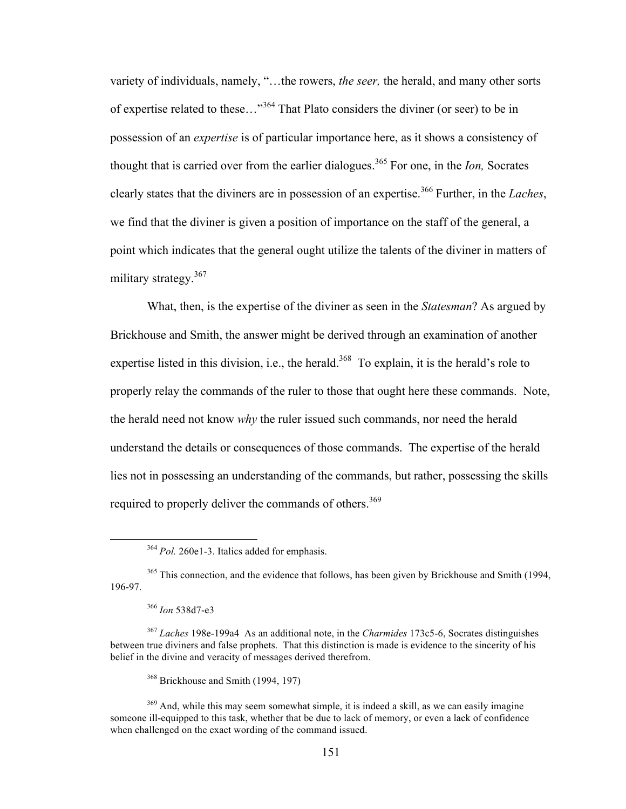variety of individuals, namely, "…the rowers, *the seer,* the herald, and many other sorts of expertise related to these…"<sup>364</sup> That Plato considers the diviner (or seer) to be in possession of an *expertise* is of particular importance here, as it shows a consistency of thought that is carried over from the earlier dialogues.<sup>365</sup> For one, in the *Ion*, Socrates clearly states that the diviners are in possession of an expertise.<sup>366</sup> Further, in the *Laches*, we find that the diviner is given a position of importance on the staff of the general, a point which indicates that the general ought utilize the talents of the diviner in matters of military strategy.<sup>367</sup>

What, then, is the expertise of the diviner as seen in the *Statesman*? As argued by Brickhouse and Smith, the answer might be derived through an examination of another expertise listed in this division, i.e., the herald.<sup>368</sup> To explain, it is the herald's role to properly relay the commands of the ruler to those that ought here these commands. Note, the herald need not know *why* the ruler issued such commands, nor need the herald understand the details or consequences of those commands. The expertise of the herald lies not in possessing an understanding of the commands, but rather, possessing the skills required to properly deliver the commands of others.<sup>369</sup>

<sup>365</sup> This connection, and the evidence that follows, has been given by Brickhouse and Smith (1994, 196-97.

<sup>&</sup>lt;sup>364</sup> *Pol.* 260e1-3. Italics added for emphasis.

<sup>366</sup> *Ion* 538d7-e3

<sup>367</sup> *Laches* 198e-199a4 As an additional note, in the *Charmides* 173c5-6, Socrates distinguishes between true diviners and false prophets. That this distinction is made is evidence to the sincerity of his belief in the divine and veracity of messages derived therefrom.

<sup>&</sup>lt;sup>368</sup> Brickhouse and Smith (1994, 197)

<sup>&</sup>lt;sup>369</sup> And, while this may seem somewhat simple, it is indeed a skill, as we can easily imagine someone ill-equipped to this task, whether that be due to lack of memory, or even a lack of confidence when challenged on the exact wording of the command issued.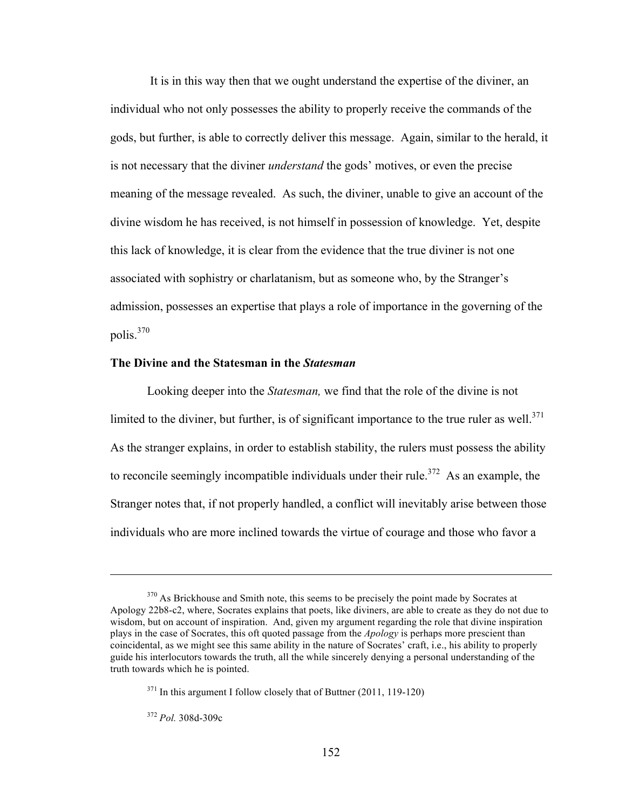It is in this way then that we ought understand the expertise of the diviner, an individual who not only possesses the ability to properly receive the commands of the gods, but further, is able to correctly deliver this message. Again, similar to the herald, it is not necessary that the diviner *understand* the gods' motives, or even the precise meaning of the message revealed. As such, the diviner, unable to give an account of the divine wisdom he has received, is not himself in possession of knowledge. Yet, despite this lack of knowledge, it is clear from the evidence that the true diviner is not one associated with sophistry or charlatanism, but as someone who, by the Stranger's admission, possesses an expertise that plays a role of importance in the governing of the polis.<sup>370</sup>

## **The Divine and the Statesman in the** *Statesman*

Looking deeper into the *Statesman,* we find that the role of the divine is not limited to the diviner, but further, is of significant importance to the true ruler as well. $^{371}$ As the stranger explains, in order to establish stability, the rulers must possess the ability to reconcile seemingly incompatible individuals under their rule.<sup>372</sup> As an example, the Stranger notes that, if not properly handled, a conflict will inevitably arise between those individuals who are more inclined towards the virtue of courage and those who favor a

<sup>372</sup> *Pol.* 308d-309c

 $\overline{a}$ 

 $370$  As Brickhouse and Smith note, this seems to be precisely the point made by Socrates at Apology 22b8-c2, where, Socrates explains that poets, like diviners, are able to create as they do not due to wisdom, but on account of inspiration. And, given my argument regarding the role that divine inspiration plays in the case of Socrates, this oft quoted passage from the *Apology* is perhaps more prescient than coincidental, as we might see this same ability in the nature of Socrates' craft, i.e., his ability to properly guide his interlocutors towards the truth, all the while sincerely denying a personal understanding of the truth towards which he is pointed.

 $371$  In this argument I follow closely that of Buttner (2011, 119-120)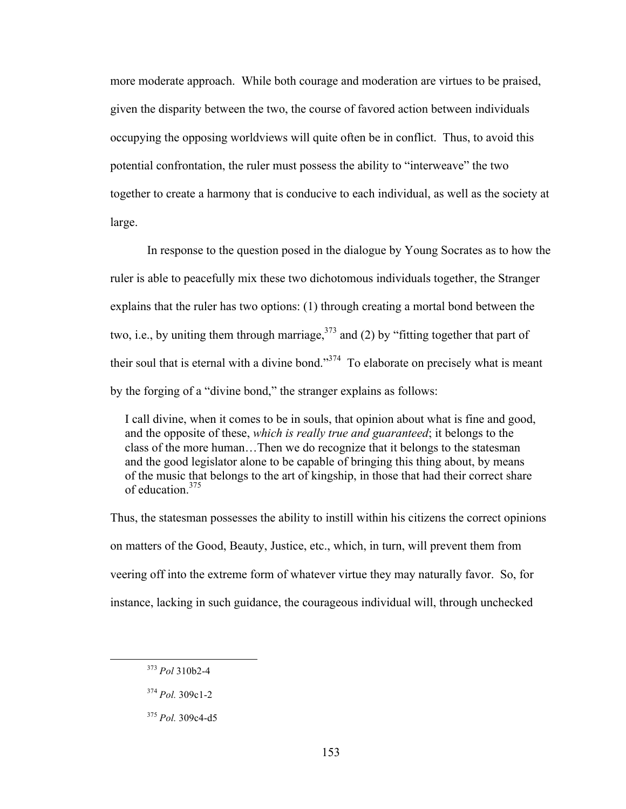more moderate approach. While both courage and moderation are virtues to be praised, given the disparity between the two, the course of favored action between individuals occupying the opposing worldviews will quite often be in conflict. Thus, to avoid this potential confrontation, the ruler must possess the ability to "interweave" the two together to create a harmony that is conducive to each individual, as well as the society at large.

In response to the question posed in the dialogue by Young Socrates as to how the ruler is able to peacefully mix these two dichotomous individuals together, the Stranger explains that the ruler has two options: (1) through creating a mortal bond between the two, i.e., by uniting them through marriage,  $373$  and (2) by "fitting together that part of their soul that is eternal with a divine bond."<sup>374</sup> To elaborate on precisely what is meant by the forging of a "divine bond," the stranger explains as follows:

I call divine, when it comes to be in souls, that opinion about what is fine and good, and the opposite of these, *which is really true and guaranteed*; it belongs to the class of the more human…Then we do recognize that it belongs to the statesman and the good legislator alone to be capable of bringing this thing about, by means of the music that belongs to the art of kingship, in those that had their correct share of education 375

Thus, the statesman possesses the ability to instill within his citizens the correct opinions on matters of the Good, Beauty, Justice, etc., which, in turn, will prevent them from veering off into the extreme form of whatever virtue they may naturally favor. So, for instance, lacking in such guidance, the courageous individual will, through unchecked

 <sup>373</sup> *Pol* 310b2-4

<sup>374</sup> *Pol.* 309c1-2

<sup>375</sup> *Pol.* 309c4-d5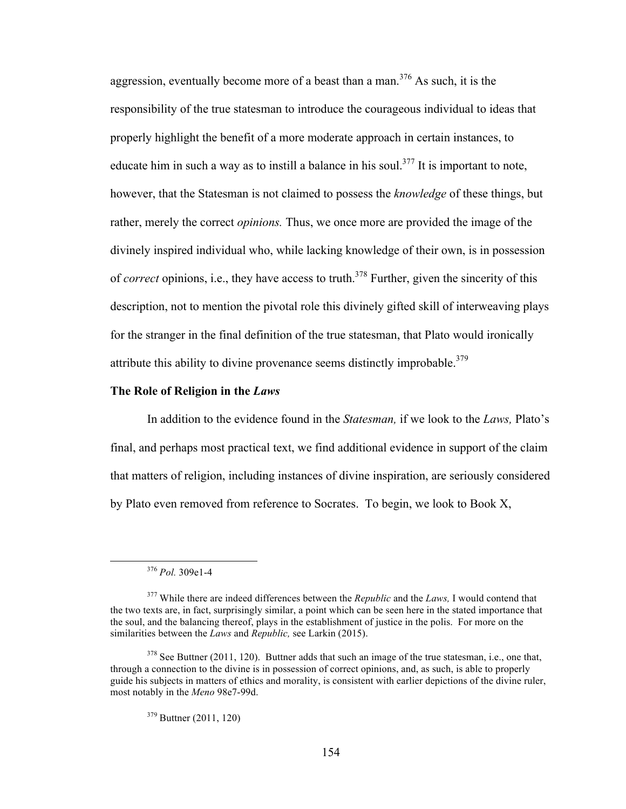aggression, eventually become more of a beast than a man.<sup>376</sup> As such, it is the responsibility of the true statesman to introduce the courageous individual to ideas that properly highlight the benefit of a more moderate approach in certain instances, to educate him in such a way as to instill a balance in his soul.<sup>377</sup> It is important to note, however, that the Statesman is not claimed to possess the *knowledge* of these things, but rather, merely the correct *opinions.* Thus, we once more are provided the image of the divinely inspired individual who, while lacking knowledge of their own, is in possession of *correct* opinions, i.e., they have access to truth.<sup>378</sup> Further, given the sincerity of this description, not to mention the pivotal role this divinely gifted skill of interweaving plays for the stranger in the final definition of the true statesman, that Plato would ironically attribute this ability to divine provenance seems distinctly improbable.<sup>379</sup>

## **The Role of Religion in the** *Laws*

In addition to the evidence found in the *Statesman,* if we look to the *Laws,* Plato's final, and perhaps most practical text, we find additional evidence in support of the claim that matters of religion, including instances of divine inspiration, are seriously considered by Plato even removed from reference to Socrates. To begin, we look to Book X,

<sup>379</sup> Buttner (2011, 120)

 <sup>376</sup> *Pol.* 309e1-4

<sup>377</sup> While there are indeed differences between the *Republic* and the *Laws,* I would contend that the two texts are, in fact, surprisingly similar, a point which can be seen here in the stated importance that the soul, and the balancing thereof, plays in the establishment of justice in the polis. For more on the similarities between the *Laws* and *Republic,* see Larkin (2015).

 $378$  See Buttner (2011, 120). Buttner adds that such an image of the true statesman, i.e., one that, through a connection to the divine is in possession of correct opinions, and, as such, is able to properly guide his subjects in matters of ethics and morality, is consistent with earlier depictions of the divine ruler, most notably in the *Meno* 98e7-99d.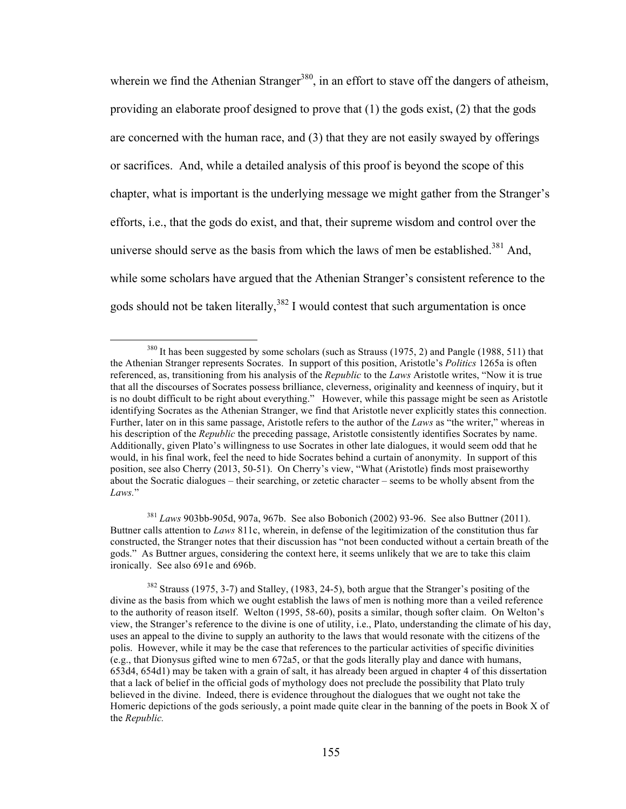wherein we find the Athenian Stranger<sup>380</sup>, in an effort to stave off the dangers of atheism, providing an elaborate proof designed to prove that (1) the gods exist, (2) that the gods are concerned with the human race, and (3) that they are not easily swayed by offerings or sacrifices. And, while a detailed analysis of this proof is beyond the scope of this chapter, what is important is the underlying message we might gather from the Stranger's efforts, i.e., that the gods do exist, and that, their supreme wisdom and control over the universe should serve as the basis from which the laws of men be established.<sup>381</sup> And, while some scholars have argued that the Athenian Stranger's consistent reference to the gods should not be taken literally,  $382$  I would contest that such argumentation is once

<sup>&</sup>lt;sup>380</sup> It has been suggested by some scholars (such as Strauss (1975, 2) and Pangle (1988, 511) that the Athenian Stranger represents Socrates. In support of this position, Aristotle's *Politics* 1265a is often referenced, as, transitioning from his analysis of the *Republic* to the *Laws* Aristotle writes, "Now it is true that all the discourses of Socrates possess brilliance, cleverness, originality and keenness of inquiry, but it is no doubt difficult to be right about everything." However, while this passage might be seen as Aristotle identifying Socrates as the Athenian Stranger, we find that Aristotle never explicitly states this connection. Further, later on in this same passage, Aristotle refers to the author of the *Laws* as "the writer," whereas in his description of the *Republic* the preceding passage, Aristotle consistently identifies Socrates by name. Additionally, given Plato's willingness to use Socrates in other late dialogues, it would seem odd that he would, in his final work, feel the need to hide Socrates behind a curtain of anonymity. In support of this position, see also Cherry (2013, 50-51). On Cherry's view, "What (Aristotle) finds most praiseworthy about the Socratic dialogues – their searching, or zetetic character – seems to be wholly absent from the *Laws.*"

<sup>381</sup> *Laws* 903bb-905d, 907a, 967b. See also Bobonich (2002) 93-96. See also Buttner (2011). Buttner calls attention to *Laws* 811c, wherein, in defense of the legitimization of the constitution thus far constructed, the Stranger notes that their discussion has "not been conducted without a certain breath of the gods." As Buttner argues, considering the context here, it seems unlikely that we are to take this claim ironically. See also 691e and 696b.

<sup>&</sup>lt;sup>382</sup> Strauss (1975, 3-7) and Stalley, (1983, 24-5), both argue that the Stranger's positing of the divine as the basis from which we ought establish the laws of men is nothing more than a veiled reference to the authority of reason itself. Welton (1995, 58-60), posits a similar, though softer claim. On Welton's view, the Stranger's reference to the divine is one of utility, i.e., Plato, understanding the climate of his day, uses an appeal to the divine to supply an authority to the laws that would resonate with the citizens of the polis. However, while it may be the case that references to the particular activities of specific divinities (e.g., that Dionysus gifted wine to men 672a5, or that the gods literally play and dance with humans, 653d4, 654d1) may be taken with a grain of salt, it has already been argued in chapter 4 of this dissertation that a lack of belief in the official gods of mythology does not preclude the possibility that Plato truly believed in the divine. Indeed, there is evidence throughout the dialogues that we ought not take the Homeric depictions of the gods seriously, a point made quite clear in the banning of the poets in Book X of the *Republic.*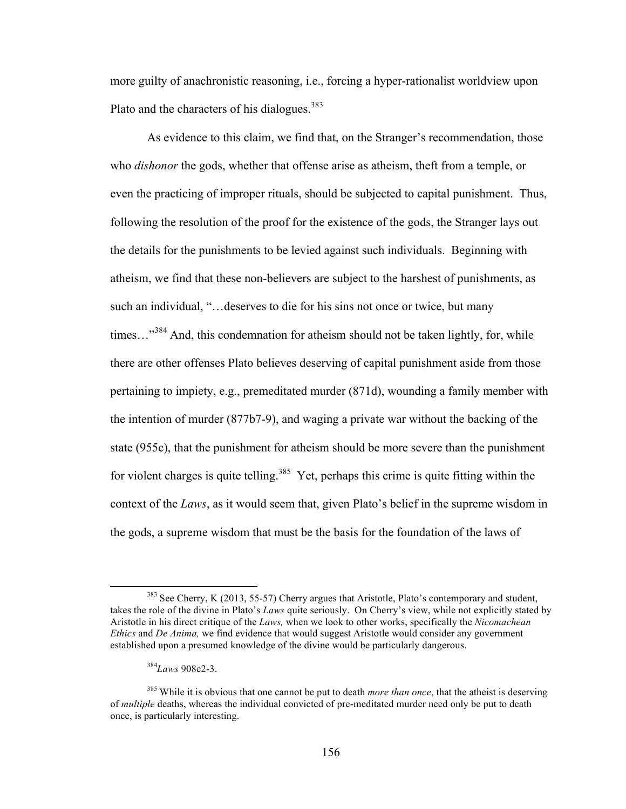more guilty of anachronistic reasoning, i.e., forcing a hyper-rationalist worldview upon Plato and the characters of his dialogues.<sup>383</sup>

As evidence to this claim, we find that, on the Stranger's recommendation, those who *dishonor* the gods, whether that offense arise as atheism, theft from a temple, or even the practicing of improper rituals, should be subjected to capital punishment. Thus, following the resolution of the proof for the existence of the gods, the Stranger lays out the details for the punishments to be levied against such individuals. Beginning with atheism, we find that these non-believers are subject to the harshest of punishments, as such an individual, "…deserves to die for his sins not once or twice, but many times..."<sup>384</sup> And, this condemnation for atheism should not be taken lightly, for, while there are other offenses Plato believes deserving of capital punishment aside from those pertaining to impiety, e.g., premeditated murder (871d), wounding a family member with the intention of murder (877b7-9), and waging a private war without the backing of the state (955c), that the punishment for atheism should be more severe than the punishment for violent charges is quite telling.<sup>385</sup> Yet, perhaps this crime is quite fitting within the context of the *Laws*, as it would seem that, given Plato's belief in the supreme wisdom in the gods, a supreme wisdom that must be the basis for the foundation of the laws of

<sup>&</sup>lt;sup>383</sup> See Cherry, K (2013, 55-57) Cherry argues that Aristotle, Plato's contemporary and student, takes the role of the divine in Plato's *Laws* quite seriously. On Cherry's view, while not explicitly stated by Aristotle in his direct critique of the *Laws,* when we look to other works, specifically the *Nicomachean Ethics* and *De Anima,* we find evidence that would suggest Aristotle would consider any government established upon a presumed knowledge of the divine would be particularly dangerous.

<sup>384</sup>*Laws* 908e2-3.

<sup>385</sup> While it is obvious that one cannot be put to death *more than once*, that the atheist is deserving of *multiple* deaths, whereas the individual convicted of pre-meditated murder need only be put to death once, is particularly interesting.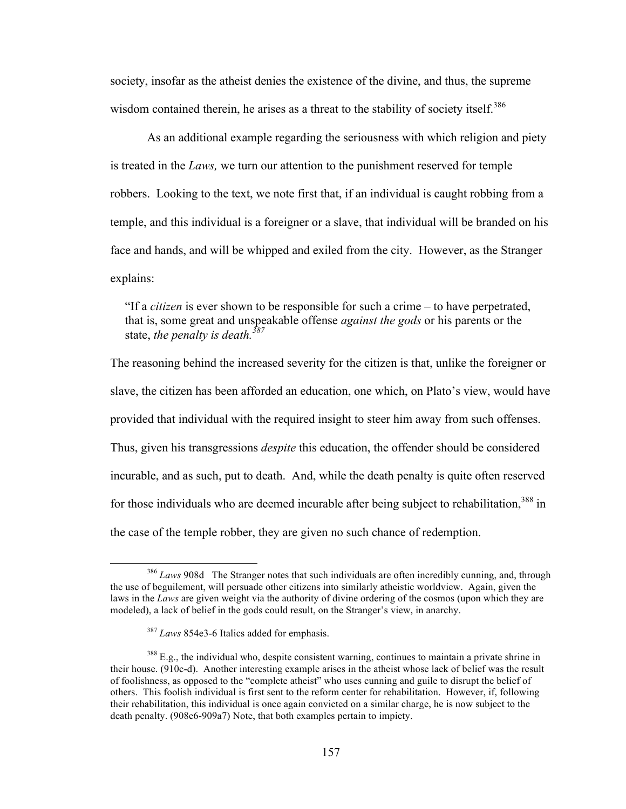society, insofar as the atheist denies the existence of the divine, and thus, the supreme wisdom contained therein, he arises as a threat to the stability of society itself.<sup>386</sup>

As an additional example regarding the seriousness with which religion and piety is treated in the *Laws,* we turn our attention to the punishment reserved for temple robbers. Looking to the text, we note first that, if an individual is caught robbing from a temple, and this individual is a foreigner or a slave, that individual will be branded on his face and hands, and will be whipped and exiled from the city. However, as the Stranger explains:

"If a *citizen* is ever shown to be responsible for such a crime – to have perpetrated, that is, some great and unspeakable offense *against the gods* or his parents or the state, *the penalty is death.*<sup>387</sup>

The reasoning behind the increased severity for the citizen is that, unlike the foreigner or slave, the citizen has been afforded an education, one which, on Plato's view, would have provided that individual with the required insight to steer him away from such offenses. Thus, given his transgressions *despite* this education, the offender should be considered incurable, and as such, put to death. And, while the death penalty is quite often reserved for those individuals who are deemed incurable after being subject to rehabilitation,  $388$  in the case of the temple robber, they are given no such chance of redemption.

 <sup>386</sup> *Laws* 908d The Stranger notes that such individuals are often incredibly cunning, and, through the use of beguilement, will persuade other citizens into similarly atheistic worldview. Again, given the laws in the *Laws* are given weight via the authority of divine ordering of the cosmos (upon which they are modeled), a lack of belief in the gods could result, on the Stranger's view, in anarchy.

<sup>387</sup> *Laws* 854e3-6 Italics added for emphasis.

 $388$  E.g., the individual who, despite consistent warning, continues to maintain a private shrine in their house. (910c-d). Another interesting example arises in the atheist whose lack of belief was the result of foolishness, as opposed to the "complete atheist" who uses cunning and guile to disrupt the belief of others. This foolish individual is first sent to the reform center for rehabilitation. However, if, following their rehabilitation, this individual is once again convicted on a similar charge, he is now subject to the death penalty. (908e6-909a7) Note, that both examples pertain to impiety.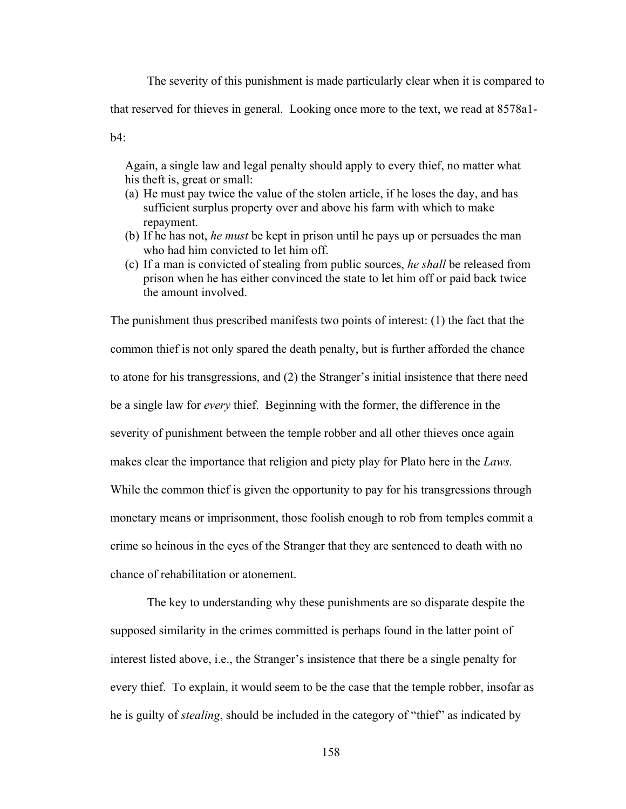The severity of this punishment is made particularly clear when it is compared to

that reserved for thieves in general. Looking once more to the text, we read at 8578a1-

 $b4$ :

Again, a single law and legal penalty should apply to every thief, no matter what his theft is, great or small:

- (a) He must pay twice the value of the stolen article, if he loses the day, and has sufficient surplus property over and above his farm with which to make repayment.
- (b) If he has not, *he must* be kept in prison until he pays up or persuades the man who had him convicted to let him off.
- (c) If a man is convicted of stealing from public sources, *he shall* be released from prison when he has either convinced the state to let him off or paid back twice the amount involved.

The punishment thus prescribed manifests two points of interest: (1) the fact that the common thief is not only spared the death penalty, but is further afforded the chance to atone for his transgressions, and (2) the Stranger's initial insistence that there need be a single law for *every* thief. Beginning with the former, the difference in the severity of punishment between the temple robber and all other thieves once again makes clear the importance that religion and piety play for Plato here in the *Laws.*  While the common thief is given the opportunity to pay for his transgressions through monetary means or imprisonment, those foolish enough to rob from temples commit a crime so heinous in the eyes of the Stranger that they are sentenced to death with no chance of rehabilitation or atonement.

The key to understanding why these punishments are so disparate despite the supposed similarity in the crimes committed is perhaps found in the latter point of interest listed above, i.e., the Stranger's insistence that there be a single penalty for every thief. To explain, it would seem to be the case that the temple robber, insofar as he is guilty of *stealing*, should be included in the category of "thief" as indicated by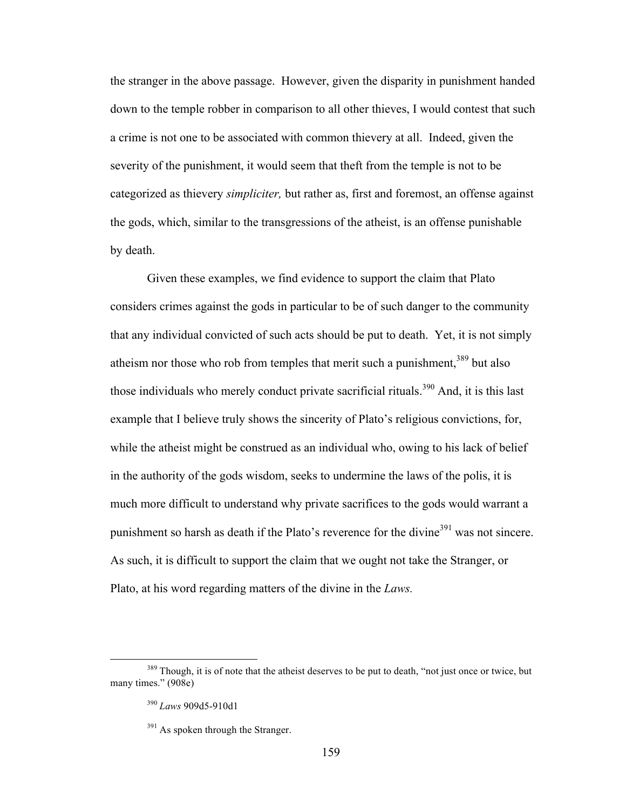the stranger in the above passage. However, given the disparity in punishment handed down to the temple robber in comparison to all other thieves, I would contest that such a crime is not one to be associated with common thievery at all. Indeed, given the severity of the punishment, it would seem that theft from the temple is not to be categorized as thievery *simpliciter,* but rather as, first and foremost, an offense against the gods, which, similar to the transgressions of the atheist, is an offense punishable by death.

Given these examples, we find evidence to support the claim that Plato considers crimes against the gods in particular to be of such danger to the community that any individual convicted of such acts should be put to death. Yet, it is not simply atheism nor those who rob from temples that merit such a punishment,  $389$  but also those individuals who merely conduct private sacrificial rituals.<sup>390</sup> And, it is this last example that I believe truly shows the sincerity of Plato's religious convictions, for, while the atheist might be construed as an individual who, owing to his lack of belief in the authority of the gods wisdom, seeks to undermine the laws of the polis, it is much more difficult to understand why private sacrifices to the gods would warrant a punishment so harsh as death if the Plato's reverence for the divine<sup>391</sup> was not sincere. As such, it is difficult to support the claim that we ought not take the Stranger, or Plato, at his word regarding matters of the divine in the *Laws.*

<sup>&</sup>lt;sup>389</sup> Though, it is of note that the atheist deserves to be put to death, "not just once or twice, but many times." (908e)

<sup>390</sup> *Laws* 909d5-910d1

<sup>&</sup>lt;sup>391</sup> As spoken through the Stranger.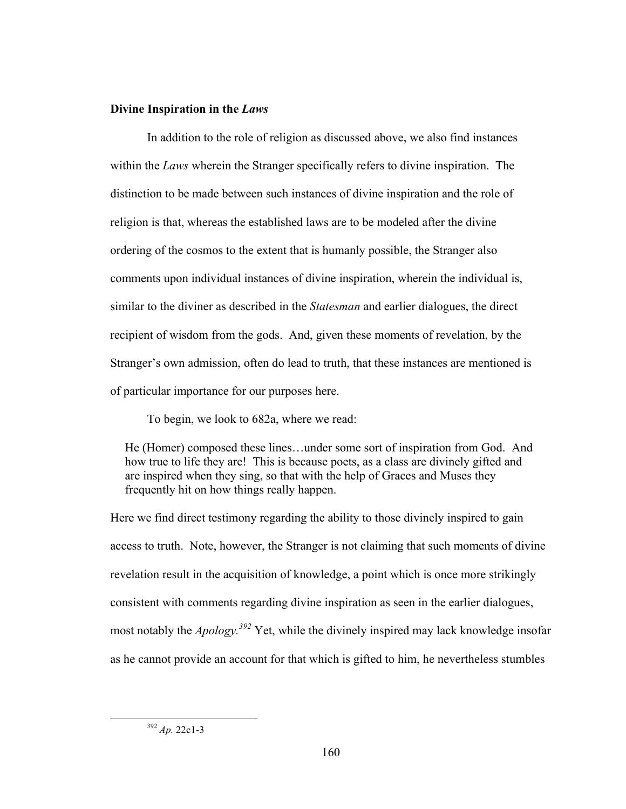# **Divine Inspiration in the** *Laws*

In addition to the role of religion as discussed above, we also find instances within the *Laws* wherein the Stranger specifically refers to divine inspiration. The distinction to be made between such instances of divine inspiration and the role of religion is that, whereas the established laws are to be modeled after the divine ordering of the cosmos to the extent that is humanly possible, the Stranger also comments upon individual instances of divine inspiration, wherein the individual is, similar to the diviner as described in the *Statesman* and earlier dialogues, the direct recipient of wisdom from the gods. And, given these moments of revelation, by the Stranger's own admission, often do lead to truth, that these instances are mentioned is of particular importance for our purposes here.

To begin, we look to 682a, where we read:

He (Homer) composed these lines…under some sort of inspiration from God. And how true to life they are! This is because poets, as a class are divinely gifted and are inspired when they sing, so that with the help of Graces and Muses they frequently hit on how things really happen.

Here we find direct testimony regarding the ability to those divinely inspired to gain access to truth. Note, however, the Stranger is not claiming that such moments of divine revelation result in the acquisition of knowledge, a point which is once more strikingly consistent with comments regarding divine inspiration as seen in the earlier dialogues, most notably the *Apology.<sup>392</sup>* Yet, while the divinely inspired may lack knowledge insofar as he cannot provide an account for that which is gifted to him, he nevertheless stumbles

 <sup>392</sup> *Ap.* 22c1-3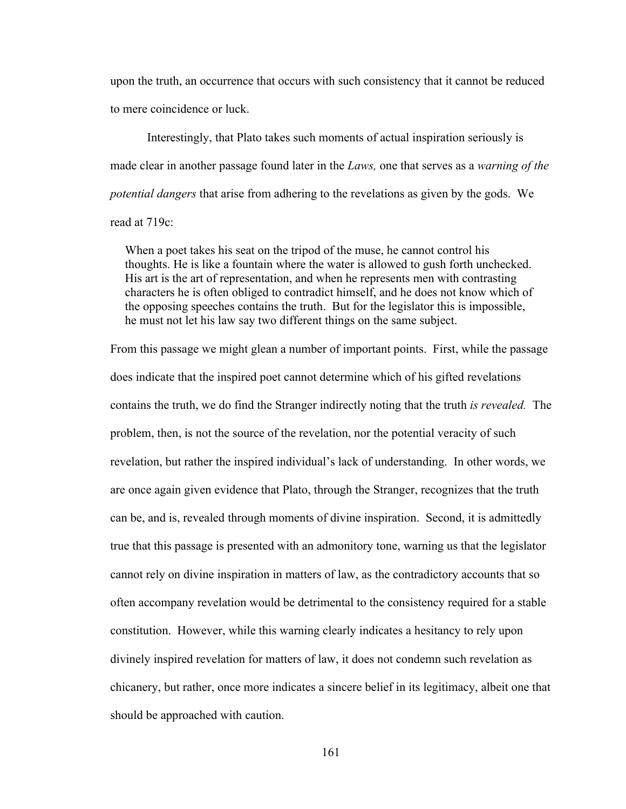upon the truth, an occurrence that occurs with such consistency that it cannot be reduced to mere coincidence or luck.

Interestingly, that Plato takes such moments of actual inspiration seriously is made clear in another passage found later in the *Laws,* one that serves as a *warning of the potential dangers* that arise from adhering to the revelations as given by the gods. We read at 719c:

When a poet takes his seat on the tripod of the muse, he cannot control his thoughts. He is like a fountain where the water is allowed to gush forth unchecked. His art is the art of representation, and when he represents men with contrasting characters he is often obliged to contradict himself, and he does not know which of the opposing speeches contains the truth. But for the legislator this is impossible, he must not let his law say two different things on the same subject.

From this passage we might glean a number of important points. First, while the passage does indicate that the inspired poet cannot determine which of his gifted revelations contains the truth, we do find the Stranger indirectly noting that the truth *is revealed.* The problem, then, is not the source of the revelation, nor the potential veracity of such revelation, but rather the inspired individual's lack of understanding. In other words, we are once again given evidence that Plato, through the Stranger, recognizes that the truth can be, and is, revealed through moments of divine inspiration. Second, it is admittedly true that this passage is presented with an admonitory tone, warning us that the legislator cannot rely on divine inspiration in matters of law, as the contradictory accounts that so often accompany revelation would be detrimental to the consistency required for a stable constitution. However, while this warning clearly indicates a hesitancy to rely upon divinely inspired revelation for matters of law, it does not condemn such revelation as chicanery, but rather, once more indicates a sincere belief in its legitimacy, albeit one that should be approached with caution.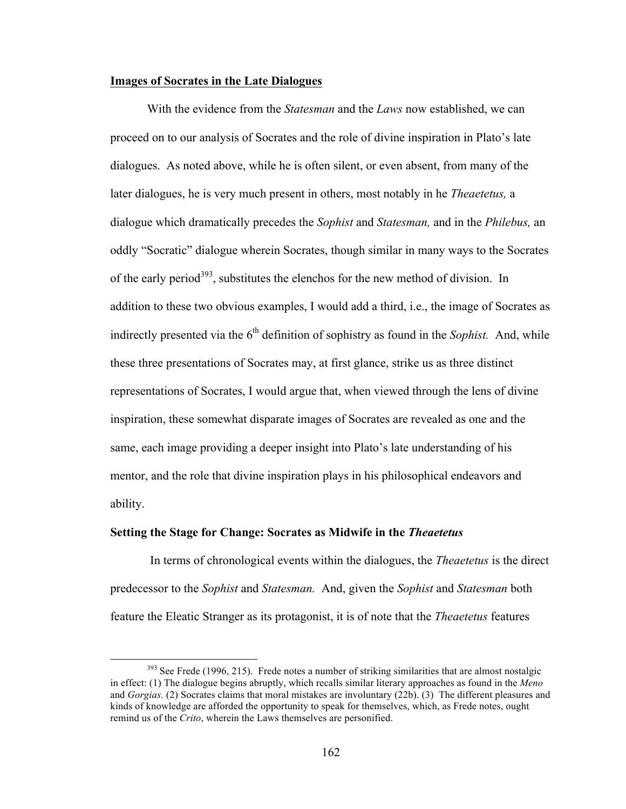#### **Images of Socrates in the Late Dialogues**

With the evidence from the *Statesman* and the *Laws* now established, we can proceed on to our analysis of Socrates and the role of divine inspiration in Plato's late dialogues. As noted above, while he is often silent, or even absent, from many of the later dialogues, he is very much present in others, most notably in he *Theaetetus,* a dialogue which dramatically precedes the *Sophist* and *Statesman,* and in the *Philebus,* an oddly "Socratic" dialogue wherein Socrates, though similar in many ways to the Socrates of the early period<sup>393</sup>, substitutes the elenchos for the new method of division. In addition to these two obvious examples, I would add a third, i.e., the image of Socrates as indirectly presented via the 6<sup>th</sup> definition of sophistry as found in the *Sophist*. And, while these three presentations of Socrates may, at first glance, strike us as three distinct representations of Socrates, I would argue that, when viewed through the lens of divine inspiration, these somewhat disparate images of Socrates are revealed as one and the same, each image providing a deeper insight into Plato's late understanding of his mentor, and the role that divine inspiration plays in his philosophical endeavors and ability.

#### **Setting the Stage for Change: Socrates as Midwife in the** *Theaetetus*

In terms of chronological events within the dialogues, the *Theaetetus* is the direct predecessor to the *Sophist* and *Statesman.* And, given the *Sophist* and *Statesman* both feature the Eleatic Stranger as its protagonist, it is of note that the *Theaetetus* features

<sup>&</sup>lt;sup>393</sup> See Frede (1996, 215). Frede notes a number of striking similarities that are almost nostalgic in effect: (1) The dialogue begins abruptly, which recalls similar literary approaches as found in the *Meno*  and *Gorgias.* (2) Socrates claims that moral mistakes are involuntary (22b). (3) The different pleasures and kinds of knowledge are afforded the opportunity to speak for themselves, which, as Frede notes, ought remind us of the *Crito*, wherein the Laws themselves are personified.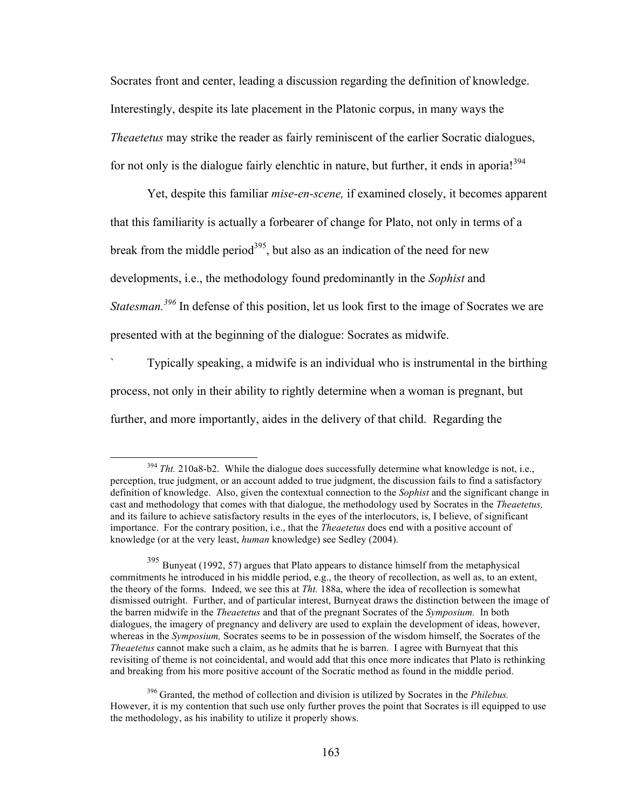Socrates front and center, leading a discussion regarding the definition of knowledge. Interestingly, despite its late placement in the Platonic corpus, in many ways the *Theaetetus* may strike the reader as fairly reminiscent of the earlier Socratic dialogues, for not only is the dialogue fairly elenchtic in nature, but further, it ends in aporia!<sup>394</sup>

Yet, despite this familiar *mise-en-scene,* if examined closely, it becomes apparent that this familiarity is actually a forbearer of change for Plato, not only in terms of a break from the middle period<sup>395</sup>, but also as an indication of the need for new developments, i.e., the methodology found predominantly in the *Sophist* and *Statesman.*<sup>396</sup> In defense of this position, let us look first to the image of Socrates we are presented with at the beginning of the dialogue: Socrates as midwife.

` Typically speaking, a midwife is an individual who is instrumental in the birthing process, not only in their ability to rightly determine when a woman is pregnant, but further, and more importantly, aides in the delivery of that child. Regarding the

<sup>&</sup>lt;sup>394</sup> *Tht.* 210a8-b2. While the dialogue does successfully determine what knowledge is not, i.e., perception, true judgment, or an account added to true judgment, the discussion fails to find a satisfactory definition of knowledge. Also, given the contextual connection to the *Sophist* and the significant change in cast and methodology that comes with that dialogue, the methodology used by Socrates in the *Theaetetus,*  and its failure to achieve satisfactory results in the eyes of the interlocutors, is, I believe, of significant importance. For the contrary position, i.e., that the *Theaetetus* does end with a positive account of knowledge (or at the very least, *human* knowledge) see Sedley (2004).

<sup>&</sup>lt;sup>395</sup> Bunyeat (1992, 57) argues that Plato appears to distance himself from the metaphysical commitments he introduced in his middle period, e.g., the theory of recollection, as well as, to an extent, the theory of the forms. Indeed, we see this at *Tht.* 188a, where the idea of recollection is somewhat dismissed outright. Further, and of particular interest, Burnyeat draws the distinction between the image of the barren midwife in the *Theaetetus* and that of the pregnant Socrates of the *Symposium.* In both dialogues, the imagery of pregnancy and delivery are used to explain the development of ideas, however, whereas in the *Symposium,* Socrates seems to be in possession of the wisdom himself, the Socrates of the *Theaetetus* cannot make such a claim, as he admits that he is barren. I agree with Burnyeat that this revisiting of theme is not coincidental, and would add that this once more indicates that Plato is rethinking and breaking from his more positive account of the Socratic method as found in the middle period.

<sup>396</sup> Granted, the method of collection and division is utilized by Socrates in the *Philebus.*  However, it is my contention that such use only further proves the point that Socrates is ill equipped to use the methodology, as his inability to utilize it properly shows.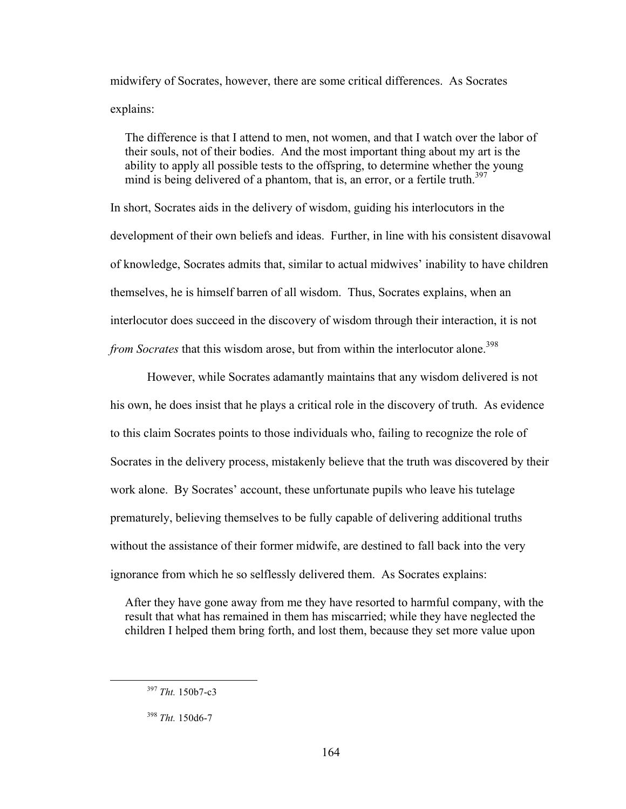midwifery of Socrates, however, there are some critical differences. As Socrates explains:

The difference is that I attend to men, not women, and that I watch over the labor of their souls, not of their bodies. And the most important thing about my art is the ability to apply all possible tests to the offspring, to determine whether the young mind is being delivered of a phantom, that is, an error, or a fertile truth.<sup>397</sup>

In short, Socrates aids in the delivery of wisdom, guiding his interlocutors in the development of their own beliefs and ideas. Further, in line with his consistent disavowal of knowledge, Socrates admits that, similar to actual midwives' inability to have children themselves, he is himself barren of all wisdom. Thus, Socrates explains, when an interlocutor does succeed in the discovery of wisdom through their interaction, it is not *from Socrates* that this wisdom arose, but from within the interlocutor alone.<sup>398</sup>

However, while Socrates adamantly maintains that any wisdom delivered is not his own, he does insist that he plays a critical role in the discovery of truth. As evidence to this claim Socrates points to those individuals who, failing to recognize the role of Socrates in the delivery process, mistakenly believe that the truth was discovered by their work alone. By Socrates' account, these unfortunate pupils who leave his tutelage prematurely, believing themselves to be fully capable of delivering additional truths without the assistance of their former midwife, are destined to fall back into the very ignorance from which he so selflessly delivered them. As Socrates explains:

After they have gone away from me they have resorted to harmful company, with the result that what has remained in them has miscarried; while they have neglected the children I helped them bring forth, and lost them, because they set more value upon

 <sup>397</sup> *Tht.* 150b7-c3

<sup>398</sup> *Tht.* 150d6-7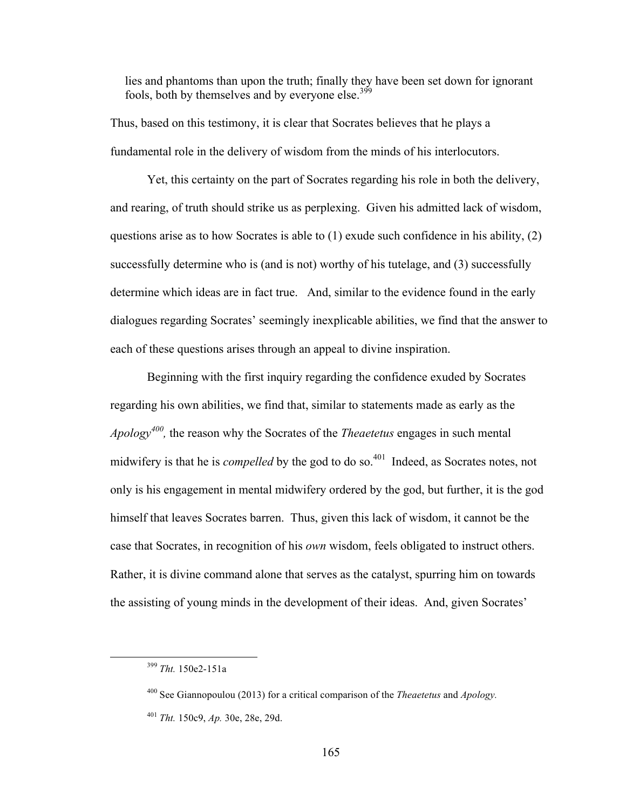lies and phantoms than upon the truth; finally they have been set down for ignorant fools, both by themselves and by everyone else.<sup>399</sup>

Thus, based on this testimony, it is clear that Socrates believes that he plays a fundamental role in the delivery of wisdom from the minds of his interlocutors.

Yet, this certainty on the part of Socrates regarding his role in both the delivery, and rearing, of truth should strike us as perplexing. Given his admitted lack of wisdom, questions arise as to how Socrates is able to (1) exude such confidence in his ability, (2) successfully determine who is (and is not) worthy of his tutelage, and (3) successfully determine which ideas are in fact true. And, similar to the evidence found in the early dialogues regarding Socrates' seemingly inexplicable abilities, we find that the answer to each of these questions arises through an appeal to divine inspiration.

Beginning with the first inquiry regarding the confidence exuded by Socrates regarding his own abilities, we find that, similar to statements made as early as the *Apology400,* the reason why the Socrates of the *Theaetetus* engages in such mental midwifery is that he is *compelled* by the god to do so.<sup>401</sup> Indeed, as Socrates notes, not only is his engagement in mental midwifery ordered by the god, but further, it is the god himself that leaves Socrates barren. Thus, given this lack of wisdom, it cannot be the case that Socrates, in recognition of his *own* wisdom, feels obligated to instruct others. Rather, it is divine command alone that serves as the catalyst, spurring him on towards the assisting of young minds in the development of their ideas. And, given Socrates'

 <sup>399</sup> *Tht.* 150e2-151a

<sup>400</sup> See Giannopoulou (2013) for a critical comparison of the *Theaetetus* and *Apology.*

<sup>401</sup> *Tht.* 150c9, *Ap.* 30e, 28e, 29d.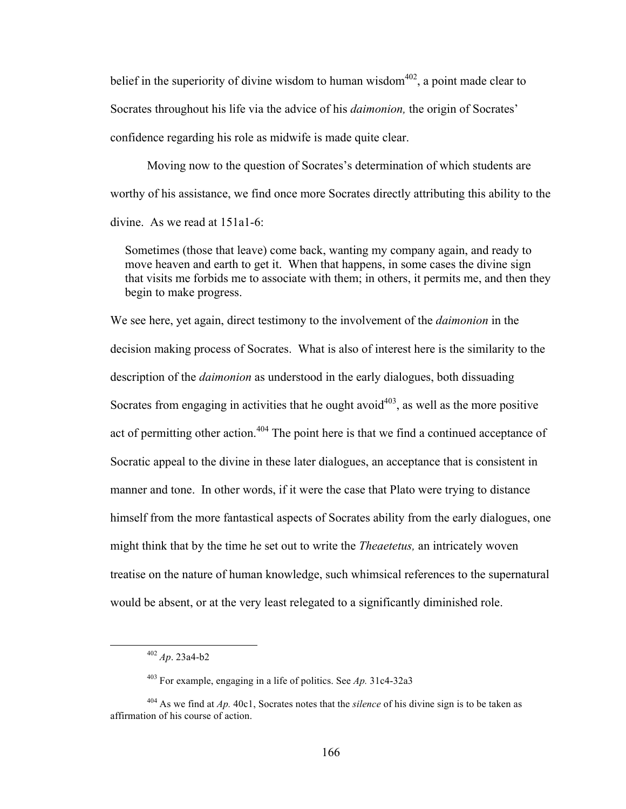belief in the superiority of divine wisdom to human wisdom<sup> $402$ </sup>, a point made clear to Socrates throughout his life via the advice of his *daimonion,* the origin of Socrates' confidence regarding his role as midwife is made quite clear.

Moving now to the question of Socrates's determination of which students are worthy of his assistance, we find once more Socrates directly attributing this ability to the divine. As we read at 151a1-6:

Sometimes (those that leave) come back, wanting my company again, and ready to move heaven and earth to get it. When that happens, in some cases the divine sign that visits me forbids me to associate with them; in others, it permits me, and then they begin to make progress.

We see here, yet again, direct testimony to the involvement of the *daimonion* in the decision making process of Socrates. What is also of interest here is the similarity to the description of the *daimonion* as understood in the early dialogues, both dissuading Socrates from engaging in activities that he ought avoid<sup> $403$ </sup>, as well as the more positive act of permitting other action.<sup> $404$ </sup> The point here is that we find a continued acceptance of Socratic appeal to the divine in these later dialogues, an acceptance that is consistent in manner and tone. In other words, if it were the case that Plato were trying to distance himself from the more fantastical aspects of Socrates ability from the early dialogues, one might think that by the time he set out to write the *Theaetetus,* an intricately woven treatise on the nature of human knowledge, such whimsical references to the supernatural would be absent, or at the very least relegated to a significantly diminished role.

 <sup>402</sup> *Ap*. 23a4-b2

<sup>403</sup> For example, engaging in a life of politics. See *Ap.* 31c4-32a3

<sup>404</sup> As we find at *Ap.* 40c1, Socrates notes that the *silence* of his divine sign is to be taken as affirmation of his course of action.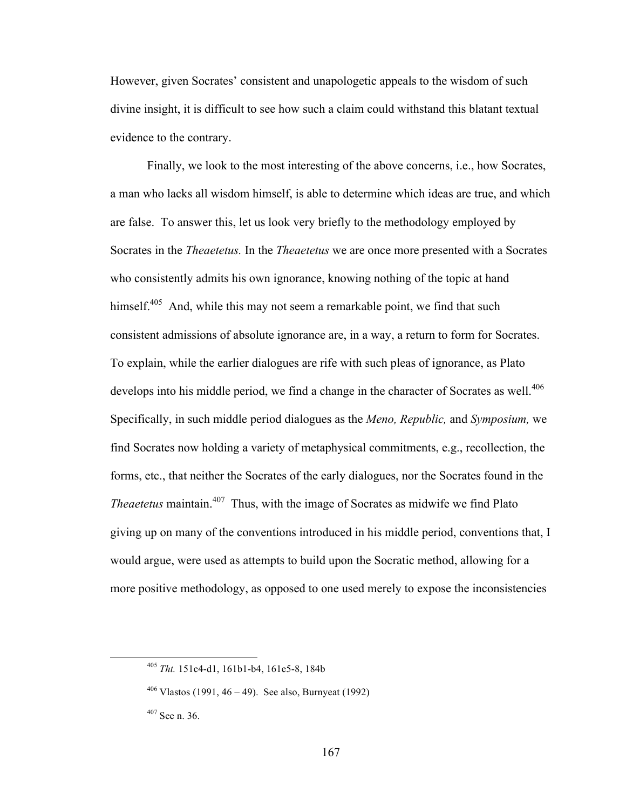However, given Socrates' consistent and unapologetic appeals to the wisdom of such divine insight, it is difficult to see how such a claim could withstand this blatant textual evidence to the contrary.

Finally, we look to the most interesting of the above concerns, i.e., how Socrates, a man who lacks all wisdom himself, is able to determine which ideas are true, and which are false. To answer this, let us look very briefly to the methodology employed by Socrates in the *Theaetetus.* In the *Theaetetus* we are once more presented with a Socrates who consistently admits his own ignorance, knowing nothing of the topic at hand himself.<sup>405</sup> And, while this may not seem a remarkable point, we find that such consistent admissions of absolute ignorance are, in a way, a return to form for Socrates. To explain, while the earlier dialogues are rife with such pleas of ignorance, as Plato develops into his middle period, we find a change in the character of Socrates as well.<sup>406</sup> Specifically, in such middle period dialogues as the *Meno, Republic,* and *Symposium,* we find Socrates now holding a variety of metaphysical commitments, e.g., recollection, the forms, etc., that neither the Socrates of the early dialogues, nor the Socrates found in the *Theaetetus* maintain.<sup>407</sup> Thus, with the image of Socrates as midwife we find Plato giving up on many of the conventions introduced in his middle period, conventions that, I would argue, were used as attempts to build upon the Socratic method, allowing for a more positive methodology, as opposed to one used merely to expose the inconsistencies

 <sup>405</sup> *Tht.* 151c4-d1, 161b1-b4, 161e5-8, 184b

 $406$  Vlastos (1991, 46 – 49). See also, Burnyeat (1992)

<sup>407</sup> See n. 36.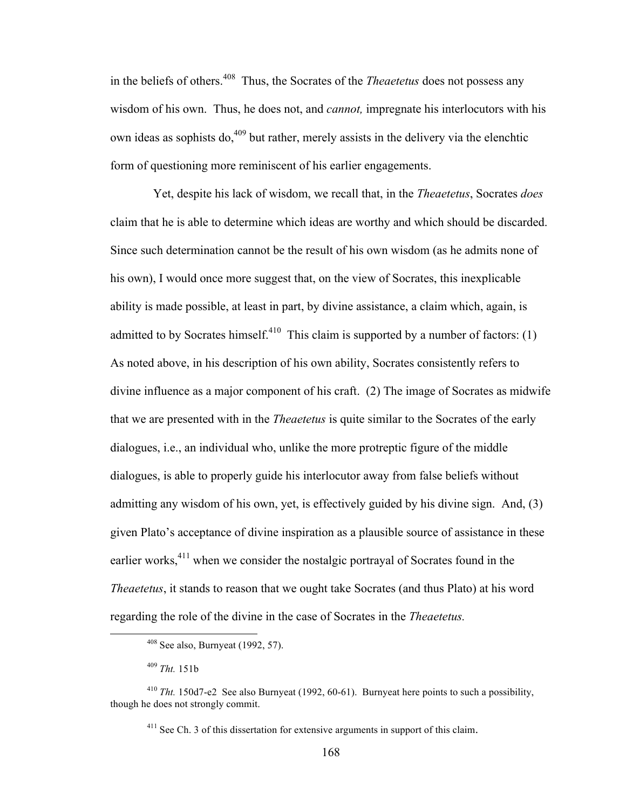in the beliefs of others.408 Thus, the Socrates of the *Theaetetus* does not possess any wisdom of his own. Thus, he does not, and *cannot,* impregnate his interlocutors with his own ideas as sophists do,<sup>409</sup> but rather, merely assists in the delivery via the elenchtic form of questioning more reminiscent of his earlier engagements.

 Yet, despite his lack of wisdom, we recall that, in the *Theaetetus*, Socrates *does*  claim that he is able to determine which ideas are worthy and which should be discarded. Since such determination cannot be the result of his own wisdom (as he admits none of his own), I would once more suggest that, on the view of Socrates, this inexplicable ability is made possible, at least in part, by divine assistance, a claim which, again, is admitted to by Socrates himself.<sup>410</sup> This claim is supported by a number of factors: (1) As noted above, in his description of his own ability, Socrates consistently refers to divine influence as a major component of his craft. (2) The image of Socrates as midwife that we are presented with in the *Theaetetus* is quite similar to the Socrates of the early dialogues, i.e., an individual who, unlike the more protreptic figure of the middle dialogues, is able to properly guide his interlocutor away from false beliefs without admitting any wisdom of his own, yet, is effectively guided by his divine sign. And, (3) given Plato's acceptance of divine inspiration as a plausible source of assistance in these earlier works,<sup>411</sup> when we consider the nostalgic portraval of Socrates found in the *Theaetetus*, it stands to reason that we ought take Socrates (and thus Plato) at his word regarding the role of the divine in the case of Socrates in the *Theaetetus.*

 $408$  See also, Burnyeat (1992, 57).

<sup>409</sup> *Tht.* 151b

<sup>&</sup>lt;sup>410</sup> *Tht.* 150d7-e2 See also Burnyeat (1992, 60-61). Burnyeat here points to such a possibility, though he does not strongly commit.

<sup>&</sup>lt;sup>411</sup> See Ch. 3 of this dissertation for extensive arguments in support of this claim.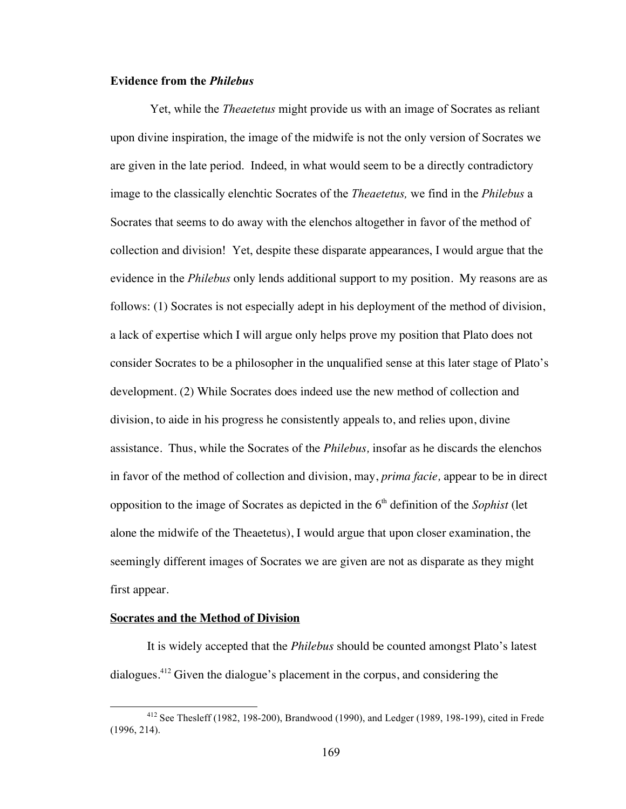## **Evidence from the** *Philebus*

Yet, while the *Theaetetus* might provide us with an image of Socrates as reliant upon divine inspiration, the image of the midwife is not the only version of Socrates we are given in the late period. Indeed, in what would seem to be a directly contradictory image to the classically elenchtic Socrates of the *Theaetetus,* we find in the *Philebus* a Socrates that seems to do away with the elenchos altogether in favor of the method of collection and division! Yet, despite these disparate appearances, I would argue that the evidence in the *Philebus* only lends additional support to my position. My reasons are as follows: (1) Socrates is not especially adept in his deployment of the method of division, a lack of expertise which I will argue only helps prove my position that Plato does not consider Socrates to be a philosopher in the unqualified sense at this later stage of Plato's development. (2) While Socrates does indeed use the new method of collection and division, to aide in his progress he consistently appeals to, and relies upon, divine assistance. Thus, while the Socrates of the *Philebus,* insofar as he discards the elenchos in favor of the method of collection and division, may, *prima facie,* appear to be in direct opposition to the image of Socrates as depicted in the 6<sup>th</sup> definition of the *Sophist* (let alone the midwife of the Theaetetus), I would argue that upon closer examination, the seemingly different images of Socrates we are given are not as disparate as they might first appear.

# **Socrates and the Method of Division**

It is widely accepted that the *Philebus* should be counted amongst Plato's latest dialogues.412 Given the dialogue's placement in the corpus, and considering the

 <sup>412</sup> See Thesleff (1982, 198-200), Brandwood (1990), and Ledger (1989, 198-199), cited in Frede (1996, 214).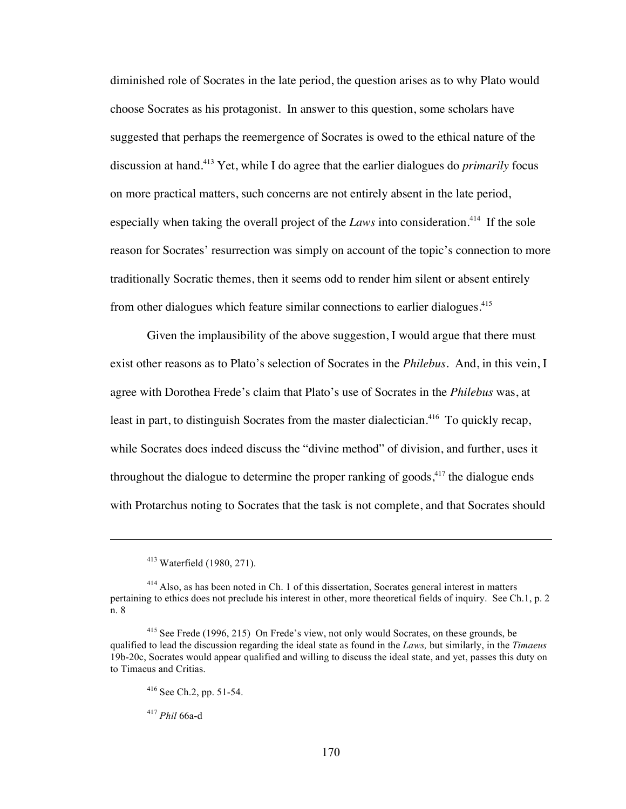diminished role of Socrates in the late period, the question arises as to why Plato would choose Socrates as his protagonist. In answer to this question, some scholars have suggested that perhaps the reemergence of Socrates is owed to the ethical nature of the discussion at hand.413 Yet, while I do agree that the earlier dialogues do *primarily* focus on more practical matters, such concerns are not entirely absent in the late period, especially when taking the overall project of the *Laws* into consideration.<sup>414</sup> If the sole reason for Socrates' resurrection was simply on account of the topic's connection to more traditionally Socratic themes, then it seems odd to render him silent or absent entirely from other dialogues which feature similar connections to earlier dialogues.<sup>415</sup>

Given the implausibility of the above suggestion, I would argue that there must exist other reasons as to Plato's selection of Socrates in the *Philebus*. And, in this vein, I agree with Dorothea Frede's claim that Plato's use of Socrates in the *Philebus* was, at least in part, to distinguish Socrates from the master dialectician.<sup>416</sup> To quickly recap, while Socrates does indeed discuss the "divine method" of division, and further, uses it throughout the dialogue to determine the proper ranking of goods,  $4^{17}$  the dialogue ends with Protarchus noting to Socrates that the task is not complete, and that Socrates should

 $\overline{a}$ 

<sup>413</sup> Waterfield (1980, 271).

<sup>414</sup> Also, as has been noted in Ch. 1 of this dissertation, Socrates general interest in matters pertaining to ethics does not preclude his interest in other, more theoretical fields of inquiry. See Ch.1, p. 2 n. 8

<sup>415</sup> See Frede (1996, 215) On Frede's view, not only would Socrates, on these grounds, be qualified to lead the discussion regarding the ideal state as found in the *Laws,* but similarly, in the *Timaeus*  19b-20c, Socrates would appear qualified and willing to discuss the ideal state, and yet, passes this duty on to Timaeus and Critias.

<sup>416</sup> See Ch.2, pp. 51-54.

<sup>417</sup> *Phil* 66a-d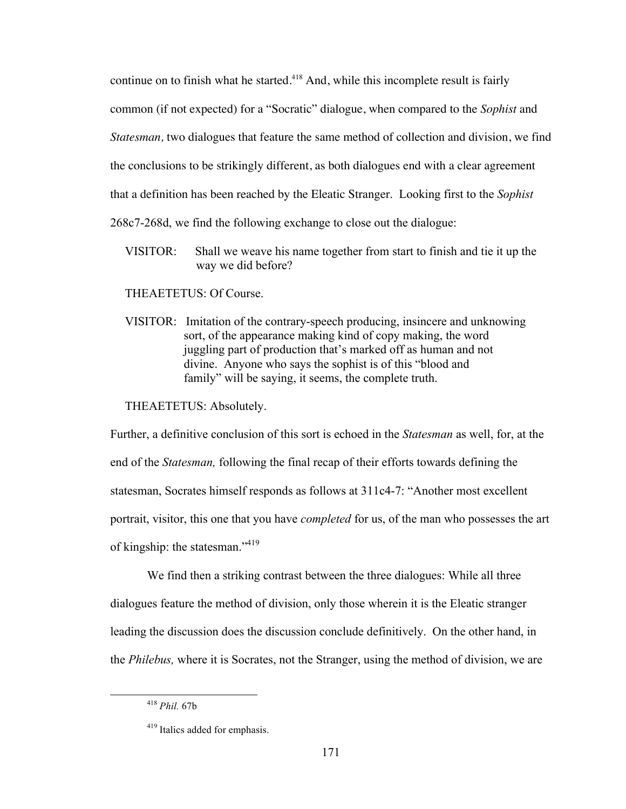continue on to finish what he started.<sup>418</sup> And, while this incomplete result is fairly common (if not expected) for a "Socratic" dialogue, when compared to the *Sophist* and *Statesman,* two dialogues that feature the same method of collection and division, we find the conclusions to be strikingly different, as both dialogues end with a clear agreement that a definition has been reached by the Eleatic Stranger. Looking first to the *Sophist*  268c7-268d, we find the following exchange to close out the dialogue:

VISITOR: Shall we weave his name together from start to finish and tie it up the way we did before?

THEAETETUS: Of Course.

VISITOR: Imitation of the contrary-speech producing, insincere and unknowing sort, of the appearance making kind of copy making, the word juggling part of production that's marked off as human and not divine. Anyone who says the sophist is of this "blood and family" will be saying, it seems, the complete truth.

THEAETETUS: Absolutely.

Further, a definitive conclusion of this sort is echoed in the *Statesman* as well, for, at the end of the *Statesman,* following the final recap of their efforts towards defining the statesman, Socrates himself responds as follows at 311c4-7: "Another most excellent portrait, visitor, this one that you have *completed* for us, of the man who possesses the art of kingship: the statesman."419

We find then a striking contrast between the three dialogues: While all three dialogues feature the method of division, only those wherein it is the Eleatic stranger leading the discussion does the discussion conclude definitively. On the other hand, in the *Philebus,* where it is Socrates, not the Stranger, using the method of division, we are

 <sup>418</sup> *Phil.* 67b

<sup>419</sup> Italics added for emphasis.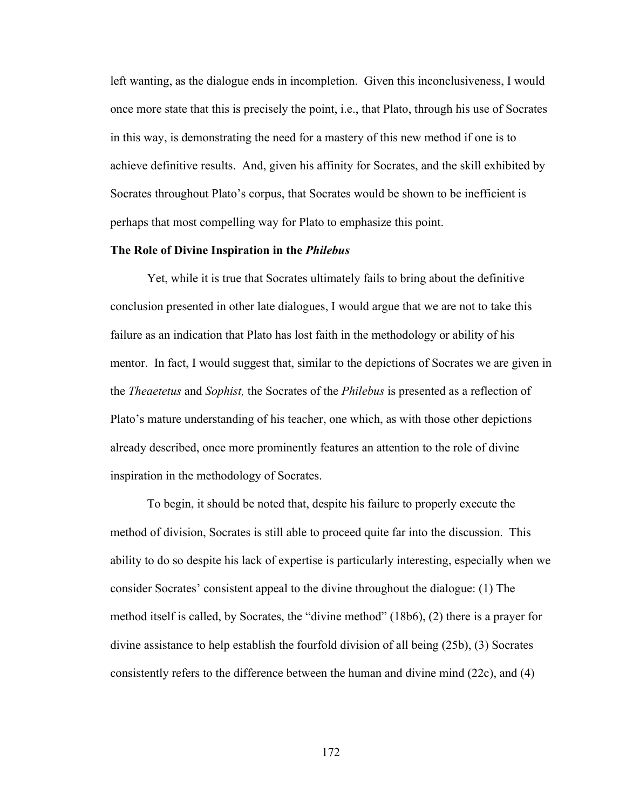left wanting, as the dialogue ends in incompletion. Given this inconclusiveness, I would once more state that this is precisely the point, i.e., that Plato, through his use of Socrates in this way, is demonstrating the need for a mastery of this new method if one is to achieve definitive results. And, given his affinity for Socrates, and the skill exhibited by Socrates throughout Plato's corpus, that Socrates would be shown to be inefficient is perhaps that most compelling way for Plato to emphasize this point.

## **The Role of Divine Inspiration in the** *Philebus*

Yet, while it is true that Socrates ultimately fails to bring about the definitive conclusion presented in other late dialogues, I would argue that we are not to take this failure as an indication that Plato has lost faith in the methodology or ability of his mentor. In fact, I would suggest that, similar to the depictions of Socrates we are given in the *Theaetetus* and *Sophist,* the Socrates of the *Philebus* is presented as a reflection of Plato's mature understanding of his teacher, one which, as with those other depictions already described, once more prominently features an attention to the role of divine inspiration in the methodology of Socrates.

To begin, it should be noted that, despite his failure to properly execute the method of division, Socrates is still able to proceed quite far into the discussion. This ability to do so despite his lack of expertise is particularly interesting, especially when we consider Socrates' consistent appeal to the divine throughout the dialogue: (1) The method itself is called, by Socrates, the "divine method" (18b6), (2) there is a prayer for divine assistance to help establish the fourfold division of all being (25b), (3) Socrates consistently refers to the difference between the human and divine mind (22c), and (4)

172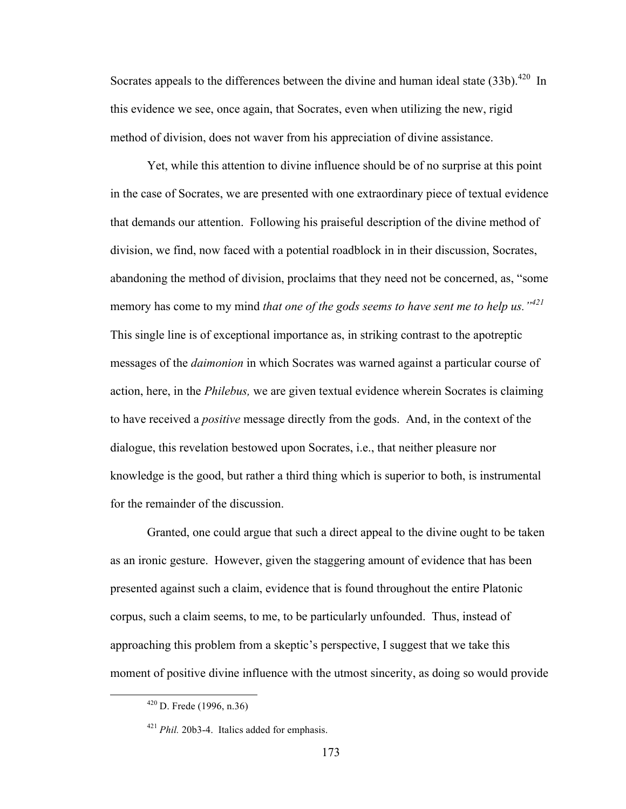Socrates appeals to the differences between the divine and human ideal state  $(33b)$ .<sup>420</sup> In this evidence we see, once again, that Socrates, even when utilizing the new, rigid method of division, does not waver from his appreciation of divine assistance.

Yet, while this attention to divine influence should be of no surprise at this point in the case of Socrates, we are presented with one extraordinary piece of textual evidence that demands our attention. Following his praiseful description of the divine method of division, we find, now faced with a potential roadblock in in their discussion, Socrates, abandoning the method of division, proclaims that they need not be concerned, as, "some memory has come to my mind *that one of the gods seems to have sent me to help us."<sup>421</sup>* This single line is of exceptional importance as, in striking contrast to the apotreptic messages of the *daimonion* in which Socrates was warned against a particular course of action, here, in the *Philebus,* we are given textual evidence wherein Socrates is claiming to have received a *positive* message directly from the gods. And, in the context of the dialogue, this revelation bestowed upon Socrates, i.e., that neither pleasure nor knowledge is the good, but rather a third thing which is superior to both, is instrumental for the remainder of the discussion.

Granted, one could argue that such a direct appeal to the divine ought to be taken as an ironic gesture. However, given the staggering amount of evidence that has been presented against such a claim, evidence that is found throughout the entire Platonic corpus, such a claim seems, to me, to be particularly unfounded. Thus, instead of approaching this problem from a skeptic's perspective, I suggest that we take this moment of positive divine influence with the utmost sincerity, as doing so would provide

 $420$  D. Frede (1996, n.36)

<sup>421</sup> *Phil.* 20b3-4. Italics added for emphasis.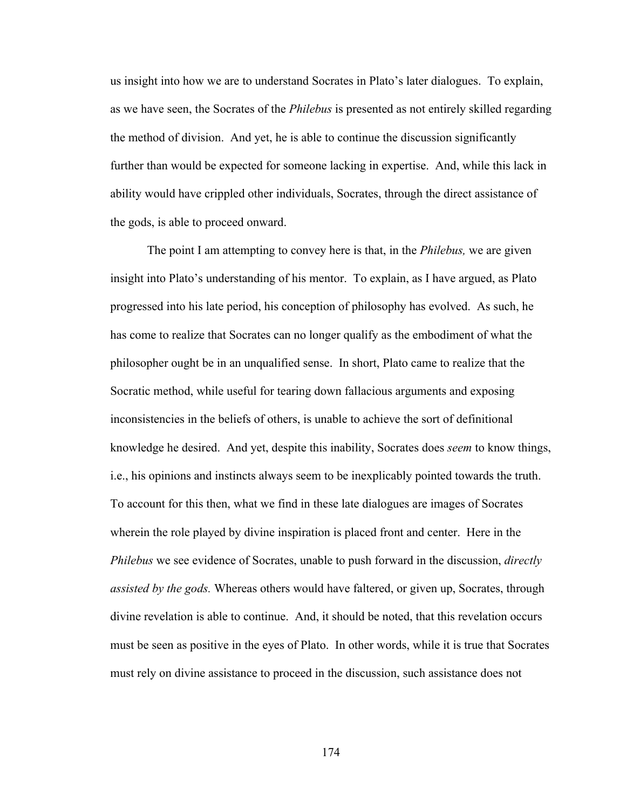us insight into how we are to understand Socrates in Plato's later dialogues. To explain, as we have seen, the Socrates of the *Philebus* is presented as not entirely skilled regarding the method of division. And yet, he is able to continue the discussion significantly further than would be expected for someone lacking in expertise. And, while this lack in ability would have crippled other individuals, Socrates, through the direct assistance of the gods, is able to proceed onward.

The point I am attempting to convey here is that, in the *Philebus,* we are given insight into Plato's understanding of his mentor. To explain, as I have argued, as Plato progressed into his late period, his conception of philosophy has evolved. As such, he has come to realize that Socrates can no longer qualify as the embodiment of what the philosopher ought be in an unqualified sense. In short, Plato came to realize that the Socratic method, while useful for tearing down fallacious arguments and exposing inconsistencies in the beliefs of others, is unable to achieve the sort of definitional knowledge he desired. And yet, despite this inability, Socrates does *seem* to know things, i.e., his opinions and instincts always seem to be inexplicably pointed towards the truth. To account for this then, what we find in these late dialogues are images of Socrates wherein the role played by divine inspiration is placed front and center. Here in the *Philebus* we see evidence of Socrates, unable to push forward in the discussion, *directly assisted by the gods.* Whereas others would have faltered, or given up, Socrates, through divine revelation is able to continue. And, it should be noted, that this revelation occurs must be seen as positive in the eyes of Plato. In other words, while it is true that Socrates must rely on divine assistance to proceed in the discussion, such assistance does not

174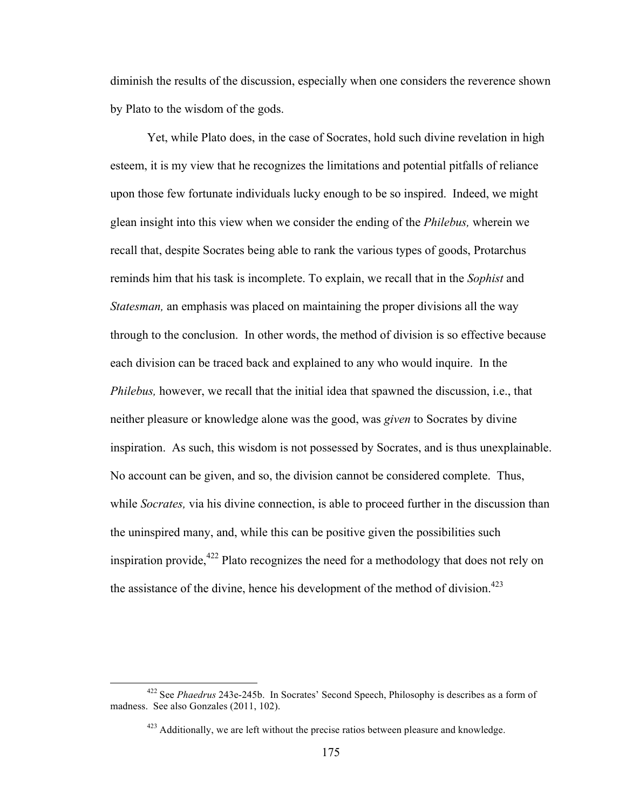diminish the results of the discussion, especially when one considers the reverence shown by Plato to the wisdom of the gods.

Yet, while Plato does, in the case of Socrates, hold such divine revelation in high esteem, it is my view that he recognizes the limitations and potential pitfalls of reliance upon those few fortunate individuals lucky enough to be so inspired. Indeed, we might glean insight into this view when we consider the ending of the *Philebus,* wherein we recall that, despite Socrates being able to rank the various types of goods, Protarchus reminds him that his task is incomplete. To explain, we recall that in the *Sophist* and *Statesman,* an emphasis was placed on maintaining the proper divisions all the way through to the conclusion. In other words, the method of division is so effective because each division can be traced back and explained to any who would inquire. In the *Philebus,* however, we recall that the initial idea that spawned the discussion, i.e., that neither pleasure or knowledge alone was the good, was *given* to Socrates by divine inspiration. As such, this wisdom is not possessed by Socrates, and is thus unexplainable. No account can be given, and so, the division cannot be considered complete. Thus, while *Socrates,* via his divine connection, is able to proceed further in the discussion than the uninspired many, and, while this can be positive given the possibilities such inspiration provide, $422$  Plato recognizes the need for a methodology that does not rely on the assistance of the divine, hence his development of the method of division.<sup>423</sup>

 <sup>422</sup> See *Phaedrus* 243e-245b. In Socrates' Second Speech, Philosophy is describes as a form of madness. See also Gonzales (2011, 102).

<sup>&</sup>lt;sup>423</sup> Additionally, we are left without the precise ratios between pleasure and knowledge.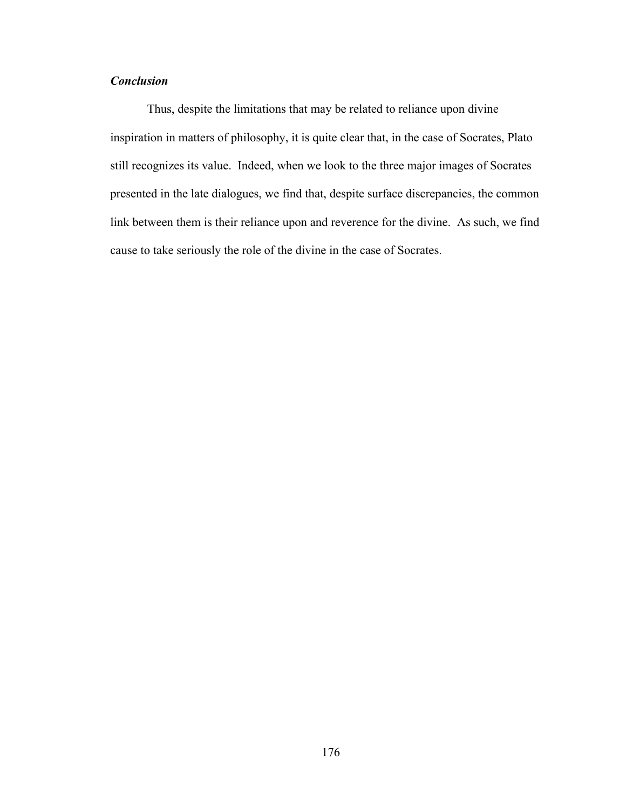## *Conclusion*

Thus, despite the limitations that may be related to reliance upon divine inspiration in matters of philosophy, it is quite clear that, in the case of Socrates, Plato still recognizes its value. Indeed, when we look to the three major images of Socrates presented in the late dialogues, we find that, despite surface discrepancies, the common link between them is their reliance upon and reverence for the divine. As such, we find cause to take seriously the role of the divine in the case of Socrates.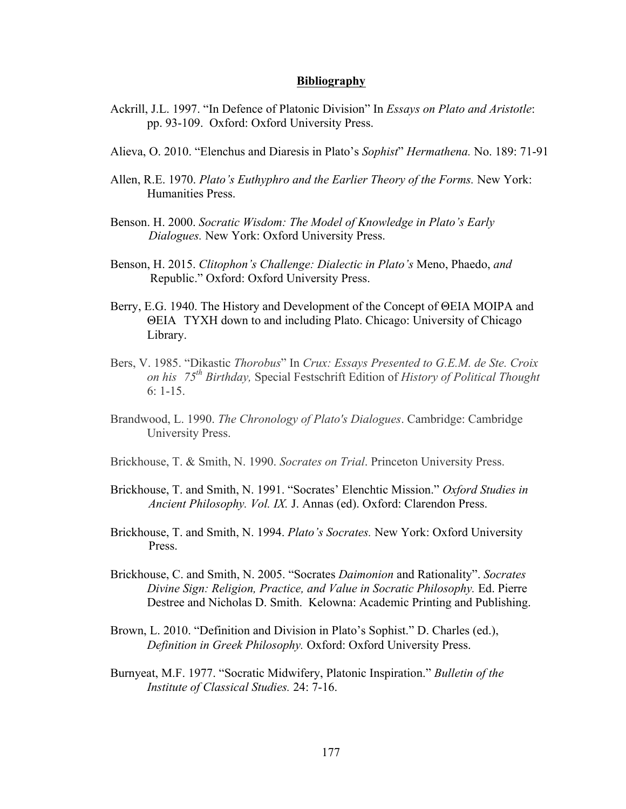## **Bibliography**

- Ackrill, J.L. 1997. "In Defence of Platonic Division" In *Essays on Plato and Aristotle*: pp. 93-109. Oxford: Oxford University Press.
- Alieva, O. 2010. "Elenchus and Diaresis in Plato's *Sophist*" *Hermathena.* No. 189: 71-91
- Allen, R.E. 1970. *Plato's Euthyphro and the Earlier Theory of the Forms.* New York: Humanities Press.
- Benson. H. 2000. *Socratic Wisdom: The Model of Knowledge in Plato's Early Dialogues.* New York: Oxford University Press.
- Benson, H. 2015. *Clitophon's Challenge: Dialectic in Plato's* Meno, Phaedo, *and* Republic." Oxford: Oxford University Press.
- Berry, E.G. 1940. The History and Development of the Concept of ΘΕΙΑ ΜΟΙΡΑ and ΘΕΙΑ ΤΥΧΗ down to and including Plato. Chicago: University of Chicago Library.
- Bers, V. 1985. "Dikastic *Thorobus*" In *Crux: Essays Presented to G.E.M. de Ste. Croix on his 75th Birthday,* Special Festschrift Edition of *History of Political Thought*   $6: 1-15$
- Brandwood, L. 1990. *The Chronology of Plato's Dialogues*. Cambridge: Cambridge University Press.
- Brickhouse, T. & Smith, N. 1990. *Socrates on Trial*. Princeton University Press.
- Brickhouse, T. and Smith, N. 1991. "Socrates' Elenchtic Mission." *Oxford Studies in Ancient Philosophy. Vol. IX.* J. Annas (ed). Oxford: Clarendon Press.
- Brickhouse, T. and Smith, N. 1994. *Plato's Socrates.* New York: Oxford University Press.
- Brickhouse, C. and Smith, N. 2005. "Socrates *Daimonion* and Rationality". *Socrates Divine Sign: Religion, Practice, and Value in Socratic Philosophy.* Ed. Pierre Destree and Nicholas D. Smith. Kelowna: Academic Printing and Publishing.
- Brown, L. 2010. "Definition and Division in Plato's Sophist." D. Charles (ed.), *Definition in Greek Philosophy.* Oxford: Oxford University Press.
- Burnyeat, M.F. 1977. "Socratic Midwifery, Platonic Inspiration." *Bulletin of the Institute of Classical Studies.* 24: 7-16.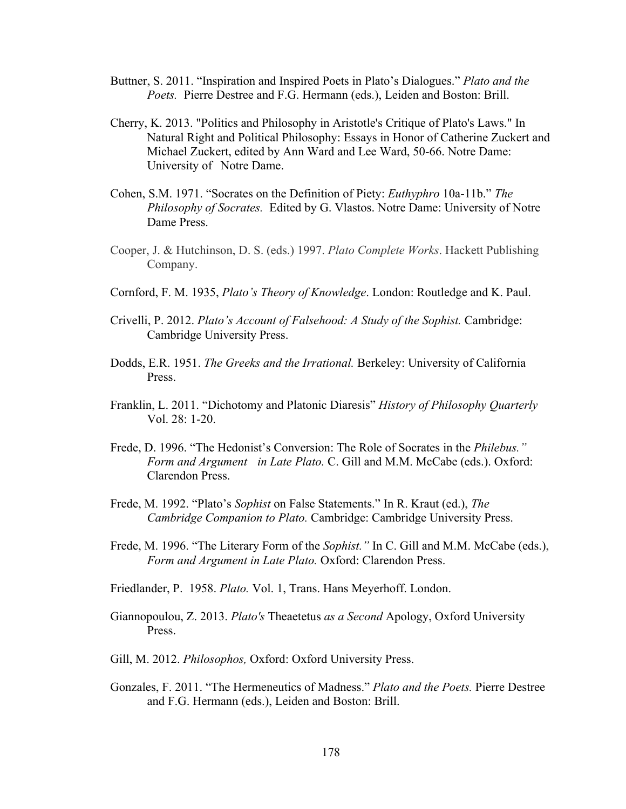- Buttner, S. 2011. "Inspiration and Inspired Poets in Plato's Dialogues." *Plato and the Poets.* Pierre Destree and F.G. Hermann (eds.), Leiden and Boston: Brill.
- Cherry, K. 2013. "Politics and Philosophy in Aristotle's Critique of Plato's Laws." In Natural Right and Political Philosophy: Essays in Honor of Catherine Zuckert and Michael Zuckert, edited by Ann Ward and Lee Ward, 50-66. Notre Dame: University of Notre Dame.
- Cohen, S.M. 1971. "Socrates on the Definition of Piety: *Euthyphro* 10a-11b." *The Philosophy of Socrates.* Edited by G. Vlastos. Notre Dame: University of Notre Dame Press.
- Cooper, J. & Hutchinson, D. S. (eds.) 1997. *Plato Complete Works*. Hackett Publishing Company.
- Cornford, F. M. 1935, *Plato's Theory of Knowledge*. London: Routledge and K. Paul.
- Crivelli, P. 2012. *Plato's Account of Falsehood: A Study of the Sophist.* Cambridge: Cambridge University Press.
- Dodds, E.R. 1951. *The Greeks and the Irrational.* Berkeley: University of California Press.
- Franklin, L. 2011. "Dichotomy and Platonic Diaresis" *History of Philosophy Quarterly*  Vol. 28: 1-20.
- Frede, D. 1996. "The Hedonist's Conversion: The Role of Socrates in the *Philebus." Form and Argument in Late Plato.* C. Gill and M.M. McCabe (eds.). Oxford: Clarendon Press.
- Frede, M. 1992. "Plato's *Sophist* on False Statements." In R. Kraut (ed.), *The Cambridge Companion to Plato.* Cambridge: Cambridge University Press.
- Frede, M. 1996. "The Literary Form of the *Sophist."* In C. Gill and M.M. McCabe (eds.), *Form and Argument in Late Plato.* Oxford: Clarendon Press.
- Friedlander, P. 1958. *Plato.* Vol. 1, Trans. Hans Meyerhoff. London.
- Giannopoulou, Z. 2013. *Plato's* Theaetetus *as a Second* Apology, Oxford University Press.
- Gill, M. 2012. *Philosophos,* Oxford: Oxford University Press.
- Gonzales, F. 2011. "The Hermeneutics of Madness." *Plato and the Poets.* Pierre Destree and F.G. Hermann (eds.), Leiden and Boston: Brill.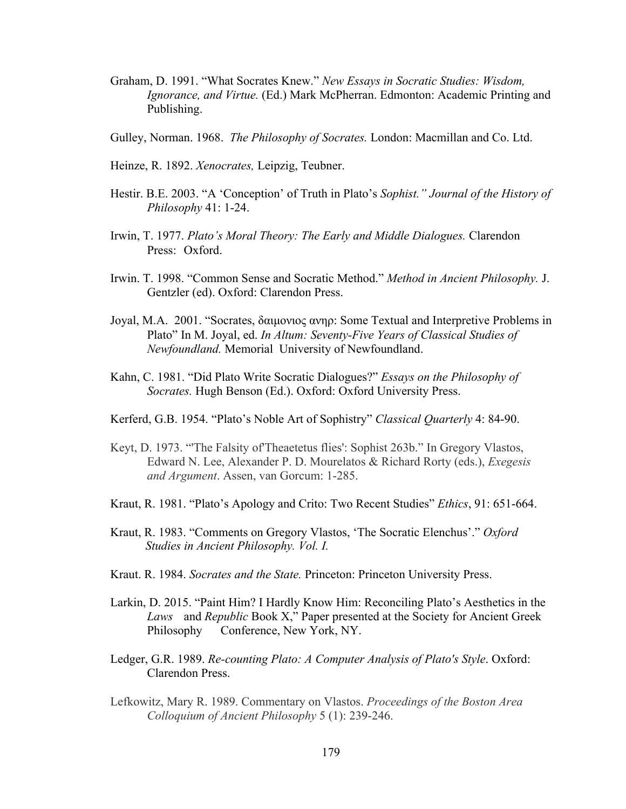- Graham, D. 1991. "What Socrates Knew." *New Essays in Socratic Studies: Wisdom, Ignorance, and Virtue.* (Ed.) Mark McPherran. Edmonton: Academic Printing and Publishing.
- Gulley, Norman. 1968. *The Philosophy of Socrates.* London: Macmillan and Co. Ltd.
- Heinze, R. 1892. *Xenocrates,* Leipzig, Teubner.
- Hestir. B.E. 2003. "A 'Conception' of Truth in Plato's *Sophist." Journal of the History of Philosophy* 41: 1-24.
- Irwin, T. 1977. *Plato's Moral Theory: The Early and Middle Dialogues.* Clarendon Press: Oxford.
- Irwin. T. 1998. "Common Sense and Socratic Method." *Method in Ancient Philosophy.* J. Gentzler (ed). Oxford: Clarendon Press.
- Joyal, M.A. 2001. "Socrates, δαιµονιος ανηρ: Some Textual and Interpretive Problems in Plato" In M. Joyal, ed. *In Altum: Seventy-Five Years of Classical Studies of Newfoundland.* Memorial University of Newfoundland.
- Kahn, C. 1981. "Did Plato Write Socratic Dialogues?" *Essays on the Philosophy of Socrates.* Hugh Benson (Ed.). Oxford: Oxford University Press.
- Kerferd, G.B. 1954. "Plato's Noble Art of Sophistry" *Classical Quarterly* 4: 84-90.
- Keyt, D. 1973. "'The Falsity of'Theaetetus flies': Sophist 263b." In Gregory Vlastos, Edward N. Lee, Alexander P. D. Mourelatos & Richard Rorty (eds.), *Exegesis and Argument*. Assen, van Gorcum: 1-285.
- Kraut, R. 1981. "Plato's Apology and Crito: Two Recent Studies" *Ethics*, 91: 651-664.
- Kraut, R. 1983. "Comments on Gregory Vlastos, 'The Socratic Elenchus'." *Oxford Studies in Ancient Philosophy. Vol. I.*
- Kraut. R. 1984. *Socrates and the State.* Princeton: Princeton University Press.
- Larkin, D. 2015. "Paint Him? I Hardly Know Him: Reconciling Plato's Aesthetics in the *Laws* and *Republic* Book X," Paper presented at the Society for Ancient Greek Philosophy Conference, New York, NY.
- Ledger, G.R. 1989. *Re-counting Plato: A Computer Analysis of Plato's Style*. Oxford: Clarendon Press.
- Lefkowitz, Mary R. 1989. Commentary on Vlastos. *Proceedings of the Boston Area Colloquium of Ancient Philosophy* 5 (1): 239-246.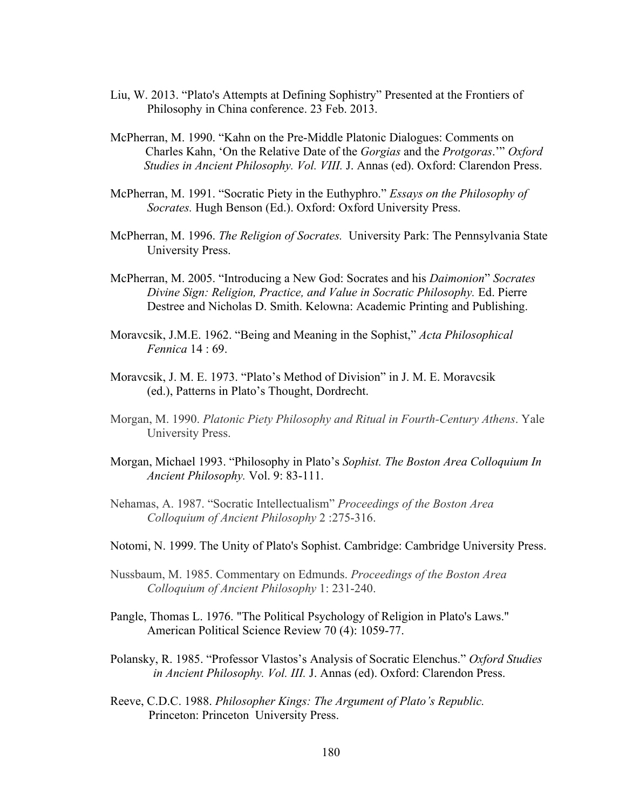- Liu, W. 2013. "Plato's Attempts at Defining Sophistry" Presented at the Frontiers of Philosophy in China conference. 23 Feb. 2013.
- McPherran, M. 1990. "Kahn on the Pre-Middle Platonic Dialogues: Comments on Charles Kahn, 'On the Relative Date of the *Gorgias* and the *Protgoras*.'" *Oxford Studies in Ancient Philosophy. Vol. VIII.* J. Annas (ed). Oxford: Clarendon Press.
- McPherran, M. 1991. "Socratic Piety in the Euthyphro." *Essays on the Philosophy of Socrates.* Hugh Benson (Ed.). Oxford: Oxford University Press.
- McPherran, M. 1996. *The Religion of Socrates.* University Park: The Pennsylvania State University Press.
- McPherran, M. 2005. "Introducing a New God: Socrates and his *Daimonion*" *Socrates Divine Sign: Religion, Practice, and Value in Socratic Philosophy.* Ed. Pierre Destree and Nicholas D. Smith. Kelowna: Academic Printing and Publishing.
- Moravcsik, J.M.E. 1962. "Being and Meaning in the Sophist," *Acta Philosophical Fennica* 14 : 69.
- Moravcsik, J. M. E. 1973. "Plato's Method of Division" in J. M. E. Moravcsik (ed.), Patterns in Plato's Thought, Dordrecht.
- Morgan, M. 1990. *Platonic Piety Philosophy and Ritual in Fourth-Century Athens*. Yale University Press.
- Morgan, Michael 1993. "Philosophy in Plato's *Sophist. The Boston Area Colloquium In Ancient Philosophy.* Vol. 9: 83-111.
- Nehamas, A. 1987. "Socratic Intellectualism" *Proceedings of the Boston Area Colloquium of Ancient Philosophy* 2 :275-316.
- Notomi, N. 1999. The Unity of Plato's Sophist. Cambridge: Cambridge University Press.
- Nussbaum, M. 1985. Commentary on Edmunds. *Proceedings of the Boston Area Colloquium of Ancient Philosophy* 1: 231-240.
- Pangle, Thomas L. 1976. "The Political Psychology of Religion in Plato's Laws." American Political Science Review 70 (4): 1059-77.
- Polansky, R. 1985. "Professor Vlastos's Analysis of Socratic Elenchus." *Oxford Studies in Ancient Philosophy. Vol. III.* J. Annas (ed). Oxford: Clarendon Press.
- Reeve, C.D.C. 1988. *Philosopher Kings: The Argument of Plato's Republic.*  **Princeton: Princeton University Press.**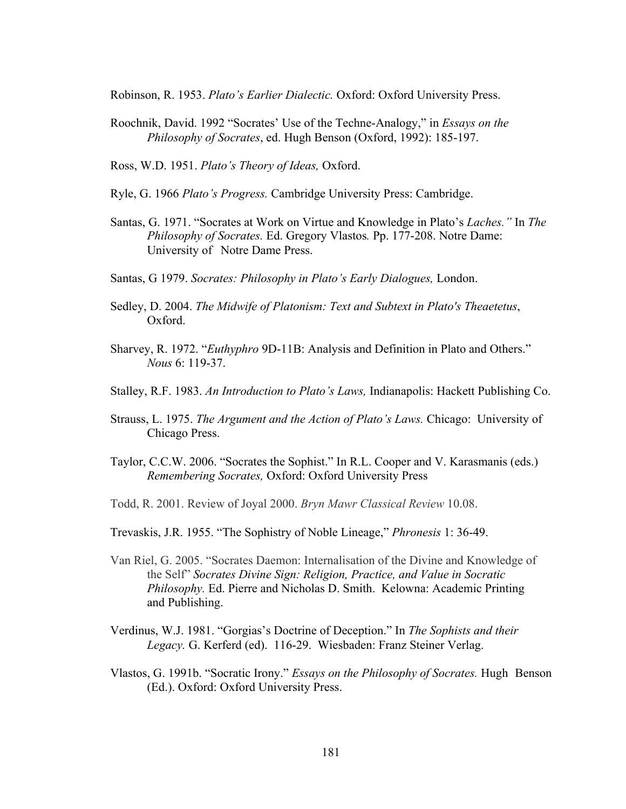Robinson, R. 1953. *Plato's Earlier Dialectic.* Oxford: Oxford University Press.

- Roochnik, David. 1992 "Socrates' Use of the Techne-Analogy," in *Essays on the Philosophy of Socrates*, ed. Hugh Benson (Oxford, 1992): 185-197.
- Ross, W.D. 1951. *Plato's Theory of Ideas,* Oxford.
- Ryle, G. 1966 *Plato's Progress.* Cambridge University Press: Cambridge.
- Santas, G. 1971. "Socrates at Work on Virtue and Knowledge in Plato's *Laches."* In *The Philosophy of Socrates.* Ed. Gregory Vlastos*.* Pp. 177-208. Notre Dame: University of Notre Dame Press.
- Santas, G 1979. *Socrates: Philosophy in Plato's Early Dialogues,* London.
- Sedley, D. 2004. *The Midwife of Platonism: Text and Subtext in Plato's Theaetetus*, Oxford.
- Sharvey, R. 1972. "*Euthyphro* 9D-11B: Analysis and Definition in Plato and Others." *Nous* 6: 119-37.
- Stalley, R.F. 1983. *An Introduction to Plato's Laws,* Indianapolis: Hackett Publishing Co.
- Strauss, L. 1975. *The Argument and the Action of Plato's Laws.* Chicago: University of Chicago Press.
- Taylor, C.C.W. 2006. "Socrates the Sophist." In R.L. Cooper and V. Karasmanis (eds.) *Remembering Socrates,* Oxford: Oxford University Press
- Todd, R. 2001. Review of Joyal 2000. *Bryn Mawr Classical Review* 10.08.
- Trevaskis, J.R. 1955. "The Sophistry of Noble Lineage," *Phronesis* 1: 36-49.
- Van Riel, G. 2005. "Socrates Daemon: Internalisation of the Divine and Knowledge of the Self" *Socrates Divine Sign: Religion, Practice, and Value in Socratic Philosophy.* Ed. Pierre and Nicholas D. Smith. Kelowna: Academic Printing and Publishing.
- Verdinus, W.J. 1981. "Gorgias's Doctrine of Deception." In *The Sophists and their Legacy.* G. Kerferd (ed). 116-29. Wiesbaden: Franz Steiner Verlag.
- Vlastos, G. 1991b. "Socratic Irony." *Essays on the Philosophy of Socrates.* Hugh Benson (Ed.). Oxford: Oxford University Press.